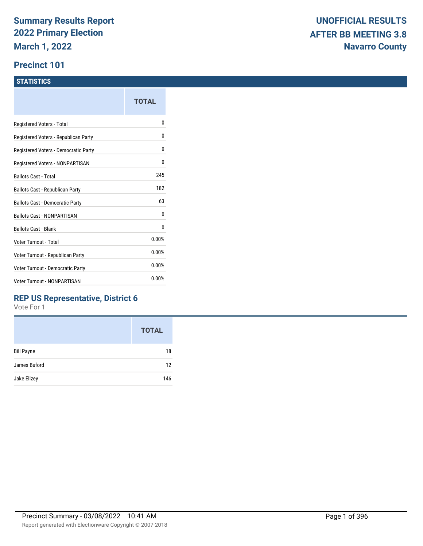#### **Precinct 101**

#### **STATISTICS**

|                                      | TOTAL |
|--------------------------------------|-------|
| Registered Voters - Total            | o     |
| Registered Voters - Republican Party | 0     |
| Registered Voters - Democratic Party | 0     |
| Registered Voters - NONPARTISAN      | 0     |
| <b>Ballots Cast - Total</b>          | 245   |
| Ballots Cast - Republican Party      | 182   |
| Ballots Cast - Democratic Party      | 63    |
| <b>Ballots Cast - NONPARTISAN</b>    | 0     |
| <b>Ballots Cast - Blank</b>          | 0     |
| Voter Turnout - Total                | 0.00% |
| Voter Turnout - Republican Party     | 0.00% |
| Voter Turnout - Democratic Party     | 0.00% |
| <b>Voter Turnout - NONPARTISAN</b>   | 0.00% |
|                                      |       |

### **REP US Representative, District 6**

|                   | <b>TOTAL</b> |
|-------------------|--------------|
| <b>Bill Payne</b> | 18           |
| James Buford      | 12           |
| Jake Ellzey       | 146          |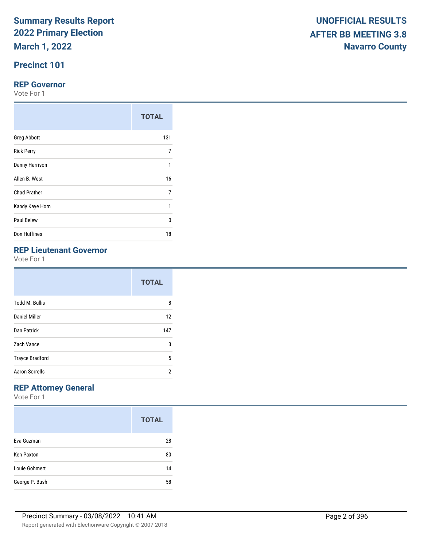## **Precinct 101**

#### **REP Governor**

Vote For 1

|                     | <b>TOTAL</b> |
|---------------------|--------------|
| <b>Greg Abbott</b>  | 131          |
| <b>Rick Perry</b>   | 7            |
| Danny Harrison      | 1            |
| Allen B. West       | 16           |
| <b>Chad Prather</b> | 7            |
| Kandy Kaye Horn     | 1            |
| Paul Belew          | $\Omega$     |
| Don Huffines        | 18           |

## **REP Lieutenant Governor**

Vote For 1

|                        | <b>TOTAL</b> |
|------------------------|--------------|
| <b>Todd M. Bullis</b>  | 8            |
| Daniel Miller          | 12           |
| Dan Patrick            | 147          |
| Zach Vance             | 3            |
| <b>Trayce Bradford</b> | 5            |
| <b>Aaron Sorrells</b>  | 2            |

## **REP Attorney General**

|                   | <b>TOTAL</b> |
|-------------------|--------------|
| Eva Guzman        | 28           |
| <b>Ken Paxton</b> | 80           |
| Louie Gohmert     | 14           |
| George P. Bush    | 58           |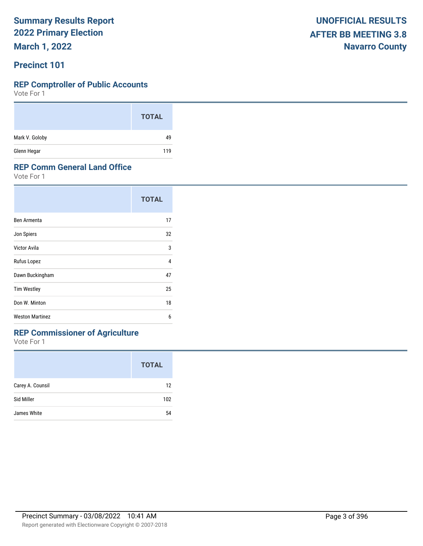**March 1, 2022**

### **Precinct 101**

#### **REP Comptroller of Public Accounts**

Vote For 1

|                | <b>TOTAL</b> |
|----------------|--------------|
| Mark V. Goloby | 49           |
| Glenn Hegar    | 119          |

#### **REP Comm General Land Office**

Vote For 1

|                        | <b>TOTAL</b> |
|------------------------|--------------|
| Ben Armenta            | 17           |
| Jon Spiers             | 32           |
| Victor Avila           | 3            |
| Rufus Lopez            | 4            |
| Dawn Buckingham        | 47           |
| <b>Tim Westley</b>     | 25           |
| Don W. Minton          | 18           |
| <b>Weston Martinez</b> | 6            |

## **REP Commissioner of Agriculture**

|                  | <b>TOTAL</b> |
|------------------|--------------|
| Carey A. Counsil | 12           |
| Sid Miller       | 102          |
| James White      | 54           |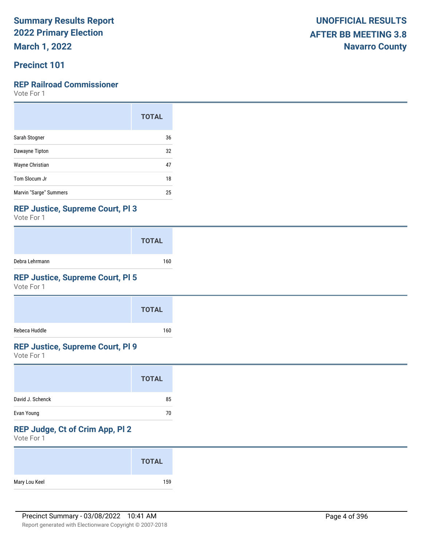**March 1, 2022**

## **Precinct 101**

#### **REP Railroad Commissioner**

Vote For 1

|                        | <b>TOTAL</b> |
|------------------------|--------------|
| Sarah Stogner          | 36           |
| Dawayne Tipton         | 32           |
| Wayne Christian        | 47           |
| Tom Slocum Jr          | 18           |
| Marvin "Sarge" Summers | 25           |

#### **REP Justice, Supreme Court, Pl 3**

Vote For 1

|                | <b>TOTAL</b> |
|----------------|--------------|
| Debra Lehrmann | 160          |

## **REP Justice, Supreme Court, Pl 5**

Vote For 1

|               | <b>TOTAL</b> |
|---------------|--------------|
| Rebeca Huddle | 160          |

#### **REP Justice, Supreme Court, Pl 9**

Vote For 1

|                  | <b>TOTAL</b> |
|------------------|--------------|
| David J. Schenck | 85           |
| Evan Young       | 70           |

## **REP Judge, Ct of Crim App, Pl 2**

| <b>TOTAL</b>         |
|----------------------|
| Mary Lou Keel<br>159 |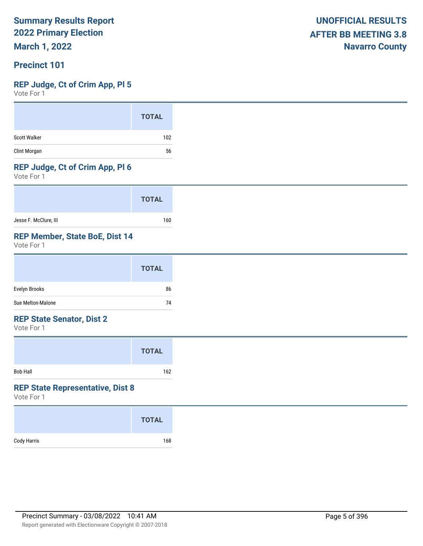**March 1, 2022**

### **Precinct 101**

## **REP Judge, Ct of Crim App, Pl 5**

Vote For 1

#### **REP Judge, Ct of Crim App, Pl 6**

Vote For 1

|                       | <b>TOTAL</b> |
|-----------------------|--------------|
| Jesse F. McClure, III | 160          |

## **REP Member, State BoE, Dist 14**

Vote For 1

#### **REP State Senator, Dist 2**

Vote For 1

|                 | <b>TOTAL</b> |  |
|-----------------|--------------|--|
| <b>Bob Hall</b> | 162          |  |

#### **REP State Representative, Dist 8**

|             | <b>TOTAL</b> |
|-------------|--------------|
| Cody Harris | 168          |
|             |              |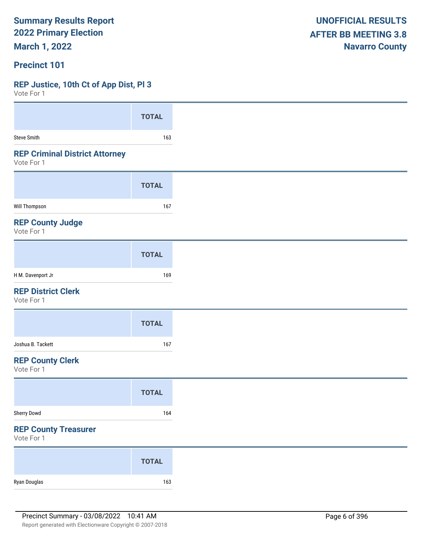**March 1, 2022**

#### **Precinct 101**

#### **REP Justice, 10th Ct of App Dist, Pl 3**

| VOLE FOI 1                                          |              |
|-----------------------------------------------------|--------------|
|                                                     | <b>TOTAL</b> |
| <b>Steve Smith</b>                                  | 163          |
| <b>REP Criminal District Attorney</b><br>Vote For 1 |              |
|                                                     | <b>TOTAL</b> |
| <b>Will Thompson</b>                                | 167          |
| <b>REP County Judge</b><br>Vote For 1               |              |
|                                                     | <b>TOTAL</b> |
| H M. Davenport Jr                                   | 169          |
| <b>REP District Clerk</b><br>Vote For 1             |              |
|                                                     | <b>TOTAL</b> |
| Joshua B. Tackett                                   | 167          |
| <b>REP County Clerk</b><br>Vote For 1               |              |
|                                                     | <b>TOTAL</b> |
| Sherry Dowd                                         | 164          |
| <b>REP County Treasurer</b><br>Vote For 1           |              |
|                                                     | <b>TOTAL</b> |
| Ryan Douglas                                        | 163          |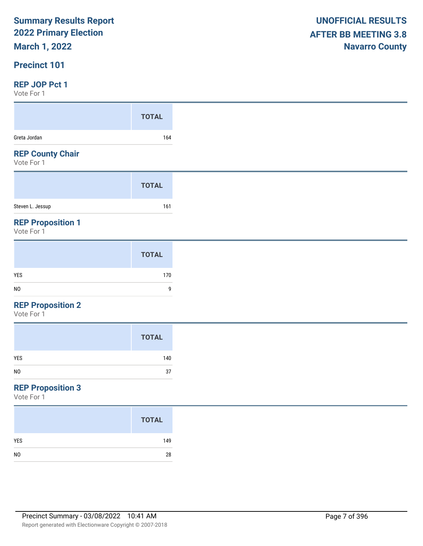## **March 1, 2022**

### **Precinct 101**

#### **REP JOP Pct 1**

Vote For 1

| VULC I UI I                            |              |
|----------------------------------------|--------------|
|                                        | <b>TOTAL</b> |
| Greta Jordan                           | 164          |
| <b>REP County Chair</b><br>Vote For 1  |              |
|                                        | <b>TOTAL</b> |
| Steven L. Jessup                       | 161          |
| <b>REP Proposition 1</b><br>Vote For 1 |              |
|                                        |              |

#### **REP Proposition 2**

Vote For 1

## **REP Proposition 3**

|                | <b>TOTAL</b> |
|----------------|--------------|
| <b>YES</b>     | 149          |
| N <sub>0</sub> | 28           |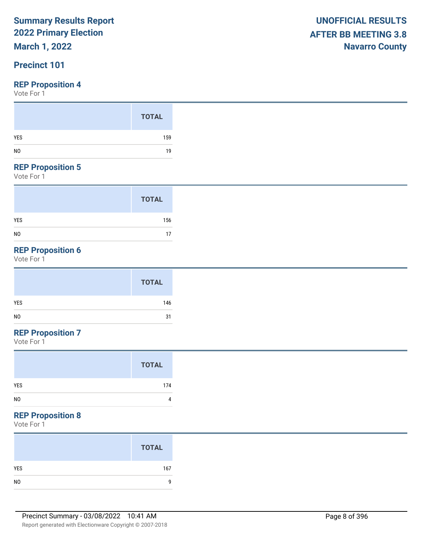## **March 1, 2022**

## **Precinct 101**

#### **REP Proposition 4**

Vote For 1

#### **REP Proposition 5**

Vote For 1

|                | <b>TOTAL</b> |
|----------------|--------------|
| <b>YES</b>     | 156          |
| N <sub>0</sub> | 17           |

## **REP Proposition 6**

Vote For 1

## **REP Proposition 7**

Vote For 1

| <b>TOTAL</b>        |
|---------------------|
| <b>YES</b><br>174   |
| N <sub>0</sub><br>4 |

### **REP Proposition 8**

| <b>TOTAL</b> |
|--------------|
| 167          |
|              |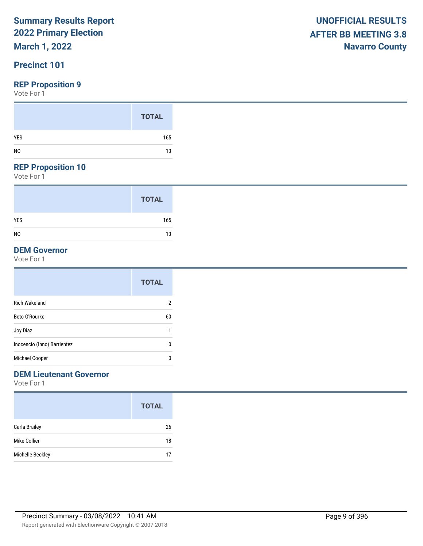## **March 1, 2022**

## **Precinct 101**

#### **REP Proposition 9**

Vote For 1

#### **REP Proposition 10**

Vote For 1

|                | <b>TOTAL</b> |
|----------------|--------------|
| YES            | 165          |
| N <sub>0</sub> | 13           |

### **DEM Governor**

Vote For 1

|                             | <b>TOTAL</b>   |
|-----------------------------|----------------|
| <b>Rich Wakeland</b>        | $\overline{2}$ |
| Beto O'Rourke               | 60             |
| Joy Diaz                    | 1              |
| Inocencio (Inno) Barrientez | 0              |
| Michael Cooper              | 0              |

## **DEM Lieutenant Governor**

|                  | <b>TOTAL</b> |
|------------------|--------------|
| Carla Brailey    | 26           |
| Mike Collier     | 18           |
| Michelle Beckley | 17           |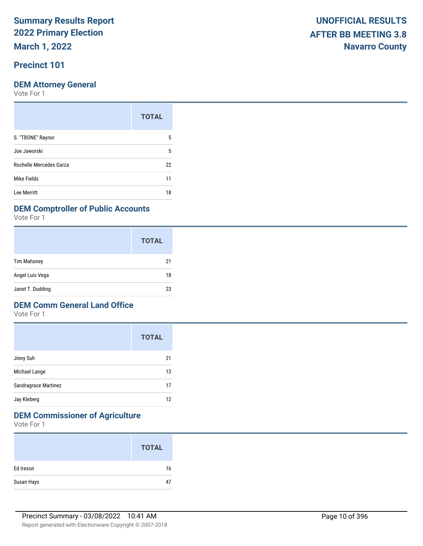**March 1, 2022**

## **Precinct 101**

#### **DEM Attorney General**

Vote For 1

| <b>TOTAL</b> |
|--------------|
| 5            |
| 5            |
| 22           |
| 11           |
| 18           |
|              |

#### **DEM Comptroller of Public Accounts**

Vote For 1

|                    | <b>TOTAL</b> |
|--------------------|--------------|
| <b>Tim Mahoney</b> | 21           |
| Angel Luis Vega    | 18           |
| Janet T. Dudding   | 23           |

#### **DEM Comm General Land Office**

Vote For 1

|                      | <b>TOTAL</b> |
|----------------------|--------------|
| Jinny Suh            | 21           |
| Michael Lange        | 13           |
| Sandragrace Martinez | 17           |
| Jay Kleberg          | 12           |

## **DEM Commissioner of Agriculture**

|            | <b>TOTAL</b> |
|------------|--------------|
| Ed Ireson  | 16           |
| Susan Hays | 47           |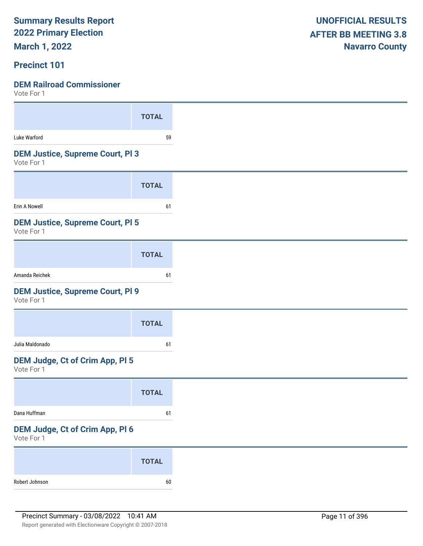**March 1, 2022**

### **Precinct 101**

| VULE FUI I                                            |              |
|-------------------------------------------------------|--------------|
|                                                       | <b>TOTAL</b> |
| Luke Warford                                          | 59           |
| <b>DEM Justice, Supreme Court, PI3</b><br>Vote For 1  |              |
|                                                       | <b>TOTAL</b> |
| Erin A Nowell                                         | 61           |
| <b>DEM Justice, Supreme Court, PI 5</b><br>Vote For 1 |              |
|                                                       | <b>TOTAL</b> |
| Amanda Reichek                                        | 61           |
| <b>DEM Justice, Supreme Court, PI 9</b><br>Vote For 1 |              |
|                                                       | <b>TOTAL</b> |
| Julia Maldonado                                       | 61           |
| DEM Judge, Ct of Crim App, Pl 5<br>Vote For 1         |              |
|                                                       | <b>TOTAL</b> |
| Dana Huffman                                          | 61           |
| DEM Judge, Ct of Crim App, Pl 6<br>Vote For 1         |              |
|                                                       | <b>TOTAL</b> |
| Robert Johnson                                        | 60           |
|                                                       |              |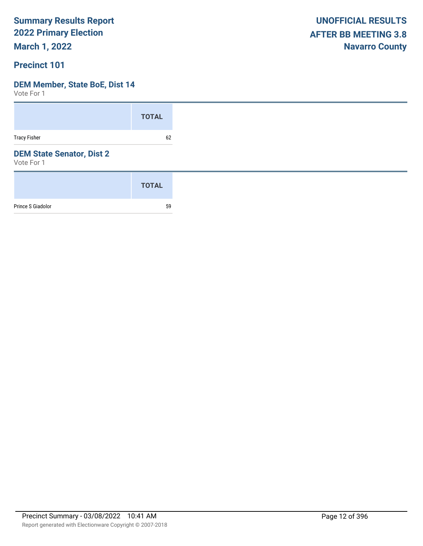**March 1, 2022**

### **Precinct 101**

#### **DEM Member, State BoE, Dist 14**

|                                                | <b>TOTAL</b> |
|------------------------------------------------|--------------|
| <b>Tracy Fisher</b>                            | 62           |
| <b>DEM State Senator, Dist 2</b><br>Vote For 1 |              |
|                                                | <b>TOTAL</b> |
| Prince S Giadolor                              | 59           |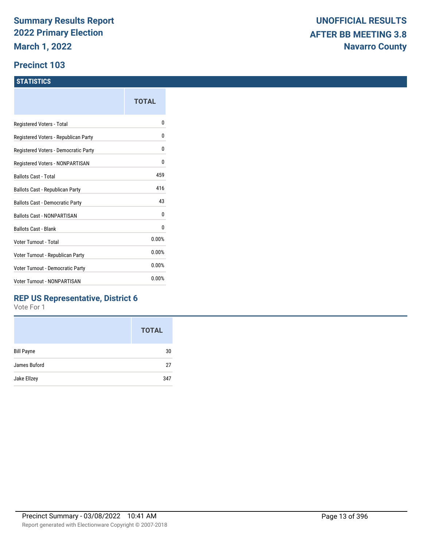#### **Precinct 103**

#### **STATISTICS**

|                                      | TOTAL |
|--------------------------------------|-------|
| Registered Voters - Total            | o     |
| Registered Voters - Republican Party | 0     |
| Registered Voters - Democratic Party | 0     |
| Registered Voters - NONPARTISAN      | 0     |
| <b>Ballots Cast - Total</b>          | 459   |
| Ballots Cast - Republican Party      | 416   |
| Ballots Cast - Democratic Party      | 43    |
| Ballots Cast - NONPARTISAN           | 0     |
| <b>Ballots Cast - Blank</b>          | 0     |
| Voter Turnout - Total                | 0.00% |
| Voter Turnout - Republican Party     | 0.00% |
| Voter Turnout - Democratic Party     | 0.00% |
| <b>Voter Turnout - NONPARTISAN</b>   | 0.00% |
|                                      |       |

## **REP US Representative, District 6**

|                   | <b>TOTAL</b> |
|-------------------|--------------|
| <b>Bill Payne</b> | 30           |
| James Buford      | 27           |
| Jake Ellzey       | 347          |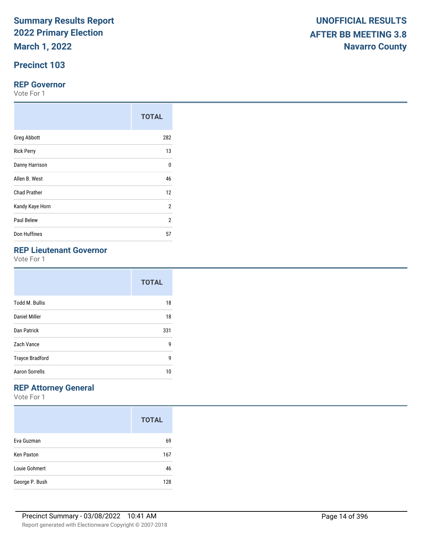**March 1, 2022**

## **Precinct 103**

#### **REP Governor**

Vote For 1

|                     | <b>TOTAL</b>   |
|---------------------|----------------|
| <b>Greg Abbott</b>  | 282            |
| <b>Rick Perry</b>   | 13             |
| Danny Harrison      |                |
| Allen B. West       |                |
| <b>Chad Prather</b> | 12             |
| Kandy Kaye Horn     | $\overline{2}$ |
| Paul Belew          | $\overline{2}$ |
| Don Huffines        | 57             |

## **REP Lieutenant Governor**

Vote For 1

|                        | <b>TOTAL</b> |
|------------------------|--------------|
| <b>Todd M. Bullis</b>  | 18           |
| Daniel Miller          | 18           |
| Dan Patrick            | 331          |
| Zach Vance             | 9            |
| <b>Trayce Bradford</b> | 9            |
| <b>Aaron Sorrells</b>  | 10           |

## **REP Attorney General**

|                   | <b>TOTAL</b> |
|-------------------|--------------|
| Eva Guzman        | 69           |
| <b>Ken Paxton</b> | 167          |
| Louie Gohmert     | 46           |
| George P. Bush    | 128          |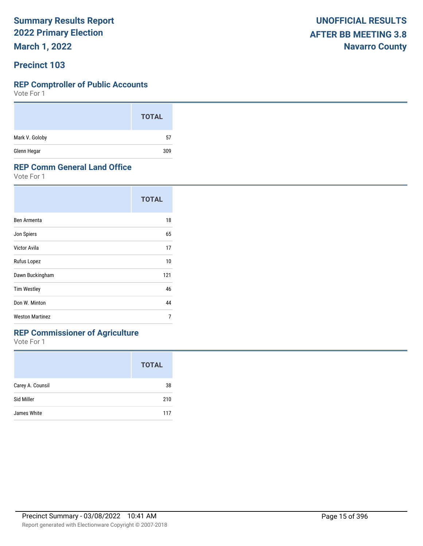**March 1, 2022**

### **Precinct 103**

#### **REP Comptroller of Public Accounts**

Vote For 1

|                | <b>TOTAL</b> |
|----------------|--------------|
| Mark V. Goloby | 57           |
| Glenn Hegar    | 309          |

#### **REP Comm General Land Office**

Vote For 1

|                        | <b>TOTAL</b> |
|------------------------|--------------|
| Ben Armenta            | 18           |
| Jon Spiers             | 65           |
| Victor Avila           | 17           |
| Rufus Lopez            | 10           |
| Dawn Buckingham        | 121          |
| <b>Tim Westley</b>     | 46           |
| Don W. Minton          | 44           |
| <b>Weston Martinez</b> | 7            |

## **REP Commissioner of Agriculture**

|                  | <b>TOTAL</b> |
|------------------|--------------|
| Carey A. Counsil | 38           |
| Sid Miller       | 210          |
| James White      | 117          |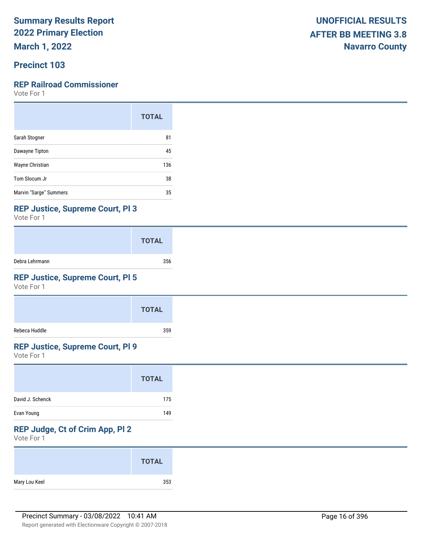**March 1, 2022**

## **Precinct 103**

### **REP Railroad Commissioner**

Vote For 1

|                        | <b>TOTAL</b> |
|------------------------|--------------|
| Sarah Stogner          | 81           |
| Dawayne Tipton         | 45           |
| Wayne Christian        | 136          |
| Tom Slocum Jr          | 38           |
| Marvin "Sarge" Summers | 35           |

#### **REP Justice, Supreme Court, Pl 3**

Vote For 1

|                | <b>TOTAL</b> |
|----------------|--------------|
| Debra Lehrmann | 356          |

## **REP Justice, Supreme Court, Pl 5**

Vote For 1

|               | <b>TOTAL</b> |
|---------------|--------------|
| Rebeca Huddle | 359          |

### **REP Justice, Supreme Court, Pl 9**

Vote For 1

## **REP Judge, Ct of Crim App, Pl 2**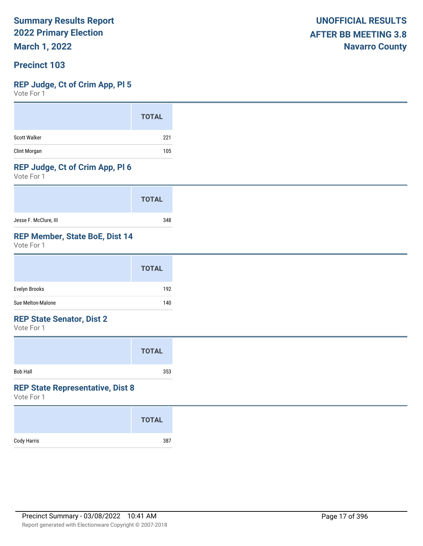**March 1, 2022**

### **Precinct 103**

#### **REP Judge, Ct of Crim App, Pl 5**

Vote For 1

#### **REP Judge, Ct of Crim App, Pl 6**

Vote For 1

|                       | <b>TOTAL</b> |
|-----------------------|--------------|
| Jesse F. McClure, III | 348          |

## **REP Member, State BoE, Dist 14**

Vote For 1

|                   | <b>TOTAL</b> |
|-------------------|--------------|
| Evelyn Brooks     | 192          |
| Sue Melton-Malone | 140          |

#### **REP State Senator, Dist 2**

Vote For 1

|                 | <b>TOTAL</b> |  |
|-----------------|--------------|--|
| <b>Bob Hall</b> | 353          |  |

#### **REP State Representative, Dist 8**

|             | <b>TOTAL</b> |
|-------------|--------------|
| Cody Harris | 387          |
|             |              |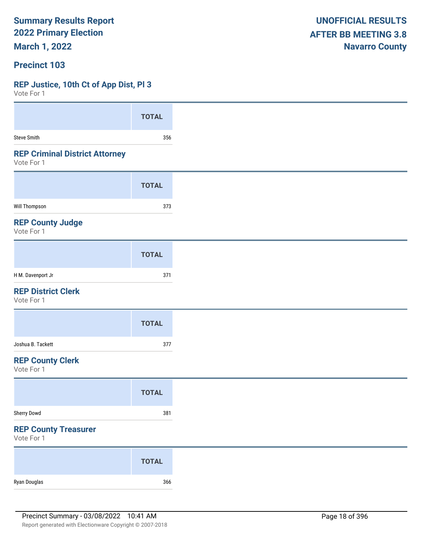**March 1, 2022**

#### **Precinct 103**

#### **REP Justice, 10th Ct of App Dist, Pl 3**

| VOIG LOI 1                                          |              |
|-----------------------------------------------------|--------------|
|                                                     | <b>TOTAL</b> |
| Steve Smith                                         | 356          |
| <b>REP Criminal District Attorney</b><br>Vote For 1 |              |
|                                                     | <b>TOTAL</b> |
| Will Thompson                                       | 373          |
| <b>REP County Judge</b><br>Vote For 1               |              |
|                                                     | <b>TOTAL</b> |
| H M. Davenport Jr                                   | 371          |
| <b>REP District Clerk</b><br>Vote For 1             |              |
|                                                     | <b>TOTAL</b> |
| Joshua B. Tackett                                   | 377          |
| <b>REP County Clerk</b><br>Vote For 1               |              |
|                                                     | <b>TOTAL</b> |
| Sherry Dowd                                         | 381          |
| <b>REP County Treasurer</b><br>Vote For 1           |              |
|                                                     | <b>TOTAL</b> |
| Ryan Douglas                                        | 366          |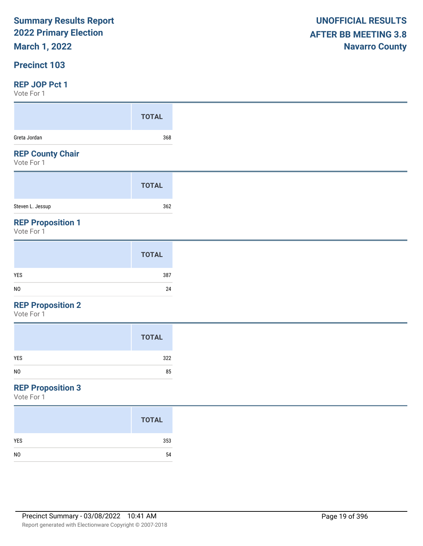## **March 1, 2022**

### **Precinct 103**

#### **REP JOP Pct 1**

Vote For 1

| VOLE FOI I                             |              |
|----------------------------------------|--------------|
|                                        | <b>TOTAL</b> |
| Greta Jordan                           | 368          |
| <b>REP County Chair</b><br>Vote For 1  |              |
|                                        | <b>TOTAL</b> |
| Steven L. Jessup                       | 362          |
| <b>REP Proposition 1</b><br>Vote For 1 |              |
|                                        | <b>TOTAL</b> |
|                                        |              |

| YES | $\sim$ $\sim$ $\sim$<br>387 |
|-----|-----------------------------|
| NO  | 24                          |
|     |                             |

#### **REP Proposition 2**

Vote For 1

## **REP Proposition 3**

|                | <b>TOTAL</b> |
|----------------|--------------|
| <b>YES</b>     | 353          |
| N <sub>0</sub> | 54           |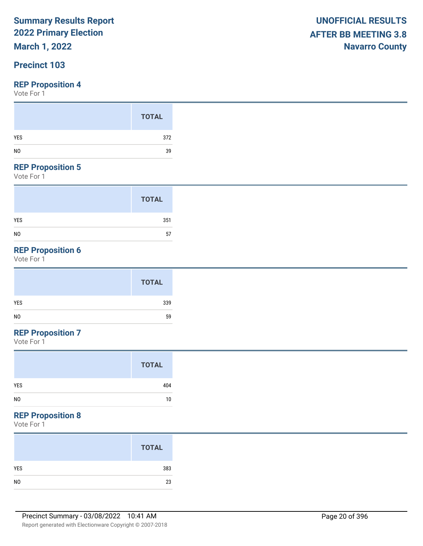## **March 1, 2022**

## **Precinct 103**

#### **REP Proposition 4**

Vote For 1

#### **REP Proposition 5**

Vote For 1

|                | <b>TOTAL</b> |
|----------------|--------------|
| <b>YES</b>     | 351          |
| N <sub>0</sub> | 57           |

## **REP Proposition 6**

Vote For 1

|                | <b>TOTAL</b> |
|----------------|--------------|
| <b>YES</b>     | 339          |
| N <sub>0</sub> | 59           |

## **REP Proposition 7**

Vote For 1

#### **REP Proposition 8**

|                | <b>TOTAL</b> |
|----------------|--------------|
| YES            | 383          |
| N <sub>0</sub> | 23           |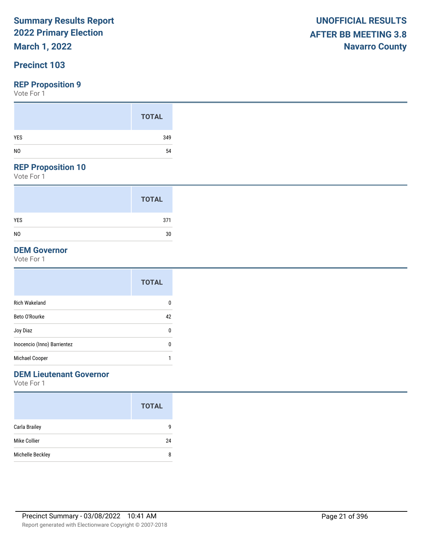## **March 1, 2022**

## **Precinct 103**

#### **REP Proposition 9**

Vote For 1

#### **REP Proposition 10**

Vote For 1

|                | <b>TOTAL</b> |
|----------------|--------------|
| <b>YES</b>     | 371          |
| N <sub>0</sub> | 30           |

### **DEM Governor**

Vote For 1

|                             | <b>TOTAL</b> |
|-----------------------------|--------------|
| <b>Rich Wakeland</b>        | 0            |
| Beto O'Rourke               | 42           |
| Joy Diaz                    | 0            |
| Inocencio (Inno) Barrientez | 0            |
| Michael Cooper              | 1            |

## **DEM Lieutenant Governor**

|                  | <b>TOTAL</b> |
|------------------|--------------|
| Carla Brailey    | q            |
| Mike Collier     | 24           |
| Michelle Beckley | 8            |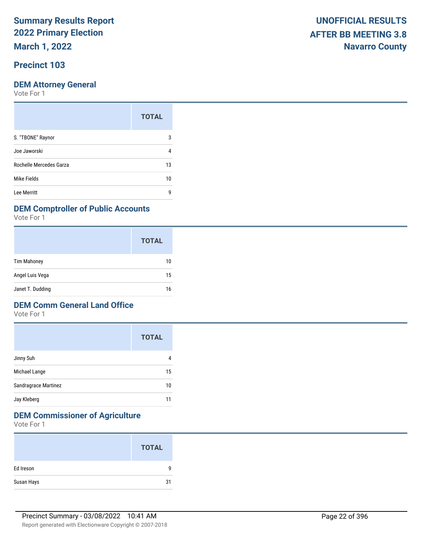**March 1, 2022**

## **Precinct 103**

#### **DEM Attorney General**

Vote For 1

|                         | <b>TOTAL</b> |
|-------------------------|--------------|
| S. "TBONE" Raynor       | 3            |
| Joe Jaworski            | 4            |
| Rochelle Mercedes Garza | 13           |
| Mike Fields             | 10           |
| Lee Merritt             | g            |

#### **DEM Comptroller of Public Accounts**

Vote For 1

|                    | <b>TOTAL</b> |
|--------------------|--------------|
| <b>Tim Mahoney</b> | 10           |
| Angel Luis Vega    | 15           |
| Janet T. Dudding   | 16           |

#### **DEM Comm General Land Office**

Vote For 1

|                      | <b>TOTAL</b> |
|----------------------|--------------|
| Jinny Suh            |              |
| Michael Lange        | 15           |
| Sandragrace Martinez | 10           |
| Jay Kleberg          |              |

## **DEM Commissioner of Agriculture**

|            | <b>TOTAL</b> |
|------------|--------------|
| Ed Ireson  | q            |
| Susan Hays | 31           |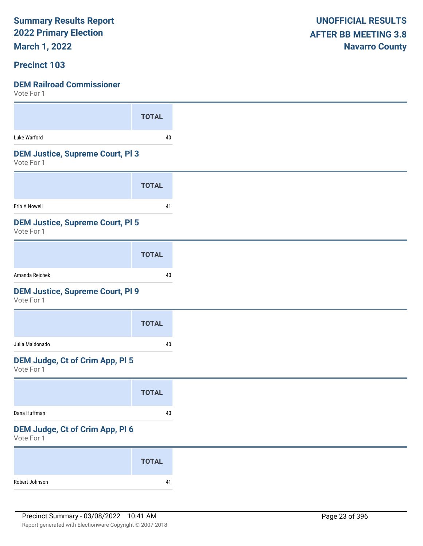**March 1, 2022**

### **Precinct 103**

 $V_{\alpha+\alpha}$  For 1

| VOLE FOL 1                              |              |
|-----------------------------------------|--------------|
|                                         | <b>TOTAL</b> |
| Luke Warford                            | 40           |
| <b>DEM Justice, Supreme Court, PI3</b>  |              |
| Vote For 1                              |              |
|                                         | <b>TOTAL</b> |
| Erin A Nowell                           | 41           |
| <b>DEM Justice, Supreme Court, PI 5</b> |              |
| Vote For 1                              |              |
|                                         | <b>TOTAL</b> |
| Amanda Reichek                          | 40           |
| <b>DEM Justice, Supreme Court, PI 9</b> |              |
| Vote For 1                              |              |
|                                         | <b>TOTAL</b> |
| Julia Maldonado                         | 40           |
| DEM Judge, Ct of Crim App, Pl 5         |              |
| Vote For 1                              |              |
|                                         | <b>TOTAL</b> |
| Dana Huffman                            | $40\,$       |
| DEM Judge, Ct of Crim App, Pl 6         |              |
| Vote For 1                              |              |
|                                         | <b>TOTAL</b> |
|                                         |              |
| Robert Johnson                          | 41           |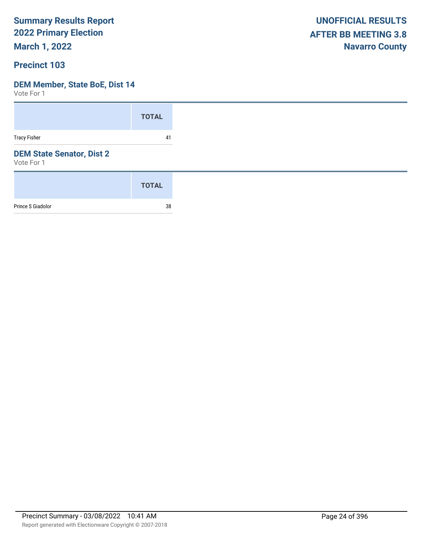**March 1, 2022**

### **Precinct 103**

#### **DEM Member, State BoE, Dist 14**

|                                                | <b>TOTAL</b> |
|------------------------------------------------|--------------|
| <b>Tracy Fisher</b>                            | 41           |
| <b>DEM State Senator, Dist 2</b><br>Vote For 1 |              |
|                                                | <b>TOTAL</b> |
| Prince S Giadolor                              | 38           |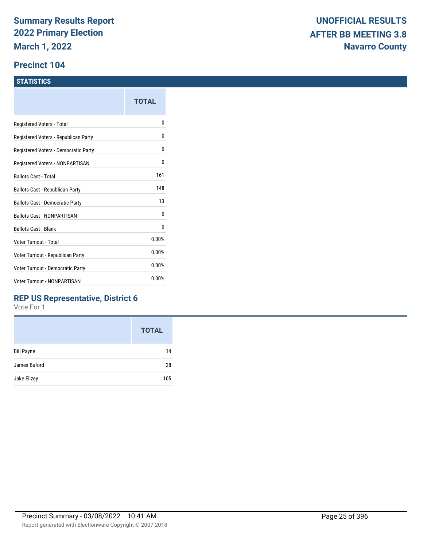#### **Precinct 104**

#### **STATISTICS**

|                                      | TOTAL |
|--------------------------------------|-------|
| Registered Voters - Total            | N     |
| Registered Voters - Republican Party | 0     |
| Registered Voters - Democratic Party | 0     |
| Registered Voters - NONPARTISAN      | 0     |
| Ballots Cast - Total                 | 161   |
| Ballots Cast - Republican Party      | 148   |
| Ballots Cast - Democratic Party      | 13    |
| <b>Ballots Cast - NONPARTISAN</b>    | 0     |
| <b>Ballots Cast - Blank</b>          | 0     |
| Voter Turnout - Total                | 0.00% |
| Voter Turnout - Republican Party     | 0.00% |
| Voter Turnout - Democratic Party     | 0.00% |
| Voter Turnout - NONPARTISAN          | 0.00% |
|                                      |       |

### **REP US Representative, District 6**

|                   | <b>TOTAL</b> |
|-------------------|--------------|
| <b>Bill Payne</b> | 14           |
| James Buford      | 28           |
| Jake Ellzey       | 105          |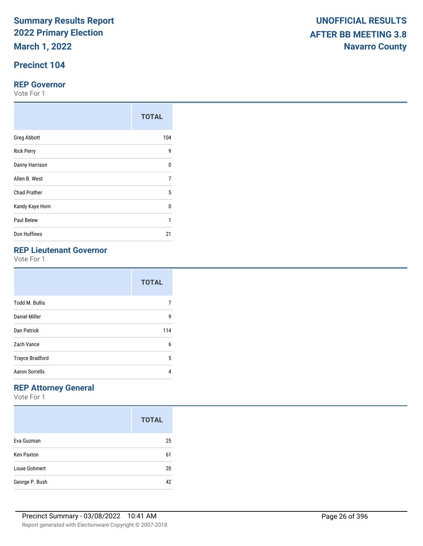**March 1, 2022**

## **Precinct 104**

#### **REP Governor**

Vote For 1

|                     | <b>TOTAL</b> |
|---------------------|--------------|
| <b>Greg Abbott</b>  | 104          |
| <b>Rick Perry</b>   | 9            |
| Danny Harrison      | $\Omega$     |
| Allen B. West       | 7            |
| <b>Chad Prather</b> | 5            |
| Kandy Kaye Horn     | 0            |
| Paul Belew          | 1            |
| Don Huffines        | 21           |

|                        | <b>TOTAL</b> |  |
|------------------------|--------------|--|
| <b>Todd M. Bullis</b>  |              |  |
| Daniel Miller          | g            |  |
| Dan Patrick            | 114          |  |
| Zach Vance             | 6            |  |
| <b>Trayce Bradford</b> | 5            |  |
| <b>Aaron Sorrells</b>  | 4            |  |

## **REP Attorney General**

|                   | <b>TOTAL</b> |
|-------------------|--------------|
| Eva Guzman        | 25           |
| <b>Ken Paxton</b> | 61           |
| Louie Gohmert     | 20           |
| George P. Bush    | 42           |

|                                              | <b>TOTAL</b> |
|----------------------------------------------|--------------|
| <b>Greg Abbott</b>                           | 104          |
| <b>Rick Perry</b>                            | 9            |
| Danny Harrison                               | 0            |
| Allen B. West                                | 7            |
| Chad Prather                                 | 5            |
| Kandy Kaye Horn                              | 0            |
| Paul Belew                                   |              |
| Don Huffines                                 | 21           |
| <b>REP Lieutenant Governor</b><br>Vote For 1 |              |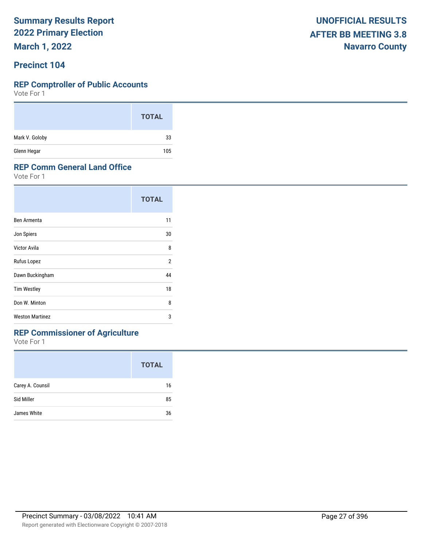**March 1, 2022**

### **Precinct 104**

#### **REP Comptroller of Public Accounts**

Vote For 1

|                | <b>TOTAL</b> |
|----------------|--------------|
| Mark V. Goloby | 33           |
| Glenn Hegar    | 105          |

#### **REP Comm General Land Office**

Vote For 1

|                        | <b>TOTAL</b> |
|------------------------|--------------|
| Ben Armenta            | 11           |
| Jon Spiers             | 30           |
| Victor Avila           | 8            |
| Rufus Lopez            | 2            |
| Dawn Buckingham        | 44           |
| <b>Tim Westley</b>     | 18           |
| Don W. Minton          | 8            |
| <b>Weston Martinez</b> | 3            |
|                        |              |

## **REP Commissioner of Agriculture**

|                  | <b>TOTAL</b> |
|------------------|--------------|
| Carey A. Counsil | 16           |
| Sid Miller       | 85           |
| James White      | 36           |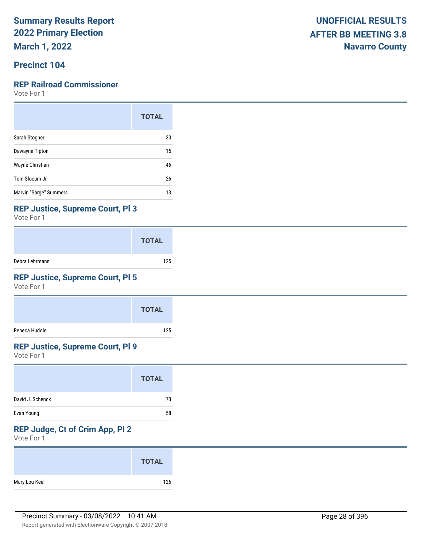**March 1, 2022**

## **Precinct 104**

#### **REP Railroad Commissioner**

Vote For 1

|                        | <b>TOTAL</b> |
|------------------------|--------------|
| Sarah Stogner          | 30           |
| Dawayne Tipton         | 15           |
| Wayne Christian        | 46           |
| Tom Slocum Jr          | 26           |
| Marvin "Sarge" Summers | 13           |

#### **REP Justice, Supreme Court, Pl 3**

Vote For 1

|                | <b>TOTAL</b> |
|----------------|--------------|
| Debra Lehrmann | 125          |

## **REP Justice, Supreme Court, Pl 5**

Vote For 1

|               | <b>TOTAL</b> |
|---------------|--------------|
| Rebeca Huddle | 125          |

#### **REP Justice, Supreme Court, Pl 9**

Vote For 1

|                  | <b>TOTAL</b> |  |
|------------------|--------------|--|
| David J. Schenck | 73           |  |
| Evan Young       | 58           |  |

## **REP Judge, Ct of Crim App, Pl 2**

|               | <b>TOTAL</b> |
|---------------|--------------|
| Mary Lou Keel | 126          |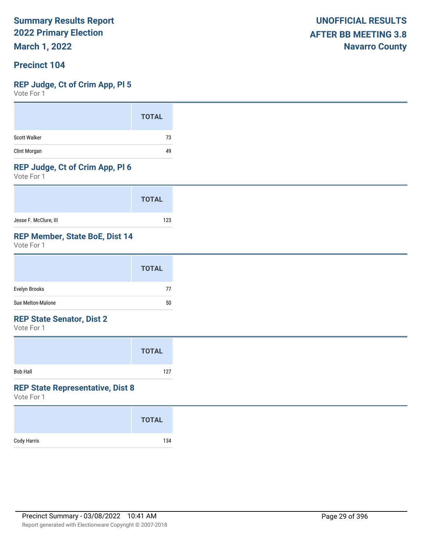**March 1, 2022**

### **Precinct 104**

#### **REP Judge, Ct of Crim App, Pl 5**

Vote For 1

|                     | <b>TOTAL</b> |
|---------------------|--------------|
| <b>Scott Walker</b> | 73           |
| Clint Morgan        | 49           |

#### **REP Judge, Ct of Crim App, Pl 6**

Vote For 1

|                       | <b>TOTAL</b> |
|-----------------------|--------------|
| Jesse F. McClure, III | 123          |

### **REP Member, State BoE, Dist 14**

Vote For 1

|                   | <b>TOTAL</b> |
|-------------------|--------------|
| Evelyn Brooks     | 77           |
| Sue Melton-Malone | 50           |

#### **REP State Senator, Dist 2**

Vote For 1

|                 | <b>TOTAL</b> |  |
|-----------------|--------------|--|
| <b>Bob Hall</b> | 127          |  |

#### **REP State Representative, Dist 8**

|             | <b>TOTAL</b> |
|-------------|--------------|
| Cody Harris | 134          |
|             |              |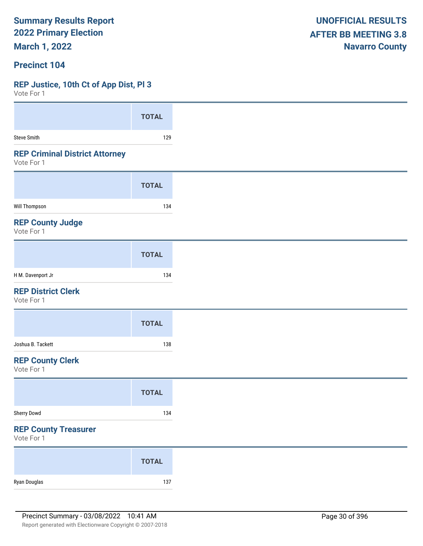**March 1, 2022**

#### **Precinct 104**

#### **REP Justice, 10th Ct of App Dist, Pl 3**

Vote For 1

| VOLE FOI 1                                          |              |
|-----------------------------------------------------|--------------|
|                                                     | <b>TOTAL</b> |
| <b>Steve Smith</b>                                  | 129          |
| <b>REP Criminal District Attorney</b><br>Vote For 1 |              |
|                                                     | <b>TOTAL</b> |
| <b>Will Thompson</b>                                | 134          |
| <b>REP County Judge</b><br>Vote For 1               |              |
|                                                     | <b>TOTAL</b> |
| H M. Davenport Jr                                   | 134          |
| <b>REP District Clerk</b><br>Vote For 1             |              |
|                                                     | <b>TOTAL</b> |
| Joshua B. Tackett                                   | 138          |
| <b>REP County Clerk</b><br>Vote For 1               |              |
|                                                     | <b>TOTAL</b> |
| Sherry Dowd                                         | 134          |
| <b>REP County Treasurer</b><br>Vote For 1           |              |
|                                                     | <b>TOTAL</b> |
| Ryan Douglas                                        | 137          |

**UNOFFICIAL RESULTS AFTER BB MEETING 3.8 Navarro County**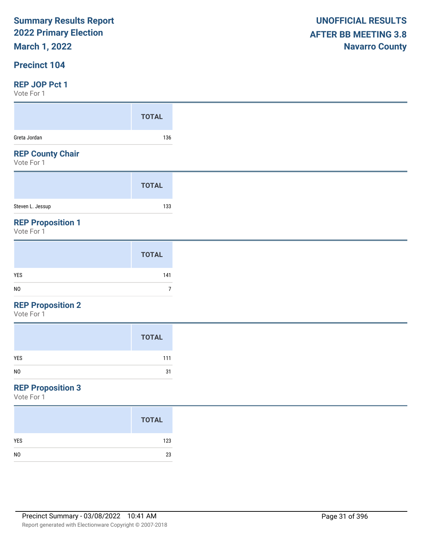## **March 1, 2022**

#### **Precinct 104**

#### **REP JOP Pct 1**

Vote For 1

| 1 U L U L U L L                       |              |
|---------------------------------------|--------------|
|                                       | <b>TOTAL</b> |
| Greta Jordan                          | 136          |
| <b>REP County Chair</b><br>Vote For 1 |              |
|                                       | <b>TOTAL</b> |
| Steven L. Jessup                      | 133          |
|                                       |              |

|                | <b>TOTAL</b> |
|----------------|--------------|
| YES            | 141          |
| N <sub>0</sub> |              |
|                |              |

#### **REP Proposition 2**

Vote For 1

|                | <b>TOTAL</b> |
|----------------|--------------|
| YES            | 111          |
| N <sub>O</sub> | 31           |
|                |              |

## **REP Proposition 3**

|                | <b>TOTAL</b> |
|----------------|--------------|
| <b>YES</b>     | 123          |
| N <sub>0</sub> | 23           |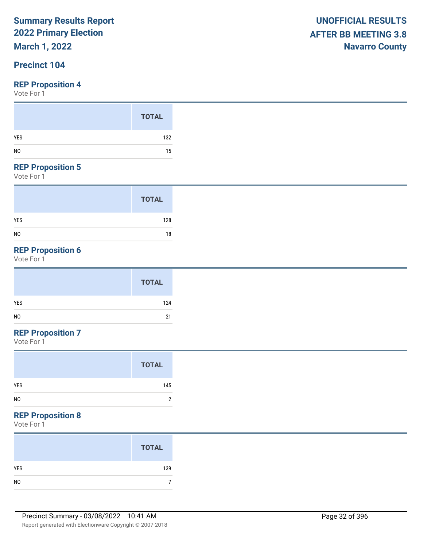## **March 1, 2022**

## **Precinct 104**

Vote For 1

#### **REP Proposition 5**

Vote For 1

|                | <b>TOTAL</b> |
|----------------|--------------|
| YES            | 128          |
| N <sub>0</sub> | 18           |

## **REP Proposition 6**

Vote For 1

| <b>TOTAL</b> |
|--------------|
| YES<br>124   |
| NO<br>21     |

## **REP Proposition 7**

Vote For 1

|                | <b>TOTAL</b> |
|----------------|--------------|
| <b>YES</b>     | 145          |
| N <sub>0</sub> | າ            |

## **REP Proposition 8**

|                | <b>TOTAL</b> |
|----------------|--------------|
| YES            | 139          |
| N <sub>0</sub> |              |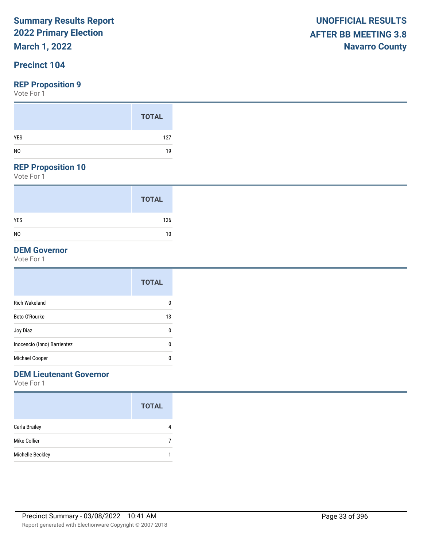## **March 1, 2022**

## **Precinct 104**

#### **REP Proposition 9**

Vote For 1

#### **REP Proposition 10**

Vote For 1

|                | <b>TOTAL</b> |
|----------------|--------------|
| <b>YES</b>     | 136          |
| N <sub>0</sub> | 10           |

### **DEM Governor**

Vote For 1

|                             | <b>TOTAL</b> |
|-----------------------------|--------------|
| <b>Rich Wakeland</b>        | 0            |
| Beto O'Rourke               | 13           |
| Joy Diaz                    | 0            |
| Inocencio (Inno) Barrientez | 0            |
| Michael Cooper              | 0            |

## **DEM Lieutenant Governor**

|                  | <b>TOTAL</b> |
|------------------|--------------|
| Carla Brailey    |              |
| Mike Collier     |              |
| Michelle Beckley |              |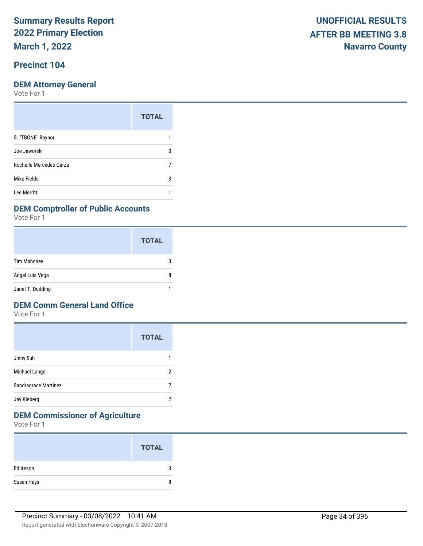**March 1, 2022**

## **Precinct 104**

Vote For 1

|                         | <b>TOTAL</b> |
|-------------------------|--------------|
| S. "TBONE" Raynor       |              |
| Joe Jaworski            |              |
| Rochelle Mercedes Garza |              |
| Mike Fields             | 3            |
| Lee Merritt             |              |

#### **DEM Comptroller of Public Accounts**

Vote For 1

|                    | <b>TOTAL</b> |
|--------------------|--------------|
| <b>Tim Mahoney</b> |              |
| Angel Luis Vega    | 8            |
| Janet T. Dudding   |              |

#### **DEM Comm General Land Office**

Vote For 1

|                      | <b>TOTAL</b> |
|----------------------|--------------|
| Jinny Suh            |              |
| Michael Lange        | 2            |
| Sandragrace Martinez |              |
| Jay Kleberg          | 2            |

## **DEM Commissioner of Agriculture**

|            | <b>TOTAL</b> |
|------------|--------------|
| Ed Ireson  | 3            |
| Susan Hays | 8            |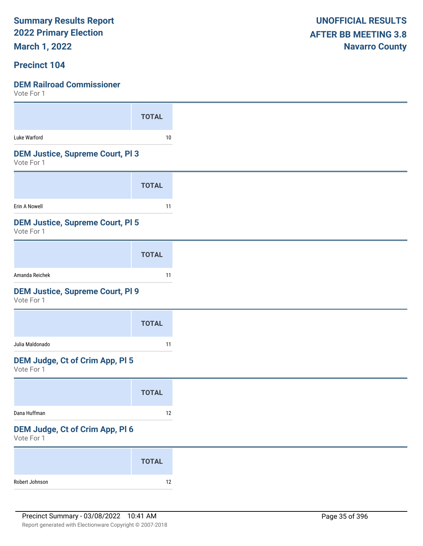**March 1, 2022**

### **Precinct 104**

| VOTE FOL 1                                            |              |
|-------------------------------------------------------|--------------|
|                                                       | <b>TOTAL</b> |
|                                                       |              |
| Luke Warford                                          | 10           |
| <b>DEM Justice, Supreme Court, PI3</b><br>Vote For 1  |              |
|                                                       | <b>TOTAL</b> |
| Erin A Nowell                                         | 11           |
| <b>DEM Justice, Supreme Court, PI 5</b><br>Vote For 1 |              |
|                                                       | <b>TOTAL</b> |
| Amanda Reichek                                        | 11           |
| <b>DEM Justice, Supreme Court, PI 9</b><br>Vote For 1 |              |
|                                                       | <b>TOTAL</b> |
| Julia Maldonado                                       | 11           |
| <b>DEM Judge, Ct of Crim App, PI 5</b><br>Vote For 1  |              |
|                                                       | <b>TOTAL</b> |
| Dana Huffman                                          | 12           |
| DEM Judge, Ct of Crim App, Pl 6<br>Vote For 1         |              |
|                                                       | <b>TOTAL</b> |
| Robert Johnson                                        | $12\,$       |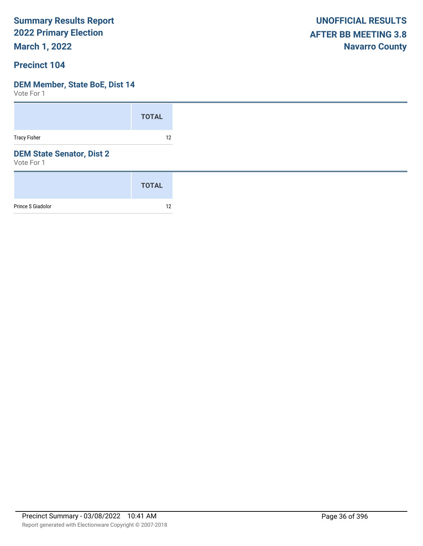**March 1, 2022**

### **Precinct 104**

#### **DEM Member, State BoE, Dist 14**

|                                                | <b>TOTAL</b> |
|------------------------------------------------|--------------|
| <b>Tracy Fisher</b>                            | 12           |
| <b>DEM State Senator, Dist 2</b><br>Vote For 1 |              |
|                                                | <b>TOTAL</b> |
| Prince S Giadolor                              | 12           |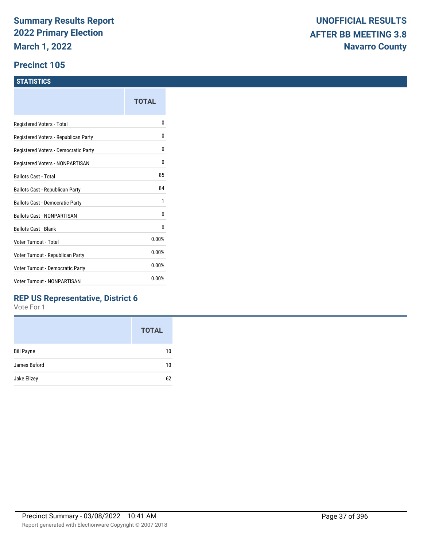#### **Precinct 105**

#### **STATISTICS**

|                                      | TOTAL |
|--------------------------------------|-------|
| Registered Voters - Total            | N     |
| Registered Voters - Republican Party | N     |
| Registered Voters - Democratic Party | 0     |
| Registered Voters - NONPARTISAN      | 0     |
| Ballots Cast - Total                 | 85    |
| Ballots Cast - Republican Party      | 84    |
| Ballots Cast - Democratic Party      | 1     |
| <b>Ballots Cast - NONPARTISAN</b>    | 0     |
| Ballots Cast - Blank                 | 0     |
| Voter Turnout - Total                | 0.00% |
| Voter Turnout - Republican Party     | 0.00% |
| Voter Turnout - Democratic Party     | 0.00% |
| <b>Voter Turnout - NONPARTISAN</b>   | 0.00% |
|                                      |       |

#### **REP US Representative, District 6**

|                   | <b>TOTAL</b> |
|-------------------|--------------|
| <b>Bill Payne</b> | 10           |
| James Buford      | 10           |
| Jake Ellzey       | 62           |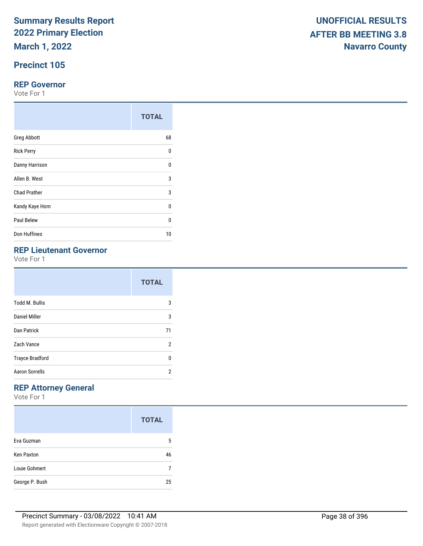**March 1, 2022**

## **Precinct 105**

#### **REP Governor**

Vote For 1

|                     | <b>TOTAL</b> |
|---------------------|--------------|
| <b>Greg Abbott</b>  | 68           |
| <b>Rick Perry</b>   | 0            |
| Danny Harrison      | $\Omega$     |
| Allen B. West       | 3            |
| <b>Chad Prather</b> | 3            |
| Kandy Kaye Horn     | 0            |
| Paul Belew          | U            |
| Don Huffines        | 10           |

## **REP Lieutenant Governor**

Vote For 1

|                        | <b>TOTAL</b>   |
|------------------------|----------------|
| <b>Todd M. Bullis</b>  | 3              |
| <b>Daniel Miller</b>   | 3              |
| <b>Dan Patrick</b>     | 71             |
| Zach Vance             | $\overline{2}$ |
| <b>Trayce Bradford</b> | U              |
| <b>Aaron Sorrells</b>  | 2              |

## **REP Attorney General**

|                   | <b>TOTAL</b> |
|-------------------|--------------|
| Eva Guzman        | 5            |
| <b>Ken Paxton</b> | 46           |
| Louie Gohmert     |              |
| George P. Bush    | 25           |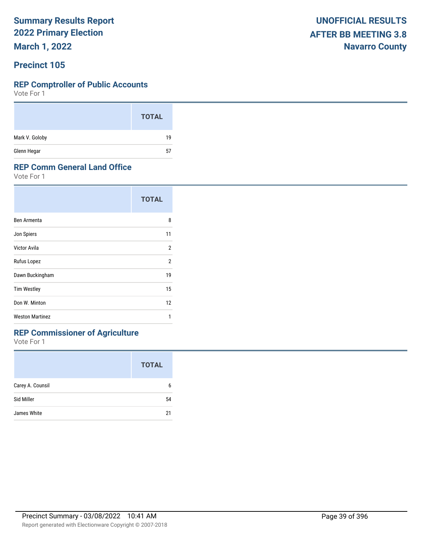**March 1, 2022**

#### **Precinct 105**

#### **REP Comptroller of Public Accounts**

Vote For 1

|                | <b>TOTAL</b> |
|----------------|--------------|
| Mark V. Goloby | 19           |
| Glenn Hegar    | 57<br>-      |

#### **REP Comm General Land Office**

Vote For 1

|                        | <b>TOTAL</b>   |
|------------------------|----------------|
| Ben Armenta            | 8              |
| Jon Spiers             | 11             |
| Victor Avila           | 2              |
| Rufus Lopez            | $\overline{2}$ |
| Dawn Buckingham        | 19             |
| <b>Tim Westley</b>     | 15             |
| Don W. Minton          | 12             |
| <b>Weston Martinez</b> | 1              |

## **REP Commissioner of Agriculture**

|                  | <b>TOTAL</b> |
|------------------|--------------|
| Carey A. Counsil | 6            |
| Sid Miller       | 54           |
| James White      | 21           |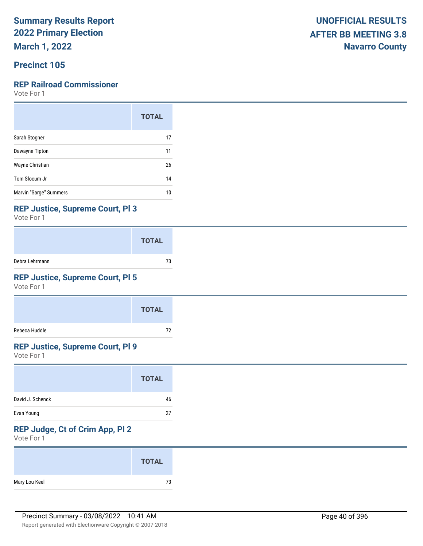**March 1, 2022**

### **Precinct 105**

#### **REP Railroad Commissioner**

Vote For 1

|                        | <b>TOTAL</b> |
|------------------------|--------------|
| Sarah Stogner          | 17           |
| Dawayne Tipton         | 11           |
| Wayne Christian        | 26           |
| Tom Slocum Jr          | 14           |
| Marvin "Sarge" Summers | 10           |

#### **REP Justice, Supreme Court, Pl 3**

Vote For 1

|                | <b>TOTAL</b> |
|----------------|--------------|
| Debra Lehrmann | 73           |

### **REP Justice, Supreme Court, Pl 5**

Vote For 1

|               | <b>TOTAL</b> |
|---------------|--------------|
| Rebeca Huddle | 72           |

### **REP Justice, Supreme Court, Pl 9**

Vote For 1

|                  | <b>TOTAL</b> |
|------------------|--------------|
| David J. Schenck | 46           |
| Evan Young       | 27           |

## **REP Judge, Ct of Crim App, Pl 2**

|               | <b>TOTAL</b> |
|---------------|--------------|
| Mary Lou Keel | 73           |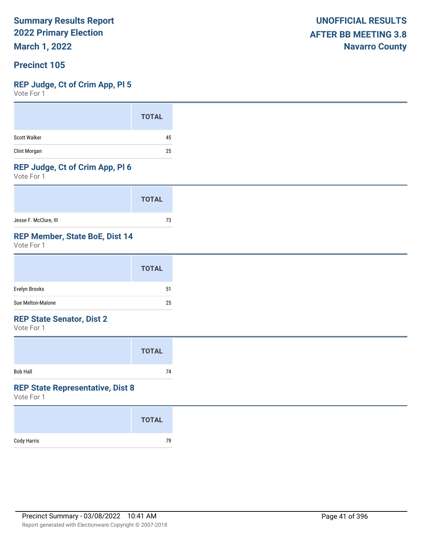**March 1, 2022**

#### **Precinct 105**

#### **REP Judge, Ct of Crim App, Pl 5**

Vote For 1

#### **REP Judge, Ct of Crim App, Pl 6**

Vote For 1

|                       | <b>TOTAL</b> |
|-----------------------|--------------|
| Jesse F. McClure, III | 73           |

#### **REP Member, State BoE, Dist 14**

Vote For 1

|                   | <b>TOTAL</b> |
|-------------------|--------------|
| Evelyn Brooks     | 51           |
| Sue Melton-Malone | 25           |

#### **REP State Senator, Dist 2**

Vote For 1

|          | <b>TOTAL</b> |  |
|----------|--------------|--|
| Bob Hall | 74           |  |

#### **REP State Representative, Dist 8**

|             | <b>TOTAL</b> |
|-------------|--------------|
| Cody Harris | 79           |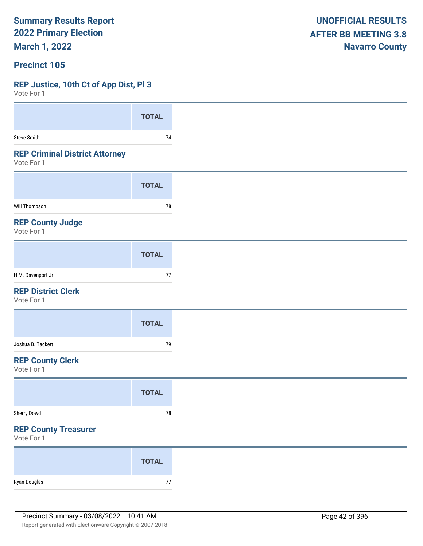**March 1, 2022**

#### **Precinct 105**

#### **REP Justice, 10th Ct of App Dist, Pl 3**

| VULE FUI I                                          |              |
|-----------------------------------------------------|--------------|
|                                                     | <b>TOTAL</b> |
| Steve Smith                                         | $74$         |
| <b>REP Criminal District Attorney</b><br>Vote For 1 |              |
|                                                     | <b>TOTAL</b> |
| Will Thompson                                       | $78\,$       |
| <b>REP County Judge</b><br>Vote For 1               |              |
|                                                     | <b>TOTAL</b> |
| H M. Davenport Jr                                   | $77\,$       |
| <b>REP District Clerk</b><br>Vote For 1             |              |
|                                                     | <b>TOTAL</b> |
| Joshua B. Tackett                                   | 79           |
| <b>REP County Clerk</b><br>Vote For 1               |              |
|                                                     | <b>TOTAL</b> |
| Sherry Dowd                                         | ${\bf 78}$   |
| <b>REP County Treasurer</b><br>Vote For 1           |              |
|                                                     | <b>TOTAL</b> |
| Ryan Douglas                                        | $77\,$       |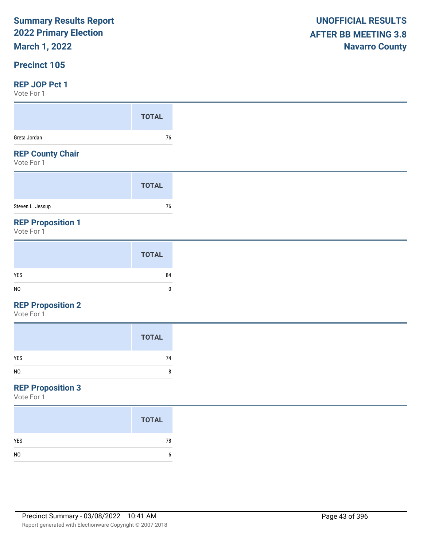## **March 1, 2022**

#### **Precinct 105**

#### **REP JOP Pct 1**

Vote For 1

| <b>UNOFFICIAL RESULTS</b>   |
|-----------------------------|
| <b>AFTER BB MEETING 3.8</b> |
| <b>Navarro County</b>       |

| .                                      |              |
|----------------------------------------|--------------|
|                                        | <b>TOTAL</b> |
| Greta Jordan                           | 76           |
| <b>REP County Chair</b><br>Vote For 1  |              |
|                                        | <b>TOTAL</b> |
| Steven L. Jessup                       | 76           |
| <b>REP Proposition 1</b><br>Vote For 1 |              |

|                | <b>TOTAL</b> |
|----------------|--------------|
| YES            | 84           |
| N <sub>0</sub> | 0            |

#### **REP Proposition 2**

Vote For 1

|     | <b>TOTAL</b> |
|-----|--------------|
| YES | 74           |
| NO  | 8            |

## **REP Proposition 3**

|                | <b>TOTAL</b> |
|----------------|--------------|
| <b>YES</b>     | 78           |
| N <sub>0</sub> | 6            |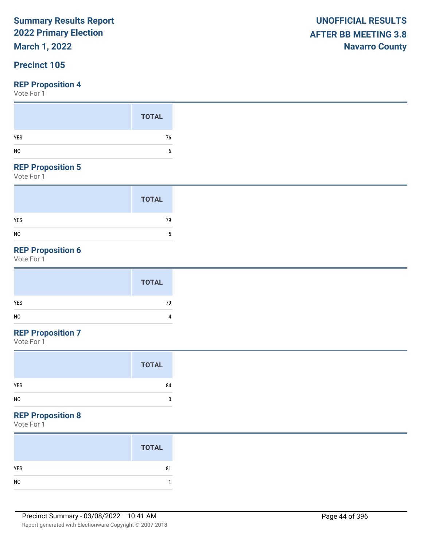## **March 1, 2022**

### **Precinct 105**

Vote For 1

|                | <b>TOTAL</b> |
|----------------|--------------|
| YES            | 76           |
| N <sub>0</sub> |              |

#### **REP Proposition 5**

Vote For 1

|                | <b>TOTAL</b> |
|----------------|--------------|
| <b>YES</b>     | 79           |
| N <sub>0</sub> | 5            |

## **REP Proposition 6**

Vote For 1

## **REP Proposition 7**

Vote For 1

| <b>TOTAL</b> |
|--------------|
| YES<br>84    |
| NO<br>C      |

### **REP Proposition 8**

|                | <b>TOTAL</b> |
|----------------|--------------|
| YES            | 81           |
| N <sub>O</sub> |              |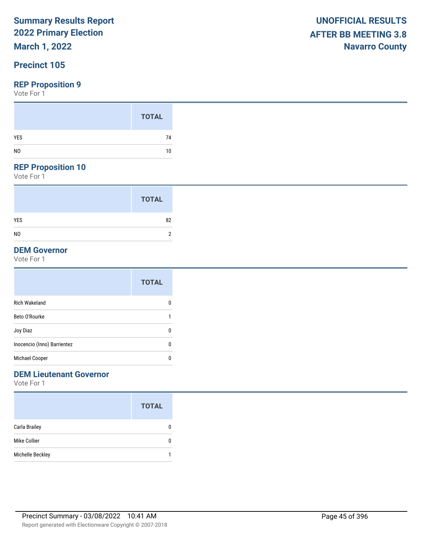## **March 1, 2022**

### **Precinct 105**

Vote For 1

|     | <b>TOTAL</b> |
|-----|--------------|
| YES | 74           |
| NO  | 10           |
|     |              |

#### **REP Proposition 10**

Vote For 1

|                | <b>TOTAL</b> |
|----------------|--------------|
| <b>YES</b>     | 82           |
| N <sub>0</sub> | 2            |

#### **DEM Governor**

Vote For 1

|                             | <b>TOTAL</b> |
|-----------------------------|--------------|
| Rich Wakeland               | 0            |
| Beto O'Rourke               |              |
| Joy Diaz                    | 0            |
| Inocencio (Inno) Barrientez | 0            |
| Michael Cooper              | 0            |
|                             |              |

#### **DEM Lieutenant Governor**

|                      | <b>TOTAL</b> |
|----------------------|--------------|
| <b>Carla Brailey</b> | O            |
| Mike Collier         | O            |
| Michelle Beckley     |              |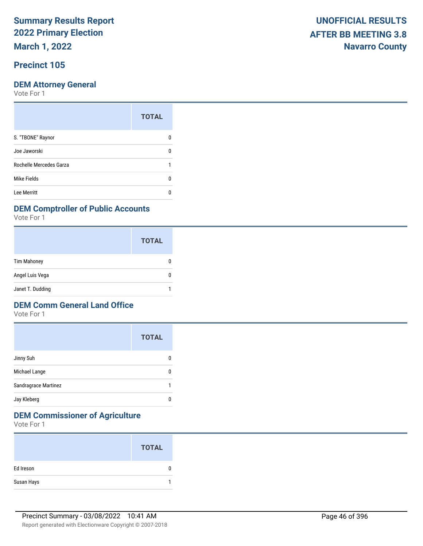**March 1, 2022**

### **Precinct 105**

#### **DEM Attorney General**

Vote For 1

|                         | <b>TOTAL</b> |
|-------------------------|--------------|
| S. "TBONE" Raynor       |              |
| Joe Jaworski            | n            |
| Rochelle Mercedes Garza |              |
| Mike Fields             |              |
| Lee Merritt             |              |

#### **DEM Comptroller of Public Accounts**

Vote For 1

|                    | <b>TOTAL</b> |
|--------------------|--------------|
| <b>Tim Mahoney</b> |              |
| Angel Luis Vega    |              |
| Janet T. Dudding   |              |

#### **DEM Comm General Land Office**

Vote For 1

|                      | <b>TOTAL</b> |
|----------------------|--------------|
| Jinny Suh            |              |
| Michael Lange        |              |
| Sandragrace Martinez |              |
| Jay Kleberg          |              |

## **DEM Commissioner of Agriculture**

|            | <b>TOTAL</b> |
|------------|--------------|
| Ed Ireson  | 0            |
| Susan Hays |              |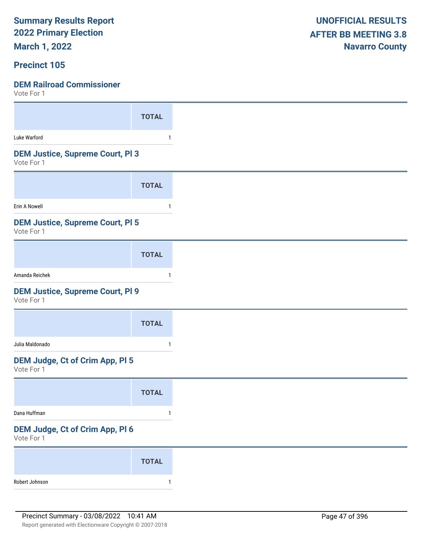**March 1, 2022**

#### **Precinct 105**

| 1 U U U U U U                                         |              |
|-------------------------------------------------------|--------------|
|                                                       | <b>TOTAL</b> |
| Luke Warford                                          | 1            |
| <b>DEM Justice, Supreme Court, PI3</b><br>Vote For 1  |              |
|                                                       | <b>TOTAL</b> |
| Erin A Nowell                                         | $\mathbf{1}$ |
| <b>DEM Justice, Supreme Court, PI 5</b><br>Vote For 1 |              |
|                                                       | <b>TOTAL</b> |
| Amanda Reichek                                        |              |
| <b>DEM Justice, Supreme Court, PI 9</b><br>Vote For 1 |              |
|                                                       | <b>TOTAL</b> |
| Julia Maldonado                                       | $\mathbf{1}$ |
| DEM Judge, Ct of Crim App, Pl 5<br>Vote For 1         |              |
|                                                       | <b>TOTAL</b> |
| Dana Huffman                                          | $\mathbf{1}$ |
| DEM Judge, Ct of Crim App, Pl 6<br>Vote For 1         |              |
|                                                       | <b>TOTAL</b> |
| Robert Johnson                                        | $\mathbf{1}$ |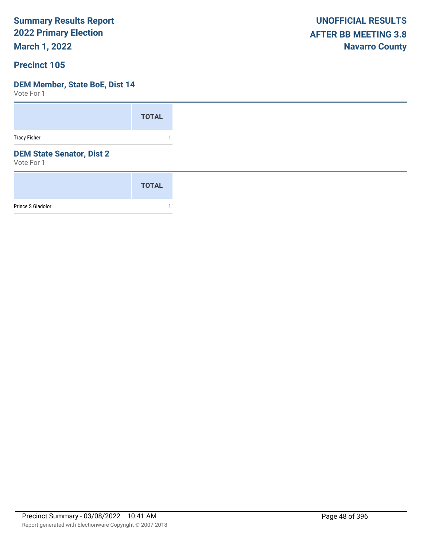**March 1, 2022**

#### **Precinct 105**

#### **DEM Member, State BoE, Dist 14**

|                                                | <b>TOTAL</b> |
|------------------------------------------------|--------------|
| <b>Tracy Fisher</b>                            |              |
| <b>DEM State Senator, Dist 2</b><br>Vote For 1 |              |
|                                                | <b>TOTAL</b> |
| Prince S Giadolor                              |              |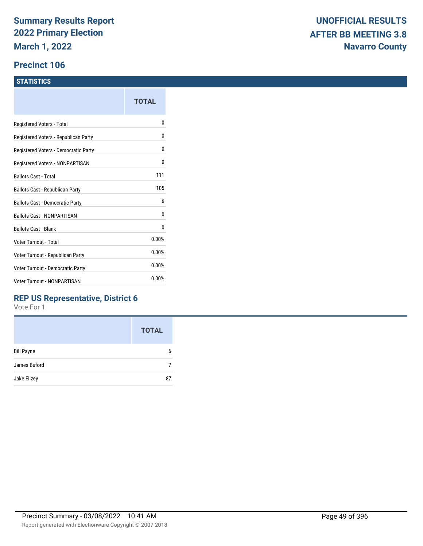#### **Precinct 106**

#### **STATISTICS**

|                                      | TOTAL |
|--------------------------------------|-------|
| Registered Voters - Total            | 0     |
| Registered Voters - Republican Party | 0     |
| Registered Voters - Democratic Party | 0     |
| Registered Voters - NONPARTISAN      | 0     |
| <b>Ballots Cast - Total</b>          | 111   |
| Ballots Cast - Republican Party      | 105   |
| Ballots Cast - Democratic Party      | 6     |
| Ballots Cast - NONPARTISAN           | 0     |
| <b>Ballots Cast - Blank</b>          | 0     |
| Voter Turnout - Total                | 0.00% |
| Voter Turnout - Republican Party     | 0.00% |
| Voter Turnout - Democratic Party     | 0.00% |
| <b>Voter Turnout - NONPARTISAN</b>   | 0.00% |

#### **REP US Representative, District 6**

|                   | <b>TOTAL</b> |
|-------------------|--------------|
| <b>Bill Payne</b> | 6            |
| James Buford      |              |
| Jake Ellzey       | 87           |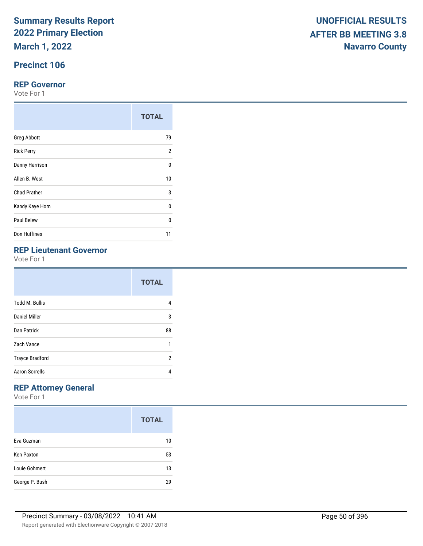**March 1, 2022**

## **Precinct 106**

#### **REP Governor**

Vote For 1

|                     | <b>TOTAL</b>   |
|---------------------|----------------|
| <b>Greg Abbott</b>  | 79             |
| <b>Rick Perry</b>   | $\overline{2}$ |
| Danny Harrison      | 0              |
| Allen B. West       | 10             |
| <b>Chad Prather</b> | 3              |
| Kandy Kaye Horn     | 0              |
| Paul Belew          | $\Omega$       |
| Don Huffines        | 11             |

## **REP Lieutenant Governor**

Vote For 1

|                        | <b>TOTAL</b> |
|------------------------|--------------|
| <b>Todd M. Bullis</b>  | 4            |
| Daniel Miller          | 3            |
| <b>Dan Patrick</b>     | 88           |
| Zach Vance             | 1            |
| <b>Trayce Bradford</b> | 2            |
| <b>Aaron Sorrells</b>  | 4            |

## **REP Attorney General**

|                   | <b>TOTAL</b> |
|-------------------|--------------|
| Eva Guzman        | 10           |
| <b>Ken Paxton</b> | 53           |
| Louie Gohmert     | 13           |
| George P. Bush    | 29           |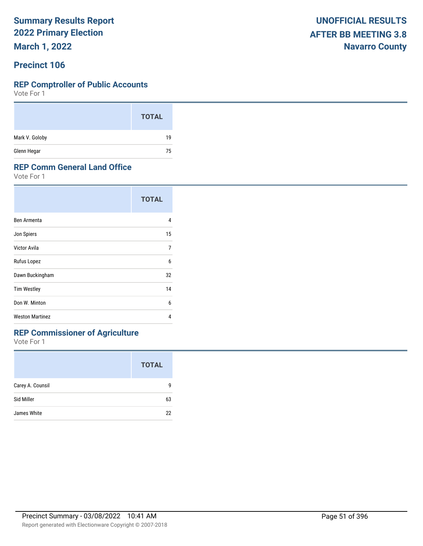**March 1, 2022**

#### **Precinct 106**

#### **REP Comptroller of Public Accounts**

Vote For 1

|                | <b>TOTAL</b> |
|----------------|--------------|
| Mark V. Goloby | 19           |
| Glenn Hegar    | 75           |

#### **REP Comm General Land Office**

Vote For 1

|                        | <b>TOTAL</b> |
|------------------------|--------------|
| Ben Armenta            | 4            |
| Jon Spiers             | 15           |
| Victor Avila           | 7            |
| Rufus Lopez            | 6            |
| Dawn Buckingham        | 32           |
| <b>Tim Westley</b>     | 14           |
| Don W. Minton          | 6            |
| <b>Weston Martinez</b> | 4            |

### **REP Commissioner of Agriculture**

|                  | <b>TOTAL</b> |
|------------------|--------------|
| Carey A. Counsil | q            |
| Sid Miller       | 63           |
| James White      | 22           |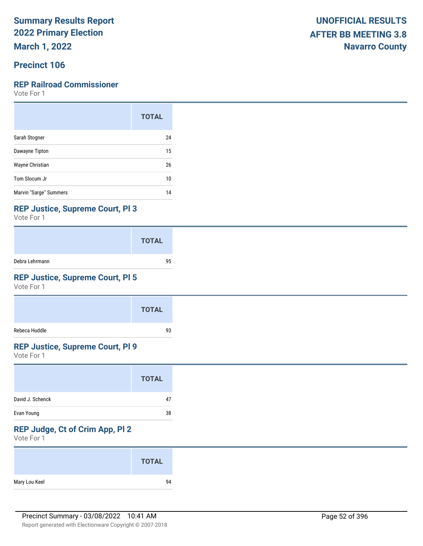**March 1, 2022**

### **Precinct 106**

#### **REP Railroad Commissioner**

Vote For 1

|                        | <b>TOTAL</b> |
|------------------------|--------------|
| Sarah Stogner          | 24           |
| Dawayne Tipton         | 15           |
| Wayne Christian        | 26           |
| Tom Slocum Jr          | 10           |
| Marvin "Sarge" Summers | 14           |

#### **REP Justice, Supreme Court, Pl 3**

Vote For 1

|                | <b>TOTAL</b> |
|----------------|--------------|
| Debra Lehrmann | 95           |

### **REP Justice, Supreme Court, Pl 5**

Vote For 1

|               | <b>TOTAL</b> |
|---------------|--------------|
| Rebeca Huddle | 93           |

#### **REP Justice, Supreme Court, Pl 9**

Vote For 1

|                  | <b>TOTAL</b> |
|------------------|--------------|
| David J. Schenck | 47           |
| Evan Young       | 38           |

## **REP Judge, Ct of Crim App, Pl 2**

|               | <b>TOTAL</b> |
|---------------|--------------|
| Mary Lou Keel | 94           |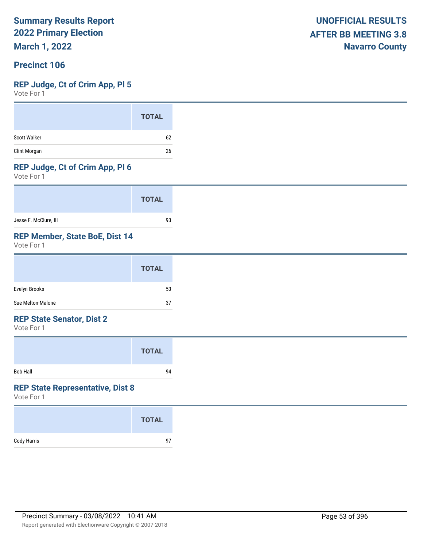**March 1, 2022**

#### **Precinct 106**

#### **REP Judge, Ct of Crim App, Pl 5**

Vote For 1

|                     | <b>TOTAL</b> |
|---------------------|--------------|
| <b>Scott Walker</b> | 62           |
| Clint Morgan        | 26           |

#### **REP Judge, Ct of Crim App, Pl 6**

Vote For 1

|                       | <b>TOTAL</b> |
|-----------------------|--------------|
| Jesse F. McClure, III | 93           |

#### **REP Member, State BoE, Dist 14**

Vote For 1

|                   | <b>TOTAL</b> |
|-------------------|--------------|
| Evelyn Brooks     | 53           |
| Sue Melton-Malone | 37           |

#### **REP State Senator, Dist 2**

Vote For 1

|                 | <b>TOTAL</b> |  |
|-----------------|--------------|--|
| <b>Bob Hall</b> | 94           |  |

#### **REP State Representative, Dist 8**

|             | <b>TOTAL</b> |
|-------------|--------------|
| Cody Harris | 97           |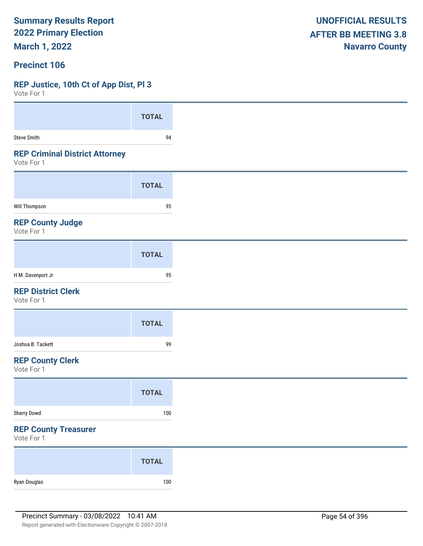**March 1, 2022**

#### **Precinct 106**

#### **REP Justice, 10th Ct of App Dist, Pl 3**

| VOTE FOL 1                                          |              |
|-----------------------------------------------------|--------------|
|                                                     | <b>TOTAL</b> |
| <b>Steve Smith</b>                                  | 94           |
| <b>REP Criminal District Attorney</b><br>Vote For 1 |              |
|                                                     | <b>TOTAL</b> |
| <b>Will Thompson</b>                                | 95           |
| <b>REP County Judge</b><br>Vote For 1               |              |
|                                                     | <b>TOTAL</b> |
| H M. Davenport Jr                                   | 95           |
| <b>REP District Clerk</b><br>Vote For 1             |              |
|                                                     | <b>TOTAL</b> |
| Joshua B. Tackett                                   | 99           |
| <b>REP County Clerk</b><br>Vote For 1               |              |
|                                                     | <b>TOTAL</b> |
| Sherry Dowd                                         | 100          |
| <b>REP County Treasurer</b><br>Vote For 1           |              |
|                                                     | <b>TOTAL</b> |
| Ryan Douglas                                        | 100          |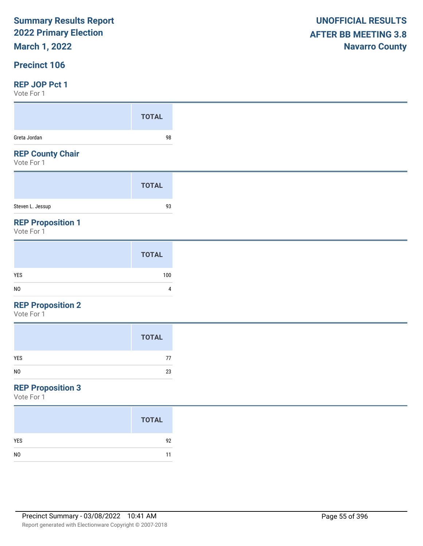## **March 1, 2022**

#### **Precinct 106**

#### **REP JOP Pct 1**

Vote For 1

| VULUI UI I                            |              |
|---------------------------------------|--------------|
|                                       | <b>TOTAL</b> |
| Greta Jordan                          | 98           |
| <b>REP County Chair</b><br>Vote For 1 |              |
|                                       | <b>TOTAL</b> |
|                                       |              |
| Steven L. Jessup                      | 93           |

|                | <b>TOTAL</b> |
|----------------|--------------|
| YES            | 100          |
| N <sub>0</sub> | 4            |

#### **REP Proposition 2**

Vote For 1

|     | <b>TOTAL</b> |
|-----|--------------|
| YES | 77           |
| NO  | 23           |

## **REP Proposition 3**

|                | <b>TOTAL</b> |
|----------------|--------------|
| <b>YES</b>     | 92           |
| N <sub>0</sub> | 11           |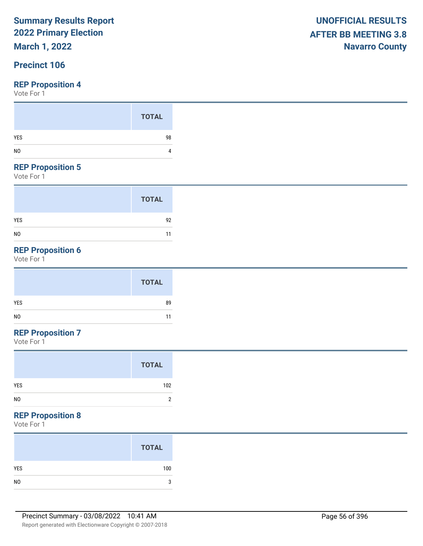## **March 1, 2022**

### **Precinct 106**

Vote For 1

#### **REP Proposition 5**

Vote For 1

|                | <b>TOTAL</b> |
|----------------|--------------|
| <b>YES</b>     | 92           |
| N <sub>0</sub> | 11           |

## **REP Proposition 6**

Vote For 1

|     | <b>TOTAL</b> |
|-----|--------------|
| YES | 89           |
| NO  | 11           |

## **REP Proposition 7**

Vote For 1

#### **REP Proposition 8**

| <b>TOTAL</b> |
|--------------|
| 100          |
|              |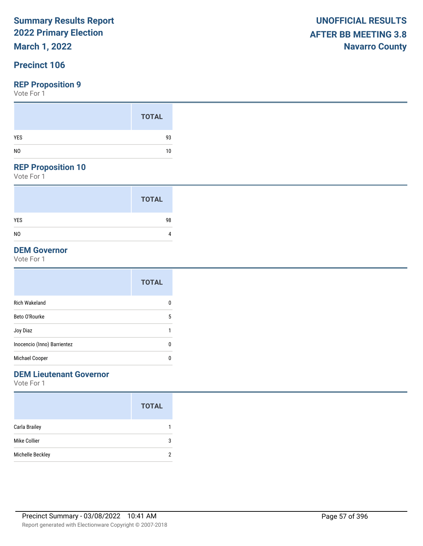## **March 1, 2022**

### **Precinct 106**

Vote For 1

#### **REP Proposition 10**

Vote For 1

|                | <b>TOTAL</b> |  |
|----------------|--------------|--|
| <b>YES</b>     | 98           |  |
| N <sub>0</sub> | 4            |  |

#### **DEM Governor**

Vote For 1

|                             | <b>TOTAL</b> |
|-----------------------------|--------------|
| Rich Wakeland               | 0            |
| Beto O'Rourke               | 5            |
| Joy Diaz                    |              |
| Inocencio (Inno) Barrientez | 0            |
| Michael Cooper              | 0            |
|                             |              |

#### **DEM Lieutenant Governor**

|                  | <b>TOTAL</b> |
|------------------|--------------|
| Carla Brailey    |              |
| Mike Collier     | 3            |
| Michelle Beckley |              |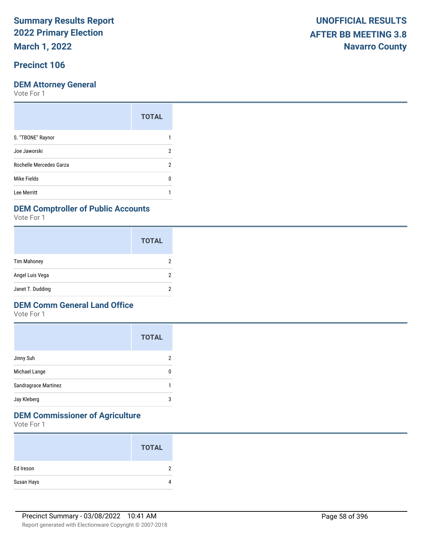**March 1, 2022**

### **Precinct 106**

Vote For 1

|                         | <b>TOTAL</b> |
|-------------------------|--------------|
| S. "TBONE" Raynor       |              |
| Joe Jaworski            | 2            |
| Rochelle Mercedes Garza | 2            |
| Mike Fields             | n            |
| Lee Merritt             |              |

#### **DEM Comptroller of Public Accounts**

Vote For 1

|                    | <b>TOTAL</b> |
|--------------------|--------------|
| <b>Tim Mahoney</b> |              |
| Angel Luis Vega    |              |
| Janet T. Dudding   |              |

#### **DEM Comm General Land Office**

Vote For 1

|                      | <b>TOTAL</b> |
|----------------------|--------------|
| Jinny Suh            | 2            |
| Michael Lange        | 0            |
| Sandragrace Martinez |              |
| Jay Kleberg          | 3            |

## **DEM Commissioner of Agriculture**

|            | <b>TOTAL</b> |
|------------|--------------|
| Ed Ireson  | ົ            |
| Susan Hays | 4            |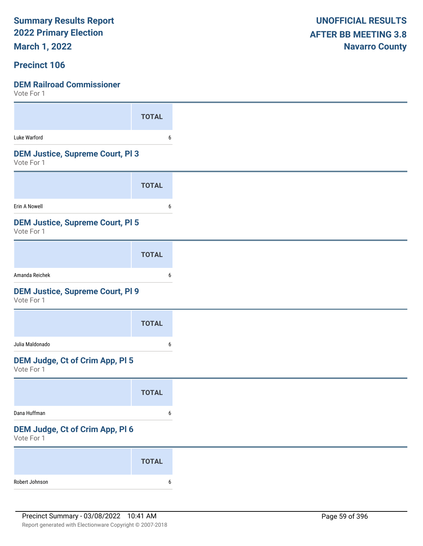**March 1, 2022**

#### **Precinct 106**

| $V \cup U \cup V$                                     |              |
|-------------------------------------------------------|--------------|
|                                                       | <b>TOTAL</b> |
| Luke Warford                                          | 6            |
| <b>DEM Justice, Supreme Court, PI 3</b><br>Vote For 1 |              |
|                                                       | <b>TOTAL</b> |
| Erin A Nowell                                         | 6            |
| <b>DEM Justice, Supreme Court, PI 5</b><br>Vote For 1 |              |
|                                                       | <b>TOTAL</b> |
| Amanda Reichek                                        | 6            |
| <b>DEM Justice, Supreme Court, PI 9</b><br>Vote For 1 |              |
|                                                       | <b>TOTAL</b> |
| Julia Maldonado                                       | 6            |
| DEM Judge, Ct of Crim App, Pl 5<br>Vote For 1         |              |
|                                                       | <b>TOTAL</b> |
| Dana Huffman                                          | 6            |
| DEM Judge, Ct of Crim App, Pl 6<br>Vote For 1         |              |
|                                                       | <b>TOTAL</b> |
| Robert Johnson                                        | 6            |
|                                                       |              |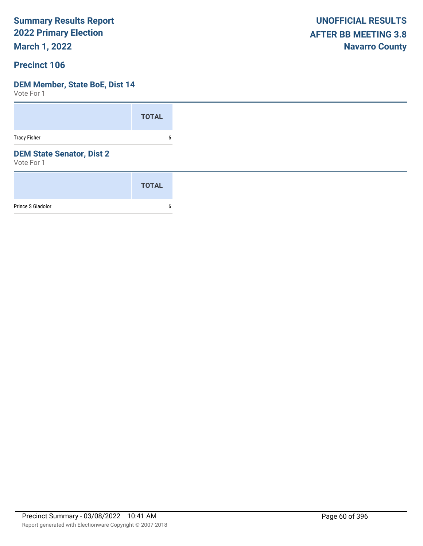**March 1, 2022**

#### **Precinct 106**

#### **DEM Member, State BoE, Dist 14**

|                                                | <b>TOTAL</b> |
|------------------------------------------------|--------------|
| <b>Tracy Fisher</b>                            | 6            |
| <b>DEM State Senator, Dist 2</b><br>Vote For 1 |              |
|                                                | <b>TOTAL</b> |
| Prince S Giadolor                              | 6            |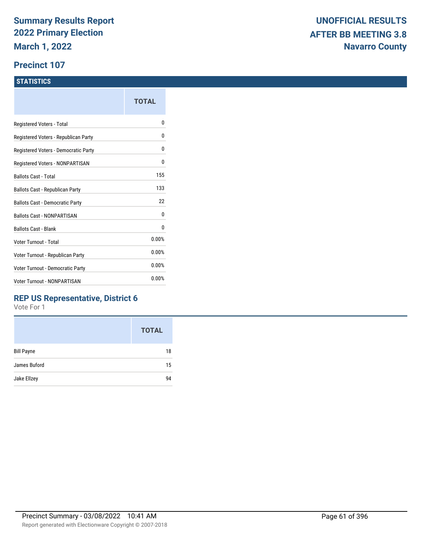#### **Precinct 107**

#### **STATISTICS**

|                                      | <b>TOTAL</b> |
|--------------------------------------|--------------|
| Registered Voters - Total            | N            |
| Registered Voters - Republican Party | 0            |
| Registered Voters - Democratic Party | 0            |
| Registered Voters - NONPARTISAN      | 0            |
| Ballots Cast - Total                 | 155          |
| Ballots Cast - Republican Party      | 133          |
| Ballots Cast - Democratic Party      | 22           |
| <b>Ballots Cast - NONPARTISAN</b>    | 0            |
| <b>Ballots Cast - Blank</b>          | 0            |
| Voter Turnout - Total                | 0.00%        |
| Voter Turnout - Republican Party     | 0.00%        |
| Voter Turnout - Democratic Party     | 0.00%        |
| Voter Turnout - NONPARTISAN          | 0.00%        |

#### **REP US Representative, District 6**

|                   | <b>TOTAL</b> |
|-------------------|--------------|
| <b>Bill Payne</b> | 18           |
| James Buford      | 15           |
| Jake Ellzey       | 94           |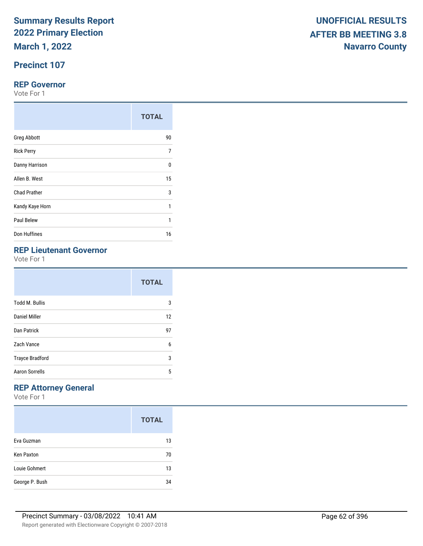**March 1, 2022**

## **Precinct 107**

#### **REP Governor**

Vote For 1

|                     | <b>TOTAL</b> |
|---------------------|--------------|
| <b>Greg Abbott</b>  | 90           |
| <b>Rick Perry</b>   | 7            |
| Danny Harrison      | $\Omega$     |
| Allen B. West       | 15           |
| <b>Chad Prather</b> | 3            |
| Kandy Kaye Horn     | 1            |
| Paul Belew          | 1            |
| Don Huffines        | 16           |

## **REP Lieutenant Governor**

Vote For 1

|                        | <b>TOTAL</b> |  |
|------------------------|--------------|--|
| <b>Todd M. Bullis</b>  | 3            |  |
| Daniel Miller          | 12           |  |
| Dan Patrick            | 97           |  |
| Zach Vance             | 6            |  |
| <b>Trayce Bradford</b> | 3            |  |
| <b>Aaron Sorrells</b>  | 5            |  |

## **REP Attorney General**

|                   | <b>TOTAL</b> |
|-------------------|--------------|
| Eva Guzman        | 13           |
| <b>Ken Paxton</b> | 70           |
| Louie Gohmert     | 13           |
| George P. Bush    | 34           |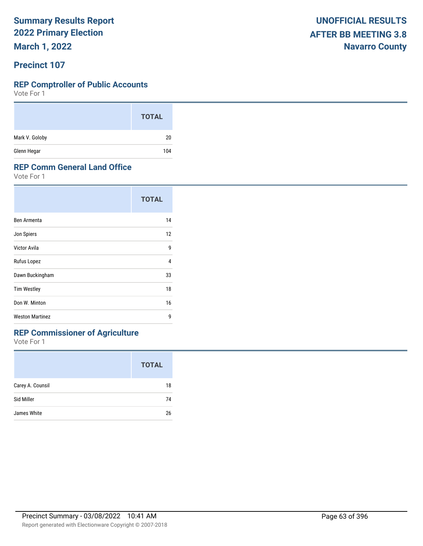**March 1, 2022**

#### **Precinct 107**

#### **REP Comptroller of Public Accounts**

Vote For 1

|                | <b>TOTAL</b> |
|----------------|--------------|
| Mark V. Goloby | 20           |
| Glenn Hegar    | 104          |

#### **REP Comm General Land Office**

Vote For 1

|                        | <b>TOTAL</b> |  |
|------------------------|--------------|--|
| Ben Armenta            | 14           |  |
| Jon Spiers             | 12           |  |
| Victor Avila           | 9            |  |
| Rufus Lopez            | 4            |  |
| Dawn Buckingham        | 33           |  |
| <b>Tim Westley</b>     | 18           |  |
| Don W. Minton          | 16           |  |
| <b>Weston Martinez</b> | 9            |  |

## **REP Commissioner of Agriculture**

|                  | <b>TOTAL</b> |
|------------------|--------------|
| Carey A. Counsil | 18           |
| Sid Miller       | 74           |
| James White      | 26           |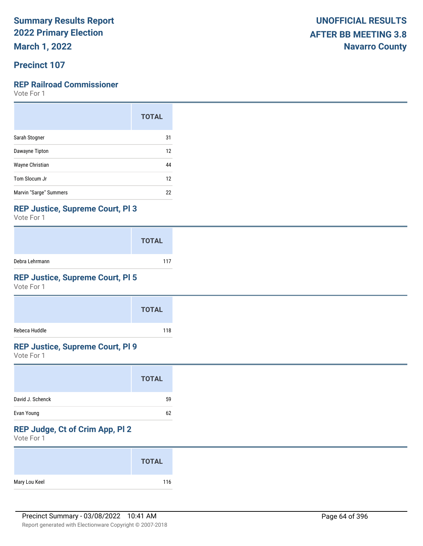**March 1, 2022**

## **Precinct 107**

### **REP Railroad Commissioner**

Vote For 1

|                        | <b>TOTAL</b> |
|------------------------|--------------|
| Sarah Stogner          | 31           |
| Dawayne Tipton         | 12           |
| Wayne Christian        | 44           |
| Tom Slocum Jr          | 12           |
| Marvin "Sarge" Summers | 22           |

#### **REP Justice, Supreme Court, Pl 3**

Vote For 1

|                | <b>TOTAL</b> |
|----------------|--------------|
| Debra Lehrmann | 117          |

### **REP Justice, Supreme Court, Pl 5**

Vote For 1

|               | <b>TOTAL</b> |
|---------------|--------------|
| Rebeca Huddle | 118          |

### **REP Justice, Supreme Court, Pl 9**

Vote For 1

|                  | <b>TOTAL</b> |
|------------------|--------------|
| David J. Schenck | 59           |
| Evan Young       | 62           |

## **REP Judge, Ct of Crim App, Pl 2**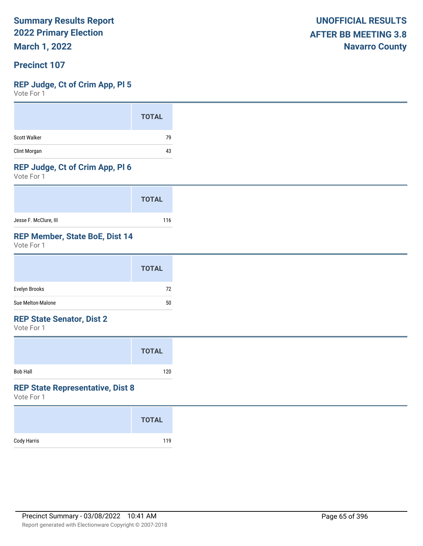**March 1, 2022**

#### **Precinct 107**

#### **REP Judge, Ct of Crim App, Pl 5**

Vote For 1

#### **REP Judge, Ct of Crim App, Pl 6**

Vote For 1

|                       | <b>TOTAL</b> |
|-----------------------|--------------|
| Jesse F. McClure, III | 116          |

#### **REP Member, State BoE, Dist 14**

Vote For 1

|                   | <b>TOTAL</b> |
|-------------------|--------------|
| Evelyn Brooks     | 72           |
| Sue Melton-Malone | 50           |

#### **REP State Senator, Dist 2**

Vote For 1

|                 | <b>TOTAL</b> |  |
|-----------------|--------------|--|
| <b>Bob Hall</b> | 120          |  |

#### **REP State Representative, Dist 8**

| Cody Harris | <b>TOTAL</b> |
|-------------|--------------|
|             | 119          |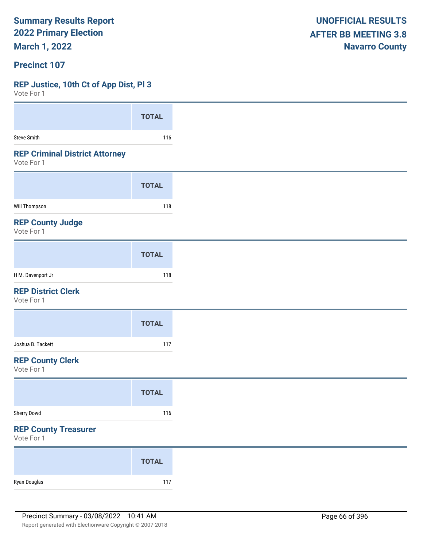**March 1, 2022**

#### **Precinct 107**

#### **REP Justice, 10th Ct of App Dist, Pl 3**

| Vote For T                                          |              |
|-----------------------------------------------------|--------------|
|                                                     | <b>TOTAL</b> |
|                                                     |              |
| <b>Steve Smith</b>                                  | 116          |
| <b>REP Criminal District Attorney</b><br>Vote For 1 |              |
|                                                     | <b>TOTAL</b> |
| Will Thompson                                       | 118          |
| <b>REP County Judge</b><br>Vote For 1               |              |
|                                                     | <b>TOTAL</b> |
| H M. Davenport Jr                                   | 118          |
| <b>REP District Clerk</b><br>Vote For 1             |              |
|                                                     | <b>TOTAL</b> |
| Joshua B. Tackett                                   | 117          |
| <b>REP County Clerk</b><br>Vote For 1               |              |
|                                                     | <b>TOTAL</b> |
| Sherry Dowd                                         | 116          |
| <b>REP County Treasurer</b><br>Vote For 1           |              |
|                                                     | <b>TOTAL</b> |
| Ryan Douglas                                        | 117          |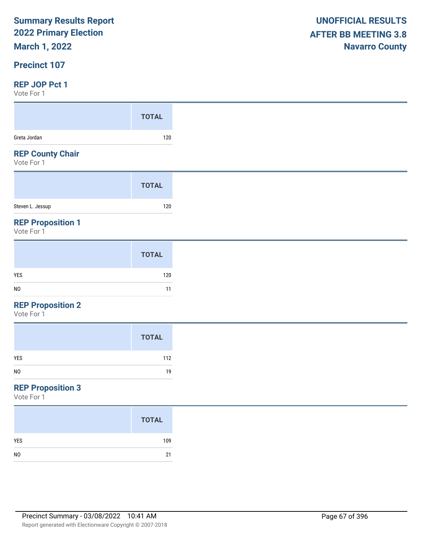## **March 1, 2022**

#### **Precinct 107**

#### **REP JOP Pct 1**

Vote For 1

| VULC I UI I                           |              |
|---------------------------------------|--------------|
|                                       | <b>TOTAL</b> |
| Greta Jordan                          | 120          |
| <b>REP County Chair</b><br>Vote For 1 |              |
|                                       | <b>TOTAL</b> |
| Steven L. Jessup                      | 120          |
| <b>REP Proposition 1</b>              |              |

Vote For 1

|     | <b>TOTAL</b> |
|-----|--------------|
| YES | 120          |
| NO  | 11           |

#### **REP Proposition 2**

Vote For 1

| <b>TOTAL</b>         |
|----------------------|
| <b>YES</b><br>112    |
| N <sub>O</sub><br>19 |

## **REP Proposition 3**

|                | <b>TOTAL</b> |
|----------------|--------------|
| <b>YES</b>     | 109          |
| N <sub>0</sub> | 21           |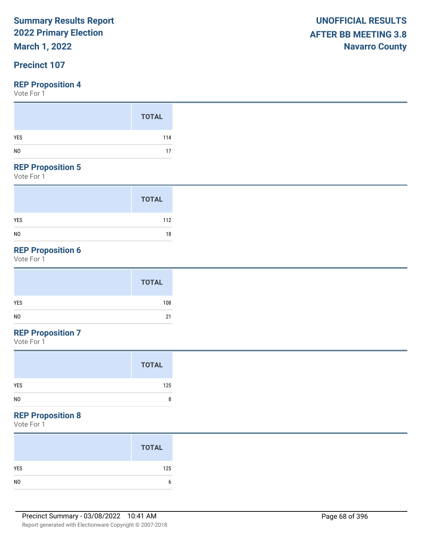## **March 1, 2022**

### **Precinct 107**

#### **REP Proposition 4**

Vote For 1

#### **REP Proposition 5**

Vote For 1

|                | <b>TOTAL</b> |
|----------------|--------------|
| <b>YES</b>     | 112          |
| N <sub>0</sub> | 18           |

## **REP Proposition 6**

Vote For 1

|            | <b>TOTAL</b> |
|------------|--------------|
| <b>YES</b> | 108          |
| NO         | 21           |

## **REP Proposition 7**

Vote For 1

#### **REP Proposition 8**

|                | <b>TOTAL</b> |
|----------------|--------------|
| YES            | 125          |
| N <sub>0</sub> |              |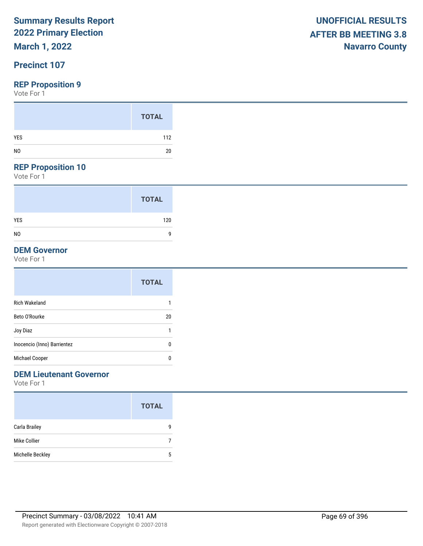## **March 1, 2022**

### **Precinct 107**

#### **REP Proposition 9**

Vote For 1

#### **REP Proposition 10**

Vote For 1

|                | <b>TOTAL</b> |
|----------------|--------------|
| <b>YES</b>     | 120          |
| N <sub>0</sub> | 9            |

#### **DEM Governor**

Vote For 1

|                             | <b>TOTAL</b> |
|-----------------------------|--------------|
| <b>Rich Wakeland</b>        | 1            |
| Beto O'Rourke               | 20           |
| Joy Diaz                    | 1            |
| Inocencio (Inno) Barrientez | 0            |
| Michael Cooper              | 0            |

### **DEM Lieutenant Governor**

|                  | <b>TOTAL</b> |
|------------------|--------------|
| Carla Brailey    | q            |
| Mike Collier     |              |
| Michelle Beckley | 5            |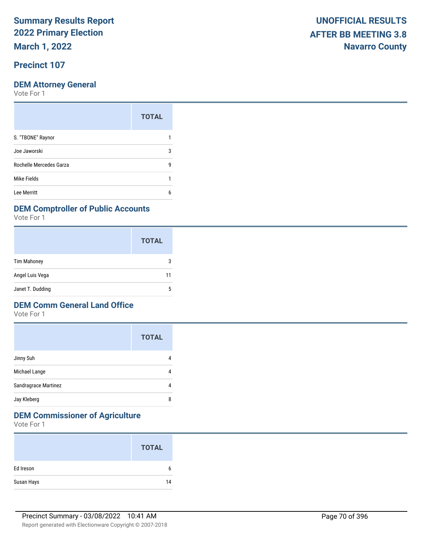**March 1, 2022**

### **Precinct 107**

Vote For 1

|                         | <b>TOTAL</b> |
|-------------------------|--------------|
| S. "TBONE" Raynor       |              |
| Joe Jaworski            | 3            |
| Rochelle Mercedes Garza | g            |
| Mike Fields             |              |
| Lee Merritt             | 6            |

#### **DEM Comptroller of Public Accounts**

Vote For 1

|                    | <b>TOTAL</b> |
|--------------------|--------------|
| <b>Tim Mahoney</b> | 3            |
| Angel Luis Vega    | 11           |
| Janet T. Dudding   | 5            |

#### **DEM Comm General Land Office**

Vote For 1

|                      | <b>TOTAL</b> |
|----------------------|--------------|
| Jinny Suh            |              |
| Michael Lange        |              |
| Sandragrace Martinez |              |
| Jay Kleberg          | 8            |

## **DEM Commissioner of Agriculture**

|            | <b>TOTAL</b> |
|------------|--------------|
| Ed Ireson  | b            |
| Susan Hays | 14           |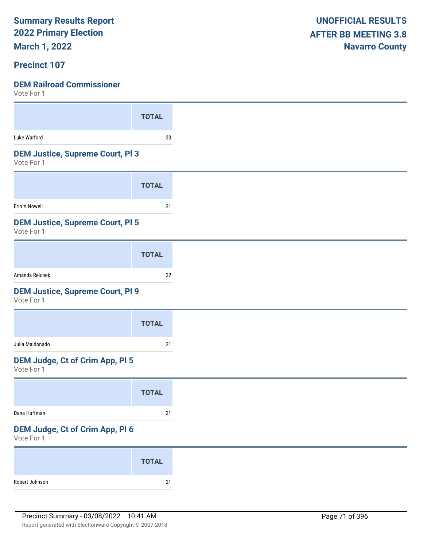**March 1, 2022**

### **Precinct 107**

| VOLE FOI I                                            |              |
|-------------------------------------------------------|--------------|
|                                                       | <b>TOTAL</b> |
| Luke Warford                                          | $20\,$       |
| <b>DEM Justice, Supreme Court, PI3</b><br>Vote For 1  |              |
|                                                       | <b>TOTAL</b> |
| Erin A Nowell                                         | 21           |
| <b>DEM Justice, Supreme Court, PI 5</b><br>Vote For 1 |              |
|                                                       | <b>TOTAL</b> |
| Amanda Reichek                                        | 22           |
| <b>DEM Justice, Supreme Court, PI 9</b><br>Vote For 1 |              |
|                                                       | <b>TOTAL</b> |
| Julia Maldonado                                       | 21           |
| DEM Judge, Ct of Crim App, Pl 5<br>Vote For 1         |              |
|                                                       | <b>TOTAL</b> |
| Dana Huffman                                          | 21           |
| DEM Judge, Ct of Crim App, Pl 6<br>Vote For 1         |              |
|                                                       | <b>TOTAL</b> |
| Robert Johnson                                        | $21\,$       |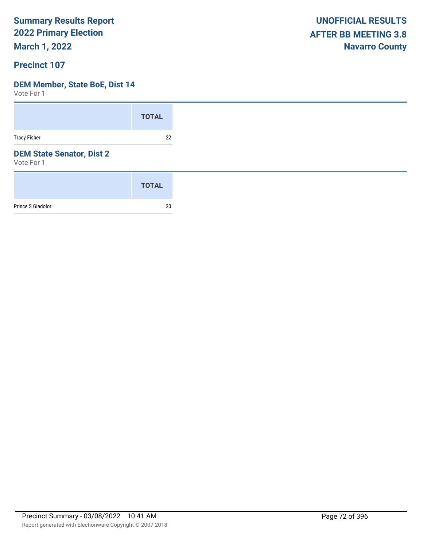**March 1, 2022**

### **Precinct 107**

#### **DEM Member, State BoE, Dist 14**

|                                                | <b>TOTAL</b> |
|------------------------------------------------|--------------|
| <b>Tracy Fisher</b>                            | 22           |
| <b>DEM State Senator, Dist 2</b><br>Vote For 1 |              |
|                                                | <b>TOTAL</b> |
| Prince S Giadolor                              | 20           |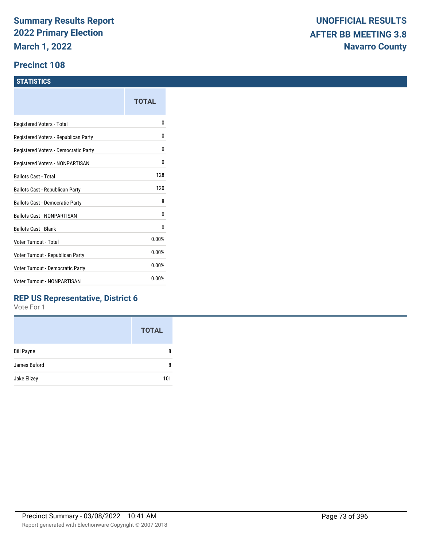#### **Precinct 108**

#### **STATISTICS**

|                                      | TOTAL |
|--------------------------------------|-------|
| Registered Voters - Total            | o     |
| Registered Voters - Republican Party | 0     |
| Registered Voters - Democratic Party | 0     |
| Registered Voters - NONPARTISAN      | 0     |
| <b>Ballots Cast - Total</b>          | 128   |
| Ballots Cast - Republican Party      | 120   |
| Ballots Cast - Democratic Party      | 8     |
| Ballots Cast - NONPARTISAN           | 0     |
| <b>Ballots Cast - Blank</b>          | 0     |
| Voter Turnout - Total                | 0.00% |
| Voter Turnout - Republican Party     | 0.00% |
| Voter Turnout - Democratic Party     | 0.00% |
| <b>Voter Turnout - NONPARTISAN</b>   | 0.00% |
|                                      |       |

### **REP US Representative, District 6**

|                   | <b>TOTAL</b> |
|-------------------|--------------|
| <b>Bill Payne</b> | 8            |
| James Buford      | 8            |
| Jake Ellzey       | 101          |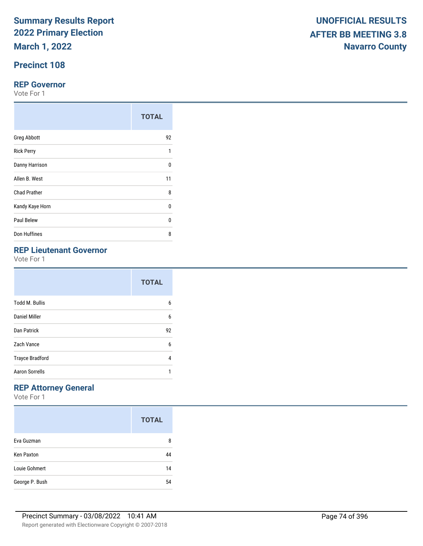**March 1, 2022**

## **Precinct 108**

#### **REP Governor**

Vote For 1

|                     | <b>TOTAL</b> |
|---------------------|--------------|
| <b>Greg Abbott</b>  | 92           |
| <b>Rick Perry</b>   | 1            |
| Danny Harrison      | $\Omega$     |
| Allen B. West       | 11           |
| <b>Chad Prather</b> | 8            |
| Kandy Kaye Horn     | 0            |
| Paul Belew          | U            |
| Don Huffines        | 8            |

## **REP Lieutenant Governor**

Vote For 1

|                        | <b>TOTAL</b> |
|------------------------|--------------|
| <b>Todd M. Bullis</b>  | 6            |
| Daniel Miller          | 6            |
| Dan Patrick            | 92           |
| Zach Vance             | 6            |
| <b>Trayce Bradford</b> | 4            |
| <b>Aaron Sorrells</b>  | 1            |

## **REP Attorney General**

|                   | <b>TOTAL</b> |
|-------------------|--------------|
| Eva Guzman        | 8            |
| <b>Ken Paxton</b> | 44           |
| Louie Gohmert     | 14           |
| George P. Bush    | 54           |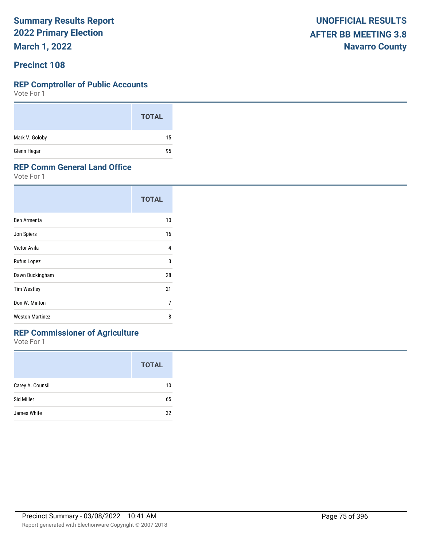**March 1, 2022**

#### **Precinct 108**

#### **REP Comptroller of Public Accounts**

Vote For 1

|                | <b>TOTAL</b> |
|----------------|--------------|
| Mark V. Goloby | 15           |
| Glenn Hegar    | 95           |

#### **REP Comm General Land Office**

Vote For 1

|                        | <b>TOTAL</b> |
|------------------------|--------------|
| Ben Armenta            | 10           |
| Jon Spiers             | 16           |
| Victor Avila           | 4            |
| Rufus Lopez            | 3            |
| Dawn Buckingham        | 28           |
| <b>Tim Westley</b>     | 21           |
| Don W. Minton          | 7            |
| <b>Weston Martinez</b> | 8            |

## **REP Commissioner of Agriculture**

|                  | <b>TOTAL</b> |
|------------------|--------------|
| Carey A. Counsil | 10           |
| Sid Miller       | 65           |
| James White      | 32           |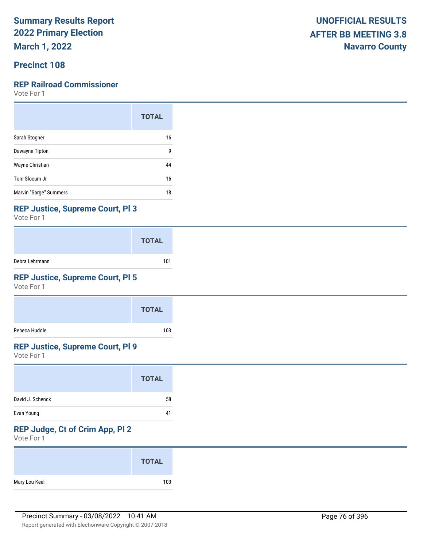**March 1, 2022**

### **Precinct 108**

### **REP Railroad Commissioner**

Vote For 1

|                        | <b>TOTAL</b> |
|------------------------|--------------|
| Sarah Stogner          | 16           |
| Dawayne Tipton         | 9            |
| Wayne Christian        | 44           |
| Tom Slocum Jr          | 16           |
| Marvin "Sarge" Summers | 18           |

#### **REP Justice, Supreme Court, Pl 3**

Vote For 1

|                | <b>TOTAL</b> |
|----------------|--------------|
| Debra Lehrmann | 101          |

## **REP Justice, Supreme Court, Pl 5**

Vote For 1

|               | <b>TOTAL</b> |  |
|---------------|--------------|--|
| Rebeca Huddle | 103          |  |

#### **REP Justice, Supreme Court, Pl 9**

Vote For 1

|                  | <b>TOTAL</b> |  |
|------------------|--------------|--|
| David J. Schenck | 58           |  |
| Evan Young       | 41           |  |

## **REP Judge, Ct of Crim App, Pl 2**

|               | <b>TOTAL</b> |
|---------------|--------------|
| Mary Lou Keel | 103          |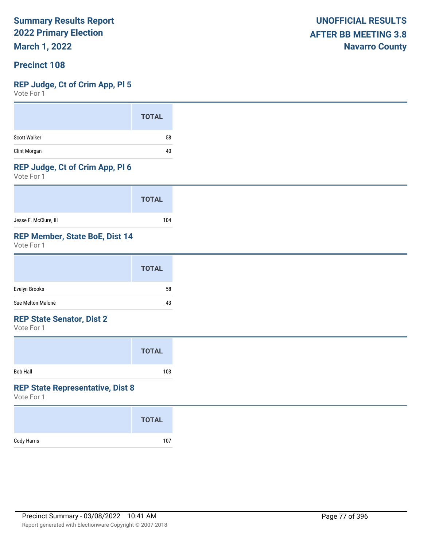**March 1, 2022**

### **Precinct 108**

#### **REP Judge, Ct of Crim App, Pl 5**

Vote For 1

|              | <b>TOTAL</b> |
|--------------|--------------|
| Scott Walker | 58           |
| Clint Morgan | 40           |

#### **REP Judge, Ct of Crim App, Pl 6**

Vote For 1

|                       | <b>TOTAL</b> |
|-----------------------|--------------|
| Jesse F. McClure, III | 104          |

#### **REP Member, State BoE, Dist 14**

Vote For 1

|                   | <b>TOTAL</b> |
|-------------------|--------------|
| Evelyn Brooks     | 58           |
| Sue Melton-Malone | 43           |

#### **REP State Senator, Dist 2**

Vote For 1

|                 | <b>TOTAL</b> |  |
|-----------------|--------------|--|
| <b>Bob Hall</b> | 103          |  |

#### **REP State Representative, Dist 8**

|             | <b>TOTAL</b> |
|-------------|--------------|
| Cody Harris | 107          |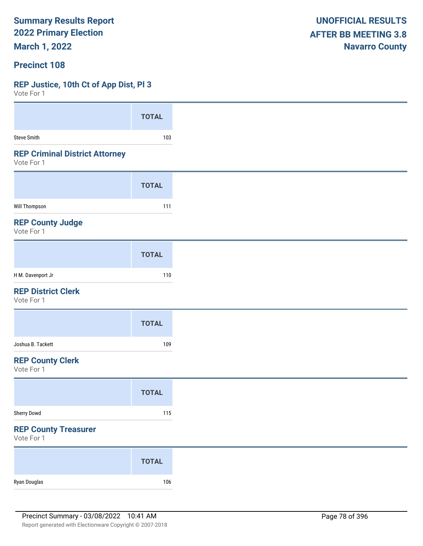**March 1, 2022**

#### **Precinct 108**

#### **REP Justice, 10th Ct of App Dist, Pl 3**

 $V$ oto Fo

| A A COLE LOI                                        |              |
|-----------------------------------------------------|--------------|
|                                                     | <b>TOTAL</b> |
| <b>Steve Smith</b>                                  | 103          |
| <b>REP Criminal District Attorney</b><br>Vote For 1 |              |
|                                                     | <b>TOTAL</b> |
| Will Thompson                                       | 111          |
| <b>REP County Judge</b><br>Vote For 1               |              |
|                                                     | <b>TOTAL</b> |
| H M. Davenport Jr                                   | 110          |
| <b>REP District Clerk</b><br>Vote For 1             |              |
|                                                     | <b>TOTAL</b> |
| Joshua B. Tackett                                   | 109          |
| <b>REP County Clerk</b><br>Vote For 1               |              |
|                                                     | <b>TOTAL</b> |
| Sherry Dowd                                         | 115          |
| <b>REP County Treasurer</b><br>Vote For 1           |              |
|                                                     | <b>TOTAL</b> |
| Ryan Douglas                                        | 106          |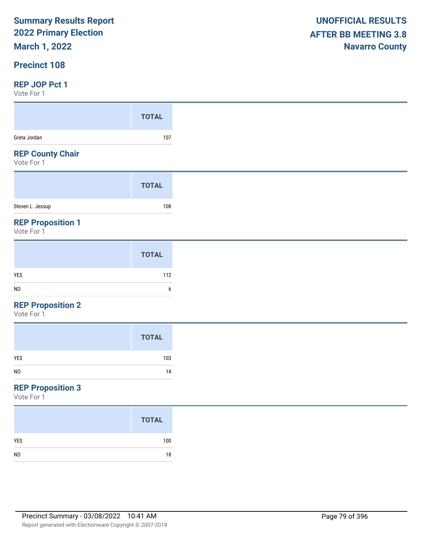## **March 1, 2022**

### **Precinct 108**

#### **REP JOP Pct 1**

Vote For 1

| $V \cup U \cup V$                      |              |
|----------------------------------------|--------------|
|                                        | <b>TOTAL</b> |
| Greta Jordan                           | 107          |
| <b>REP County Chair</b><br>Vote For 1  |              |
|                                        | <b>TOTAL</b> |
| Steven L. Jessup                       | 108          |
| <b>REP Proposition 1</b><br>Vote For 1 |              |

|                | <b>TOTAL</b> |
|----------------|--------------|
| YES            | 112          |
| N <sub>0</sub> | h            |
|                |              |

#### **REP Proposition 2**

Vote For 1

|                | <b>TOTAL</b> |
|----------------|--------------|
| YES            | 103          |
| N <sub>0</sub> | 14           |
|                |              |

## **REP Proposition 3**

|                | <b>TOTAL</b> |
|----------------|--------------|
| <b>YES</b>     | 100          |
| N <sub>0</sub> | 18           |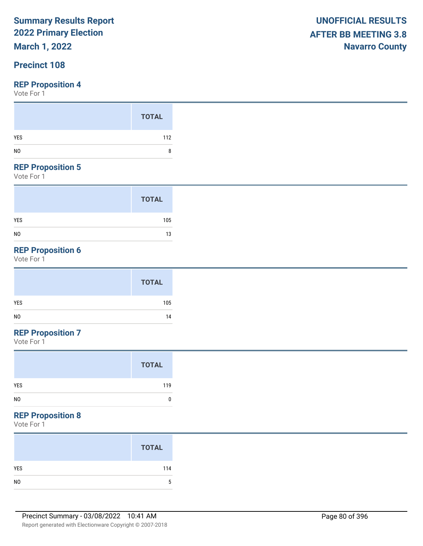## **March 1, 2022**

## **Precinct 108**

#### **REP Proposition 4**

Vote For 1

|                                             | <b>TOTAL</b> |
|---------------------------------------------|--------------|
| YES<br>N <sub>0</sub>                       | 112<br>8     |
| $- - -$<br><b>Contract Contract</b><br>---- |              |

#### **REP Proposition 5**

Vote For 1

|                | <b>TOTAL</b> |
|----------------|--------------|
| <b>YES</b>     | 105          |
| N <sub>0</sub> | 13           |

## **REP Proposition 6**

Vote For 1

|            | <b>TOTAL</b> |
|------------|--------------|
| <b>YES</b> | 105          |
| NO         | 14           |

## **REP Proposition 7**

Vote For 1

#### **REP Proposition 8**

| <b>TOTAL</b> |
|--------------|
| 114          |
|              |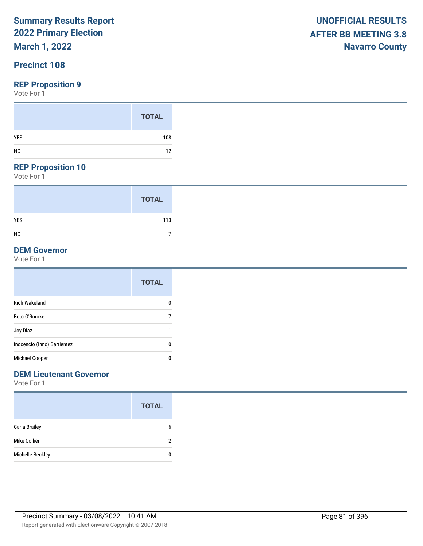## **March 1, 2022**

## **Precinct 108**

#### **REP Proposition 9**

Vote For 1

#### **REP Proposition 10**

Vote For 1

|                | <b>TOTAL</b> |
|----------------|--------------|
| <b>YES</b>     | 113          |
| N <sub>0</sub> |              |

## **DEM Governor**

Vote For 1

|                             | <b>TOTAL</b> |
|-----------------------------|--------------|
| <b>Rich Wakeland</b>        | 0            |
| Beto O'Rourke               | 7            |
| Joy Diaz                    | ٠            |
| Inocencio (Inno) Barrientez | 0            |
| Michael Cooper              | 0            |
|                             |              |

### **DEM Lieutenant Governor**

|                  | <b>TOTAL</b> |
|------------------|--------------|
| Carla Brailey    | 6            |
| Mike Collier     | 2            |
| Michelle Beckley |              |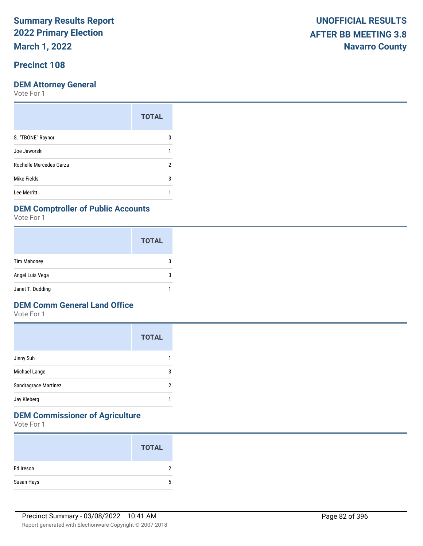**March 1, 2022**

## **Precinct 108**

Vote For 1

|                         | <b>TOTAL</b> |
|-------------------------|--------------|
| S. "TBONE" Raynor       |              |
| Joe Jaworski            |              |
| Rochelle Mercedes Garza | 2            |
| Mike Fields             | 3            |
| Lee Merritt             |              |

#### **DEM Comptroller of Public Accounts**

Vote For 1

|                    | <b>TOTAL</b> |
|--------------------|--------------|
| <b>Tim Mahoney</b> |              |
| Angel Luis Vega    | З            |
| Janet T. Dudding   |              |

#### **DEM Comm General Land Office**

Vote For 1

|                      | <b>TOTAL</b> |
|----------------------|--------------|
| Jinny Suh            |              |
| Michael Lange        | 3            |
| Sandragrace Martinez | 2            |
| Jay Kleberg          |              |

## **DEM Commissioner of Agriculture**

|            | <b>TOTAL</b> |
|------------|--------------|
| Ed Ireson  |              |
| Susan Hays |              |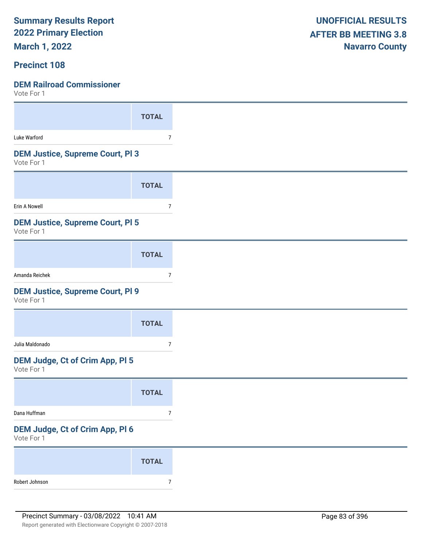**March 1, 2022**

#### **Precinct 108**

| 1 U U U U U U                                         |                |
|-------------------------------------------------------|----------------|
|                                                       | <b>TOTAL</b>   |
| Luke Warford                                          | 7              |
| <b>DEM Justice, Supreme Court, PI3</b><br>Vote For 1  |                |
|                                                       | <b>TOTAL</b>   |
| Erin A Nowell                                         | 7              |
| <b>DEM Justice, Supreme Court, PI 5</b><br>Vote For 1 |                |
|                                                       | <b>TOTAL</b>   |
| Amanda Reichek                                        | 7              |
| <b>DEM Justice, Supreme Court, PI 9</b><br>Vote For 1 |                |
|                                                       | <b>TOTAL</b>   |
| Julia Maldonado                                       | 7              |
| DEM Judge, Ct of Crim App, Pl 5<br>Vote For 1         |                |
|                                                       | <b>TOTAL</b>   |
| Dana Huffman                                          | $\overline{7}$ |
| DEM Judge, Ct of Crim App, Pl 6<br>Vote For 1         |                |
|                                                       | <b>TOTAL</b>   |
| Robert Johnson                                        | $\overline{7}$ |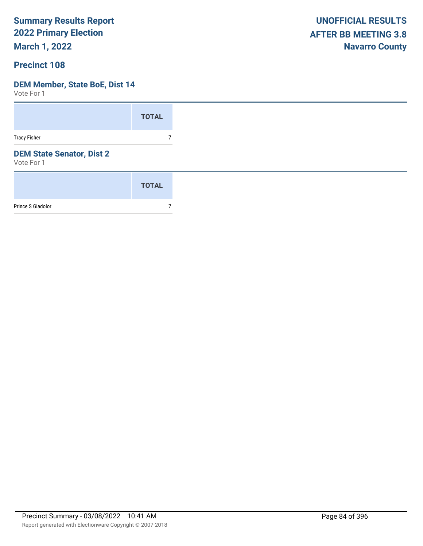**March 1, 2022**

#### **Precinct 108**

#### **DEM Member, State BoE, Dist 14**

|                                                | <b>TOTAL</b> |
|------------------------------------------------|--------------|
| <b>Tracy Fisher</b>                            | 7            |
| <b>DEM State Senator, Dist 2</b><br>Vote For 1 |              |
|                                                | <b>TOTAL</b> |
| Prince S Giadolor                              |              |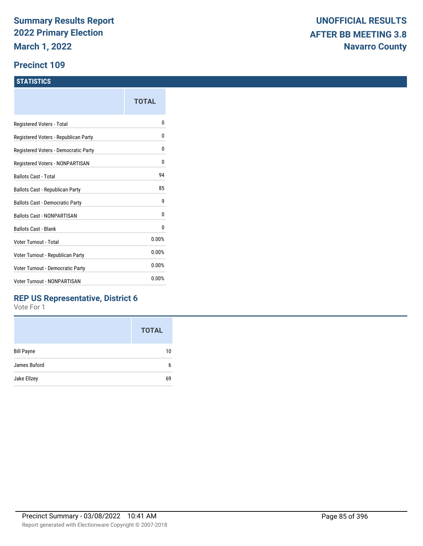#### **Precinct 109**

#### **STATISTICS**

|                                      | TOTAL |
|--------------------------------------|-------|
| Registered Voters - Total            | n     |
| Registered Voters - Republican Party | 0     |
| Registered Voters - Democratic Party | 0     |
| Registered Voters - NONPARTISAN      | 0     |
| <b>Ballots Cast - Total</b>          | 94    |
| Ballots Cast - Republican Party      | 85    |
| Ballots Cast - Democratic Party      | g     |
| <b>Ballots Cast - NONPARTISAN</b>    | N     |
| <b>Ballots Cast - Blank</b>          | 0     |
| Voter Turnout - Total                | 0.00% |
| Voter Turnout - Republican Party     | 0.00% |
| Voter Turnout - Democratic Party     | 0.00% |
| Voter Turnout - NONPARTISAN          | 0.00% |

### **REP US Representative, District 6**

|                   | <b>TOTAL</b> |
|-------------------|--------------|
| <b>Bill Payne</b> | 10           |
| James Buford      | 6            |
| Jake Ellzey       | 69           |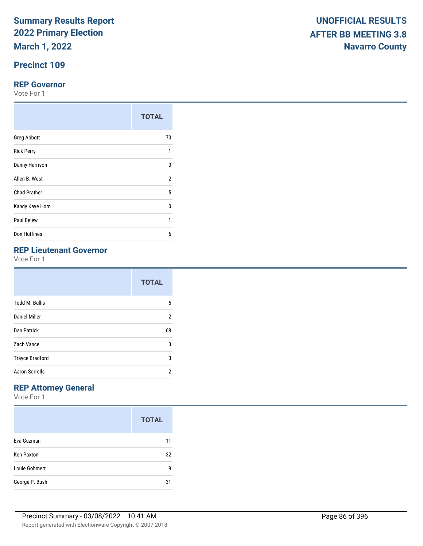**March 1, 2022**

## **Precinct 109**

#### **REP Governor**

Vote For 1

|                     | <b>TOTAL</b> |
|---------------------|--------------|
| <b>Greg Abbott</b>  | 70           |
| <b>Rick Perry</b>   | 1            |
| Danny Harrison      | $\Omega$     |
| Allen B. West       | 2            |
| <b>Chad Prather</b> | 5            |
| Kandy Kaye Horn     | $\Omega$     |
| Paul Belew          | 1            |
| Don Huffines        | 6            |

## **REP Lieutenant Governor**

Vote For 1

|                        | <b>TOTAL</b> |
|------------------------|--------------|
| <b>Todd M. Bullis</b>  | 5            |
| Daniel Miller          | 2            |
| <b>Dan Patrick</b>     | 68           |
| Zach Vance             | 3            |
| <b>Trayce Bradford</b> | 3            |
| <b>Aaron Sorrells</b>  | 2            |

## **REP Attorney General**

|                   | <b>TOTAL</b> |
|-------------------|--------------|
| Eva Guzman        | 11           |
| <b>Ken Paxton</b> | 32           |
| Louie Gohmert     | g            |
| George P. Bush    | 31           |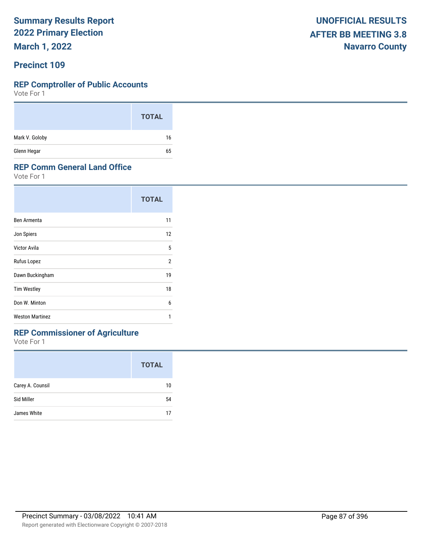**March 1, 2022**

#### **Precinct 109**

#### **REP Comptroller of Public Accounts**

Vote For 1

|                | <b>TOTAL</b> |
|----------------|--------------|
| Mark V. Goloby | 16           |
| Glenn Hegar    | 65           |

#### **REP Comm General Land Office**

Vote For 1

|                        | <b>TOTAL</b>   |
|------------------------|----------------|
| Ben Armenta            | 11             |
| Jon Spiers             | 12             |
| Victor Avila           | 5              |
| Rufus Lopez            | $\overline{2}$ |
| Dawn Buckingham        | 19             |
| <b>Tim Westley</b>     | 18             |
| Don W. Minton          | 6              |
| <b>Weston Martinez</b> | 1              |

## **REP Commissioner of Agriculture**

|                  | <b>TOTAL</b> |
|------------------|--------------|
| Carey A. Counsil | 10           |
| Sid Miller       | 54           |
| James White      | 17           |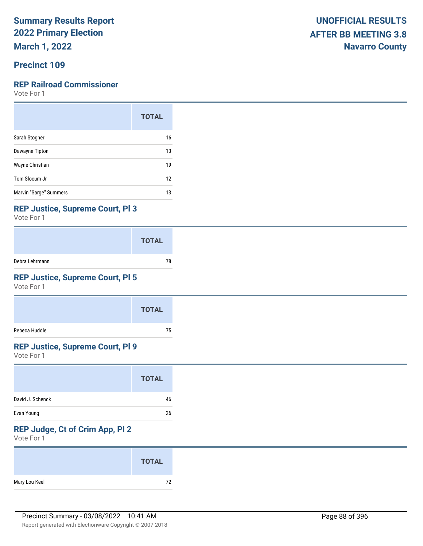**March 1, 2022**

## **Precinct 109**

### **REP Railroad Commissioner**

Vote For 1

|                        | <b>TOTAL</b> |
|------------------------|--------------|
| Sarah Stogner          | 16           |
| Dawayne Tipton         | 13           |
| Wayne Christian        | 19           |
| Tom Slocum Jr          | 12           |
| Marvin "Sarge" Summers | 13           |

#### **REP Justice, Supreme Court, Pl 3**

Vote For 1

|                | <b>TOTAL</b> |
|----------------|--------------|
| Debra Lehrmann | 78           |

## **REP Justice, Supreme Court, Pl 5**

Vote For 1

|               | <b>TOTAL</b> |
|---------------|--------------|
| Rebeca Huddle | 75           |

#### **REP Justice, Supreme Court, Pl 9**

Vote For 1

|                  | <b>TOTAL</b> |
|------------------|--------------|
| David J. Schenck | 46           |
| Evan Young       | 26           |

## **REP Judge, Ct of Crim App, Pl 2**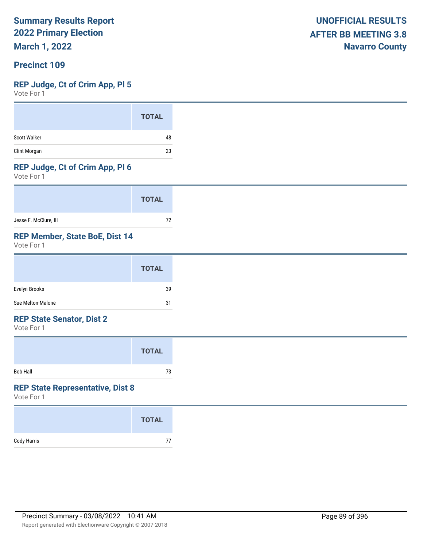**March 1, 2022**

#### **Precinct 109**

#### **REP Judge, Ct of Crim App, Pl 5**

Vote For 1

|              | <b>TOTAL</b> |
|--------------|--------------|
| Scott Walker | 48           |
| Clint Morgan | 23           |

#### **REP Judge, Ct of Crim App, Pl 6**

Vote For 1

|                       | <b>TOTAL</b> |  |
|-----------------------|--------------|--|
| Jesse F. McClure, III | 72           |  |

#### **REP Member, State BoE, Dist 14**

Vote For 1

#### **REP State Senator, Dist 2**

Vote For 1

|                 | <b>TOTAL</b> |  |
|-----------------|--------------|--|
| <b>Bob Hall</b> | 73           |  |

#### **REP State Representative, Dist 8**

|             | <b>TOTAL</b> |
|-------------|--------------|
| Cody Harris | 77           |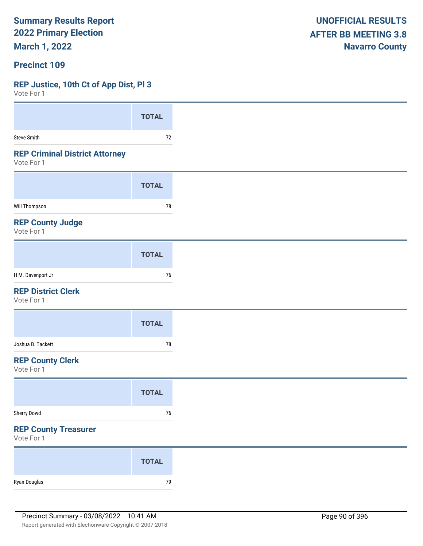**March 1, 2022**

#### **Precinct 109**

#### **REP Justice, 10th Ct of App Dist, Pl 3**

 $V$ oto Fo

| VOLE FOI I                                          |              |
|-----------------------------------------------------|--------------|
|                                                     | <b>TOTAL</b> |
| Steve Smith                                         | 72           |
| <b>REP Criminal District Attorney</b><br>Vote For 1 |              |
|                                                     | <b>TOTAL</b> |
| Will Thompson                                       | 78           |
| <b>REP County Judge</b><br>Vote For 1               |              |
|                                                     | <b>TOTAL</b> |
| H M. Davenport Jr                                   | 76           |
| <b>REP District Clerk</b><br>Vote For 1             |              |
|                                                     | <b>TOTAL</b> |
| Joshua B. Tackett                                   | $78\,$       |
| <b>REP County Clerk</b><br>Vote For 1               |              |
|                                                     | <b>TOTAL</b> |
| Sherry Dowd                                         | $76\,$       |
| <b>REP County Treasurer</b><br>Vote For 1           |              |
|                                                     | <b>TOTAL</b> |
| Ryan Douglas                                        | $79\,$       |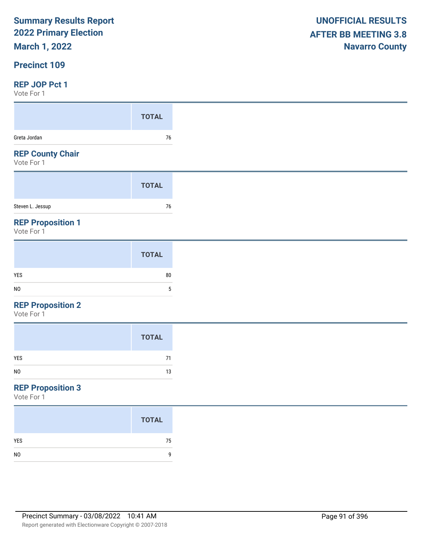## **March 1, 2022**

#### **Precinct 109**

#### **REP JOP Pct 1**

Vote For 1

| 1 0 1 0 1 0 1 1                       |              |
|---------------------------------------|--------------|
|                                       | <b>TOTAL</b> |
| Greta Jordan                          | 76           |
| <b>REP County Chair</b><br>Vote For 1 |              |
|                                       | <b>TOTAL</b> |
| Steven L. Jessup                      | 76           |

#### **REP Proposition 1**

Vote For 1

|                | <b>TOTAL</b> |
|----------------|--------------|
| YES            | 80           |
| N <sub>0</sub> |              |

#### **REP Proposition 2**

Vote For 1

|     | <b>TOTAL</b> |
|-----|--------------|
| YES | 71           |
| NO  | 13           |

## **REP Proposition 3**

|                | <b>TOTAL</b> |
|----------------|--------------|
| <b>YES</b>     | 75           |
| N <sub>0</sub> | g            |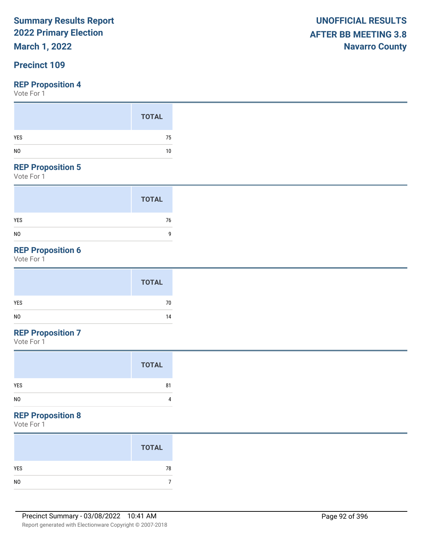## **March 1, 2022**

## **Precinct 109**

Vote For 1

#### **REP Proposition 5**

Vote For 1

|                | <b>TOTAL</b> |
|----------------|--------------|
| <b>YES</b>     | 76           |
| N <sub>0</sub> | 9            |

## **REP Proposition 6**

Vote For 1

|     | <b>TOTAL</b> |
|-----|--------------|
| YES | 70           |
| NO  | 14           |

## **REP Proposition 7**

Vote For 1

|                | <b>TOTAL</b> |
|----------------|--------------|
| YES            | 81           |
| N <sub>0</sub> | 4            |

#### **REP Proposition 8**

| <b>TOTAL</b> |
|--------------|
| 78           |
|              |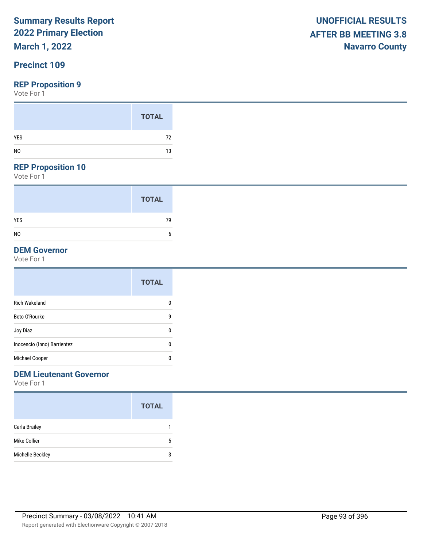## **March 1, 2022**

## **Precinct 109**

#### **REP Proposition 9**

Vote For 1

### **REP Proposition 10**

Vote For 1

|                | <b>TOTAL</b> |  |
|----------------|--------------|--|
| <b>YES</b>     | 79           |  |
| N <sub>0</sub> | 6            |  |

#### **DEM Governor**

Vote For 1

|                             | <b>TOTAL</b> |
|-----------------------------|--------------|
| <b>Rich Wakeland</b>        | 0            |
| Beto O'Rourke               | 9            |
| Joy Diaz                    | 0            |
| Inocencio (Inno) Barrientez | 0            |
| Michael Cooper              | 0            |

## **DEM Lieutenant Governor**

|                  | <b>TOTAL</b> |
|------------------|--------------|
| Carla Brailey    |              |
| Mike Collier     | 5            |
| Michelle Beckley | 3            |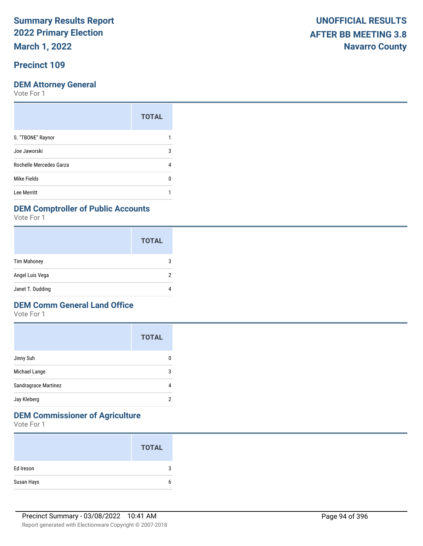**March 1, 2022**

## **Precinct 109**

Vote For 1

|                         | <b>TOTAL</b> |
|-------------------------|--------------|
| S. "TBONE" Raynor       |              |
| Joe Jaworski            | 3            |
| Rochelle Mercedes Garza |              |
| Mike Fields             |              |
| Lee Merritt             |              |

#### **DEM Comptroller of Public Accounts**

Vote For 1

|                    | <b>TOTAL</b> |
|--------------------|--------------|
| <b>Tim Mahoney</b> | З            |
| Angel Luis Vega    | 2            |
| Janet T. Dudding   |              |

### **DEM Comm General Land Office**

Vote For 1

|                      | <b>TOTAL</b> |
|----------------------|--------------|
| Jinny Suh            |              |
| Michael Lange        | 3            |
| Sandragrace Martinez |              |
| Jay Kleberg          | 2            |

## **DEM Commissioner of Agriculture**

|            | <b>TOTAL</b> |
|------------|--------------|
| Ed Ireson  | J            |
| Susan Hays | h            |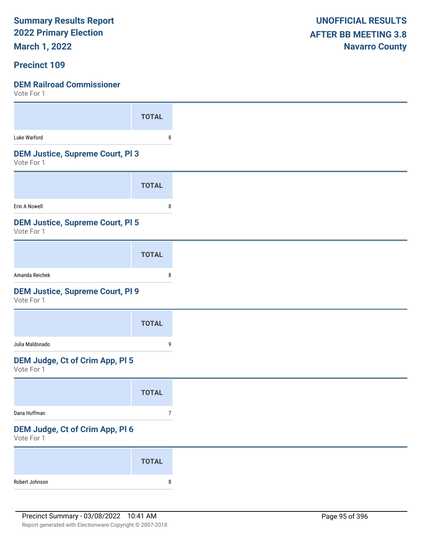**March 1, 2022**

#### **Precinct 109**

| <b>TOTAL</b>                            |
|-----------------------------------------|
| 8                                       |
| <b>DEM Justice, Supreme Court, PI 3</b> |
| <b>TOTAL</b>                            |
| 8                                       |
| <b>DEM Justice, Supreme Court, PI 5</b> |
| <b>TOTAL</b>                            |
| 8                                       |
| <b>DEM Justice, Supreme Court, PI 9</b> |
| <b>TOTAL</b>                            |
| 9                                       |
| DEM Judge, Ct of Crim App, Pl 5         |
| <b>TOTAL</b>                            |
| $\overline{7}$                          |
| DEM Judge, Ct of Crim App, Pl 6         |
|                                         |
| <b>TOTAL</b>                            |
|                                         |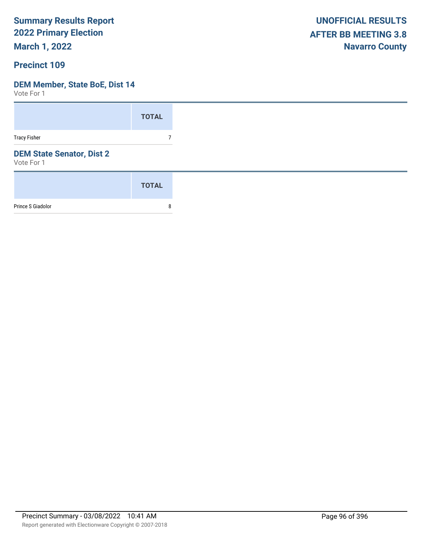**March 1, 2022**

#### **Precinct 109**

#### **DEM Member, State BoE, Dist 14**

|                                                | <b>TOTAL</b> |
|------------------------------------------------|--------------|
| <b>Tracy Fisher</b>                            | 7            |
| <b>DEM State Senator, Dist 2</b><br>Vote For 1 |              |
|                                                | <b>TOTAL</b> |
| Prince S Giadolor                              | 8            |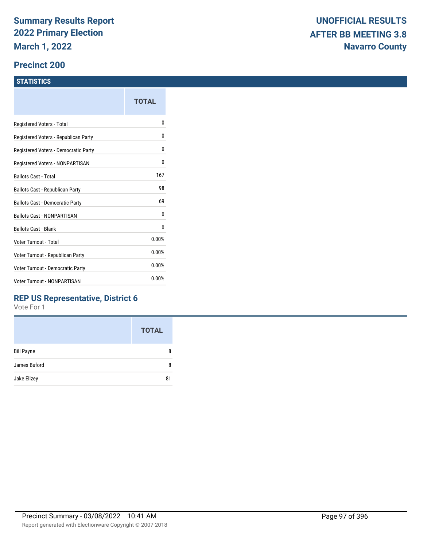#### **Precinct 200**

#### **STATISTICS**

|                                        | TOTAL |
|----------------------------------------|-------|
| Registered Voters - Total              | 0     |
| Registered Voters - Republican Party   | 0     |
| Registered Voters - Democratic Party   | 0     |
| Registered Voters - NONPARTISAN        | 0     |
| <b>Ballots Cast - Total</b>            | 167   |
| Ballots Cast - Republican Party        | 98    |
| <b>Ballots Cast - Democratic Party</b> | 69    |
| <b>Ballots Cast - NONPARTISAN</b>      | 0     |
| <b>Ballots Cast - Blank</b>            | 0     |
| Voter Turnout - Total                  | 0.00% |
| Voter Turnout - Republican Party       | 0.00% |
| Voter Turnout - Democratic Party       | 0.00% |
| <b>Voter Turnout - NONPARTISAN</b>     | 0.00% |
|                                        |       |

### **REP US Representative, District 6**

|                   | <b>TOTAL</b> |
|-------------------|--------------|
| <b>Bill Payne</b> | 8            |
| James Buford      | 8            |
| Jake Ellzey       | 81           |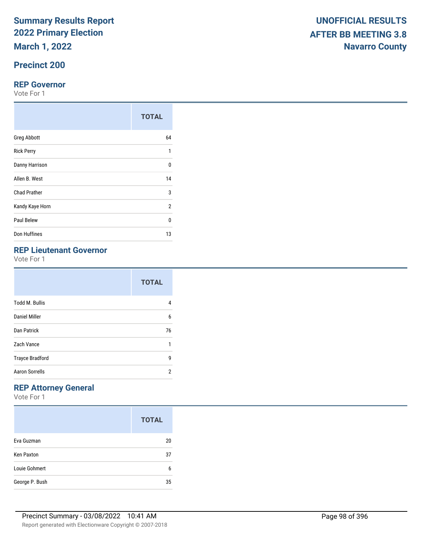**March 1, 2022**

## **Precinct 200**

#### **REP Governor**

Vote For 1

|                     | <b>TOTAL</b>   |
|---------------------|----------------|
| <b>Greg Abbott</b>  | 64             |
| <b>Rick Perry</b>   | 1              |
| Danny Harrison      | $\Omega$       |
| Allen B. West       | 14             |
| <b>Chad Prather</b> | 3              |
| Kandy Kaye Horn     | $\overline{2}$ |
| Paul Belew          | U              |
| Don Huffines        | 13             |

## **REP Lieutenant Governor**

Vote For 1

|                        | <b>TOTAL</b> |
|------------------------|--------------|
| <b>Todd M. Bullis</b>  | 4            |
| Daniel Miller          | 6            |
| Dan Patrick            | 76           |
| Zach Vance             | 1            |
| <b>Trayce Bradford</b> | 9            |
| <b>Aaron Sorrells</b>  | 2            |

## **REP Attorney General**

|                   | <b>TOTAL</b> |
|-------------------|--------------|
| Eva Guzman        | 20           |
| <b>Ken Paxton</b> | 37           |
| Louie Gohmert     | 6            |
| George P. Bush    | 35           |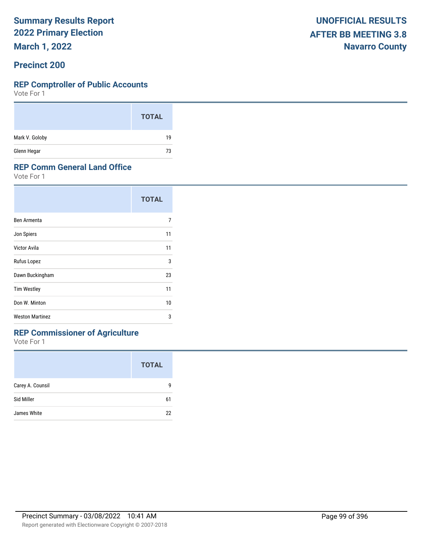**March 1, 2022**

#### **Precinct 200**

#### **REP Comptroller of Public Accounts**

Vote For 1

|                | <b>TOTAL</b> |
|----------------|--------------|
| Mark V. Goloby | 19           |
| Glenn Hegar    | 73           |

#### **REP Comm General Land Office**

Vote For 1

|                        | <b>TOTAL</b> |
|------------------------|--------------|
| Ben Armenta            | 7            |
| Jon Spiers             | 11           |
| Victor Avila           | 11           |
| Rufus Lopez            | 3            |
| Dawn Buckingham        | 23           |
| <b>Tim Westley</b>     | 11           |
| Don W. Minton          | 10           |
| <b>Weston Martinez</b> | 3            |

## **REP Commissioner of Agriculture**

|                  | <b>TOTAL</b> |
|------------------|--------------|
| Carey A. Counsil | q            |
| Sid Miller       | 61           |
| James White      | 22           |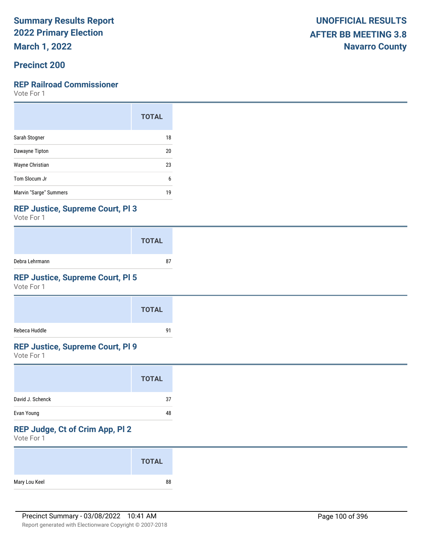**March 1, 2022**

### **Precinct 200**

#### **REP Railroad Commissioner**

Vote For 1

|                        | <b>TOTAL</b> |
|------------------------|--------------|
| Sarah Stogner          | 18           |
| Dawayne Tipton         | 20           |
| Wayne Christian        | 23           |
| Tom Slocum Jr          | 6            |
| Marvin "Sarge" Summers | 19           |

#### **REP Justice, Supreme Court, Pl 3**

Vote For 1

|                | <b>TOTAL</b> |
|----------------|--------------|
| Debra Lehrmann | 87           |

## **REP Justice, Supreme Court, Pl 5**

Vote For 1

|               | <b>TOTAL</b> |
|---------------|--------------|
| Rebeca Huddle | 91           |

#### **REP Justice, Supreme Court, Pl 9**

Vote For 1

| <b>TOTAL</b>           |
|------------------------|
| David J. Schenck<br>37 |
| Evan Young<br>48       |

## **REP Judge, Ct of Crim App, Pl 2**

|               | <b>TOTAL</b> |
|---------------|--------------|
| Mary Lou Keel | 88           |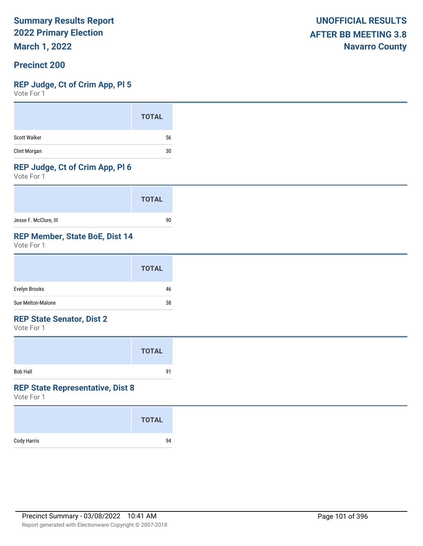**March 1, 2022**

#### **Precinct 200**

#### **REP Judge, Ct of Crim App, Pl 5**

Vote For 1

#### **REP Judge, Ct of Crim App, Pl 6**

Vote For 1

|                       | <b>TOTAL</b> |
|-----------------------|--------------|
| Jesse F. McClure, III | 90           |

#### **REP Member, State BoE, Dist 14**

Vote For 1

#### **REP State Senator, Dist 2**

Vote For 1

|                 | <b>TOTAL</b> |  |
|-----------------|--------------|--|
| <b>Bob Hall</b> | 91           |  |

#### **REP State Representative, Dist 8**

|             | <b>TOTAL</b> |
|-------------|--------------|
| Cody Harris | 94           |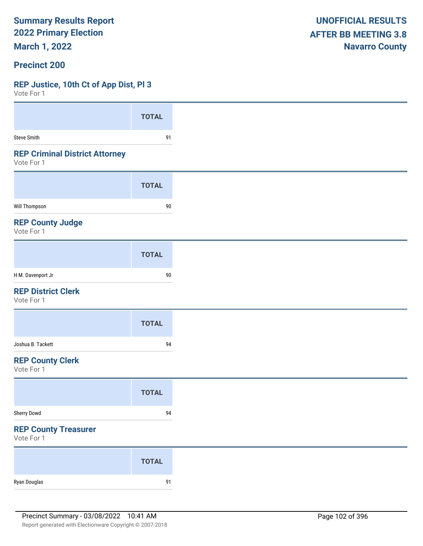**March 1, 2022**

#### **Precinct 200**

### **REP Justice, 10th Ct of App Dist, Pl 3**

| VOLE FOI 1                                          |              |
|-----------------------------------------------------|--------------|
|                                                     | <b>TOTAL</b> |
| <b>Steve Smith</b>                                  | 91           |
| <b>REP Criminal District Attorney</b><br>Vote For 1 |              |
|                                                     | <b>TOTAL</b> |
| <b>Will Thompson</b>                                | $90\,$       |
| <b>REP County Judge</b><br>Vote For 1               |              |
|                                                     | <b>TOTAL</b> |
| H M. Davenport Jr                                   | $90\,$       |
| <b>REP District Clerk</b><br>Vote For 1             |              |
|                                                     | <b>TOTAL</b> |
| Joshua B. Tackett                                   | 94           |
| <b>REP County Clerk</b><br>Vote For 1               |              |
|                                                     | <b>TOTAL</b> |
| Sherry Dowd                                         | 94           |
| <b>REP County Treasurer</b><br>Vote For 1           |              |
|                                                     | <b>TOTAL</b> |
| Ryan Douglas                                        | 91           |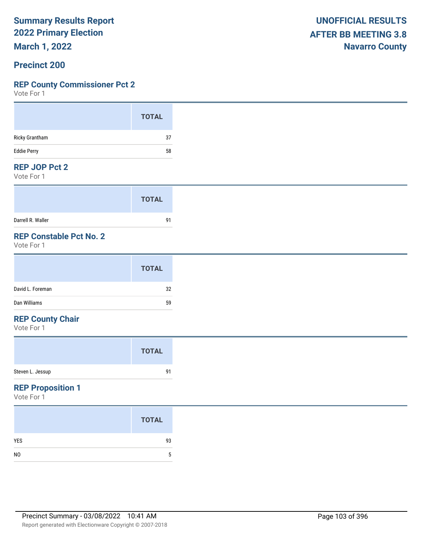**March 1, 2022**

#### **Precinct 200**

#### **REP County Commissioner Pct 2**

Vote For 1

#### **REP JOP Pct 2**

Vote For 1

|                   | <b>TOTAL</b> |
|-------------------|--------------|
| Darrell R. Waller | 91           |

## **REP Constable Pct No. 2**

Vote For 1

#### **REP County Chair**

Vote For 1

#### **REP Proposition 1**

|                | <b>TOTAL</b> |
|----------------|--------------|
| <b>YES</b>     | 93           |
| N <sub>0</sub> | 5            |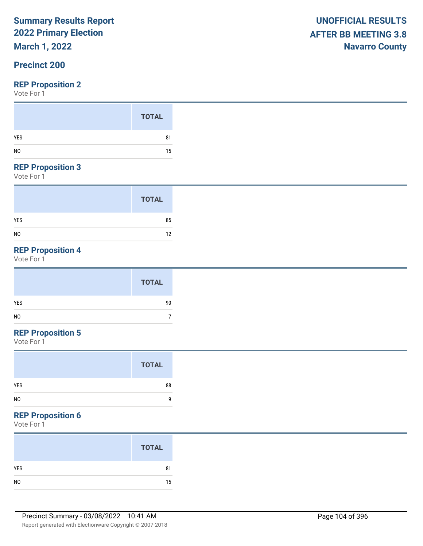## **March 1, 2022**

## **Precinct 200**

#### **REP Proposition 2**

Vote For 1

#### **REP Proposition 3**

Vote For 1

|                | <b>TOTAL</b> |
|----------------|--------------|
| <b>YES</b>     | 85           |
| N <sub>0</sub> | 12           |

## **REP Proposition 4**

Vote For 1

## **REP Proposition 5**

Vote For 1

#### **REP Proposition 6**

| <b>TOTAL</b> |
|--------------|
| 81           |
| 15           |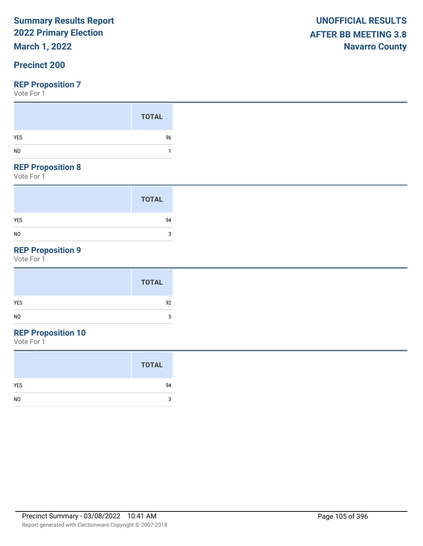## **March 1, 2022**

### **Precinct 200**

#### **REP Proposition 7**

Vote For 1

#### **REP Proposition 8**

Vote For 1

|                | <b>TOTAL</b> |
|----------------|--------------|
| <b>YES</b>     | 94           |
| N <sub>0</sub> | 3            |

## **REP Proposition 9**

Vote For 1

| <b>TOTAL</b> |
|--------------|
| YES<br>92    |
| NO           |

## **REP Proposition 10**

|                | <b>TOTAL</b> |
|----------------|--------------|
| <b>YES</b>     | 94           |
| N <sub>0</sub> | 3            |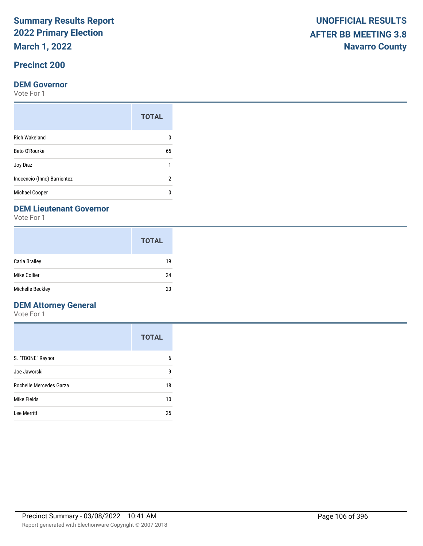**March 1, 2022**

## **Precinct 200**

#### **DEM Governor**

Vote For 1

|                             | <b>TOTAL</b> |
|-----------------------------|--------------|
| <b>Rich Wakeland</b>        |              |
| Beto O'Rourke               | 65           |
| Joy Diaz                    | 1            |
| Inocencio (Inno) Barrientez | 2            |
| <b>Michael Cooper</b>       |              |

#### **DEM Lieutenant Governor**

Vote For 1

|                      | <b>TOTAL</b> |
|----------------------|--------------|
| <b>Carla Brailey</b> | 19           |
| Mike Collier         | 24           |
| Michelle Beckley     | 23           |

## **DEM Attorney General**

|                         | <b>TOTAL</b> |
|-------------------------|--------------|
| S. "TBONE" Raynor       | 6            |
| Joe Jaworski            | 9            |
| Rochelle Mercedes Garza | 18           |
| Mike Fields             | 10           |
| Lee Merritt             | 25           |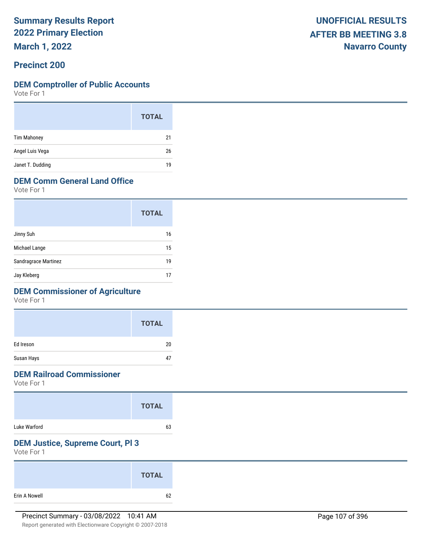**March 1, 2022**

#### **Precinct 200**

#### **DEM Comptroller of Public Accounts**

Vote For 1

|                    | <b>TOTAL</b> |  |
|--------------------|--------------|--|
| <b>Tim Mahoney</b> | 21           |  |
| Angel Luis Vega    | 26           |  |
| Janet T. Dudding   | 19           |  |

## **DEM Comm General Land Office**

Vote For 1

|                      | <b>TOTAL</b> |
|----------------------|--------------|
| Jinny Suh            | 16           |
| Michael Lange        | 15           |
| Sandragrace Martinez | 19           |
| Jay Kleberg          | 17           |

### **DEM Commissioner of Agriculture**

Vote For 1

|            | <b>TOTAL</b> |
|------------|--------------|
| Ed Ireson  | 20           |
| Susan Hays | 47           |

### **DEM Railroad Commissioner**

Vote For 1

|              | <b>TOTAL</b> |
|--------------|--------------|
| Luke Warford | 63           |

### **DEM Justice, Supreme Court, Pl 3**

|               | <b>TOTAL</b> |
|---------------|--------------|
| Erin A Nowell | 62           |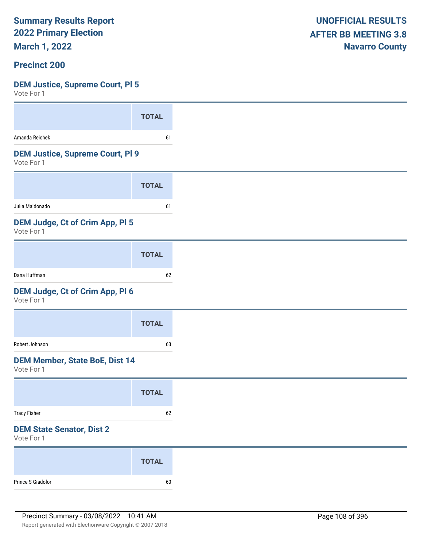**March 1, 2022**

#### **Precinct 200**

#### **DEM Justice, Supreme Court, Pl 5**

| <b>TOTAL</b>                            |
|-----------------------------------------|
| 61                                      |
| <b>DEM Justice, Supreme Court, PI 9</b> |
| <b>TOTAL</b>                            |
| 61                                      |
|                                         |
| <b>TOTAL</b>                            |
| 62                                      |
|                                         |
| <b>TOTAL</b>                            |
| 63                                      |
|                                         |
| <b>TOTAL</b>                            |
| 62                                      |
|                                         |
| <b>TOTAL</b>                            |
|                                         |
|                                         |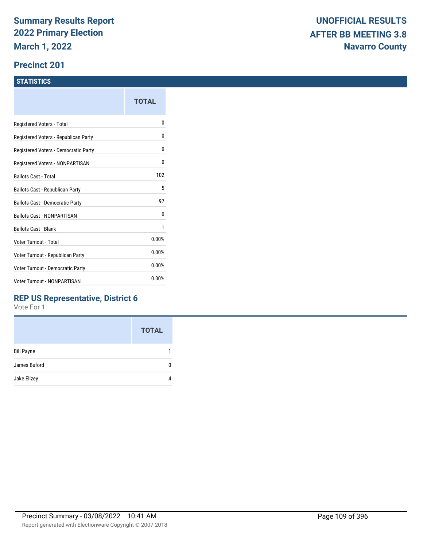#### **Precinct 201**

#### **STATISTICS**

|                                      | TOTAL |
|--------------------------------------|-------|
| Registered Voters - Total            | N     |
| Registered Voters - Republican Party | 0     |
| Registered Voters - Democratic Party | 0     |
| Registered Voters - NONPARTISAN      | 0     |
| <b>Ballots Cast - Total</b>          | 102   |
| Ballots Cast - Republican Party      | 5     |
| Ballots Cast - Democratic Party      | 97    |
| <b>Ballots Cast - NONPARTISAN</b>    | 0     |
| <b>Ballots Cast - Blank</b>          | 1     |
| Voter Turnout - Total                | 0.00% |
| Voter Turnout - Republican Party     | 0.00% |
| Voter Turnout - Democratic Party     | 0.00% |
| <b>Voter Turnout - NONPARTISAN</b>   | 0.00% |
|                                      |       |

### **REP US Representative, District 6**

|                   | <b>TOTAL</b> |
|-------------------|--------------|
| <b>Bill Payne</b> |              |
| James Buford      |              |
| Jake Ellzey       |              |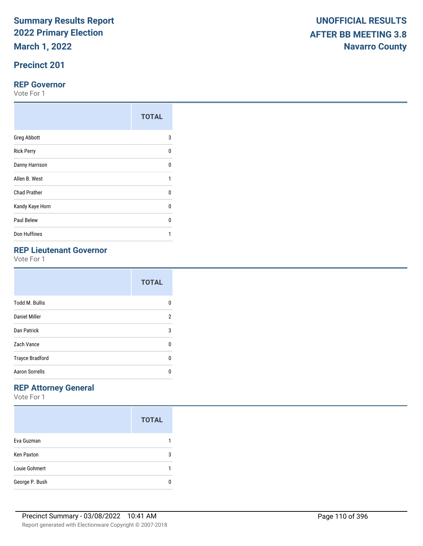## **Precinct 201**

#### **REP Governor**

Vote For 1

|                     | <b>TOTAL</b> |
|---------------------|--------------|
| <b>Greg Abbott</b>  | 3            |
| <b>Rick Perry</b>   | $\Omega$     |
| Danny Harrison      | U            |
| Allen B. West       | 1            |
| <b>Chad Prather</b> | 0            |
| Kandy Kaye Horn     | $\Omega$     |
| Paul Belew          | U            |
| Don Huffines        |              |

## **REP Lieutenant Governor**

Vote For 1

|                        | <b>TOTAL</b> |
|------------------------|--------------|
| <b>Todd M. Bullis</b>  | n            |
| Daniel Miller          | 2            |
| Dan Patrick            | 3            |
| Zach Vance             | U            |
| <b>Trayce Bradford</b> | U            |
| <b>Aaron Sorrells</b>  | n            |

## **REP Attorney General**

|                   | <b>TOTAL</b> |
|-------------------|--------------|
| Eva Guzman        |              |
| <b>Ken Paxton</b> | 3            |
| Louie Gohmert     |              |
| George P. Bush    |              |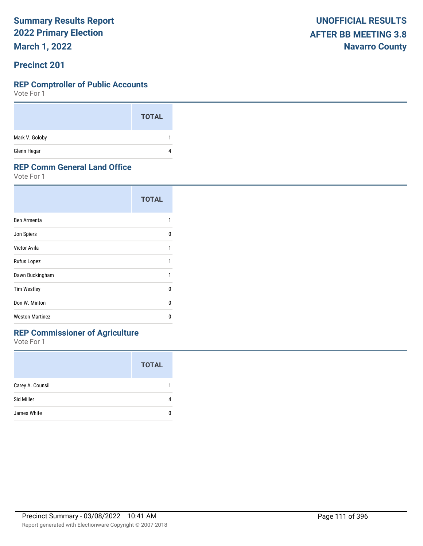**March 1, 2022**

#### **Precinct 201**

#### **REP Comptroller of Public Accounts**

Vote For 1

|                | <b>TOTAL</b> |
|----------------|--------------|
| Mark V. Goloby |              |
| Glenn Hegar    | 4            |

#### **REP Comm General Land Office**

Vote For 1

|                        | <b>TOTAL</b> |
|------------------------|--------------|
| Ben Armenta            | 1            |
| Jon Spiers             | n            |
| Victor Avila           | 1            |
| Rufus Lopez            | 1            |
| Dawn Buckingham        | 1            |
| <b>Tim Westley</b>     | n            |
| Don W. Minton          | n            |
| <b>Weston Martinez</b> | n            |

## **REP Commissioner of Agriculture**

|                  | <b>TOTAL</b> |
|------------------|--------------|
| Carey A. Counsil |              |
| Sid Miller       |              |
| James White      |              |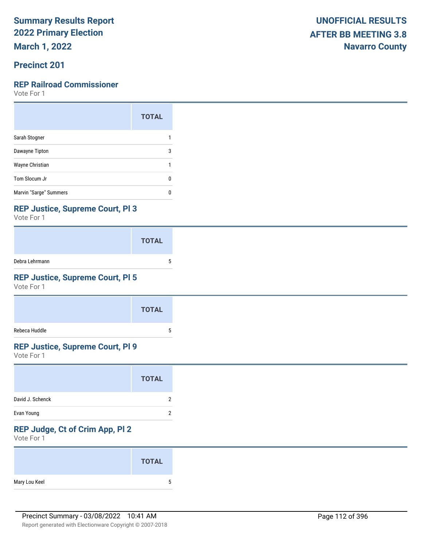**March 1, 2022**

## **Precinct 201**

#### **REP Railroad Commissioner**

Vote For 1

|                        | <b>TOTAL</b> |
|------------------------|--------------|
| Sarah Stogner          |              |
| Dawayne Tipton         | 3            |
| Wayne Christian        |              |
| Tom Slocum Jr          | O            |
| Marvin "Sarge" Summers | п            |

#### **REP Justice, Supreme Court, Pl 3**

Vote For 1

|                | <b>TOTAL</b> |  |
|----------------|--------------|--|
| Debra Lehrmann |              |  |

## **REP Justice, Supreme Court, Pl 5**

Vote For 1

|               | <b>TOTAL</b> |
|---------------|--------------|
| Rebeca Huddle |              |

## **REP Justice, Supreme Court, Pl 9**

Vote For 1

#### **REP Judge, Ct of Crim App, Pl 2**

|               | <b>TOTAL</b> |
|---------------|--------------|
| Mary Lou Keel | u            |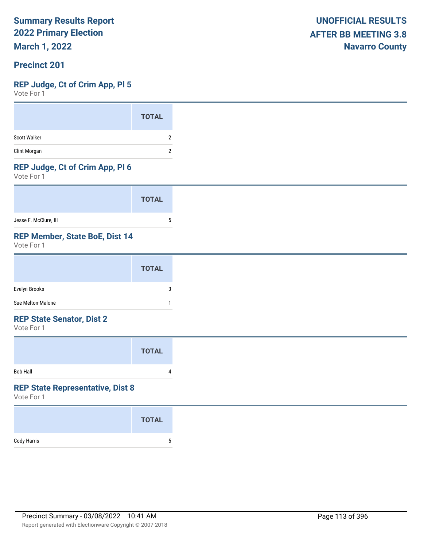**March 1, 2022**

#### **Precinct 201**

#### **REP Judge, Ct of Crim App, Pl 5**

Vote For 1

#### **REP Judge, Ct of Crim App, Pl 6**

Vote For 1

|                       | <b>TOTAL</b> |  |
|-----------------------|--------------|--|
| Jesse F. McClure, III |              |  |

## **REP Member, State BoE, Dist 14**

Vote For 1

#### **REP State Senator, Dist 2**

Vote For 1

|                 | <b>TOTAL</b> |  |
|-----------------|--------------|--|
| <b>Bob Hall</b> | 4            |  |

## **REP State Representative, Dist 8**

|             | <b>TOTAL</b> |
|-------------|--------------|
| Cody Harris | 5            |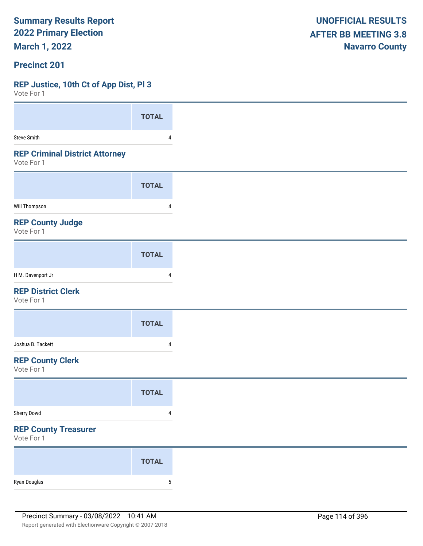**March 1, 2022**

#### **Precinct 201**

#### **REP Justice, 10th Ct of App Dist, Pl 3**

| VULC I UI I                                         |                |
|-----------------------------------------------------|----------------|
|                                                     | <b>TOTAL</b>   |
| <b>Steve Smith</b>                                  | 4              |
| <b>REP Criminal District Attorney</b><br>Vote For 1 |                |
|                                                     | <b>TOTAL</b>   |
| <b>Will Thompson</b>                                | 4              |
| <b>REP County Judge</b><br>Vote For 1               |                |
|                                                     | <b>TOTAL</b>   |
| H M. Davenport Jr                                   | 4              |
| <b>REP District Clerk</b><br>Vote For 1             |                |
|                                                     | <b>TOTAL</b>   |
| Joshua B. Tackett                                   | 4              |
| <b>REP County Clerk</b><br>Vote For 1               |                |
|                                                     | <b>TOTAL</b>   |
| Sherry Dowd                                         | 4              |
| <b>REP County Treasurer</b><br>Vote For 1           |                |
|                                                     | <b>TOTAL</b>   |
| Ryan Douglas                                        | $\overline{5}$ |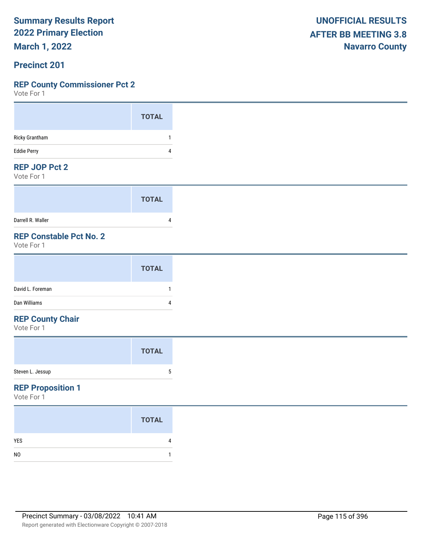**March 1, 2022**

#### **Precinct 201**

#### **REP County Commissioner Pct 2**

Vote For 1

#### **REP JOP Pct 2**

Vote For 1

|                   | <b>TOTAL</b> |
|-------------------|--------------|
| Darrell R. Waller |              |

## **REP Constable Pct No. 2**

Vote For 1

#### **REP County Chair**

Vote For 1

#### **REP Proposition 1**

|                | <b>TOTAL</b> |
|----------------|--------------|
| <b>YES</b>     | 4            |
| N <sub>0</sub> |              |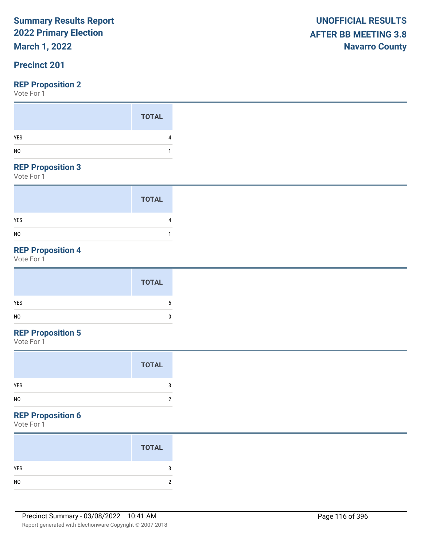## **March 1, 2022**

## **Precinct 201**

Vote For 1

#### **REP Proposition 3**

Vote For 1

|                | <b>TOTAL</b> |
|----------------|--------------|
| YES            |              |
| N <sub>0</sub> |              |

## **REP Proposition 4**

Vote For 1

## **REP Proposition 5**

Vote For 1

#### **REP Proposition 6**

|                | <b>TOTAL</b> |
|----------------|--------------|
| YES            |              |
| N <sub>0</sub> |              |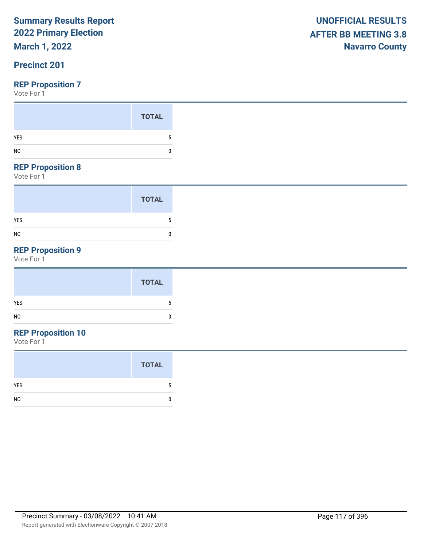## **March 1, 2022**

## **Precinct 201**

Vote For 1

#### **REP Proposition 8**

Vote For 1

|                | <b>TOTAL</b> |
|----------------|--------------|
| <b>YES</b>     | 5            |
| N <sub>0</sub> | 0            |

## **REP Proposition 9**

Vote For 1

|            | <b>TOTAL</b> |
|------------|--------------|
| <b>YES</b> |              |
| NO         | 0            |
|            |              |

## **REP Proposition 10**

|                | <b>TOTAL</b> |
|----------------|--------------|
| YES            | 5            |
| N <sub>0</sub> |              |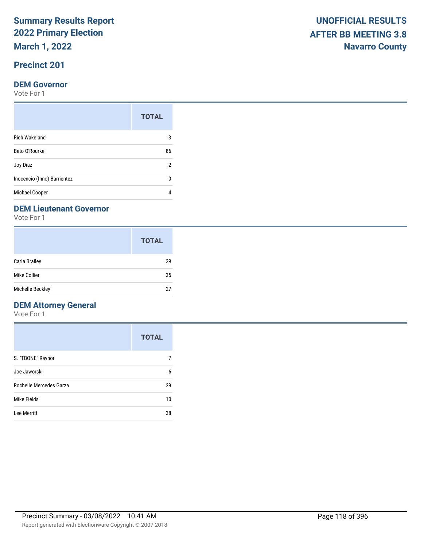**March 1, 2022**

## **Precinct 201**

#### **DEM Governor**

Vote For 1

|                             | <b>TOTAL</b> |
|-----------------------------|--------------|
| <b>Rich Wakeland</b>        | 3            |
| Beto O'Rourke               | 86           |
| Joy Diaz                    | 2            |
| Inocencio (Inno) Barrientez | n            |
| Michael Cooper              |              |

#### **DEM Lieutenant Governor**

Vote For 1

|                      | <b>TOTAL</b> |
|----------------------|--------------|
| <b>Carla Brailey</b> | 29           |
| Mike Collier         | 35           |
| Michelle Beckley     | 27           |

## **DEM Attorney General**

|                         | <b>TOTAL</b> |
|-------------------------|--------------|
| S. "TBONE" Raynor       |              |
| Joe Jaworski            | 6            |
| Rochelle Mercedes Garza | 29           |
| Mike Fields             | 10           |
| Lee Merritt             | 38           |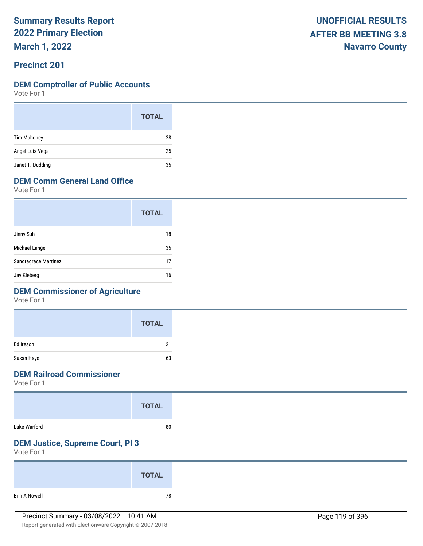**March 1, 2022**

#### **Precinct 201**

#### **DEM Comptroller of Public Accounts**

Vote For 1

|                    | <b>TOTAL</b> |  |
|--------------------|--------------|--|
| <b>Tim Mahoney</b> | 28           |  |
| Angel Luis Vega    | 25           |  |
| Janet T. Dudding   | 35           |  |

## **DEM Comm General Land Office**

Vote For 1

|                      | <b>TOTAL</b> |
|----------------------|--------------|
| Jinny Suh            | 18           |
| Michael Lange        | 35           |
| Sandragrace Martinez | 17           |
| Jay Kleberg          | 16           |

## **DEM Commissioner of Agriculture**

Vote For 1

|            | <b>TOTAL</b> |
|------------|--------------|
| Ed Ireson  | 21           |
| Susan Hays | 63           |

#### **DEM Railroad Commissioner**

Vote For 1

|              | <b>TOTAL</b> |  |
|--------------|--------------|--|
| Luke Warford | 80           |  |

#### **DEM Justice, Supreme Court, Pl 3**

|               | <b>TOTAL</b> |  |
|---------------|--------------|--|
| Erin A Nowell | 78           |  |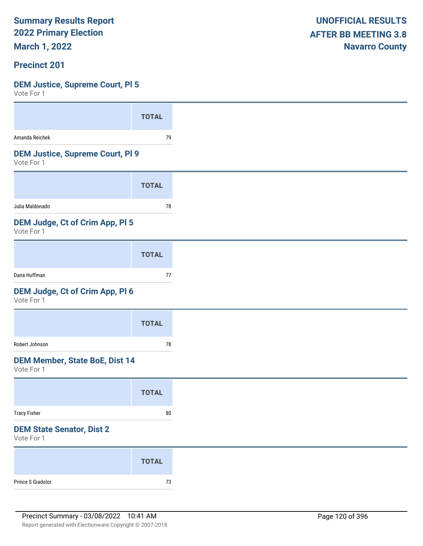**March 1, 2022**

#### **Precinct 201**

## **DEM Justice, Supreme Court, Pl 5**

| 1 U L U L U L L                                       |              |
|-------------------------------------------------------|--------------|
|                                                       | <b>TOTAL</b> |
| Amanda Reichek                                        | 79           |
| <b>DEM Justice, Supreme Court, PI 9</b><br>Vote For 1 |              |
|                                                       | <b>TOTAL</b> |
| Julia Maldonado                                       | 78           |
| <b>DEM Judge, Ct of Crim App, PI 5</b><br>Vote For 1  |              |
|                                                       | <b>TOTAL</b> |
| Dana Huffman                                          | 77           |
| DEM Judge, Ct of Crim App, Pl 6<br>Vote For 1         |              |
|                                                       | <b>TOTAL</b> |
| Robert Johnson                                        | 78           |
| <b>DEM Member, State BoE, Dist 14</b><br>Vote For 1   |              |
|                                                       | <b>TOTAL</b> |
| <b>Tracy Fisher</b>                                   | ${\bf 80}$   |
| <b>DEM State Senator, Dist 2</b><br>Vote For 1        |              |
|                                                       | <b>TOTAL</b> |
| Prince S Giadolor                                     | $73\,$       |
|                                                       |              |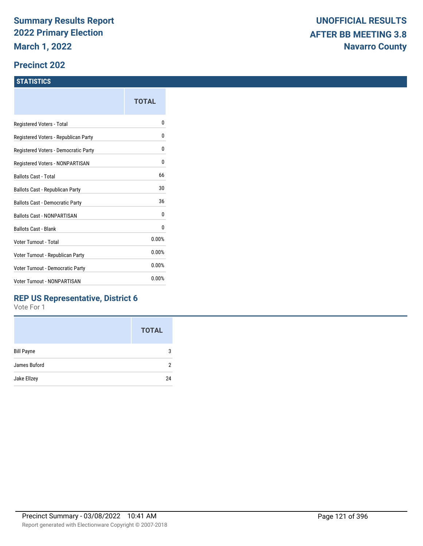#### **Precinct 202**

#### **STATISTICS**

|                                         | TOTAL |
|-----------------------------------------|-------|
| Registered Voters - Total               | n     |
| Registered Voters - Republican Party    | 0     |
| Registered Voters - Democratic Party    | 0     |
| Registered Voters - NONPARTISAN         | 0     |
| <b>Ballots Cast - Total</b>             | 66    |
| Ballots Cast - Republican Party         | 30    |
| Ballots Cast - Democratic Party         | 36    |
| <b>Ballots Cast - NONPARTISAN</b>       | 0     |
| <b>Ballots Cast - Blank</b>             | 0     |
| Voter Turnout - Total                   | 0.00% |
| Voter Turnout - Republican Party        | 0.00% |
| <b>Voter Turnout - Democratic Party</b> | 0.00% |
| <b>Voter Turnout - NONPARTISAN</b>      | 0.00% |
|                                         |       |

### **REP US Representative, District 6**

|                   | <b>TOTAL</b> |
|-------------------|--------------|
| <b>Bill Payne</b> | 3            |
| James Buford      | 2            |
| Jake Ellzey       | 24           |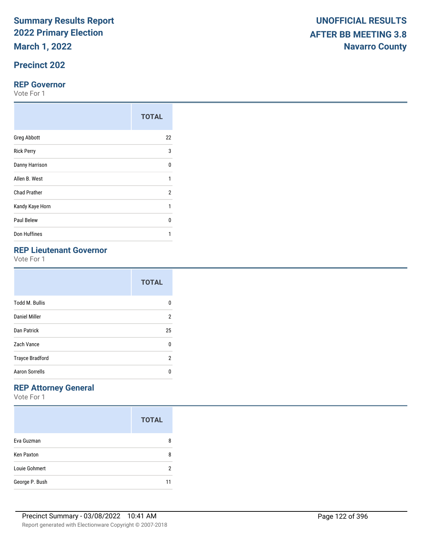**March 1, 2022**

## **Precinct 202**

#### **REP Governor**

Vote For 1

|                     | <b>TOTAL</b>   |
|---------------------|----------------|
| <b>Greg Abbott</b>  | 22             |
| <b>Rick Perry</b>   | 3              |
| Danny Harrison      | U              |
| Allen B. West       | 1              |
| <b>Chad Prather</b> | $\overline{2}$ |
| Kandy Kaye Horn     | 1              |
| Paul Belew          | U              |
| Don Huffines        |                |

## **REP Lieutenant Governor**

Vote For 1

|                        | <b>TOTAL</b>   |
|------------------------|----------------|
| <b>Todd M. Bullis</b>  | n              |
| Daniel Miller          | $\overline{2}$ |
| Dan Patrick            | 25             |
| Zach Vance             | 0              |
| <b>Trayce Bradford</b> | 2              |
| <b>Aaron Sorrells</b>  | n              |

## **REP Attorney General**

|                   | <b>TOTAL</b> |
|-------------------|--------------|
| Eva Guzman        | 8            |
| <b>Ken Paxton</b> | 8            |
| Louie Gohmert     | 2            |
| George P. Bush    | 11           |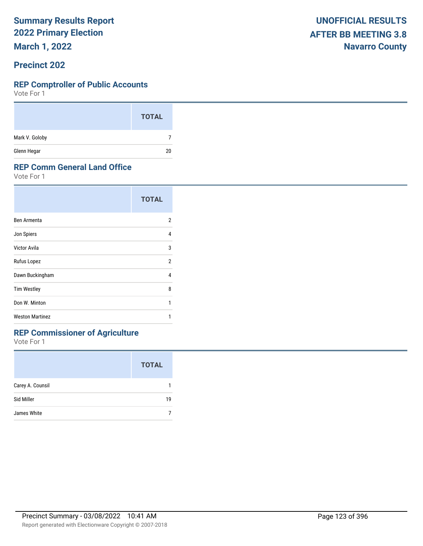**March 1, 2022**

#### **Precinct 202**

#### **REP Comptroller of Public Accounts**

Vote For 1

|                | <b>TOTAL</b> |
|----------------|--------------|
| Mark V. Goloby |              |
| Glenn Hegar    | 20           |

#### **REP Comm General Land Office**

Vote For 1

|                        | <b>TOTAL</b> |
|------------------------|--------------|
| Ben Armenta            | 2            |
| Jon Spiers             | 4            |
| Victor Avila           | 3            |
| Rufus Lopez            | 2            |
| Dawn Buckingham        | 4            |
| <b>Tim Westley</b>     | 8            |
| Don W. Minton          | 1            |
| <b>Weston Martinez</b> |              |
|                        |              |

## **REP Commissioner of Agriculture**

|                  | <b>TOTAL</b> |
|------------------|--------------|
| Carey A. Counsil |              |
| Sid Miller       | 19           |
| James White      |              |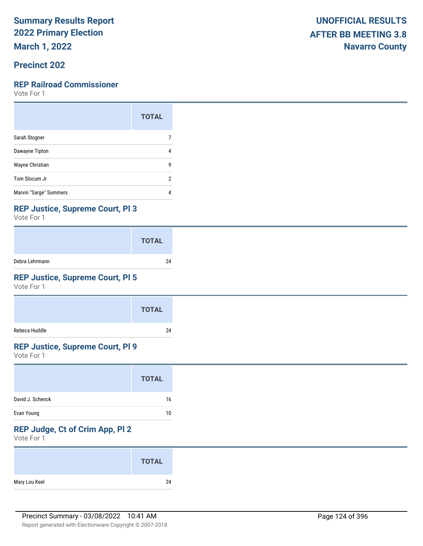**March 1, 2022**

### **Precinct 202**

#### **REP Railroad Commissioner**

Vote For 1

|                        | <b>TOTAL</b> |
|------------------------|--------------|
| Sarah Stogner          |              |
| Dawayne Tipton         | 4            |
| Wayne Christian        | g            |
| Tom Slocum Jr          | 2            |
| Marvin "Sarge" Summers | 4            |

#### **REP Justice, Supreme Court, Pl 3**

Vote For 1

|                | <b>TOTAL</b> |
|----------------|--------------|
| Debra Lehrmann | 24           |

## **REP Justice, Supreme Court, Pl 5**

Vote For 1

|               | <b>TOTAL</b> |
|---------------|--------------|
| Rebeca Huddle | 24           |

## **REP Justice, Supreme Court, Pl 9**

Vote For 1

|                  | <b>TOTAL</b> |
|------------------|--------------|
| David J. Schenck | 16           |
| Evan Young       | 10           |

## **REP Judge, Ct of Crim App, Pl 2**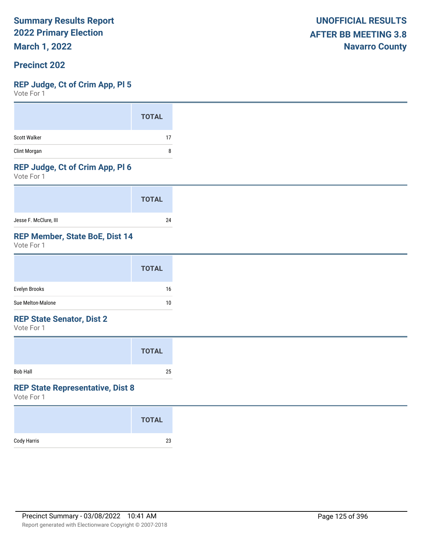**March 1, 2022**

#### **Precinct 202**

#### **REP Judge, Ct of Crim App, Pl 5**

Vote For 1

|                     | <b>TOTAL</b> |
|---------------------|--------------|
| <b>Scott Walker</b> | 17           |
| Clint Morgan        | 8            |

#### **REP Judge, Ct of Crim App, Pl 6**

Vote For 1

|                       | <b>TOTAL</b> |
|-----------------------|--------------|
| Jesse F. McClure, III | 24           |

#### **REP Member, State BoE, Dist 14**

Vote For 1

|                   | <b>TOTAL</b> |
|-------------------|--------------|
| Evelyn Brooks     | 16           |
| Sue Melton-Malone | 10           |

#### **REP State Senator, Dist 2**

Vote For 1

|                 | <b>TOTAL</b> |  |
|-----------------|--------------|--|
| <b>Bob Hall</b> | 25           |  |

#### **REP State Representative, Dist 8**

|             | <b>TOTAL</b> |
|-------------|--------------|
| Cody Harris | 23           |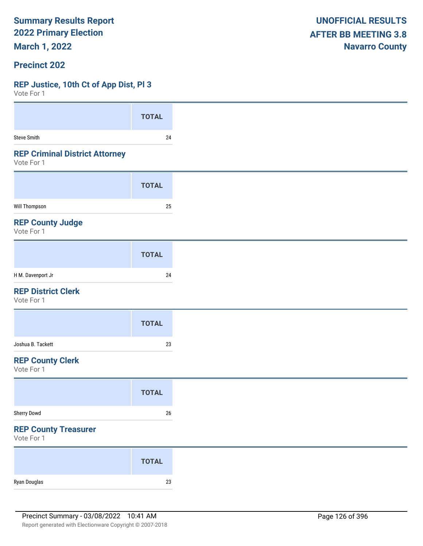**March 1, 2022**

#### **Precinct 202**

#### **REP Justice, 10th Ct of App Dist, Pl 3**

| VOLE FOI 1                                          |              |
|-----------------------------------------------------|--------------|
|                                                     | <b>TOTAL</b> |
| Steve Smith                                         | 24           |
| <b>REP Criminal District Attorney</b><br>Vote For 1 |              |
|                                                     | <b>TOTAL</b> |
| Will Thompson                                       | 25           |
| <b>REP County Judge</b><br>Vote For 1               |              |
|                                                     | <b>TOTAL</b> |
| H M. Davenport Jr                                   | 24           |
| <b>REP District Clerk</b><br>Vote For 1             |              |
|                                                     | <b>TOTAL</b> |
| Joshua B. Tackett                                   | $23\,$       |
| <b>REP County Clerk</b><br>Vote For 1               |              |
|                                                     | <b>TOTAL</b> |
| Sherry Dowd                                         | $26\,$       |
| <b>REP County Treasurer</b><br>Vote For 1           |              |
|                                                     | <b>TOTAL</b> |
| Ryan Douglas                                        | $23\,$       |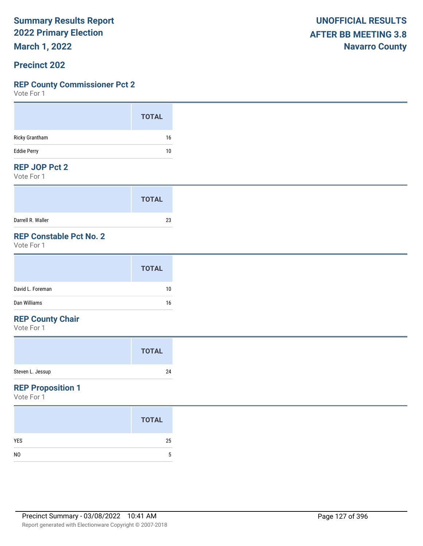**March 1, 2022**

#### **Precinct 202**

#### **REP County Commissioner Pct 2**

Vote For 1

#### **REP JOP Pct 2**

Vote For 1

|                   | <b>TOTAL</b> |
|-------------------|--------------|
| Darrell R. Waller | 23           |

## **REP Constable Pct No. 2**

Vote For 1

#### **REP County Chair**

Vote For 1

#### **REP Proposition 1**

|                | <b>TOTAL</b> |
|----------------|--------------|
| <b>YES</b>     | 25           |
| N <sub>0</sub> | 5            |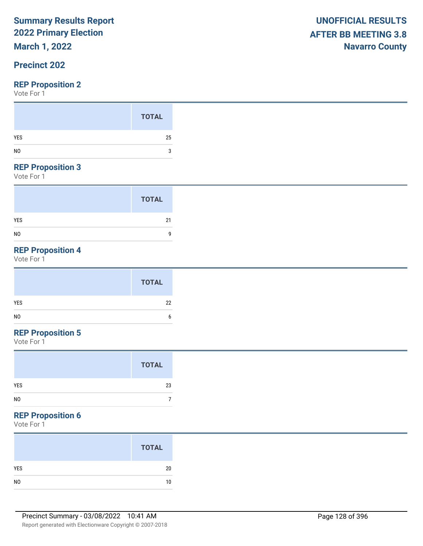## **March 1, 2022**

## **Precinct 202**

#### **REP Proposition 2**

Vote For 1

#### **REP Proposition 3**

Vote For 1

|                | <b>TOTAL</b> |
|----------------|--------------|
| <b>YES</b>     | 21           |
| N <sub>0</sub> | 9            |

## **REP Proposition 4**

Vote For 1

| <b>TOTAL</b> |    |
|--------------|----|
| YES          | 22 |
| NO           | n  |

## **REP Proposition 5**

Vote For 1

#### **REP Proposition 6**

| <b>TOTAL</b> |
|--------------|
| 20           |
| 10           |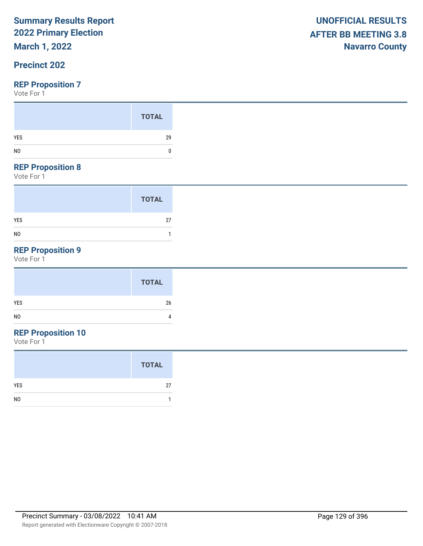## **March 1, 2022**

### **Precinct 202**

#### **REP Proposition 7**

Vote For 1

#### **REP Proposition 8**

Vote For 1

|                | <b>TOTAL</b> |
|----------------|--------------|
| <b>YES</b>     | 27           |
| N <sub>0</sub> |              |

## **REP Proposition 9**

Vote For 1

## **REP Proposition 10**

|                | <b>TOTAL</b> |
|----------------|--------------|
| <b>YES</b>     | 27           |
| N <sub>0</sub> |              |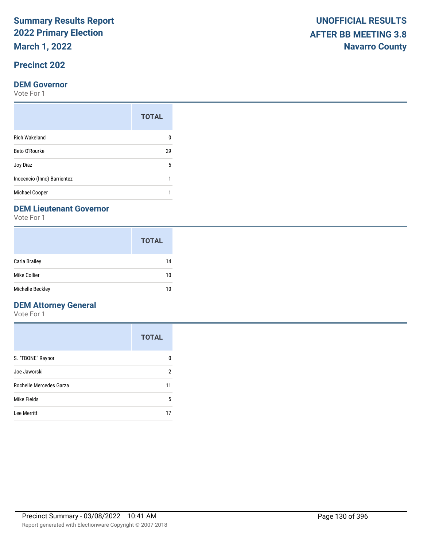**March 1, 2022**

## **Precinct 202**

#### **DEM Governor**

Vote For 1

|                             | <b>TOTAL</b> |
|-----------------------------|--------------|
| <b>Rich Wakeland</b>        |              |
| Beto O'Rourke               | 29           |
| Joy Diaz                    | 5            |
| Inocencio (Inno) Barrientez |              |
| <b>Michael Cooper</b>       |              |

#### **DEM Lieutenant Governor**

Vote For 1

|                  | <b>TOTAL</b> |
|------------------|--------------|
| Carla Brailey    | 14           |
| Mike Collier     | 10           |
| Michelle Beckley | 10           |

## **DEM Attorney General**

|                         | <b>TOTAL</b> |
|-------------------------|--------------|
| S. "TBONE" Raynor       | O            |
| Joe Jaworski            | 2            |
| Rochelle Mercedes Garza | 11           |
| Mike Fields             | 5            |
| Lee Merritt             |              |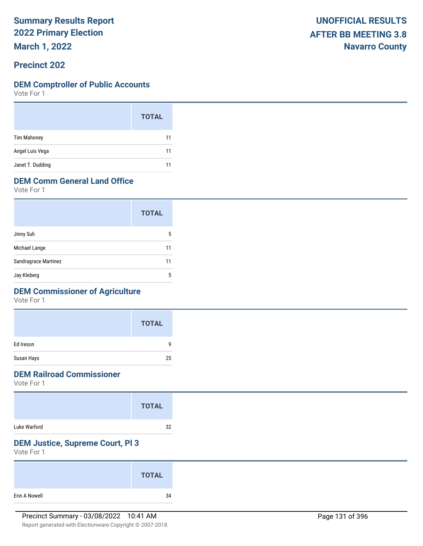**March 1, 2022**

#### **Precinct 202**

#### **DEM Comptroller of Public Accounts**

Vote For 1

|                    | <b>TOTAL</b> |
|--------------------|--------------|
| <b>Tim Mahoney</b> | 11           |
| Angel Luis Vega    | 11           |
| Janet T. Dudding   | 11           |

## **DEM Comm General Land Office**

Vote For 1

|                      | <b>TOTAL</b> |
|----------------------|--------------|
| Jinny Suh            | 5            |
| Michael Lange        | 11           |
| Sandragrace Martinez | 11           |
| Jay Kleberg          | 5            |

### **DEM Commissioner of Agriculture**

Vote For 1

|            | <b>TOTAL</b> |
|------------|--------------|
| Ed Ireson  | q            |
| Susan Hays | 25           |

### **DEM Railroad Commissioner**

Vote For 1

|              | <b>TOTAL</b> |
|--------------|--------------|
| Luke Warford | 32           |

### **DEM Justice, Supreme Court, Pl 3**

|               | <b>TOTAL</b> |
|---------------|--------------|
| Erin A Nowell | 34           |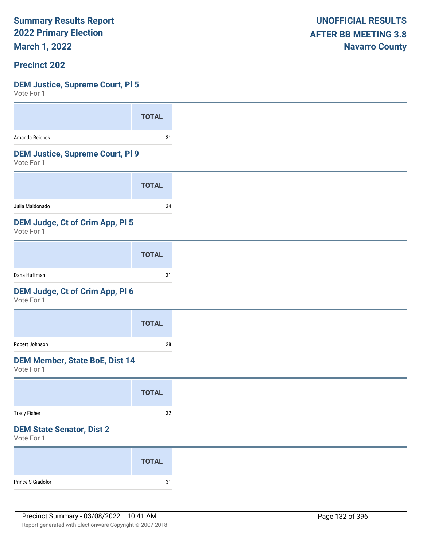**March 1, 2022**

#### **Precinct 202**

## **DEM Justice, Supreme Court, Pl 5**

| Amanda Reichek                                        |              |
|-------------------------------------------------------|--------------|
|                                                       | <b>TOTAL</b> |
|                                                       | 31           |
| <b>DEM Justice, Supreme Court, PI 9</b><br>Vote For 1 |              |
|                                                       | <b>TOTAL</b> |
| Julia Maldonado                                       | 34           |
| DEM Judge, Ct of Crim App, PI 5<br>Vote For 1         |              |
|                                                       | <b>TOTAL</b> |
| Dana Huffman                                          | 31           |
| DEM Judge, Ct of Crim App, Pl 6<br>Vote For 1         |              |
|                                                       | <b>TOTAL</b> |
| Robert Johnson                                        | 28           |
| <b>DEM Member, State BoE, Dist 14</b><br>Vote For 1   |              |
|                                                       | <b>TOTAL</b> |
|                                                       | $32\,$       |
| <b>Tracy Fisher</b>                                   |              |
| <b>DEM State Senator, Dist 2</b><br>Vote For 1        |              |
|                                                       | <b>TOTAL</b> |
|                                                       |              |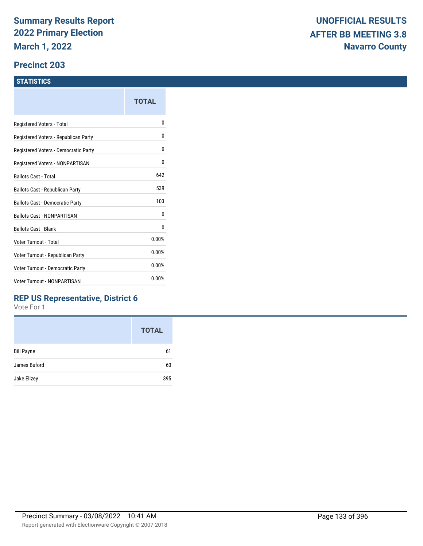#### **Precinct 203**

#### **STATISTICS**

|                                      | TOTAL |
|--------------------------------------|-------|
| Registered Voters - Total            | N     |
| Registered Voters - Republican Party | 0     |
| Registered Voters - Democratic Party | 0     |
| Registered Voters - NONPARTISAN      | 0     |
| Ballots Cast - Total                 | 642   |
| Ballots Cast - Republican Party      | 539   |
| Ballots Cast - Democratic Party      | 103   |
| <b>Ballots Cast - NONPARTISAN</b>    | 0     |
| <b>Ballots Cast - Blank</b>          | 0     |
| Voter Turnout - Total                | 0.00% |
| Voter Turnout - Republican Party     | 0.00% |
| Voter Turnout - Democratic Party     | 0.00% |
| Voter Turnout - NONPARTISAN          | 0.00% |
|                                      |       |

### **REP US Representative, District 6**

|                   | <b>TOTAL</b> |
|-------------------|--------------|
| <b>Bill Payne</b> | 61           |
| James Buford      | 60           |
| Jake Ellzey       | 395          |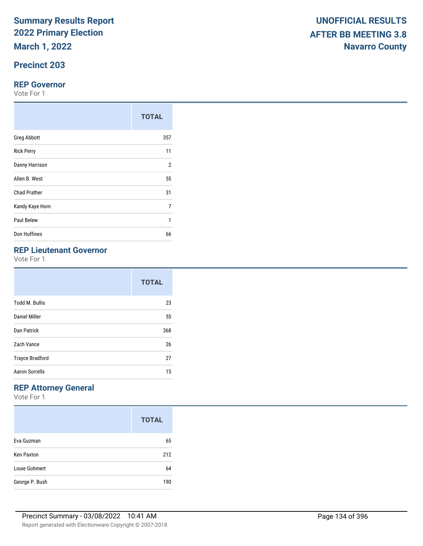**March 1, 2022**

## **Precinct 203**

#### **REP Governor**

Vote For 1

|                     | <b>TOTAL</b>   |
|---------------------|----------------|
| <b>Greg Abbott</b>  | 357            |
| <b>Rick Perry</b>   | 11             |
| Danny Harrison      | $\overline{2}$ |
| Allen B. West       | 55             |
| <b>Chad Prather</b> | 31             |
| Kandy Kaye Horn     | 7              |
| Paul Belew          | 1              |
| Don Huffines        | 66             |

## **REP Lieutenant Governor**

Vote For 1

|                        | <b>TOTAL</b> |  |
|------------------------|--------------|--|
| <b>Todd M. Bullis</b>  | 23           |  |
| Daniel Miller          | 55           |  |
| Dan Patrick            | 368          |  |
| Zach Vance             | 26           |  |
| <b>Trayce Bradford</b> | 27           |  |
| <b>Aaron Sorrells</b>  | 15           |  |

## **REP Attorney General**

|                   | <b>TOTAL</b> |
|-------------------|--------------|
| Eva Guzman        | 65           |
| <b>Ken Paxton</b> | 212          |
| Louie Gohmert     | 64           |
| George P. Bush    | 190          |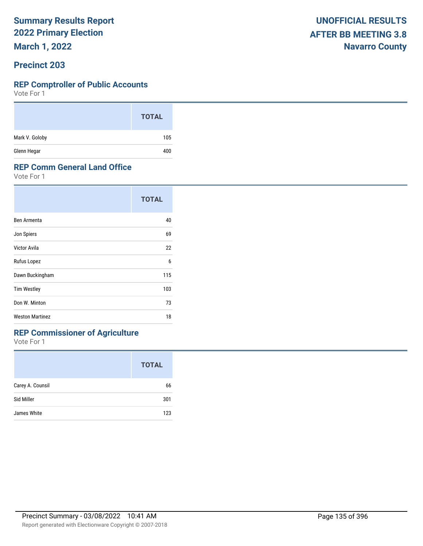**March 1, 2022**

#### **Precinct 203**

#### **REP Comptroller of Public Accounts**

Vote For 1

|                | <b>TOTAL</b> |
|----------------|--------------|
| Mark V. Goloby | 105          |
| Glenn Hegar    | 400          |

#### **REP Comm General Land Office**

Vote For 1

|                        | <b>TOTAL</b> |
|------------------------|--------------|
| Ben Armenta            | 40           |
| Jon Spiers             | 69           |
| Victor Avila           | 22           |
| Rufus Lopez            | 6            |
| Dawn Buckingham        | 115          |
| <b>Tim Westley</b>     | 103          |
| Don W. Minton          | 73           |
| <b>Weston Martinez</b> | 18           |

## **REP Commissioner of Agriculture**

|                  | <b>TOTAL</b> |
|------------------|--------------|
| Carey A. Counsil | 66           |
| Sid Miller       | 301          |
| James White      | 123          |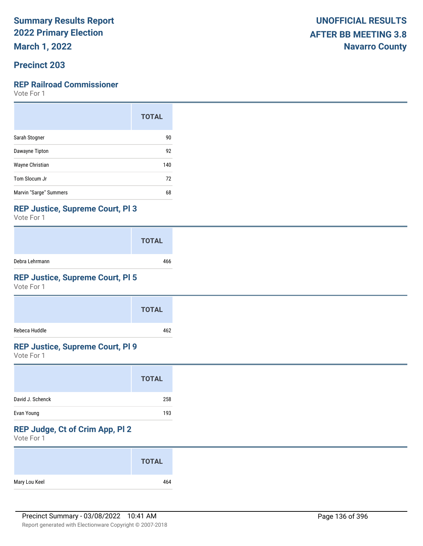**March 1, 2022**

### **Precinct 203**

#### **REP Railroad Commissioner**

Vote For 1

|                        | <b>TOTAL</b> |
|------------------------|--------------|
| Sarah Stogner          | 90           |
| Dawayne Tipton         | 92           |
| Wayne Christian        | 140          |
| Tom Slocum Jr          | 72           |
| Marvin "Sarge" Summers | 68           |

#### **REP Justice, Supreme Court, Pl 3**

Vote For 1

|                | <b>TOTAL</b> |
|----------------|--------------|
| Debra Lehrmann | 466          |

## **REP Justice, Supreme Court, Pl 5**

Vote For 1

|               | <b>TOTAL</b> |
|---------------|--------------|
| Rebeca Huddle | 462          |

#### **REP Justice, Supreme Court, Pl 9**

Vote For 1

|                  | <b>TOTAL</b> |
|------------------|--------------|
| David J. Schenck | 258          |
| Evan Young       | 193          |

## **REP Judge, Ct of Crim App, Pl 2**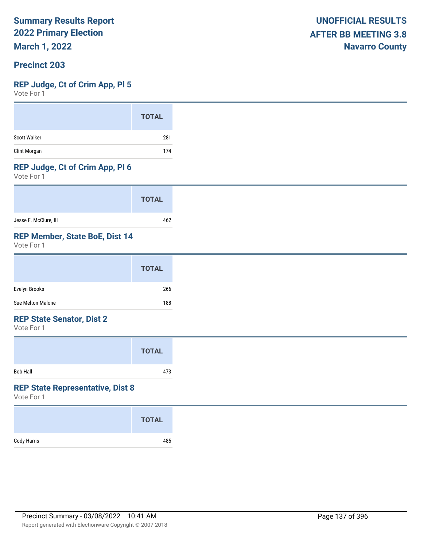**March 1, 2022**

#### **Precinct 203**

#### **REP Judge, Ct of Crim App, Pl 5**

Vote For 1

#### **REP Judge, Ct of Crim App, Pl 6**

Vote For 1

|                       | <b>TOTAL</b> |
|-----------------------|--------------|
| Jesse F. McClure, III | 462          |

## **REP Member, State BoE, Dist 14**

Vote For 1

|                   | <b>TOTAL</b> |
|-------------------|--------------|
| Evelyn Brooks     | 266          |
| Sue Melton-Malone | 188          |

#### **REP State Senator, Dist 2**

Vote For 1

|                 | <b>TOTAL</b> |  |
|-----------------|--------------|--|
| <b>Bob Hall</b> | 473          |  |

#### **REP State Representative, Dist 8**

|             | <b>TOTAL</b> |
|-------------|--------------|
| Cody Harris | 485          |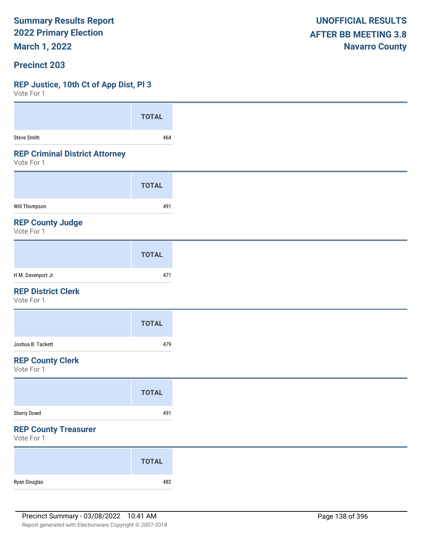**March 1, 2022**

#### **Precinct 203**

#### **REP Justice, 10th Ct of App Dist, Pl 3**

| <b>TOTAL</b> |
|--------------|
| 464          |
|              |
| <b>TOTAL</b> |
| 491          |
|              |
| <b>TOTAL</b> |
| 471          |
|              |
| <b>TOTAL</b> |
| 479          |
|              |
| <b>TOTAL</b> |
| 491          |
|              |
| <b>TOTAL</b> |
|              |
|              |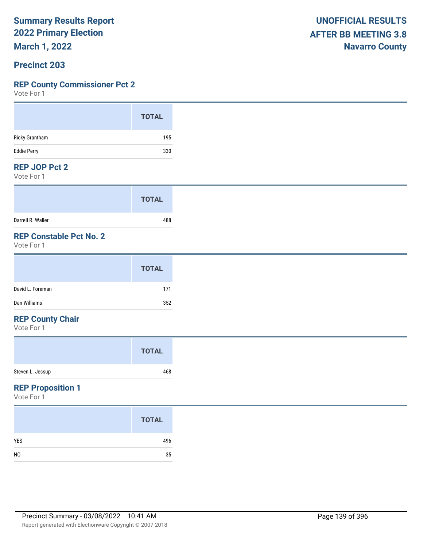**March 1, 2022**

#### **Precinct 203**

#### **REP County Commissioner Pct 2**

Vote For 1

| <b>UNOFFICIAL RESULTS</b>   |
|-----------------------------|
| <b>AFTER BB MEETING 3.8</b> |
| <b>Navarro County</b>       |

#### **REP JOP Pct 2**

Vote For 1

|                   | <b>TOTAL</b> |
|-------------------|--------------|
| Darrell R. Waller | 488          |

## **REP Constable Pct No. 2**

Vote For 1

|                  | <b>TOTAL</b> |
|------------------|--------------|
| David L. Foreman | 171          |
| Dan Williams     | 352          |

## **REP County Chair**

Vote For 1

#### **REP Proposition 1**

|                | <b>TOTAL</b> |
|----------------|--------------|
| <b>YES</b>     | 496          |
| N <sub>0</sub> | 35           |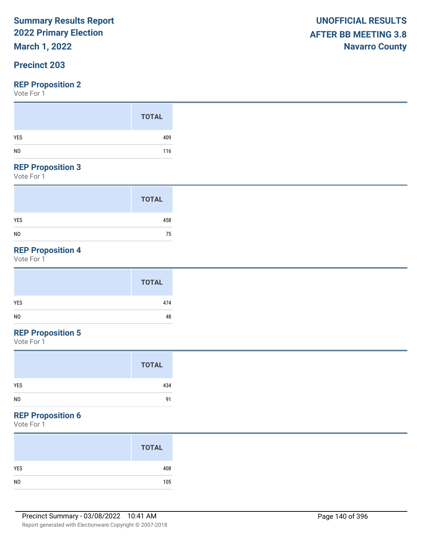## **March 1, 2022**

## **Precinct 203**

#### **REP Proposition 2**

Vote For 1

#### **REP Proposition 3**

Vote For 1

|                | <b>TOTAL</b> |
|----------------|--------------|
| <b>YES</b>     | 458          |
| N <sub>0</sub> | 75           |

## **REP Proposition 4**

Vote For 1

## **REP Proposition 5**

Vote For 1

#### **REP Proposition 6**

|                | <b>TOTAL</b> |
|----------------|--------------|
| YES            | 408          |
| N <sub>0</sub> | 105          |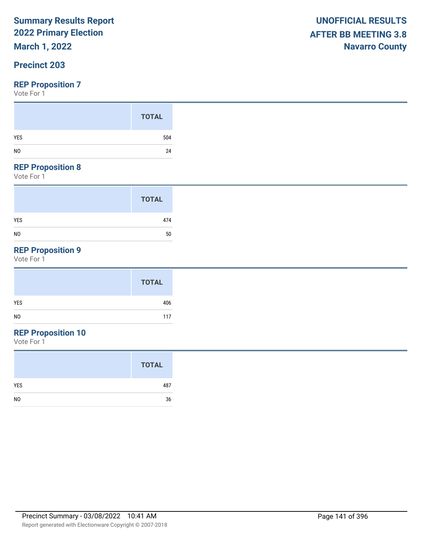## **March 1, 2022**

### **Precinct 203**

#### **REP Proposition 7**

Vote For 1

|     | <b>TOTAL</b> |
|-----|--------------|
| YES | 504          |
|     | 24           |

#### **REP Proposition 8**

Vote For 1

|                | <b>TOTAL</b> |
|----------------|--------------|
| <b>YES</b>     | 474          |
| N <sub>0</sub> | 50           |

## **REP Proposition 9**

Vote For 1

## **REP Proposition 10**

|                | <b>TOTAL</b> |
|----------------|--------------|
| <b>YES</b>     | 487          |
| N <sub>0</sub> | 36           |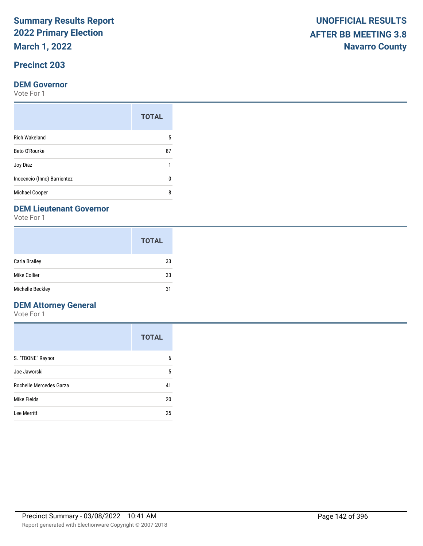**March 1, 2022**

## **Precinct 203**

#### **DEM Governor**

Vote For 1

|                             | <b>TOTAL</b> |
|-----------------------------|--------------|
| <b>Rich Wakeland</b>        | 5            |
| Beto O'Rourke               | 87           |
| Joy Diaz                    |              |
| Inocencio (Inno) Barrientez |              |
| Michael Cooper              | ጸ            |

#### **DEM Lieutenant Governor**

Vote For 1

|                  | <b>TOTAL</b> |
|------------------|--------------|
| Carla Brailey    | 33           |
| Mike Collier     | 33           |
| Michelle Beckley | 31           |

## **DEM Attorney General**

|                         | <b>TOTAL</b> |
|-------------------------|--------------|
| S. "TBONE" Raynor       | 6            |
| Joe Jaworski            | 5            |
| Rochelle Mercedes Garza | 41           |
| Mike Fields             | 20           |
| Lee Merritt             | 25           |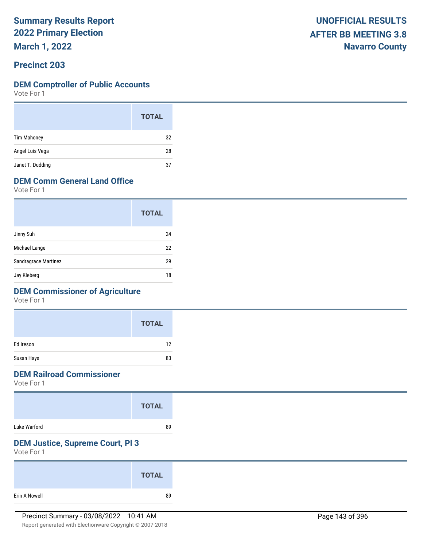**March 1, 2022**

#### **Precinct 203**

#### **DEM Comptroller of Public Accounts**

Vote For 1

|                    | <b>TOTAL</b> |  |
|--------------------|--------------|--|
| <b>Tim Mahoney</b> | 32           |  |
| Angel Luis Vega    | 28           |  |
| Janet T. Dudding   | 37           |  |

## **DEM Comm General Land Office**

Vote For 1

|                      | <b>TOTAL</b> |
|----------------------|--------------|
| Jinny Suh            | 24           |
| Michael Lange        | 22           |
| Sandragrace Martinez | 29           |
| Jay Kleberg          | 18           |

### **DEM Commissioner of Agriculture**

Vote For 1

|            | <b>TOTAL</b> |
|------------|--------------|
| Ed Ireson  | 12           |
| Susan Hays | 83           |

### **DEM Railroad Commissioner**

Vote For 1

|              | <b>TOTAL</b> |  |
|--------------|--------------|--|
| Luke Warford | 89           |  |

## **DEM Justice, Supreme Court, Pl 3**

|               | <b>TOTAL</b> |
|---------------|--------------|
| Erin A Nowell | 89           |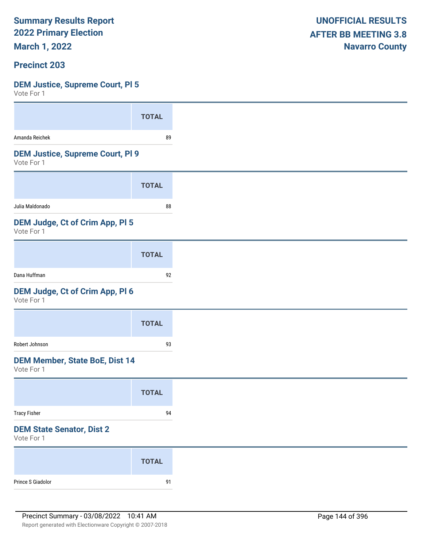**March 1, 2022**

#### **Precinct 203**

## **DEM Justice, Supreme Court, Pl 5**

| $V \cup U \cup V$                                     |              |
|-------------------------------------------------------|--------------|
|                                                       | <b>TOTAL</b> |
| Amanda Reichek                                        | 89           |
| <b>DEM Justice, Supreme Court, PI 9</b><br>Vote For 1 |              |
|                                                       | <b>TOTAL</b> |
| Julia Maldonado                                       | 88           |
| DEM Judge, Ct of Crim App, Pl 5<br>Vote For 1         |              |
|                                                       | <b>TOTAL</b> |
| Dana Huffman                                          | 92           |
| DEM Judge, Ct of Crim App, Pl 6<br>Vote For 1         |              |
|                                                       | <b>TOTAL</b> |
| Robert Johnson                                        | 93           |
| <b>DEM Member, State BoE, Dist 14</b><br>Vote For 1   |              |
|                                                       | <b>TOTAL</b> |
| <b>Tracy Fisher</b>                                   | 94           |
| <b>DEM State Senator, Dist 2</b><br>Vote For 1        |              |
|                                                       | <b>TOTAL</b> |
| Prince S Giadolor                                     | 91           |
|                                                       |              |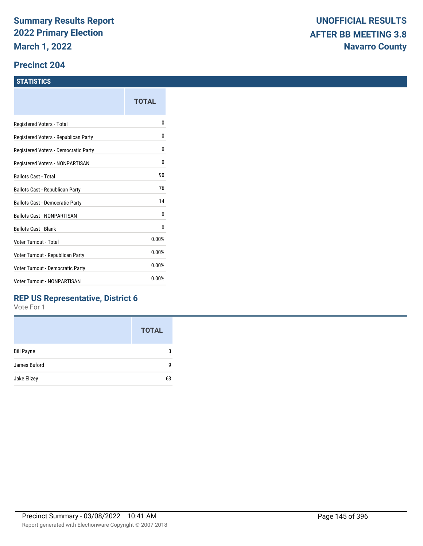#### **Precinct 204**

#### **STATISTICS**

|                                      | TOTAL |
|--------------------------------------|-------|
| Registered Voters - Total            | 0     |
| Registered Voters - Republican Party | 0     |
| Registered Voters - Democratic Party | 0     |
| Registered Voters - NONPARTISAN      | 0     |
| <b>Ballots Cast - Total</b>          | 90    |
| Ballots Cast - Republican Party      | 76    |
| Ballots Cast - Democratic Party      | 14    |
| <b>Ballots Cast - NONPARTISAN</b>    | 0     |
| <b>Ballots Cast - Blank</b>          | 0     |
| Voter Turnout - Total                | 0.00% |
| Voter Turnout - Republican Party     | 0.00% |
| Voter Turnout - Democratic Party     | 0.00% |
| <b>Voter Turnout - NONPARTISAN</b>   | 0.00% |

### **REP US Representative, District 6**

|                   | <b>TOTAL</b> |
|-------------------|--------------|
| <b>Bill Payne</b> | 3            |
| James Buford      | q            |
| Jake Ellzey       | 63           |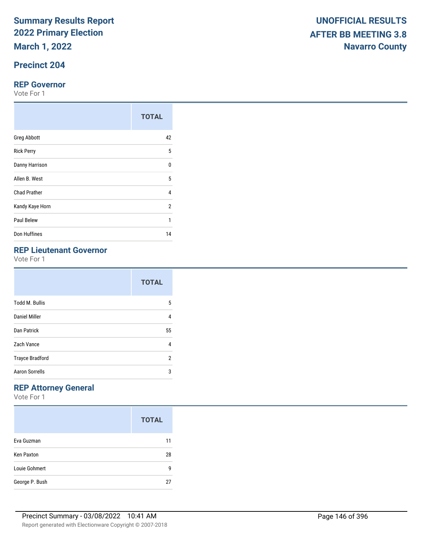**March 1, 2022**

## **Precinct 204**

#### **REP Governor**

Vote For 1

|                     | <b>TOTAL</b>   |
|---------------------|----------------|
| <b>Greg Abbott</b>  | 42             |
| <b>Rick Perry</b>   | 5              |
| Danny Harrison      | $\Omega$       |
| Allen B. West       | 5              |
| <b>Chad Prather</b> | 4              |
| Kandy Kaye Horn     | $\overline{2}$ |
| Paul Belew          | 1              |
| Don Huffines        | 14             |

## **REP Lieutenant Governor**

Vote For 1

|                        | <b>TOTAL</b> |
|------------------------|--------------|
| <b>Todd M. Bullis</b>  | 5            |
| Daniel Miller          | 4            |
| Dan Patrick            | 55           |
| Zach Vance             | 4            |
| <b>Trayce Bradford</b> | 2            |
| <b>Aaron Sorrells</b>  | 3            |

## **REP Attorney General**

Vote For 1

|                   | <b>TOTAL</b> |
|-------------------|--------------|
| Eva Guzman        | 11           |
| <b>Ken Paxton</b> | 28           |
| Louie Gohmert     | q            |
| George P. Bush    | 27           |

Report generated with Electionware Copyright © 2007-2018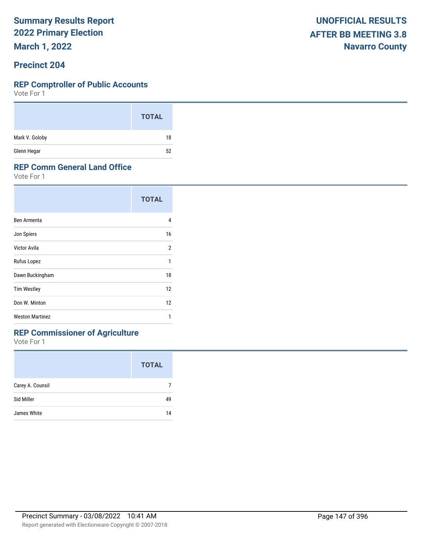**March 1, 2022**

#### **Precinct 204**

#### **REP Comptroller of Public Accounts**

Vote For 1

|                | <b>TOTAL</b> |
|----------------|--------------|
| Mark V. Goloby | 18           |
| Glenn Hegar    | 52<br>_      |

#### **REP Comm General Land Office**

Vote For 1

|                        | <b>TOTAL</b> |
|------------------------|--------------|
| Ben Armenta            | 4            |
| Jon Spiers             | 16           |
| Victor Avila           | 2            |
| Rufus Lopez            | 1            |
| Dawn Buckingham        | 18           |
| <b>Tim Westley</b>     | 12           |
| Don W. Minton          | 12           |
| <b>Weston Martinez</b> | 1            |

## **REP Commissioner of Agriculture**

|                  | <b>TOTAL</b> |
|------------------|--------------|
| Carey A. Counsil |              |
| Sid Miller       | 49           |
| James White      | 14           |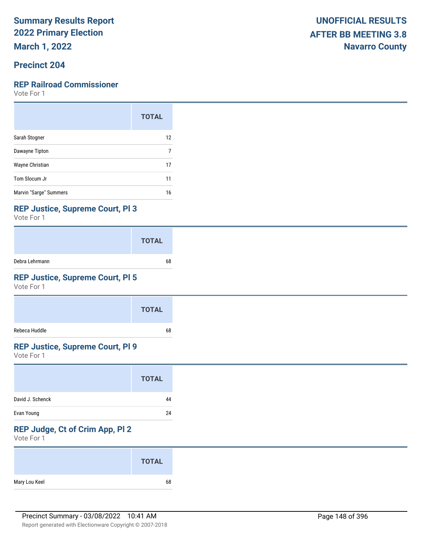**March 1, 2022**

## **Precinct 204**

#### **REP Railroad Commissioner**

Vote For 1

|                        | <b>TOTAL</b> |
|------------------------|--------------|
| Sarah Stogner          | 12           |
| Dawayne Tipton         | 7            |
| Wayne Christian        | 17           |
| Tom Slocum Jr          | 11           |
| Marvin "Sarge" Summers | 16           |

#### **REP Justice, Supreme Court, Pl 3**

Vote For 1

|                | <b>TOTAL</b> |
|----------------|--------------|
| Debra Lehrmann | 68           |

## **REP Justice, Supreme Court, Pl 5**

Vote For 1

|               | <b>TOTAL</b> |
|---------------|--------------|
| Rebeca Huddle | 68           |

### **REP Justice, Supreme Court, Pl 9**

Vote For 1

## **REP Judge, Ct of Crim App, Pl 2**

|               | <b>TOTAL</b> |
|---------------|--------------|
| Mary Lou Keel | 68           |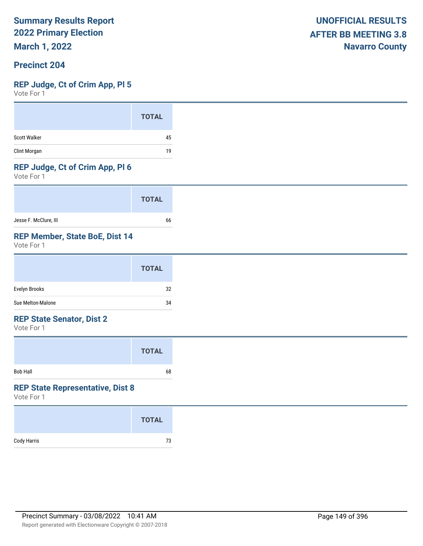**March 1, 2022**

#### **Precinct 204**

#### **REP Judge, Ct of Crim App, Pl 5**

Vote For 1

|                     | <b>TOTAL</b> |
|---------------------|--------------|
| <b>Scott Walker</b> | 45           |
| Clint Morgan        | 19           |

### **REP Judge, Ct of Crim App, Pl 6**

Vote For 1

|                       | <b>TOTAL</b> |
|-----------------------|--------------|
| Jesse F. McClure, III | 66           |

#### **REP Member, State BoE, Dist 14**

Vote For 1

#### **REP State Senator, Dist 2**

Vote For 1

|          | <b>TOTAL</b> |  |
|----------|--------------|--|
| Bob Hall | 68           |  |

#### **REP State Representative, Dist 8**

|             | <b>TOTAL</b> |
|-------------|--------------|
| Cody Harris | 73           |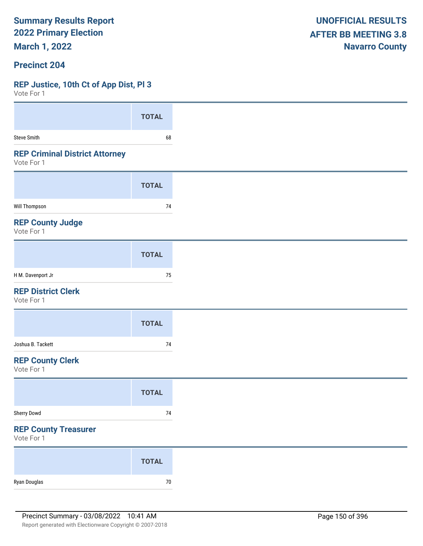**March 1, 2022**

#### **Precinct 204**

#### **REP Justice, 10th Ct of App Dist, Pl 3**

| VOIG LOI 1                                          |              |
|-----------------------------------------------------|--------------|
|                                                     | <b>TOTAL</b> |
| <b>Steve Smith</b>                                  | 68           |
| <b>REP Criminal District Attorney</b><br>Vote For 1 |              |
|                                                     | <b>TOTAL</b> |
| <b>Will Thompson</b>                                | 74           |
| <b>REP County Judge</b><br>Vote For 1               |              |
|                                                     | <b>TOTAL</b> |
| H M. Davenport Jr                                   | 75           |
| <b>REP District Clerk</b><br>Vote For 1             |              |
|                                                     | <b>TOTAL</b> |
| Joshua B. Tackett                                   | 74           |
| <b>REP County Clerk</b><br>Vote For 1               |              |
|                                                     | <b>TOTAL</b> |
| Sherry Dowd                                         | 74           |
| <b>REP County Treasurer</b><br>Vote For 1           |              |
|                                                     | <b>TOTAL</b> |
| Ryan Douglas                                        | $70\,$       |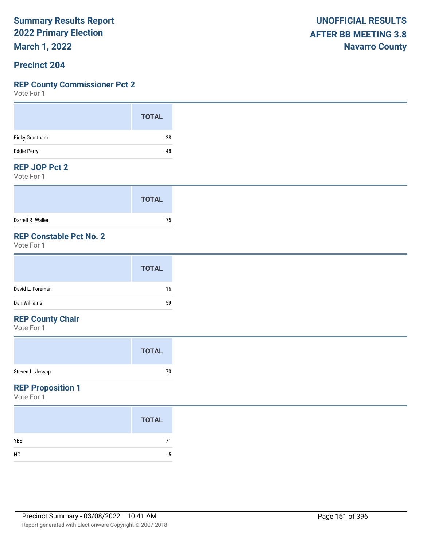**March 1, 2022**

#### **Precinct 204**

#### **REP County Commissioner Pct 2**

Vote For 1

#### **REP JOP Pct 2**

Vote For 1

|                   | <b>TOTAL</b> |  |
|-------------------|--------------|--|
| Darrell R. Waller | 75           |  |

## **REP Constable Pct No. 2**

Vote For 1

#### **REP County Chair**

Vote For 1

#### **REP Proposition 1**

|                | <b>TOTAL</b> |
|----------------|--------------|
| <b>YES</b>     | 71           |
| N <sub>0</sub> | 5            |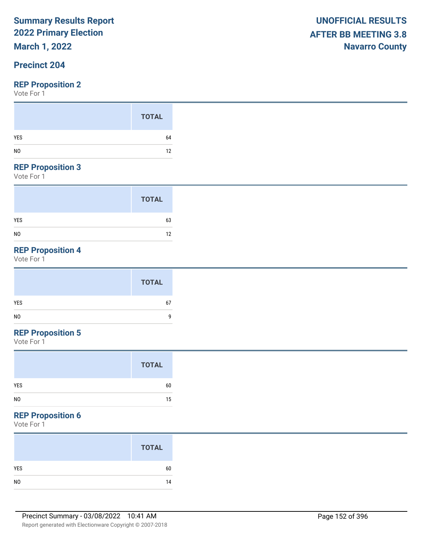**March 1, 2022**

## **Precinct 204**

Vote For 1

#### **REP Proposition 3**

Vote For 1

|                | <b>TOTAL</b> |
|----------------|--------------|
| <b>YES</b>     | 63           |
| N <sub>0</sub> | 12           |

## **REP Proposition 4**

Vote For 1

## **REP Proposition 5**

Vote For 1

### **REP Proposition 6**

|                | <b>TOTAL</b> |
|----------------|--------------|
| YES            | 60           |
| N <sub>O</sub> | 14           |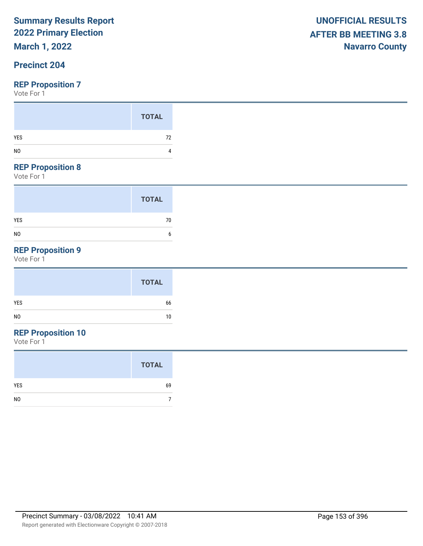## **March 1, 2022**

### **Precinct 204**

Vote For 1

#### **REP Proposition 8**

Vote For 1

|                | <b>TOTAL</b> |
|----------------|--------------|
| <b>YES</b>     | 70           |
| N <sub>0</sub> | 6            |

## **REP Proposition 9**

Vote For 1

## **REP Proposition 10**

|                | <b>TOTAL</b> |  |
|----------------|--------------|--|
| YES            | 69           |  |
| N <sub>0</sub> |              |  |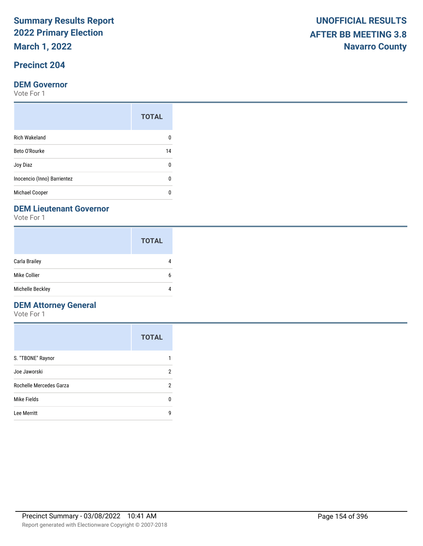**March 1, 2022**

## **Precinct 204**

#### **DEM Governor**

Vote For 1

|                             | <b>TOTAL</b> |
|-----------------------------|--------------|
| <b>Rich Wakeland</b>        |              |
| Beto O'Rourke               | 14           |
| Joy Diaz                    | n            |
| Inocencio (Inno) Barrientez |              |
| Michael Cooper              |              |

#### **DEM Lieutenant Governor**

Vote For 1

|                      | <b>TOTAL</b> |
|----------------------|--------------|
| <b>Carla Brailey</b> |              |
| Mike Collier         | 6            |
| Michelle Beckley     |              |

## **DEM Attorney General**

|                         | <b>TOTAL</b> |
|-------------------------|--------------|
| S. "TBONE" Raynor       |              |
| Joe Jaworski            | 2            |
| Rochelle Mercedes Garza | 2            |
| Mike Fields             | ŋ            |
| Lee Merritt             | g            |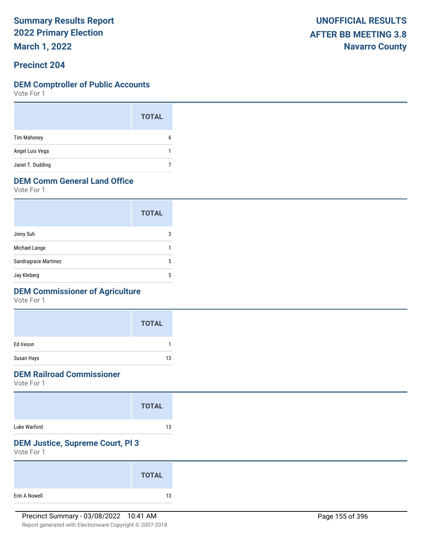**March 1, 2022**

#### **Precinct 204**

#### **DEM Comptroller of Public Accounts**

Vote For 1

|                    | <b>TOTAL</b> |  |
|--------------------|--------------|--|
| <b>Tim Mahoney</b> | 6            |  |
| Angel Luis Vega    | 1            |  |
| Janet T. Dudding   |              |  |

## **DEM Comm General Land Office**

Vote For 1

|                      | <b>TOTAL</b> |
|----------------------|--------------|
| Jinny Suh            | 3            |
| Michael Lange        |              |
| Sandragrace Martinez | 5            |
| Jay Kleberg          | 5            |

### **DEM Commissioner of Agriculture**

Vote For 1

|            | <b>TOTAL</b> |
|------------|--------------|
| Ed Ireson  |              |
| Susan Hays | 13           |

### **DEM Railroad Commissioner**

Vote For 1

|              | <b>TOTAL</b> |
|--------------|--------------|
| Luke Warford | 13           |

## **DEM Justice, Supreme Court, Pl 3**

|               | <b>TOTAL</b> |  |
|---------------|--------------|--|
| Erin A Nowell | 13           |  |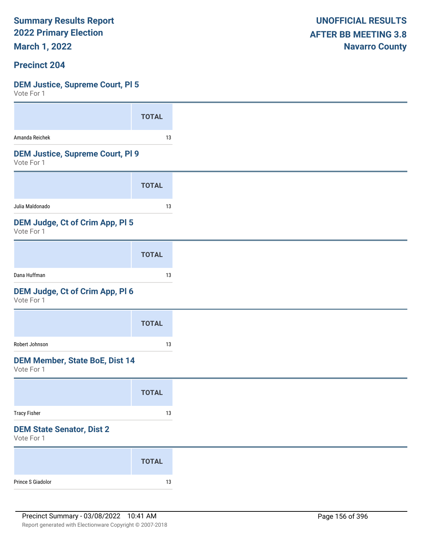**March 1, 2022**

#### **Precinct 204**

#### **DEM Justice, Supreme Court, Pl 5**

| Amanda Reichek                                        |              |
|-------------------------------------------------------|--------------|
|                                                       | <b>TOTAL</b> |
|                                                       | 13           |
| <b>DEM Justice, Supreme Court, PI 9</b><br>Vote For 1 |              |
|                                                       | <b>TOTAL</b> |
| Julia Maldonado                                       | 13           |
| DEM Judge, Ct of Crim App, PI 5<br>Vote For 1         |              |
|                                                       | <b>TOTAL</b> |
| Dana Huffman                                          | 13           |
| DEM Judge, Ct of Crim App, Pl 6<br>Vote For 1         |              |
|                                                       | <b>TOTAL</b> |
| Robert Johnson                                        | 13           |
| <b>DEM Member, State BoE, Dist 14</b><br>Vote For 1   |              |
|                                                       | <b>TOTAL</b> |
|                                                       | 13           |
| <b>Tracy Fisher</b>                                   |              |
| <b>DEM State Senator, Dist 2</b><br>Vote For 1        |              |
|                                                       | <b>TOTAL</b> |
|                                                       |              |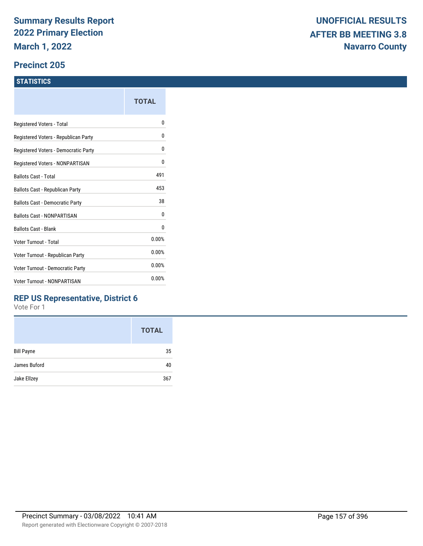#### **Precinct 205**

#### **STATISTICS**

|                                         | TOTAL |
|-----------------------------------------|-------|
| Registered Voters - Total               | o     |
| Registered Voters - Republican Party    | 0     |
| Registered Voters - Democratic Party    | 0     |
| Registered Voters - NONPARTISAN         | 0     |
| Ballots Cast - Total                    | 491   |
| Ballots Cast - Republican Party         | 453   |
| <b>Ballots Cast - Democratic Party</b>  | 38    |
| <b>Ballots Cast - NONPARTISAN</b>       | o     |
| <b>Ballots Cast - Blank</b>             | 0     |
| Voter Turnout - Total                   | 0.00% |
| Voter Turnout - Republican Party        | 0.00% |
| <b>Voter Turnout - Democratic Party</b> | 0.00% |
| <b>Voter Turnout - NONPARTISAN</b>      | 0.00% |
|                                         |       |

### **REP US Representative, District 6**

|                   | <b>TOTAL</b> |
|-------------------|--------------|
| <b>Bill Payne</b> | 35           |
| James Buford      | 40           |
| Jake Ellzey       | 367          |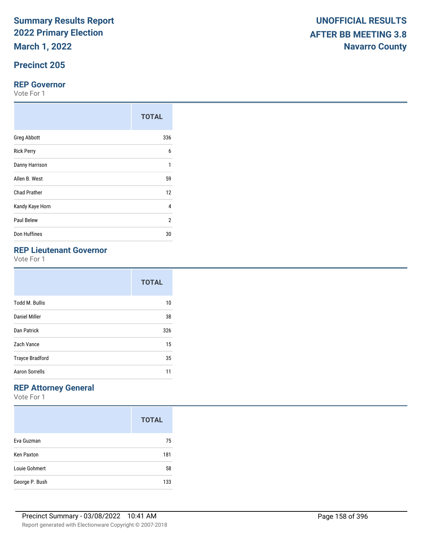**March 1, 2022**

## **Precinct 205**

#### **REP Governor**

Vote For 1

|                     | <b>TOTAL</b> |
|---------------------|--------------|
| <b>Greg Abbott</b>  | 336          |
| <b>Rick Perry</b>   | 6            |
| Danny Harrison      | 1            |
| Allen B. West       | 59           |
| <b>Chad Prather</b> | 12           |
| Kandy Kaye Horn     | 4            |
| Paul Belew          | 2            |
| Don Huffines        | 30           |

## **REP Lieutenant Governor**

Vote For 1

|                        | <b>TOTAL</b> |
|------------------------|--------------|
| <b>Todd M. Bullis</b>  | 10           |
| <b>Daniel Miller</b>   | 38           |
| Dan Patrick            | 326          |
| Zach Vance             | 15           |
| <b>Trayce Bradford</b> | 35           |
| Aaron Sorrells         | 11           |

## **REP Attorney General**

|                   | <b>TOTAL</b> |
|-------------------|--------------|
| Eva Guzman        | 75           |
| <b>Ken Paxton</b> | 181          |
| Louie Gohmert     | 58           |
| George P. Bush    | 133          |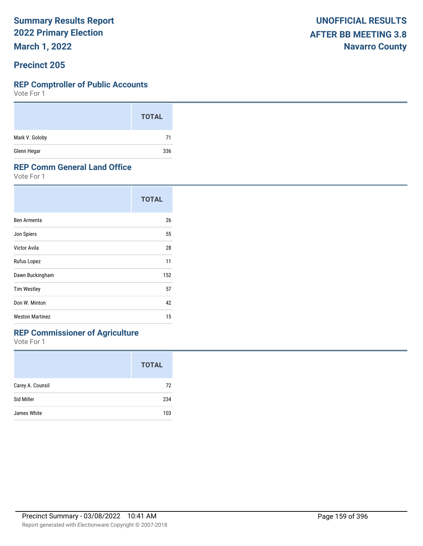**March 1, 2022**

#### **Precinct 205**

#### **REP Comptroller of Public Accounts**

Vote For 1

|                | <b>TOTAL</b> |
|----------------|--------------|
| Mark V. Goloby | 71           |
| Glenn Hegar    | 336          |

#### **REP Comm General Land Office**

Vote For 1

|                        | <b>TOTAL</b> |  |
|------------------------|--------------|--|
| Ben Armenta            | 26           |  |
| Jon Spiers             | 55           |  |
| Victor Avila           | 28           |  |
| Rufus Lopez            | 11           |  |
| Dawn Buckingham        | 152          |  |
| <b>Tim Westley</b>     | 57           |  |
| Don W. Minton          | 42           |  |
| <b>Weston Martinez</b> | 15           |  |

## **REP Commissioner of Agriculture**

|                  | <b>TOTAL</b> |
|------------------|--------------|
| Carey A. Counsil | 72           |
| Sid Miller       | 234          |
| James White      | 103          |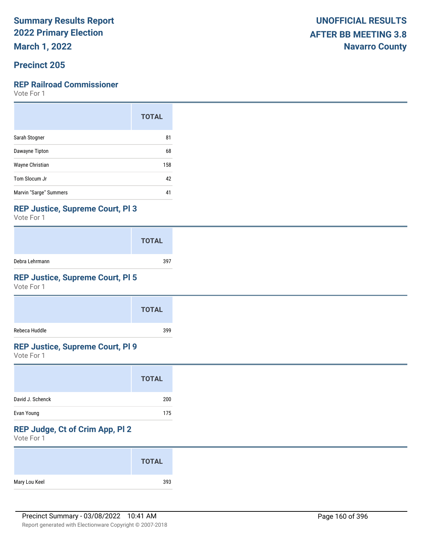**March 1, 2022**

### **Precinct 205**

### **REP Railroad Commissioner**

Vote For 1

|                        | <b>TOTAL</b> |
|------------------------|--------------|
| Sarah Stogner          | 81           |
| Dawayne Tipton         | 68           |
| Wayne Christian        | 158          |
| Tom Slocum Jr          | 42           |
| Marvin "Sarge" Summers | 41           |

#### **REP Justice, Supreme Court, Pl 3**

Vote For 1

|                | <b>TOTAL</b> |
|----------------|--------------|
| Debra Lehrmann | 397          |

## **REP Justice, Supreme Court, Pl 5**

Vote For 1

|               | <b>TOTAL</b> |
|---------------|--------------|
| Rebeca Huddle | 399          |

### **REP Justice, Supreme Court, Pl 9**

Vote For 1

## **REP Judge, Ct of Crim App, Pl 2**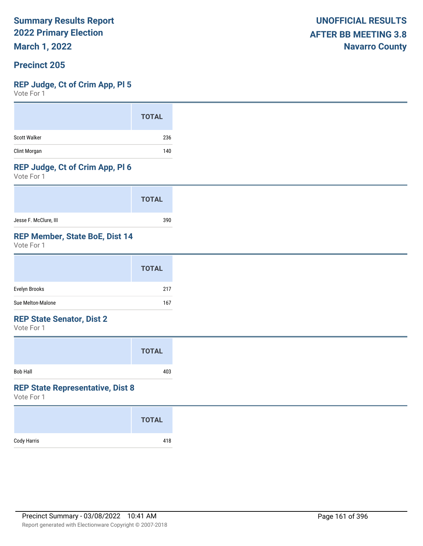**March 1, 2022**

### **Precinct 205**

#### **REP Judge, Ct of Crim App, Pl 5**

Vote For 1

#### **REP Judge, Ct of Crim App, Pl 6**

Vote For 1

|                       | <b>TOTAL</b> |
|-----------------------|--------------|
| Jesse F. McClure, III | 390          |

#### **REP Member, State BoE, Dist 14**

Vote For 1

#### **REP State Senator, Dist 2**

Vote For 1

|                 | <b>TOTAL</b> |  |
|-----------------|--------------|--|
| <b>Bob Hall</b> | 403          |  |

#### **REP State Representative, Dist 8**

|             | <b>TOTAL</b> |
|-------------|--------------|
| Cody Harris | 418          |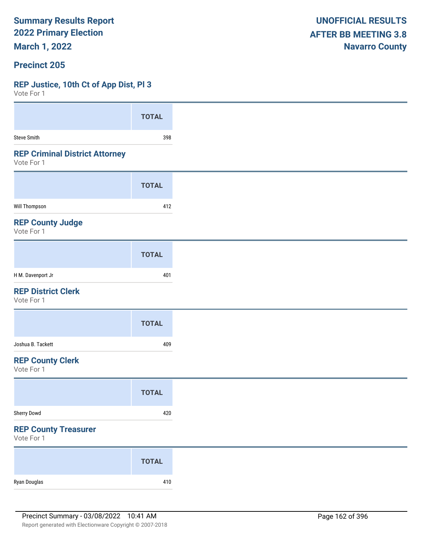**March 1, 2022**

#### **Precinct 205**

### **REP Justice, 10th Ct of App Dist, Pl 3**

| VULE FUI I                                          |              |
|-----------------------------------------------------|--------------|
|                                                     | <b>TOTAL</b> |
| <b>Steve Smith</b>                                  | 398          |
| <b>REP Criminal District Attorney</b><br>Vote For 1 |              |
|                                                     | <b>TOTAL</b> |
| <b>Will Thompson</b>                                | 412          |
| <b>REP County Judge</b><br>Vote For 1               |              |
|                                                     | <b>TOTAL</b> |
| H M. Davenport Jr                                   | 401          |
| <b>REP District Clerk</b><br>Vote For 1             |              |
|                                                     | <b>TOTAL</b> |
| Joshua B. Tackett                                   | 409          |
| <b>REP County Clerk</b><br>Vote For 1               |              |
|                                                     | <b>TOTAL</b> |
| Sherry Dowd                                         | 420          |
| <b>REP County Treasurer</b><br>Vote For 1           |              |
|                                                     | <b>TOTAL</b> |
| Ryan Douglas                                        | 410          |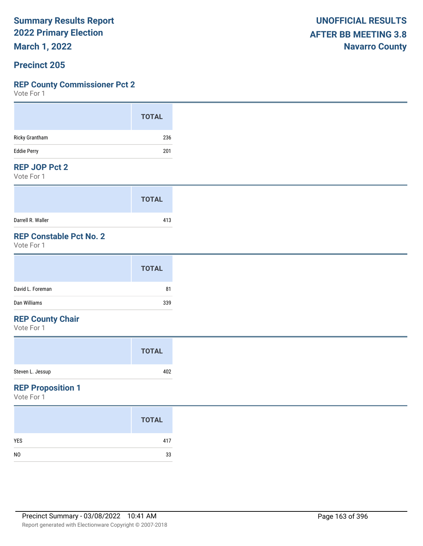**March 1, 2022**

#### **Precinct 205**

#### **REP County Commissioner Pct 2**

Vote For 1

| <b>UNOFFICIAL RESULTS</b>   |
|-----------------------------|
| <b>AFTER BB MEETING 3.8</b> |
| <b>Navarro County</b>       |

#### **REP JOP Pct 2**

Vote For 1

|                   | <b>TOTAL</b> |
|-------------------|--------------|
| Darrell R. Waller | 413          |

## **REP Constable Pct No. 2**

Vote For 1

## **REP County Chair**

Vote For 1

#### **REP Proposition 1**

|                | <b>TOTAL</b> |
|----------------|--------------|
| <b>YES</b>     | 417          |
| N <sub>0</sub> | 33           |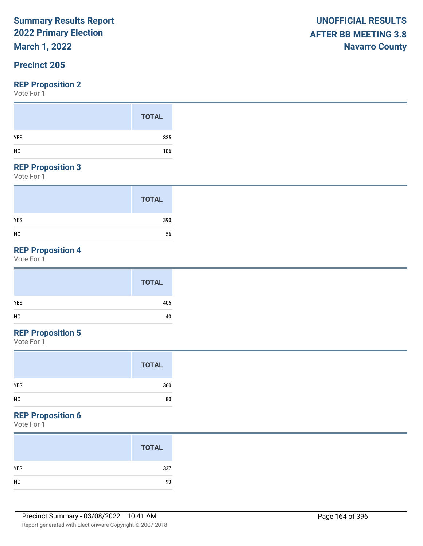## **March 1, 2022**

## **Precinct 205**

#### **REP Proposition 2**

Vote For 1

#### **REP Proposition 3**

Vote For 1

|                | <b>TOTAL</b> |
|----------------|--------------|
| <b>YES</b>     | 390          |
| N <sub>0</sub> | 56           |

## **REP Proposition 4**

Vote For 1

## **REP Proposition 5**

Vote For 1

| <b>TOTAL</b>         |
|----------------------|
| 360<br><b>YES</b>    |
| N <sub>0</sub><br>80 |

### **REP Proposition 6**

| <b>TOTAL</b> |
|--------------|
| 337          |
| 93           |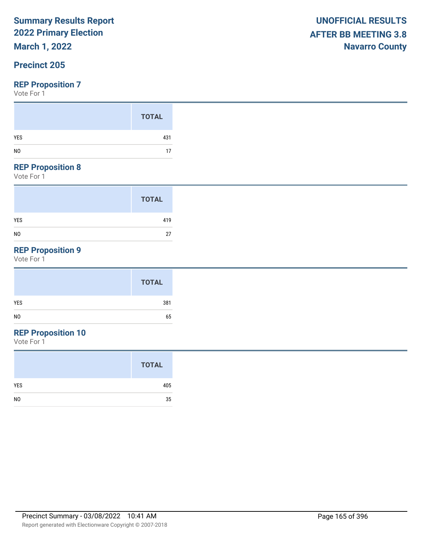## **March 1, 2022**

## **Precinct 205**

#### **REP Proposition 7**

Vote For 1

#### **REP Proposition 8**

Vote For 1

|                | <b>TOTAL</b> |
|----------------|--------------|
| <b>YES</b>     | 419          |
| N <sub>0</sub> | 27           |

## **REP Proposition 9**

Vote For 1

|            | <b>TOTAL</b> |
|------------|--------------|
| <b>YES</b> | 381          |
| NO         | 65           |

## **REP Proposition 10**

|                | <b>TOTAL</b> |
|----------------|--------------|
| <b>YES</b>     | 405          |
| N <sub>0</sub> | 35           |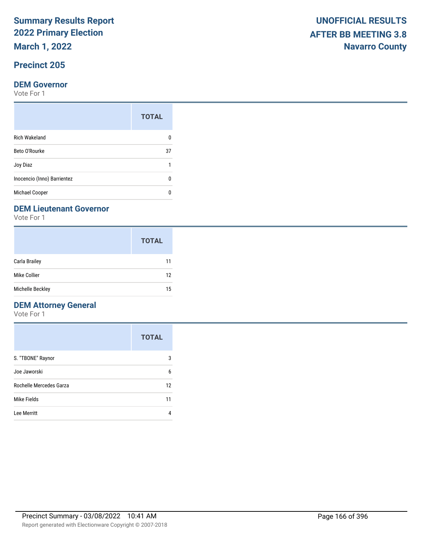**March 1, 2022**

## **Precinct 205**

#### **DEM Governor**

Vote For 1

|                             | <b>TOTAL</b> |
|-----------------------------|--------------|
| <b>Rich Wakeland</b>        |              |
| Beto O'Rourke               | 37           |
| Joy Diaz                    |              |
| Inocencio (Inno) Barrientez |              |
| <b>Michael Cooper</b>       |              |

#### **DEM Lieutenant Governor**

Vote For 1

|                      | <b>TOTAL</b> |
|----------------------|--------------|
| <b>Carla Brailey</b> | 11           |
| Mike Collier         | 12           |
| Michelle Beckley     | 15           |

## **DEM Attorney General**

|                         | <b>TOTAL</b> |
|-------------------------|--------------|
| S. "TBONE" Raynor       | 3            |
| Joe Jaworski            | 6            |
| Rochelle Mercedes Garza | 12           |
| Mike Fields             | 11           |
| Lee Merritt             |              |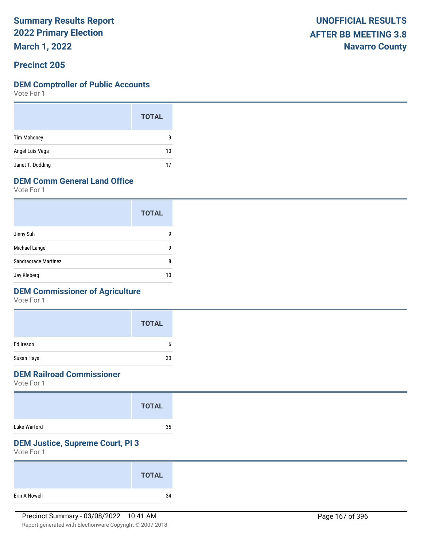**March 1, 2022**

## **Precinct 205**

#### **DEM Comptroller of Public Accounts**

Vote For 1

|                    | <b>TOTAL</b> |
|--------------------|--------------|
| <b>Tim Mahoney</b> | 9            |
| Angel Luis Vega    | 10           |
| Janet T. Dudding   | 17           |

### **DEM Comm General Land Office**

Vote For 1

|                      | <b>TOTAL</b> |
|----------------------|--------------|
| Jinny Suh            | q            |
| Michael Lange        | q            |
| Sandragrace Martinez | ጸ            |
| Jay Kleberg          | 10           |

### **DEM Commissioner of Agriculture**

Vote For 1

|            | <b>TOTAL</b> |
|------------|--------------|
| Ed Ireson  | h            |
| Susan Hays | 30           |

## **DEM Railroad Commissioner**

Vote For 1

|              | <b>TOTAL</b> |  |
|--------------|--------------|--|
| Luke Warford | 35           |  |

## **DEM Justice, Supreme Court, Pl 3**

|               | <b>TOTAL</b> |
|---------------|--------------|
| Erin A Nowell | 34           |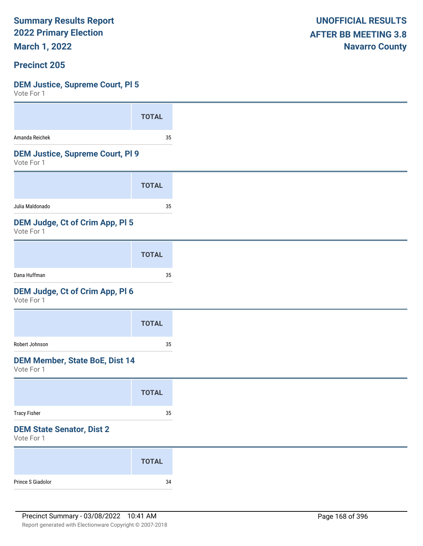**March 1, 2022**

#### **Precinct 205**

#### **DEM Justice, Supreme Court, Pl 5**

| VULE FUI I                                            |              |
|-------------------------------------------------------|--------------|
|                                                       | <b>TOTAL</b> |
| Amanda Reichek                                        | 35           |
| <b>DEM Justice, Supreme Court, PI 9</b><br>Vote For 1 |              |
|                                                       | <b>TOTAL</b> |
| Julia Maldonado                                       | 35           |
| DEM Judge, Ct of Crim App, PI 5<br>Vote For 1         |              |
|                                                       | <b>TOTAL</b> |
| Dana Huffman                                          | 35           |
| DEM Judge, Ct of Crim App, Pl 6<br>Vote For 1         |              |
|                                                       | <b>TOTAL</b> |
| Robert Johnson                                        | 35           |
| <b>DEM Member, State BoE, Dist 14</b><br>Vote For 1   |              |
|                                                       | <b>TOTAL</b> |
| <b>Tracy Fisher</b>                                   | $35\,$       |
| <b>DEM State Senator, Dist 2</b><br>Vote For 1        |              |
|                                                       | <b>TOTAL</b> |
|                                                       |              |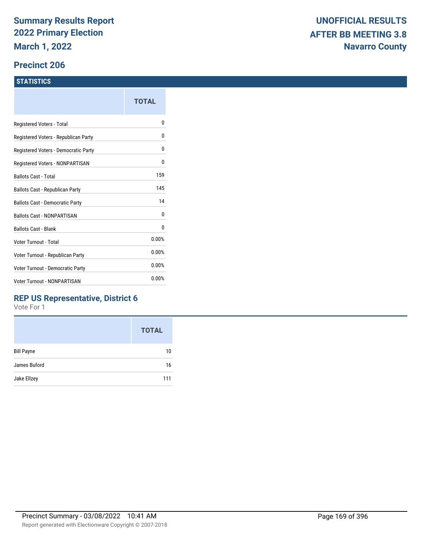#### **Precinct 206**

#### **STATISTICS**

|                                         | TOTAL |
|-----------------------------------------|-------|
| Registered Voters - Total               | n     |
| Registered Voters - Republican Party    | 0     |
| Registered Voters - Democratic Party    | 0     |
| Registered Voters - NONPARTISAN         | 0     |
| <b>Ballots Cast - Total</b>             | 159   |
| Ballots Cast - Republican Party         | 145   |
| Ballots Cast - Democratic Party         | 14    |
| <b>Ballots Cast - NONPARTISAN</b>       | 0     |
| <b>Ballots Cast - Blank</b>             | 0     |
| Voter Turnout - Total                   | 0.00% |
| Voter Turnout - Republican Party        | 0.00% |
| <b>Voter Turnout - Democratic Party</b> | 0.00% |
| <b>Voter Turnout - NONPARTISAN</b>      | 0.00% |
|                                         |       |

### **REP US Representative, District 6**

|                   | <b>TOTAL</b> |
|-------------------|--------------|
| <b>Bill Payne</b> | 10           |
| James Buford      | 16           |
| Jake Ellzey       | 111          |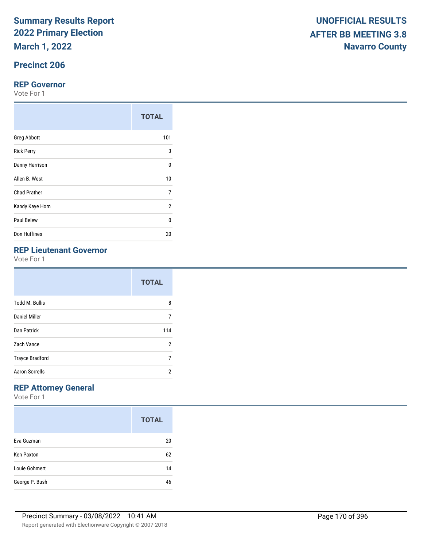**March 1, 2022**

## **Precinct 206**

#### **REP Governor**

Vote For 1

|                     | <b>TOTAL</b>   |
|---------------------|----------------|
| <b>Greg Abbott</b>  | 101            |
| <b>Rick Perry</b>   | 3              |
| Danny Harrison      | $\Omega$       |
| Allen B. West       | 10             |
| <b>Chad Prather</b> | 7              |
| Kandy Kaye Horn     | $\overline{2}$ |
| Paul Belew          | 0              |
| Don Huffines        | 20             |

## **REP Lieutenant Governor**

Vote For 1

|                        | <b>TOTAL</b> |
|------------------------|--------------|
| <b>Todd M. Bullis</b>  | 8            |
| Daniel Miller          | 7            |
| Dan Patrick            | 114          |
| Zach Vance             | 2            |
| <b>Trayce Bradford</b> | 7            |
| <b>Aaron Sorrells</b>  | 2            |

## **REP Attorney General**

|                   | <b>TOTAL</b> |
|-------------------|--------------|
| Eva Guzman        | 20           |
| <b>Ken Paxton</b> | 62           |
| Louie Gohmert     | 14           |
| George P. Bush    | 46           |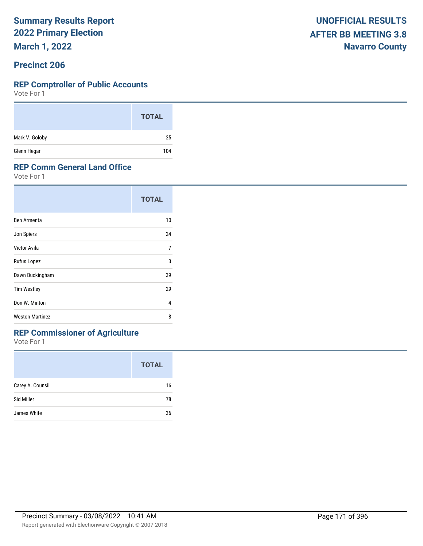**March 1, 2022**

#### **Precinct 206**

#### **REP Comptroller of Public Accounts**

Vote For 1

|                | <b>TOTAL</b> |
|----------------|--------------|
| Mark V. Goloby | 25           |
| Glenn Hegar    | 104          |

#### **REP Comm General Land Office**

Vote For 1

|                        | <b>TOTAL</b> |
|------------------------|--------------|
| Ben Armenta            | 10           |
| Jon Spiers             | 24           |
| Victor Avila           | 7            |
| Rufus Lopez            | 3            |
| Dawn Buckingham        | 39           |
| <b>Tim Westley</b>     | 29           |
| Don W. Minton          | 4            |
| <b>Weston Martinez</b> | 8            |

## **REP Commissioner of Agriculture**

|                  | <b>TOTAL</b> |
|------------------|--------------|
| Carey A. Counsil | 16           |
| Sid Miller       | 78           |
| James White      | 36           |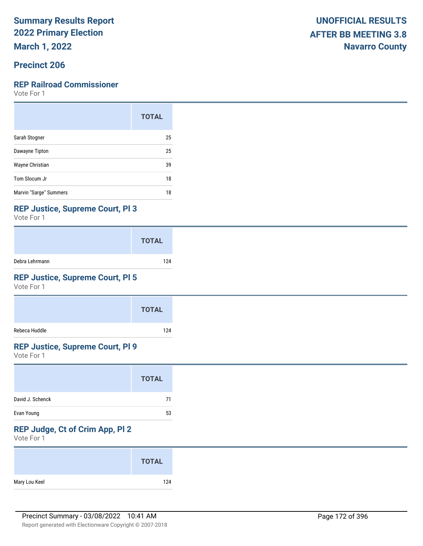**March 1, 2022**

### **Precinct 206**

#### **REP Railroad Commissioner**

Vote For 1

|                        | <b>TOTAL</b> |
|------------------------|--------------|
| Sarah Stogner          | 25           |
| Dawayne Tipton         | 25           |
| Wayne Christian        | 39           |
| Tom Slocum Jr          | 18           |
| Marvin "Sarge" Summers | 18           |

#### **REP Justice, Supreme Court, Pl 3**

Vote For 1

|                | <b>TOTAL</b> |
|----------------|--------------|
| Debra Lehrmann | 124          |

## **REP Justice, Supreme Court, Pl 5**

Vote For 1

|               | <b>TOTAL</b> |
|---------------|--------------|
| Rebeca Huddle | 124          |

## **REP Justice, Supreme Court, Pl 9**

Vote For 1

|                  | <b>TOTAL</b> |
|------------------|--------------|
| David J. Schenck | 71           |
| Evan Young       | 53           |

## **REP Judge, Ct of Crim App, Pl 2**

|               | <b>TOTAL</b> |
|---------------|--------------|
| Mary Lou Keel | 124          |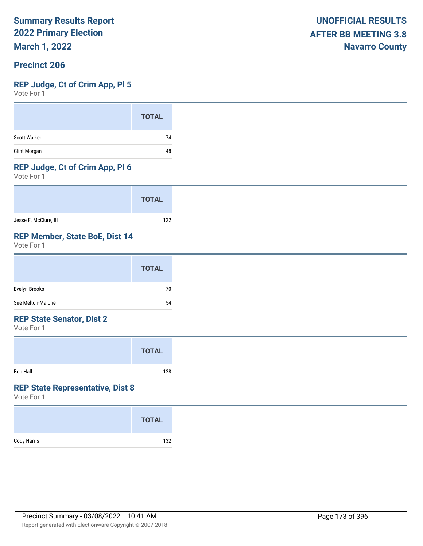**March 1, 2022**

### **Precinct 206**

#### **REP Judge, Ct of Crim App, Pl 5**

Vote For 1

|              | <b>TOTAL</b> |
|--------------|--------------|
| Scott Walker | 74           |
| Clint Morgan | 48           |

#### **REP Judge, Ct of Crim App, Pl 6**

Vote For 1

|                       | <b>TOTAL</b> |
|-----------------------|--------------|
| Jesse F. McClure, III | 122          |

#### **REP Member, State BoE, Dist 14**

Vote For 1

|                   | <b>TOTAL</b> |
|-------------------|--------------|
| Evelyn Brooks     | 70           |
| Sue Melton-Malone | 54           |

#### **REP State Senator, Dist 2**

Vote For 1

|                 | <b>TOTAL</b> |  |
|-----------------|--------------|--|
| <b>Bob Hall</b> | 128          |  |

#### **REP State Representative, Dist 8**

|             | <b>TOTAL</b> |
|-------------|--------------|
| Cody Harris | 132          |
|             |              |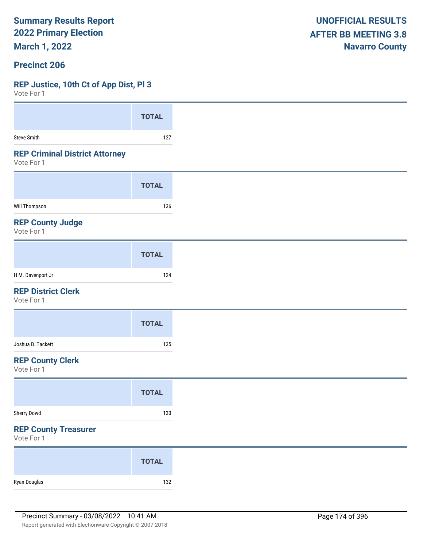**March 1, 2022**

#### **Precinct 206**

#### **REP Justice, 10th Ct of App Dist, Pl 3**

| Vote For 1                                          |              |
|-----------------------------------------------------|--------------|
|                                                     | <b>TOTAL</b> |
|                                                     |              |
| <b>Steve Smith</b>                                  | 127          |
| <b>REP Criminal District Attorney</b><br>Vote For 1 |              |
|                                                     | <b>TOTAL</b> |
| Will Thompson                                       | 136          |
| <b>REP County Judge</b><br>Vote For 1               |              |
|                                                     | <b>TOTAL</b> |
| H M. Davenport Jr                                   | 124          |
| <b>REP District Clerk</b><br>Vote For 1             |              |
|                                                     | <b>TOTAL</b> |
| Joshua B. Tackett                                   | 135          |
| <b>REP County Clerk</b><br>Vote For 1               |              |
|                                                     | <b>TOTAL</b> |
| Sherry Dowd                                         | 130          |
| <b>REP County Treasurer</b><br>Vote For 1           |              |
|                                                     | <b>TOTAL</b> |
| Ryan Douglas                                        | 132          |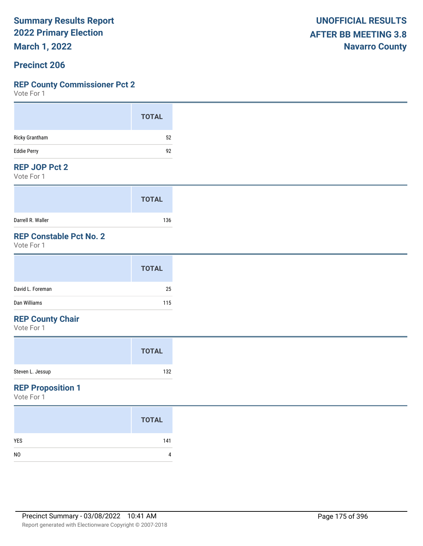**March 1, 2022**

#### **Precinct 206**

#### **REP County Commissioner Pct 2**

Vote For 1

#### **REP JOP Pct 2**

Vote For 1

|                   | <b>TOTAL</b> |
|-------------------|--------------|
| Darrell R. Waller | 136          |

## **REP Constable Pct No. 2**

Vote For 1

#### **REP County Chair**

Vote For 1

#### **REP Proposition 1**

|                | <b>TOTAL</b> |
|----------------|--------------|
| <b>YES</b>     | 141          |
| N <sub>0</sub> | 4            |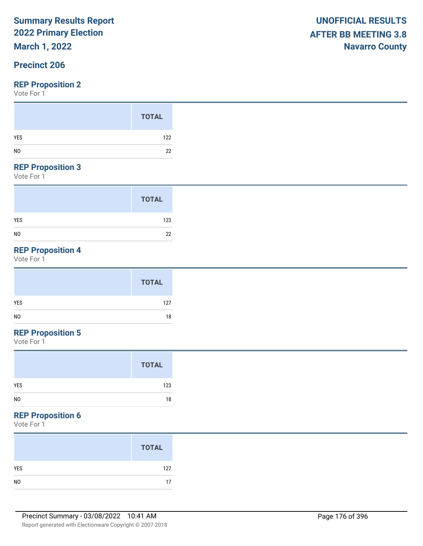## **March 1, 2022**

## **Precinct 206**

#### **REP Proposition 2**

Vote For 1

#### **REP Proposition 3**

Vote For 1

|                | <b>TOTAL</b> |
|----------------|--------------|
| <b>YES</b>     | 123          |
| N <sub>0</sub> | 22           |

## **REP Proposition 4**

Vote For 1

|                | <b>TOTAL</b> |
|----------------|--------------|
| YES            | 127          |
| N <sub>0</sub> | 18           |

## **REP Proposition 5**

Vote For 1

### **REP Proposition 6**

|                | <b>TOTAL</b> |
|----------------|--------------|
| YES            | 127          |
| N <sub>0</sub> | 17           |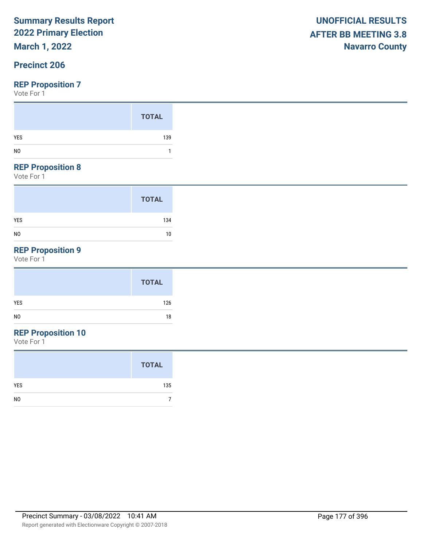## **March 1, 2022**

## **Precinct 206**

#### **REP Proposition 7**

Vote For 1

#### **REP Proposition 8**

Vote For 1

|                | <b>TOTAL</b> |
|----------------|--------------|
| <b>YES</b>     | 134          |
| N <sub>0</sub> | 10           |

## **REP Proposition 9**

Vote For 1

| <b>TOTAL</b> |
|--------------|
| YES<br>126   |
| NO<br>18     |

## **REP Proposition 10**

|                | <b>TOTAL</b> |
|----------------|--------------|
| YES            | 135          |
| N <sub>0</sub> |              |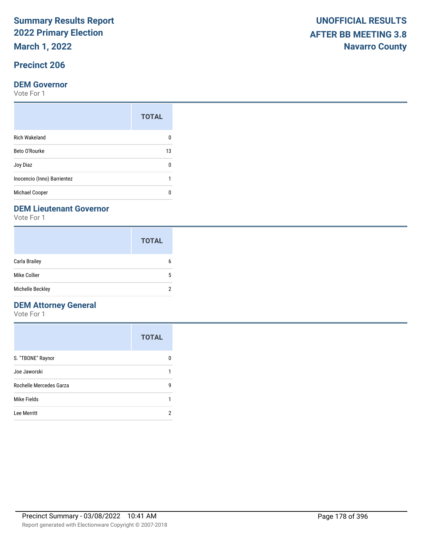**March 1, 2022**

## **Precinct 206**

#### **DEM Governor**

Vote For 1

|                             | <b>TOTAL</b> |
|-----------------------------|--------------|
| <b>Rich Wakeland</b>        |              |
| Beto O'Rourke               | 13           |
| Joy Diaz                    | n            |
| Inocencio (Inno) Barrientez |              |
| Michael Cooper              |              |

#### **DEM Lieutenant Governor**

Vote For 1

|                  | <b>TOTAL</b> |
|------------------|--------------|
| Carla Brailey    | 6            |
| Mike Collier     | 5            |
| Michelle Beckley | っ            |

## **DEM Attorney General**

|                         | <b>TOTAL</b> |
|-------------------------|--------------|
| S. "TBONE" Raynor       |              |
| Joe Jaworski            |              |
| Rochelle Mercedes Garza | g            |
| Mike Fields             |              |
| Lee Merritt             |              |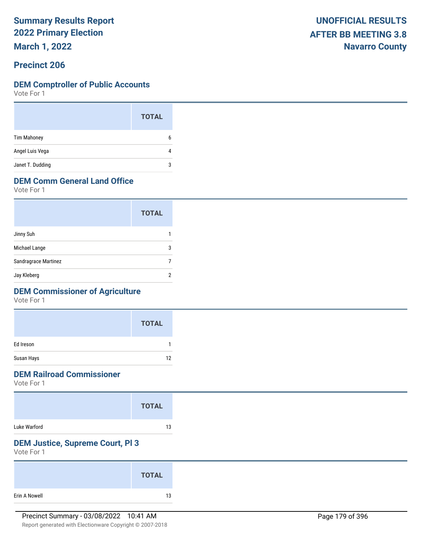**March 1, 2022**

## **Precinct 206**

#### **DEM Comptroller of Public Accounts**

Vote For 1

|                    | <b>TOTAL</b> |  |
|--------------------|--------------|--|
| <b>Tim Mahoney</b> | 6            |  |
| Angel Luis Vega    | 4            |  |
| Janet T. Dudding   | 3            |  |

### **DEM Comm General Land Office**

Vote For 1

|                      | <b>TOTAL</b> |
|----------------------|--------------|
| Jinny Suh            |              |
| Michael Lange        | 3            |
| Sandragrace Martinez |              |
| Jay Kleberg          |              |

### **DEM Commissioner of Agriculture**

Vote For 1

|            | <b>TOTAL</b> |
|------------|--------------|
| Ed Ireson  |              |
| Susan Hays | 12           |

### **DEM Railroad Commissioner**

Vote For 1

|              | <b>TOTAL</b> |
|--------------|--------------|
| Luke Warford | 13           |

## **DEM Justice, Supreme Court, Pl 3**

|               | <b>TOTAL</b> |  |
|---------------|--------------|--|
| Erin A Nowell | 13           |  |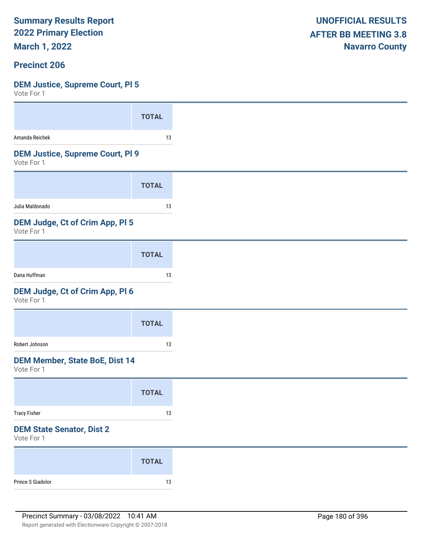**March 1, 2022**

#### **Precinct 206**

#### **DEM Justice, Supreme Court, Pl 5**

| VULE FUI I                                            |              |
|-------------------------------------------------------|--------------|
|                                                       | <b>TOTAL</b> |
| Amanda Reichek                                        | 13           |
| <b>DEM Justice, Supreme Court, PI 9</b><br>Vote For 1 |              |
|                                                       | <b>TOTAL</b> |
| Julia Maldonado                                       | 13           |
| DEM Judge, Ct of Crim App, PI 5<br>Vote For 1         |              |
|                                                       | <b>TOTAL</b> |
| Dana Huffman                                          | 13           |
| DEM Judge, Ct of Crim App, Pl 6<br>Vote For 1         |              |
|                                                       | <b>TOTAL</b> |
| Robert Johnson                                        | 13           |
| <b>DEM Member, State BoE, Dist 14</b><br>Vote For 1   |              |
|                                                       | <b>TOTAL</b> |
| <b>Tracy Fisher</b>                                   | $13\,$       |
| <b>DEM State Senator, Dist 2</b><br>Vote For 1        |              |
|                                                       | <b>TOTAL</b> |
| Prince S Giadolor                                     | $13\,$       |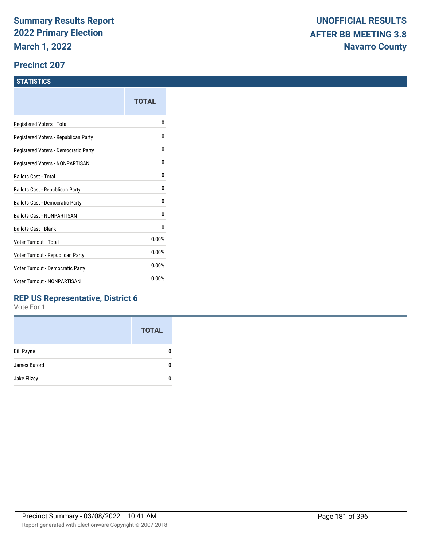### **Precinct 207**

### **STATISTICS**

| TOTAL |
|-------|
| o     |
| 0     |
| 0     |
| 0     |
| 0     |
| 0     |
| 0     |
| 0     |
| 0     |
| 0.00% |
| 0.00% |
| 0.00% |
| 0.00% |
|       |

# **REP US Representative, District 6**

|                   | <b>TOTAL</b> |
|-------------------|--------------|
| <b>Bill Payne</b> |              |
| James Buford      |              |
| Jake Ellzey       |              |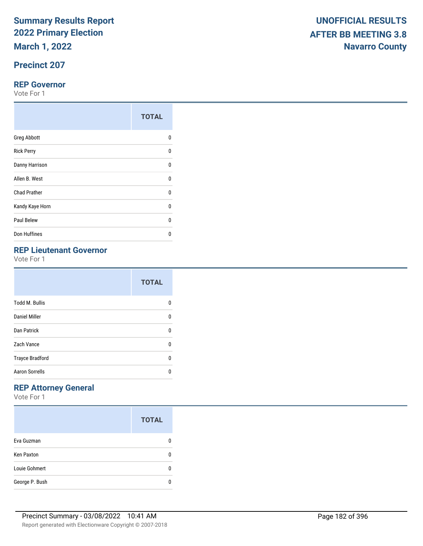**March 1, 2022**

# **Precinct 207**

### **REP Governor**

Vote For 1

|                     | <b>TOTAL</b> |
|---------------------|--------------|
| <b>Greg Abbott</b>  | 0            |
| <b>Rick Perry</b>   | U            |
| Danny Harrison      | U            |
| Allen B. West       | U            |
| <b>Chad Prather</b> | 0            |
| Kandy Kaye Horn     | $\Omega$     |
| Paul Belew          | U            |
| Don Huffines        | n            |

# **REP Lieutenant Governor**

Vote For 1

|                        | <b>TOTAL</b> |
|------------------------|--------------|
| <b>Todd M. Bullis</b>  | n            |
| Daniel Miller          | 0            |
| Dan Patrick            | 0            |
| Zach Vance             | U            |
| <b>Trayce Bradford</b> | U            |
| <b>Aaron Sorrells</b>  | n            |

# **REP Attorney General**

|                   | <b>TOTAL</b> |
|-------------------|--------------|
| Eva Guzman        |              |
| <b>Ken Paxton</b> |              |
| Louie Gohmert     |              |
| George P. Bush    |              |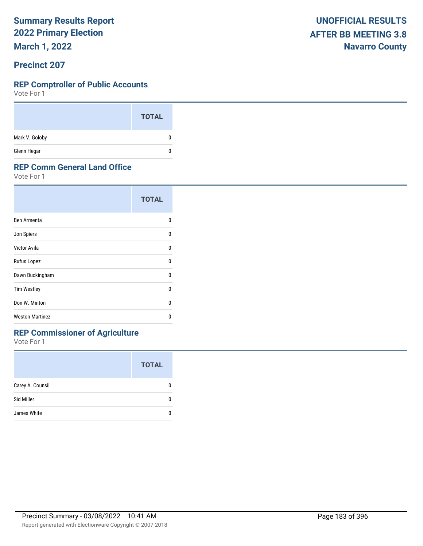**March 1, 2022**

### **Precinct 207**

### **REP Comptroller of Public Accounts**

Vote For 1

|                | <b>TOTAL</b> |
|----------------|--------------|
| Mark V. Goloby | 0            |
| Glenn Hegar    | 0            |

### **REP Comm General Land Office**

Vote For 1

|                        | <b>TOTAL</b> |
|------------------------|--------------|
| Ben Armenta            | n            |
| Jon Spiers             | n            |
| Victor Avila           | U            |
| Rufus Lopez            | U            |
| Dawn Buckingham        | 0            |
| <b>Tim Westley</b>     | n            |
| Don W. Minton          | n            |
| <b>Weston Martinez</b> | n            |

# **REP Commissioner of Agriculture**

|                  | <b>TOTAL</b> |
|------------------|--------------|
| Carey A. Counsil |              |
| Sid Miller       |              |
| James White      |              |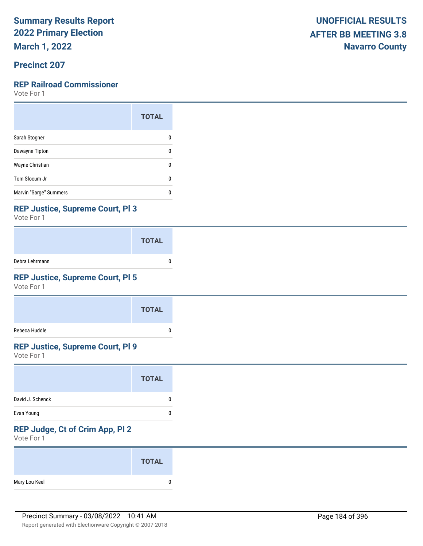**March 1, 2022**

# **Precinct 207**

### **REP Railroad Commissioner**

Vote For 1

|                        | <b>TOTAL</b> |
|------------------------|--------------|
| Sarah Stogner          |              |
| Dawayne Tipton         | ŋ            |
| Wayne Christian        | n            |
| Tom Slocum Jr          | O            |
| Marvin "Sarge" Summers | п            |

## **REP Justice, Supreme Court, Pl 3**

Vote For 1

|                | <b>TOTAL</b> |  |
|----------------|--------------|--|
| Debra Lehrmann |              |  |

# **REP Justice, Supreme Court, Pl 5**

Vote For 1

|               | <b>TOTAL</b> |
|---------------|--------------|
| Rebeca Huddle |              |

## **REP Justice, Supreme Court, Pl 9**

Vote For 1

### **REP Judge, Ct of Crim App, Pl 2**

|               | <b>TOTAL</b> |
|---------------|--------------|
| Mary Lou Keel | n            |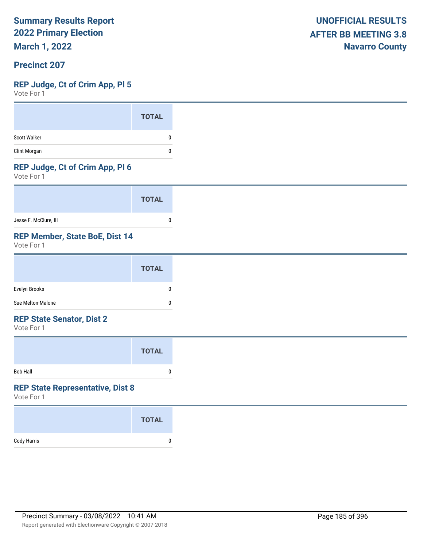**March 1, 2022**

### **Precinct 207**

### **REP Judge, Ct of Crim App, Pl 5**

Vote For 1

### **REP Judge, Ct of Crim App, Pl 6**

Vote For 1

|                       | <b>TOTAL</b> |  |
|-----------------------|--------------|--|
| Jesse F. McClure, III |              |  |

# **REP Member, State BoE, Dist 14**

Vote For 1

|                                                                                                                                                                                                                                                                                                                                                                                                                                                                                            | <b>TOTAL</b> |
|--------------------------------------------------------------------------------------------------------------------------------------------------------------------------------------------------------------------------------------------------------------------------------------------------------------------------------------------------------------------------------------------------------------------------------------------------------------------------------------------|--------------|
| Evelyn Brooks                                                                                                                                                                                                                                                                                                                                                                                                                                                                              | 0            |
| Sue Melton-Malone                                                                                                                                                                                                                                                                                                                                                                                                                                                                          | 0            |
| $\blacksquare$ $\blacksquare$ $\blacksquare$ $\blacksquare$ $\blacksquare$ $\blacksquare$ $\blacksquare$ $\blacksquare$ $\blacksquare$ $\blacksquare$ $\blacksquare$ $\blacksquare$ $\blacksquare$ $\blacksquare$ $\blacksquare$ $\blacksquare$ $\blacksquare$ $\blacksquare$ $\blacksquare$ $\blacksquare$ $\blacksquare$ $\blacksquare$ $\blacksquare$ $\blacksquare$ $\blacksquare$ $\blacksquare$ $\blacksquare$ $\blacksquare$ $\blacksquare$ $\blacksquare$ $\blacksquare$ $\blacks$ |              |

#### **REP State Senator, Dist 2**

Vote For 1

|                 | <b>TOTAL</b> |  |
|-----------------|--------------|--|
| <b>Bob Hall</b> | o            |  |

#### **REP State Representative, Dist 8**

|             | <b>TOTAL</b> |
|-------------|--------------|
| Cody Harris | 0            |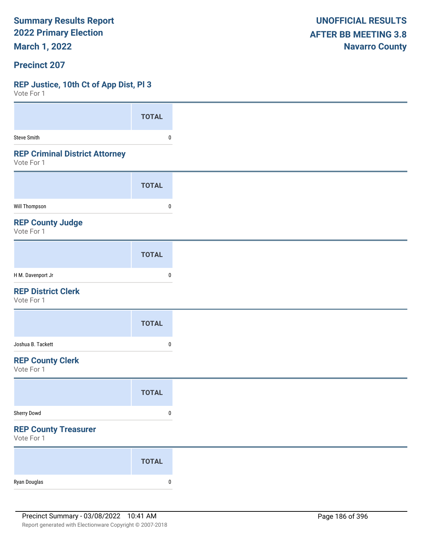**March 1, 2022**

### **Precinct 207**

### **REP Justice, 10th Ct of App Dist, Pl 3**

 $V$ oto Fo

| A A COLE LOI                                        |              |
|-----------------------------------------------------|--------------|
|                                                     | <b>TOTAL</b> |
| <b>Steve Smith</b>                                  | 0            |
| <b>REP Criminal District Attorney</b><br>Vote For 1 |              |
|                                                     | <b>TOTAL</b> |
| Will Thompson                                       | 0            |
| <b>REP County Judge</b><br>Vote For 1               |              |
|                                                     | <b>TOTAL</b> |
| H M. Davenport Jr                                   | $\pmb{0}$    |
| <b>REP District Clerk</b><br>Vote For 1             |              |
|                                                     | <b>TOTAL</b> |
| Joshua B. Tackett                                   | $\mathbf{0}$ |
| <b>REP County Clerk</b><br>Vote For 1               |              |
|                                                     | <b>TOTAL</b> |
| Sherry Dowd                                         | $\pmb{0}$    |
| <b>REP County Treasurer</b><br>Vote For 1           |              |
|                                                     | <b>TOTAL</b> |
| Ryan Douglas                                        | $\pmb{0}$    |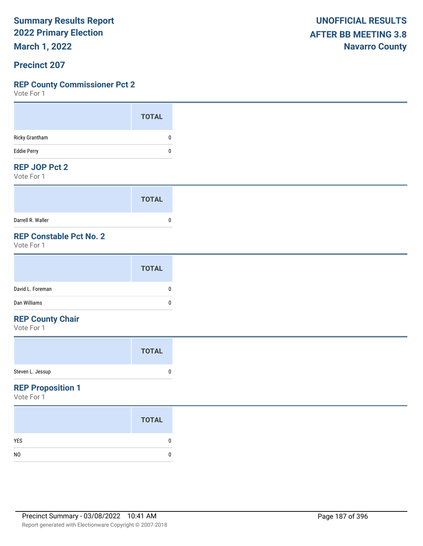**March 1, 2022**

### **Precinct 207**

### **REP County Commissioner Pct 2**

Vote For 1

### **REP JOP Pct 2**

Vote For 1

|                   | <b>TOTAL</b> |
|-------------------|--------------|
| Darrell R. Waller |              |

# **REP Constable Pct No. 2**

Vote For 1

### **REP County Chair**

Vote For 1

### **REP Proposition 1**

|                | <b>TOTAL</b> |
|----------------|--------------|
| <b>YES</b>     | n            |
| N <sub>0</sub> |              |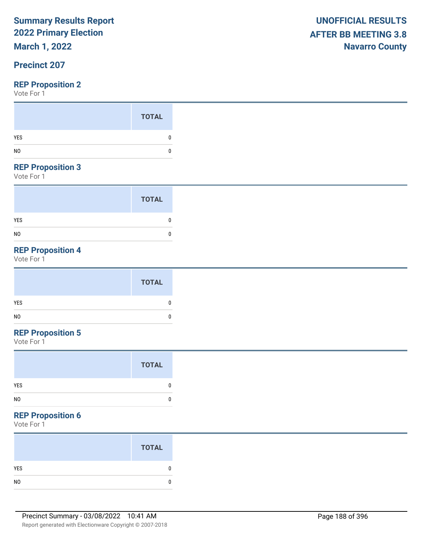# **March 1, 2022**

# **Precinct 207**

Vote For 1

### **REP Proposition 3**

Vote For 1

|                | <b>TOTAL</b> |
|----------------|--------------|
| <b>YES</b>     | 0            |
| N <sub>0</sub> | 0            |

# **REP Proposition 4**

Vote For 1

# **REP Proposition 5**

Vote For 1

| <b>TOTAL</b>       |
|--------------------|
| YES<br>0           |
| NO<br>$\mathbf{0}$ |

### **REP Proposition 6**

| <b>TOTAL</b> |
|--------------|
|              |
|              |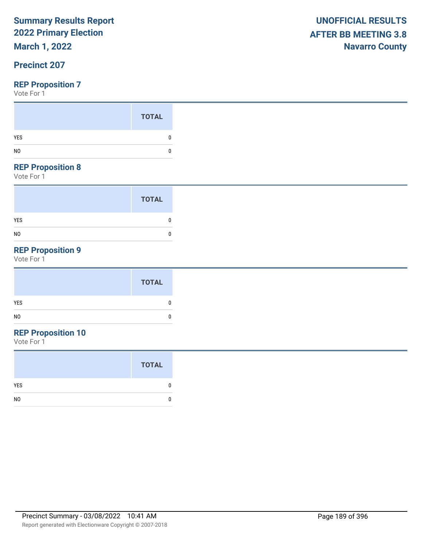# **March 1, 2022**

# **Precinct 207**

### **REP Proposition 7**

Vote For 1

|     | <b>TOTAL</b> |
|-----|--------------|
| YES |              |
| NO  |              |
|     |              |

### **REP Proposition 8**

Vote For 1

|                | <b>TOTAL</b> |
|----------------|--------------|
| <b>YES</b>     |              |
| N <sub>0</sub> | C            |

# **REP Proposition 9**

Vote For 1

# **REP Proposition 10**

|                | <b>TOTAL</b> |
|----------------|--------------|
| YES            |              |
| N <sub>0</sub> |              |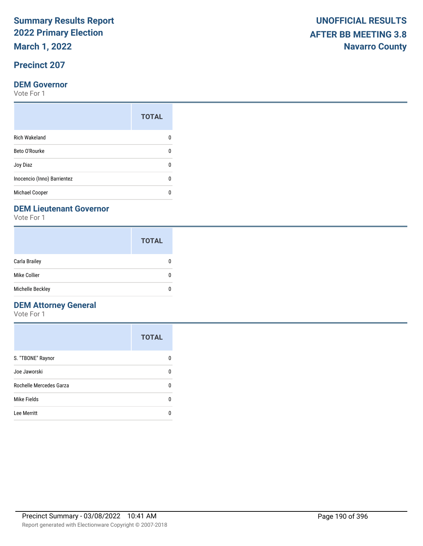**March 1, 2022**

# **Precinct 207**

### **DEM Governor**

Vote For 1

|                             | <b>TOTAL</b> |
|-----------------------------|--------------|
| <b>Rich Wakeland</b>        |              |
| Beto O'Rourke               | n            |
| Joy Diaz                    |              |
| Inocencio (Inno) Barrientez | O            |
| Michael Cooper              |              |

### **DEM Lieutenant Governor**

Vote For 1

|                      | <b>TOTAL</b> |
|----------------------|--------------|
| <b>Carla Brailey</b> |              |
| Mike Collier         | n            |
| Michelle Beckley     | ŋ            |

# **DEM Attorney General**

|                         | <b>TOTAL</b> |
|-------------------------|--------------|
| S. "TBONE" Raynor       | O            |
| Joe Jaworski            | 0            |
| Rochelle Mercedes Garza | 0            |
| Mike Fields             | ŋ            |
| Lee Merritt             |              |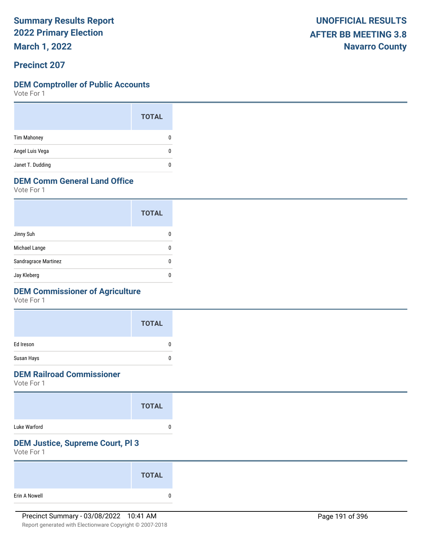**March 1, 2022**

### **Precinct 207**

### **DEM Comptroller of Public Accounts**

Vote For 1

|                    | <b>TOTAL</b> |
|--------------------|--------------|
| <b>Tim Mahoney</b> | 0            |
| Angel Luis Vega    | 0            |
| Janet T. Dudding   |              |

# **DEM Comm General Land Office**

Vote For 1

|                      | <b>TOTAL</b> |
|----------------------|--------------|
| Jinny Suh            |              |
| Michael Lange        |              |
| Sandragrace Martinez |              |
| Jay Kleberg          |              |

# **DEM Commissioner of Agriculture**

Vote For 1

|            | <b>TOTAL</b> |
|------------|--------------|
| Ed Ireson  | ŋ            |
| Susan Hays |              |

# **DEM Railroad Commissioner**

Vote For 1

|              | <b>TOTAL</b> |  |
|--------------|--------------|--|
| Luke Warford |              |  |

# **DEM Justice, Supreme Court, Pl 3**

|               | <b>TOTAL</b> |
|---------------|--------------|
| Erin A Nowell |              |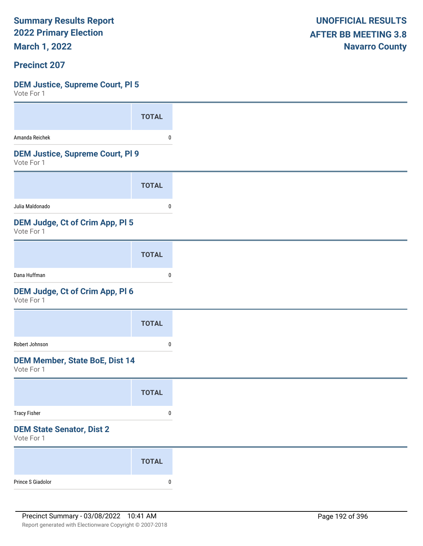**March 1, 2022**

# **Precinct 207**

### **DEM Justice, Supreme Court, Pl 5**

| .                                                     |              |
|-------------------------------------------------------|--------------|
|                                                       | <b>TOTAL</b> |
| Amanda Reichek                                        | 0            |
| <b>DEM Justice, Supreme Court, PI 9</b><br>Vote For 1 |              |
|                                                       | <b>TOTAL</b> |
| Julia Maldonado                                       | 0            |
| <b>DEM Judge, Ct of Crim App, PI 5</b><br>Vote For 1  |              |
|                                                       | <b>TOTAL</b> |
| Dana Huffman                                          | 0            |
| DEM Judge, Ct of Crim App, Pl 6<br>Vote For 1         |              |
|                                                       | <b>TOTAL</b> |
| Robert Johnson                                        | 0            |
| <b>DEM Member, State BoE, Dist 14</b><br>Vote For 1   |              |
|                                                       | <b>TOTAL</b> |
| <b>Tracy Fisher</b>                                   | $\pmb{0}$    |
| <b>DEM State Senator, Dist 2</b><br>Vote For 1        |              |
|                                                       | <b>TOTAL</b> |
| Prince S Giadolor                                     | $\pmb{0}$    |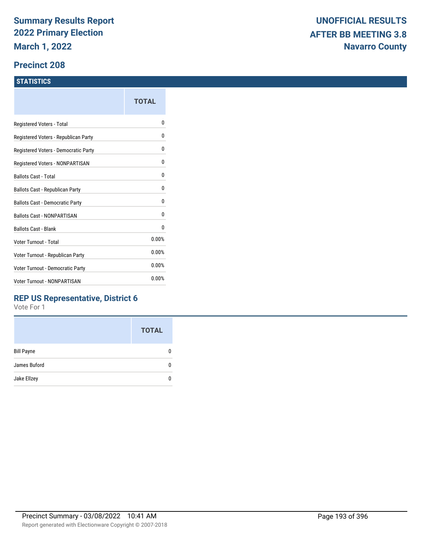### **Precinct 208**

### **STATISTICS**

| TOTAL |
|-------|
| o     |
| 0     |
| 0     |
| 0     |
| 0     |
| 0     |
| 0     |
| 0     |
| 0     |
| 0.00% |
| 0.00% |
| 0.00% |
| 0.00% |
|       |

# **REP US Representative, District 6**

|                   | <b>TOTAL</b> |
|-------------------|--------------|
| <b>Bill Payne</b> |              |
| James Buford      |              |
| Jake Ellzey       |              |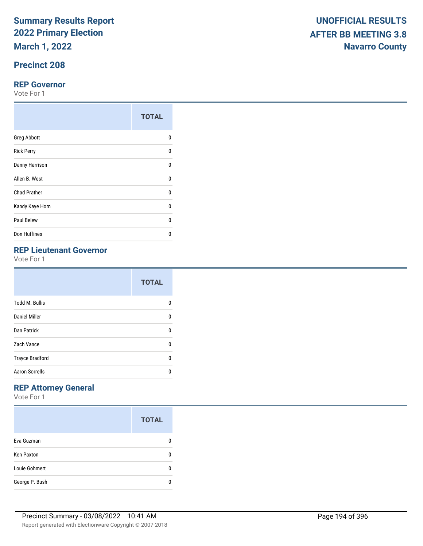**March 1, 2022**

# **Precinct 208**

### **REP Governor**

Vote For 1

|                     | <b>TOTAL</b> |
|---------------------|--------------|
| <b>Greg Abbott</b>  | 0            |
| <b>Rick Perry</b>   | U            |
| Danny Harrison      | U            |
| Allen B. West       | U            |
| <b>Chad Prather</b> | 0            |
| Kandy Kaye Horn     | $\Omega$     |
| Paul Belew          | U            |
| Don Huffines        | n            |

# **REP Lieutenant Governor**

Vote For 1

|                        | <b>TOTAL</b> |
|------------------------|--------------|
| <b>Todd M. Bullis</b>  | n            |
| Daniel Miller          | 0            |
| Dan Patrick            | 0            |
| Zach Vance             | U            |
| <b>Trayce Bradford</b> | U            |
| <b>Aaron Sorrells</b>  | n            |

# **REP Attorney General**

|                   | <b>TOTAL</b> |
|-------------------|--------------|
| Eva Guzman        |              |
| <b>Ken Paxton</b> |              |
| Louie Gohmert     |              |
| George P. Bush    |              |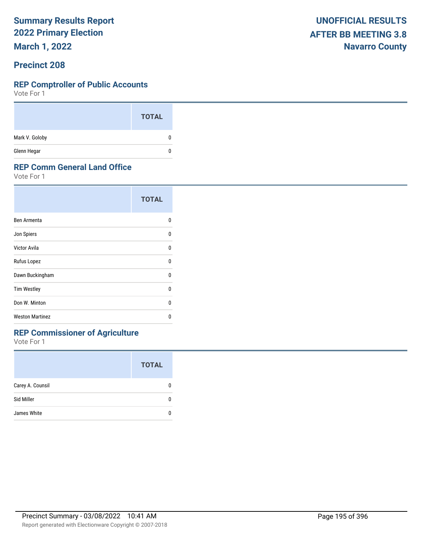**March 1, 2022**

### **Precinct 208**

#### **REP Comptroller of Public Accounts**

Vote For 1

|                | <b>TOTAL</b> |
|----------------|--------------|
| Mark V. Goloby | 0            |
| Glenn Hegar    | 0            |

### **REP Comm General Land Office**

Vote For 1

|                        | <b>TOTAL</b> |
|------------------------|--------------|
| Ben Armenta            | n            |
| Jon Spiers             | n            |
| Victor Avila           | U            |
| Rufus Lopez            | 0            |
| Dawn Buckingham        | n            |
| <b>Tim Westley</b>     | n            |
| Don W. Minton          | n            |
| <b>Weston Martinez</b> | n            |

# **REP Commissioner of Agriculture**

|                  | <b>TOTAL</b> |
|------------------|--------------|
| Carey A. Counsil |              |
| Sid Miller       |              |
| James White      |              |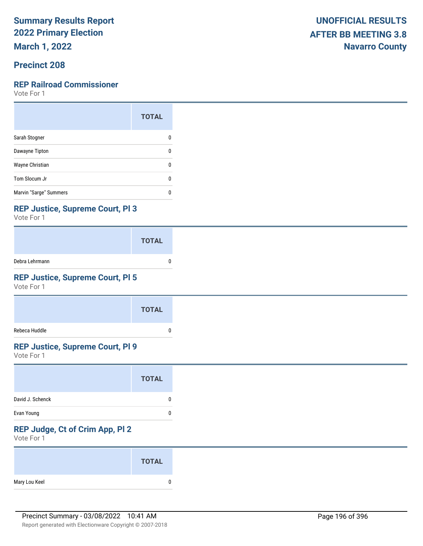**March 1, 2022**

# **Precinct 208**

### **REP Railroad Commissioner**

Vote For 1

|                        | <b>TOTAL</b> |
|------------------------|--------------|
| Sarah Stogner          |              |
| Dawayne Tipton         | ŋ            |
| Wayne Christian        | n            |
| Tom Slocum Jr          | O            |
| Marvin "Sarge" Summers | п            |

## **REP Justice, Supreme Court, Pl 3**

Vote For 1

|                | <b>TOTAL</b> |  |
|----------------|--------------|--|
| Debra Lehrmann |              |  |

# **REP Justice, Supreme Court, Pl 5**

Vote For 1

|               | <b>TOTAL</b> |
|---------------|--------------|
| Rebeca Huddle |              |

# **REP Justice, Supreme Court, Pl 9**

Vote For 1

### **REP Judge, Ct of Crim App, Pl 2**

|               | <b>TOTAL</b> |
|---------------|--------------|
| Mary Lou Keel |              |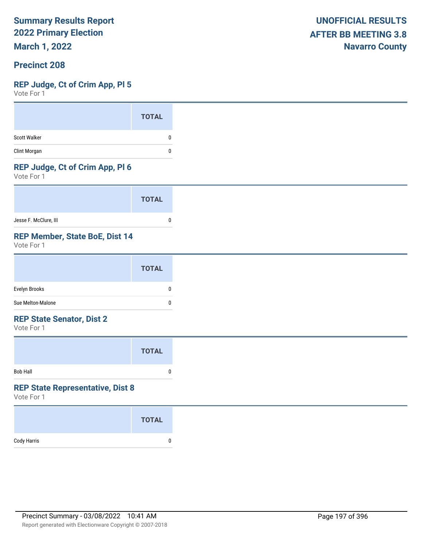**March 1, 2022**

### **Precinct 208**

### **REP Judge, Ct of Crim App, Pl 5**

Vote For 1

### **REP Judge, Ct of Crim App, Pl 6**

Vote For 1

|                       | <b>TOTAL</b> |
|-----------------------|--------------|
| Jesse F. McClure, III |              |

# **REP Member, State BoE, Dist 14**

Vote For 1

|                                                                                                                                                                                                                                                                                                                                                                                                                                                                                            | <b>TOTAL</b> |
|--------------------------------------------------------------------------------------------------------------------------------------------------------------------------------------------------------------------------------------------------------------------------------------------------------------------------------------------------------------------------------------------------------------------------------------------------------------------------------------------|--------------|
| Evelyn Brooks                                                                                                                                                                                                                                                                                                                                                                                                                                                                              | 0            |
| Sue Melton-Malone                                                                                                                                                                                                                                                                                                                                                                                                                                                                          | 0            |
| $\blacksquare$ $\blacksquare$ $\blacksquare$ $\blacksquare$ $\blacksquare$ $\blacksquare$ $\blacksquare$ $\blacksquare$ $\blacksquare$ $\blacksquare$ $\blacksquare$ $\blacksquare$ $\blacksquare$ $\blacksquare$ $\blacksquare$ $\blacksquare$ $\blacksquare$ $\blacksquare$ $\blacksquare$ $\blacksquare$ $\blacksquare$ $\blacksquare$ $\blacksquare$ $\blacksquare$ $\blacksquare$ $\blacksquare$ $\blacksquare$ $\blacksquare$ $\blacksquare$ $\blacksquare$ $\blacksquare$ $\blacks$ |              |

#### **REP State Senator, Dist 2**

Vote For 1

|                 | <b>TOTAL</b> |  |
|-----------------|--------------|--|
| <b>Bob Hall</b> | 0            |  |

# **REP State Representative, Dist 8**

|             | <b>TOTAL</b> |
|-------------|--------------|
| Cody Harris | 0            |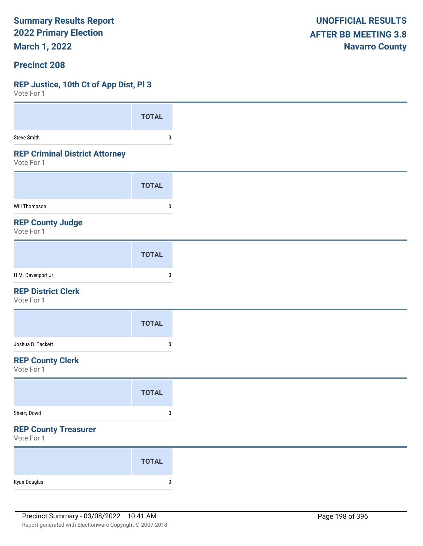**March 1, 2022**

### **Precinct 208**

### **REP Justice, 10th Ct of App Dist, Pl 3**

| VULC I UI I                                         |              |
|-----------------------------------------------------|--------------|
|                                                     | <b>TOTAL</b> |
| <b>Steve Smith</b>                                  | 0            |
| <b>REP Criminal District Attorney</b><br>Vote For 1 |              |
|                                                     | <b>TOTAL</b> |
| <b>Will Thompson</b>                                | 0            |
| <b>REP County Judge</b><br>Vote For 1               |              |
|                                                     | <b>TOTAL</b> |
| H M. Davenport Jr                                   | 0            |
| <b>REP District Clerk</b><br>Vote For 1             |              |
|                                                     | <b>TOTAL</b> |
| Joshua B. Tackett                                   | 0            |
| <b>REP County Clerk</b><br>Vote For 1               |              |
|                                                     | <b>TOTAL</b> |
| Sherry Dowd                                         | $\pmb{0}$    |
| <b>REP County Treasurer</b><br>Vote For 1           |              |
|                                                     | <b>TOTAL</b> |
| Ryan Douglas                                        | $\pmb{0}$    |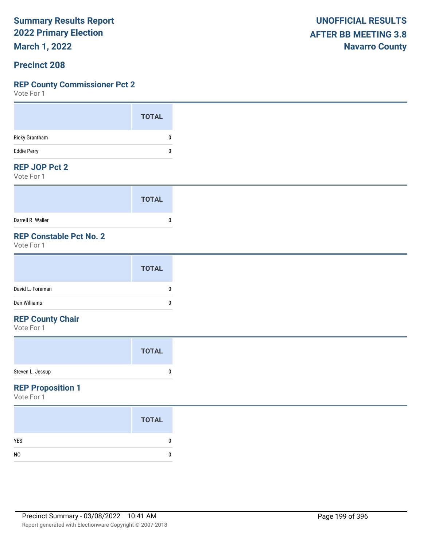**March 1, 2022**

### **Precinct 208**

### **REP County Commissioner Pct 2**

Vote For 1

#### **REP JOP Pct 2**

Vote For 1

|                   | <b>TOTAL</b> |
|-------------------|--------------|
| Darrell R. Waller |              |

# **REP Constable Pct No. 2**

Vote For 1

### **REP County Chair**

Vote For 1

# **REP Proposition 1**

|                | <b>TOTAL</b> |
|----------------|--------------|
| <b>YES</b>     |              |
| N <sub>0</sub> |              |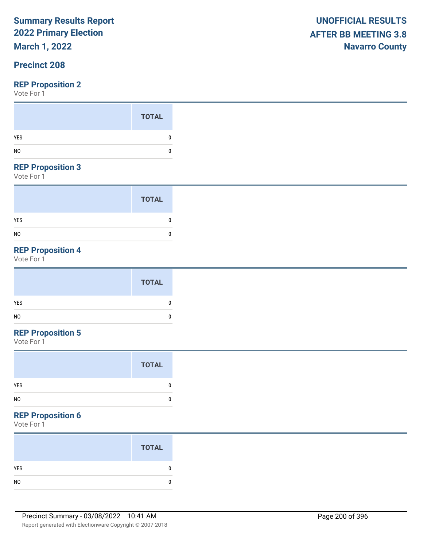# **March 1, 2022**

# **Precinct 208**

Vote For 1

### **REP Proposition 3**

Vote For 1

|                | <b>TOTAL</b> |
|----------------|--------------|
| <b>YES</b>     | 0            |
| N <sub>0</sub> | 0            |

# **REP Proposition 4**

Vote For 1

| <b>TOTAL</b> |   |
|--------------|---|
| <b>YES</b>   |   |
| NO           | C |

# **REP Proposition 5**

Vote For 1

#### **REP Proposition 6**

| <b>TOTAL</b> |
|--------------|
|              |
|              |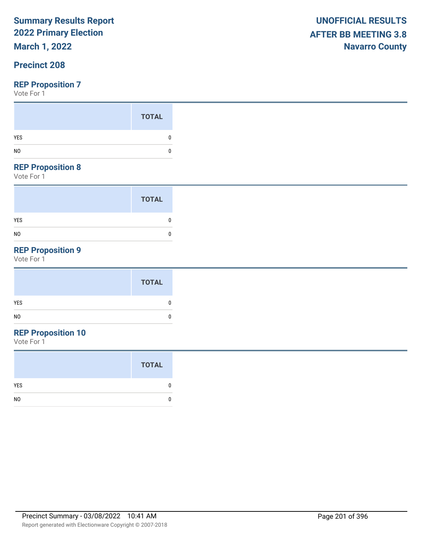# **March 1, 2022**

# **Precinct 208**

Vote For 1

### **REP Proposition 8**

Vote For 1

|                | <b>TOTAL</b> |
|----------------|--------------|
| <b>YES</b>     |              |
| N <sub>0</sub> | Ω            |

# **REP Proposition 9**

Vote For 1

# **REP Proposition 10**

|                | <b>TOTAL</b> |
|----------------|--------------|
| <b>YES</b>     | n            |
| N <sub>0</sub> |              |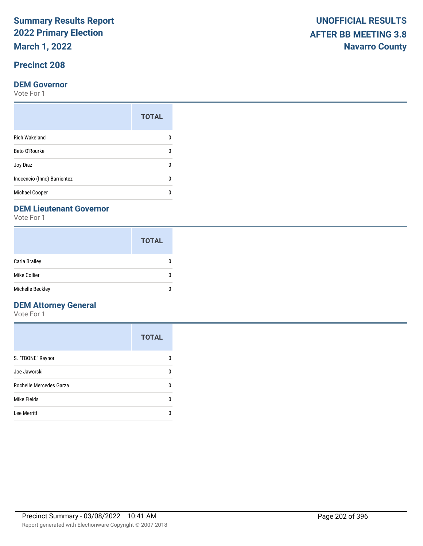**March 1, 2022**

# **Precinct 208**

### **DEM Governor**

Vote For 1

|                             | <b>TOTAL</b> |
|-----------------------------|--------------|
| <b>Rich Wakeland</b>        |              |
| Beto O'Rourke               | n            |
| Joy Diaz                    | n            |
| Inocencio (Inno) Barrientez | O            |
| <b>Michael Cooper</b>       |              |

### **DEM Lieutenant Governor**

Vote For 1

|                  | <b>TOTAL</b> |
|------------------|--------------|
| Carla Brailey    |              |
| Mike Collier     | 0            |
| Michelle Beckley | n            |

# **DEM Attorney General**

|                         | <b>TOTAL</b> |
|-------------------------|--------------|
| S. "TBONE" Raynor       |              |
| Joe Jaworski            | n            |
| Rochelle Mercedes Garza | n            |
| Mike Fields             | ŋ            |
| Lee Merritt             |              |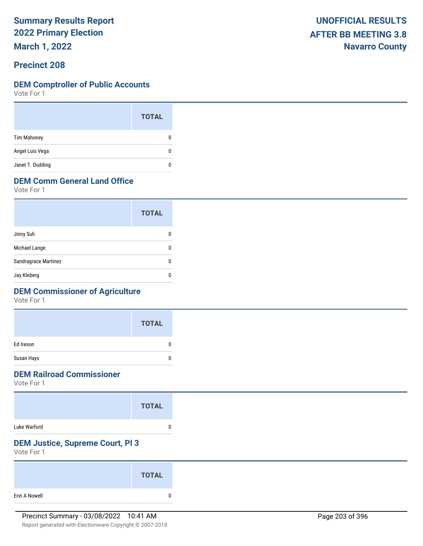**March 1, 2022**

# **Precinct 208**

#### **DEM Comptroller of Public Accounts**

Vote For 1

|                    | <b>TOTAL</b> |
|--------------------|--------------|
| <b>Tim Mahoney</b> | O            |
| Angel Luis Vega    | 0            |
| Janet T. Dudding   |              |

# **DEM Comm General Land Office**

Vote For 1

|                      | <b>TOTAL</b> |
|----------------------|--------------|
| Jinny Suh            |              |
| Michael Lange        |              |
| Sandragrace Martinez | O            |
| Jay Kleberg          |              |

# **DEM Commissioner of Agriculture**

Vote For 1

|            | <b>TOTAL</b> |
|------------|--------------|
| Ed Ireson  |              |
| Susan Hays |              |

# **DEM Railroad Commissioner**

Vote For 1

|              | <b>TOTAL</b> |  |
|--------------|--------------|--|
| Luke Warford |              |  |

# **DEM Justice, Supreme Court, Pl 3**

|               | <b>TOTAL</b> |  |
|---------------|--------------|--|
| Erin A Nowell | n            |  |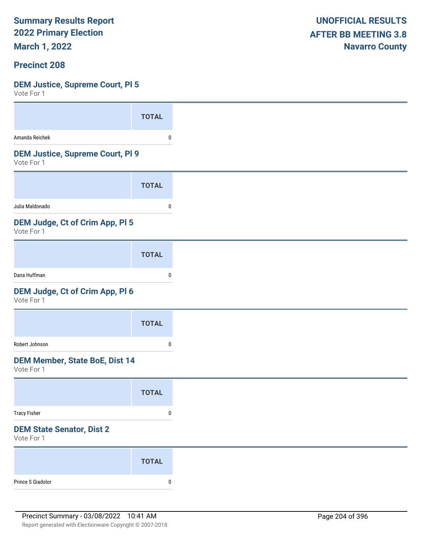**March 1, 2022**

### **Precinct 208**

### **DEM Justice, Supreme Court, Pl 5**

| VULE FUI I                                            |              |
|-------------------------------------------------------|--------------|
|                                                       | <b>TOTAL</b> |
| Amanda Reichek                                        | 0            |
| <b>DEM Justice, Supreme Court, PI 9</b><br>Vote For 1 |              |
|                                                       | <b>TOTAL</b> |
| Julia Maldonado                                       | 0            |
| DEM Judge, Ct of Crim App, Pl 5<br>Vote For 1         |              |
|                                                       | <b>TOTAL</b> |
| Dana Huffman                                          | $\pmb{0}$    |
| DEM Judge, Ct of Crim App, Pl 6<br>Vote For 1         |              |
|                                                       | <b>TOTAL</b> |
| Robert Johnson                                        | 0            |
| <b>DEM Member, State BoE, Dist 14</b><br>Vote For 1   |              |
|                                                       | <b>TOTAL</b> |
| <b>Tracy Fisher</b>                                   | $\pmb{0}$    |
| <b>DEM State Senator, Dist 2</b><br>Vote For 1        |              |
|                                                       | <b>TOTAL</b> |
| Prince S Giadolor                                     | $\pmb{0}$    |
|                                                       |              |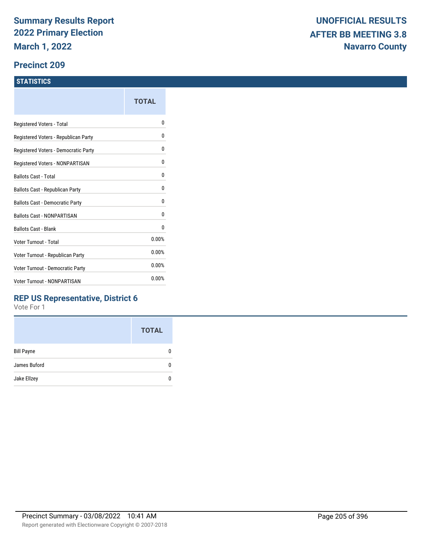### **Precinct 209**

### **STATISTICS**

| TOTAL |
|-------|
| N     |
| N     |
| 0     |
| 0     |
| 0     |
| 0     |
| 0     |
| 0     |
| 0     |
| 0.00% |
| 0.00% |
| 0.00% |
| 0.00% |
|       |

# **REP US Representative, District 6**

|                   | <b>TOTAL</b> |
|-------------------|--------------|
| <b>Bill Payne</b> |              |
| James Buford      |              |
| Jake Ellzey       |              |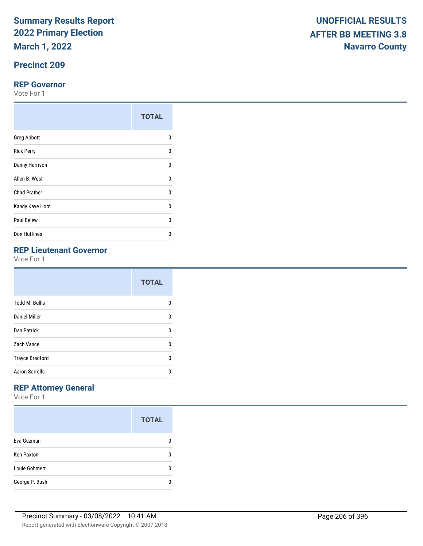**March 1, 2022**

# **Precinct 209**

### **REP Governor**

Vote For 1

|                     | <b>TOTAL</b> |
|---------------------|--------------|
| <b>Greg Abbott</b>  | 0            |
| <b>Rick Perry</b>   | U            |
| Danny Harrison      | U            |
| Allen B. West       | U            |
| <b>Chad Prather</b> | 0            |
| Kandy Kaye Horn     | $\Omega$     |
| Paul Belew          | U            |
| Don Huffines        | n            |

# **REP Lieutenant Governor**

Vote For 1

|                        | <b>TOTAL</b> |
|------------------------|--------------|
| <b>Todd M. Bullis</b>  | n            |
| <b>Daniel Miller</b>   | 0            |
| <b>Dan Patrick</b>     | 0            |
| Zach Vance             | U            |
| <b>Trayce Bradford</b> | U            |
| <b>Aaron Sorrells</b>  | n            |

# **REP Attorney General**

|                   | <b>TOTAL</b> |
|-------------------|--------------|
| Eva Guzman        |              |
| <b>Ken Paxton</b> |              |
| Louie Gohmert     |              |
| George P. Bush    |              |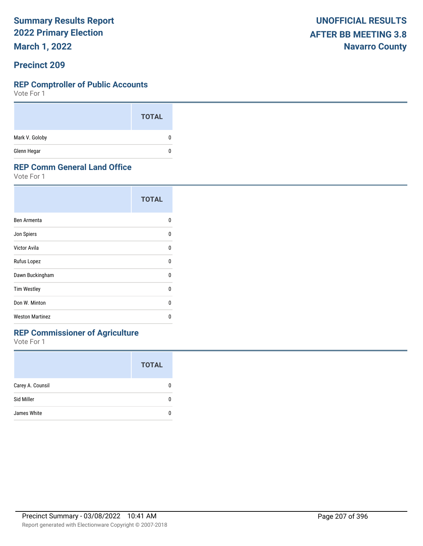**March 1, 2022**

### **Precinct 209**

#### **REP Comptroller of Public Accounts**

Vote For 1

|                | <b>TOTAL</b> |
|----------------|--------------|
| Mark V. Goloby | 0            |
| Glenn Hegar    | 0            |

### **REP Comm General Land Office**

Vote For 1

|                        | <b>TOTAL</b> |
|------------------------|--------------|
| Ben Armenta            | n            |
| Jon Spiers             | n            |
| Victor Avila           | U            |
| Rufus Lopez            | 0            |
| Dawn Buckingham        | n            |
| <b>Tim Westley</b>     | n            |
| Don W. Minton          | n            |
| <b>Weston Martinez</b> | n            |

# **REP Commissioner of Agriculture**

|                  | <b>TOTAL</b> |
|------------------|--------------|
| Carey A. Counsil |              |
| Sid Miller       |              |
| James White      |              |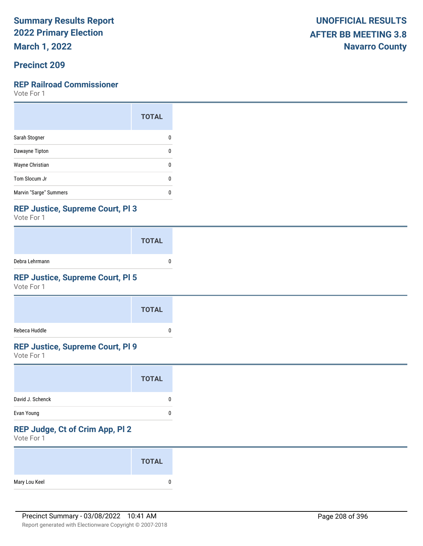**March 1, 2022**

# **Precinct 209**

### **REP Railroad Commissioner**

Vote For 1

|                        | <b>TOTAL</b> |
|------------------------|--------------|
| Sarah Stogner          |              |
| Dawayne Tipton         | ŋ            |
| Wayne Christian        | O            |
| Tom Slocum Jr          | O            |
| Marvin "Sarge" Summers | п            |

# **REP Justice, Supreme Court, Pl 3**

Vote For 1

|                | <b>TOTAL</b> |  |
|----------------|--------------|--|
| Debra Lehrmann |              |  |

# **REP Justice, Supreme Court, Pl 5**

Vote For 1

|               | <b>TOTAL</b> |
|---------------|--------------|
| Rebeca Huddle |              |

# **REP Justice, Supreme Court, Pl 9**

Vote For 1

### **REP Judge, Ct of Crim App, Pl 2**

|               | <b>TOTAL</b> |
|---------------|--------------|
| Mary Lou Keel | 0            |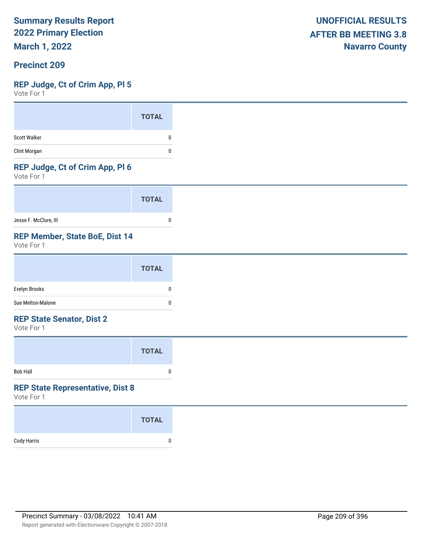**March 1, 2022**

### **Precinct 209**

### **REP Judge, Ct of Crim App, Pl 5**

Vote For 1

### **REP Judge, Ct of Crim App, Pl 6**

Vote For 1

|                       | <b>TOTAL</b> |  |
|-----------------------|--------------|--|
| Jesse F. McClure, III |              |  |

# **REP Member, State BoE, Dist 14**

Vote For 1

#### **REP State Senator, Dist 2**

Vote For 1

|                 | <b>TOTAL</b> |  |
|-----------------|--------------|--|
| <b>Bob Hall</b> | 0            |  |

#### **REP State Representative, Dist 8**

|             | <b>TOTAL</b> |
|-------------|--------------|
| Cody Harris |              |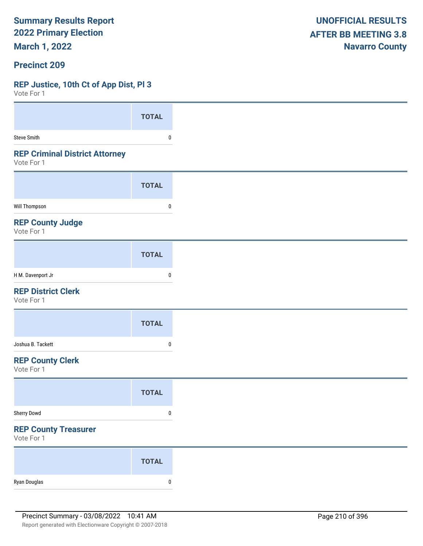**March 1, 2022**

### **Precinct 209**

### **REP Justice, 10th Ct of App Dist, Pl 3**

| VULC I UI I                                         |              |
|-----------------------------------------------------|--------------|
|                                                     | <b>TOTAL</b> |
| <b>Steve Smith</b>                                  | 0            |
| <b>REP Criminal District Attorney</b><br>Vote For 1 |              |
|                                                     | <b>TOTAL</b> |
| <b>Will Thompson</b>                                | 0            |
| <b>REP County Judge</b><br>Vote For 1               |              |
|                                                     | <b>TOTAL</b> |
| H M. Davenport Jr                                   | 0            |
| <b>REP District Clerk</b><br>Vote For 1             |              |
|                                                     | <b>TOTAL</b> |
| Joshua B. Tackett                                   | $\bf{0}$     |
| <b>REP County Clerk</b><br>Vote For 1               |              |
|                                                     | <b>TOTAL</b> |
| Sherry Dowd                                         | $\pmb{0}$    |
| <b>REP County Treasurer</b><br>Vote For 1           |              |
|                                                     | <b>TOTAL</b> |
| Ryan Douglas                                        | $\pmb{0}$    |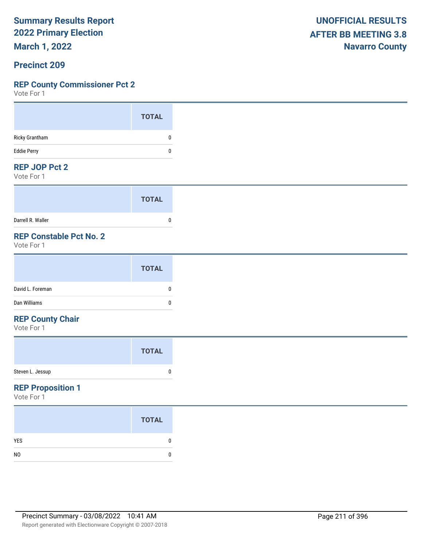**March 1, 2022**

### **Precinct 209**

### **REP County Commissioner Pct 2**

Vote For 1

### **REP JOP Pct 2**

Vote For 1

|                   | <b>TOTAL</b> |
|-------------------|--------------|
| Darrell R. Waller |              |

# **REP Constable Pct No. 2**

Vote For 1

### **REP County Chair**

Vote For 1

## **REP Proposition 1**

|                | <b>TOTAL</b> |
|----------------|--------------|
| <b>YES</b>     |              |
| N <sub>0</sub> |              |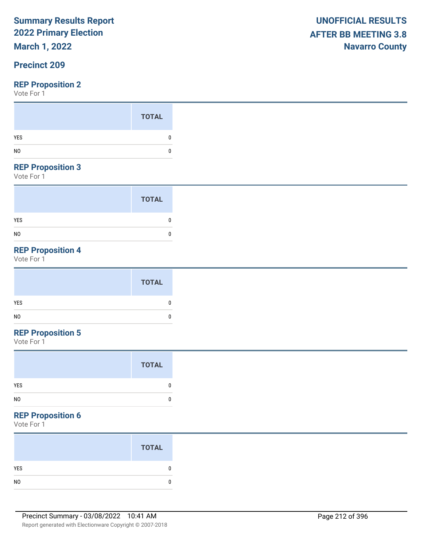# **March 1, 2022**

# **Precinct 209**

Vote For 1

### **REP Proposition 3**

Vote For 1

|                | <b>TOTAL</b> |
|----------------|--------------|
| <b>YES</b>     | 0            |
| N <sub>0</sub> | 0            |

# **REP Proposition 4**

Vote For 1

|     | <b>TOTAL</b> |   |
|-----|--------------|---|
| YES |              | 0 |
| NO  |              | 0 |

# **REP Proposition 5**

Vote For 1

#### **REP Proposition 6**

| <b>TOTAL</b> |
|--------------|
|              |
|              |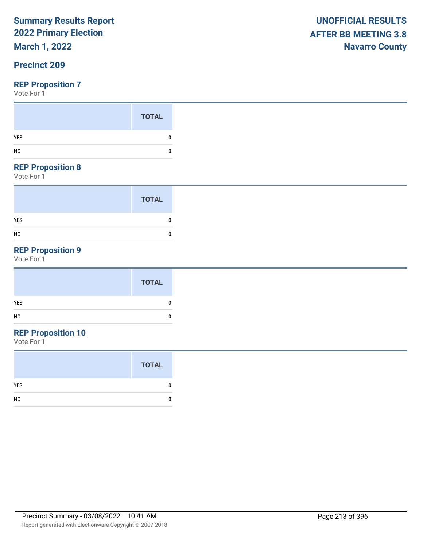# **March 1, 2022**

# **Precinct 209**

Vote For 1

|                | <b>TOTAL</b> |
|----------------|--------------|
| YES            | 0            |
| N <sub>O</sub> | 0            |
| ______         |              |

### **REP Proposition 8**

Vote For 1

|                | <b>TOTAL</b> |
|----------------|--------------|
| <b>YES</b>     | ſ            |
| N <sub>0</sub> | 0            |

# **REP Proposition 9**

Vote For 1

# **REP Proposition 10**

|                | <b>TOTAL</b> |
|----------------|--------------|
| <b>YES</b>     | 0            |
| N <sub>0</sub> |              |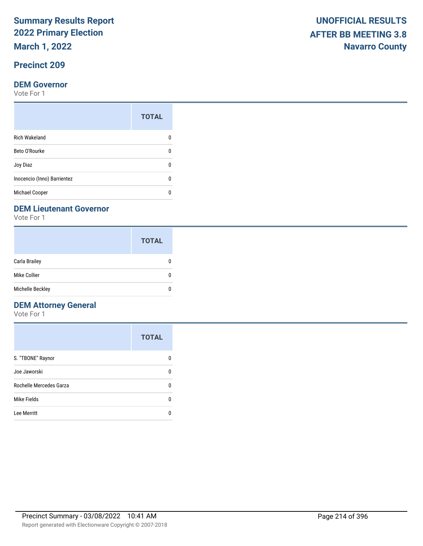**March 1, 2022**

# **Precinct 209**

### **DEM Governor**

Vote For 1

|                             | <b>TOTAL</b> |
|-----------------------------|--------------|
| <b>Rich Wakeland</b>        |              |
| Beto O'Rourke               | n            |
| Joy Diaz                    | n            |
| Inocencio (Inno) Barrientez | O            |
| <b>Michael Cooper</b>       |              |

### **DEM Lieutenant Governor**

Vote For 1

|                  | <b>TOTAL</b> |
|------------------|--------------|
| Carla Brailey    |              |
| Mike Collier     | 0            |
| Michelle Beckley | n            |

# **DEM Attorney General**

|                         | <b>TOTAL</b> |
|-------------------------|--------------|
| S. "TBONE" Raynor       |              |
| Joe Jaworski            | n            |
| Rochelle Mercedes Garza | n            |
| Mike Fields             | ŋ            |
| Lee Merritt             |              |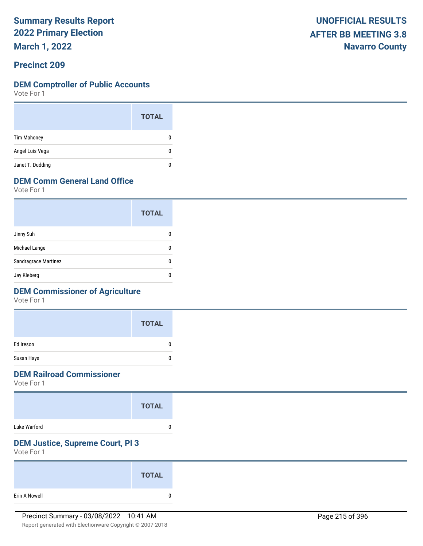**March 1, 2022**

# **Precinct 209**

### **DEM Comptroller of Public Accounts**

Vote For 1

|                    | <b>TOTAL</b> |  |
|--------------------|--------------|--|
| <b>Tim Mahoney</b> | O            |  |
| Angel Luis Vega    | n            |  |
| Janet T. Dudding   |              |  |

# **DEM Comm General Land Office**

Vote For 1

|                      | <b>TOTAL</b> |
|----------------------|--------------|
| Jinny Suh            |              |
| Michael Lange        |              |
| Sandragrace Martinez |              |
| Jay Kleberg          |              |

# **DEM Commissioner of Agriculture**

Vote For 1

|            | <b>TOTAL</b> |
|------------|--------------|
| Ed Ireson  | ŋ            |
| Susan Hays |              |

# **DEM Railroad Commissioner**

Vote For 1

|              | <b>TOTAL</b> |  |
|--------------|--------------|--|
| Luke Warford |              |  |

# **DEM Justice, Supreme Court, Pl 3**

|               | <b>TOTAL</b> |
|---------------|--------------|
| Erin A Nowell |              |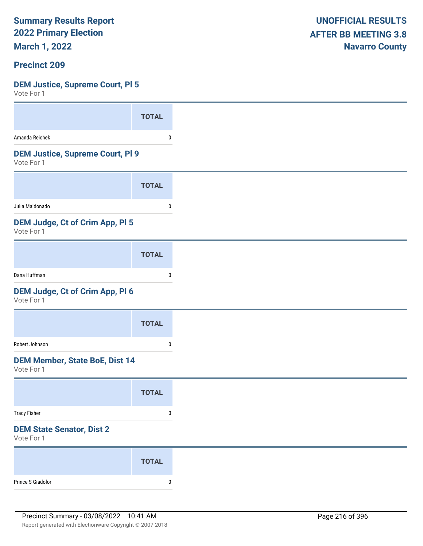**March 1, 2022**

## **Precinct 209**

### **DEM Justice, Supreme Court, Pl 5**

| VULLE LOI 1                                           |              |
|-------------------------------------------------------|--------------|
|                                                       | <b>TOTAL</b> |
| Amanda Reichek                                        | 0            |
| <b>DEM Justice, Supreme Court, PI 9</b><br>Vote For 1 |              |
|                                                       | <b>TOTAL</b> |
| Julia Maldonado                                       | 0            |
| DEM Judge, Ct of Crim App, Pl 5<br>Vote For 1         |              |
|                                                       | <b>TOTAL</b> |
| Dana Huffman                                          | $\pmb{0}$    |
| DEM Judge, Ct of Crim App, Pl 6<br>Vote For 1         |              |
|                                                       | <b>TOTAL</b> |
| Robert Johnson                                        | 0            |
| <b>DEM Member, State BoE, Dist 14</b><br>Vote For 1   |              |
|                                                       | <b>TOTAL</b> |
| <b>Tracy Fisher</b>                                   | $\pmb{0}$    |
| <b>DEM State Senator, Dist 2</b><br>Vote For 1        |              |
|                                                       | <b>TOTAL</b> |
| Prince S Giadolor                                     | $\pmb{0}$    |
|                                                       |              |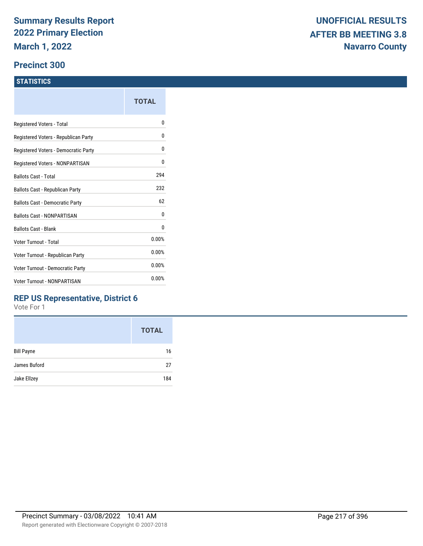#### **Precinct 300**

#### **STATISTICS**

|                                      | TOTAL |
|--------------------------------------|-------|
| Registered Voters - Total            | o     |
| Registered Voters - Republican Party | 0     |
| Registered Voters - Democratic Party | 0     |
| Registered Voters - NONPARTISAN      | 0     |
| <b>Ballots Cast - Total</b>          | 294   |
| Ballots Cast - Republican Party      | 232   |
| Ballots Cast - Democratic Party      | 62    |
| Ballots Cast - NONPARTISAN           | 0     |
| <b>Ballots Cast - Blank</b>          | 0     |
| Voter Turnout - Total                | 0.00% |
| Voter Turnout - Republican Party     | 0.00% |
| Voter Turnout - Democratic Party     | 0.00% |
| <b>Voter Turnout - NONPARTISAN</b>   | 0.00% |
|                                      |       |

#### **REP US Representative, District 6**

|                   | <b>TOTAL</b> |
|-------------------|--------------|
| <b>Bill Payne</b> | 16           |
| James Buford      | 27           |
| Jake Ellzey       | 184          |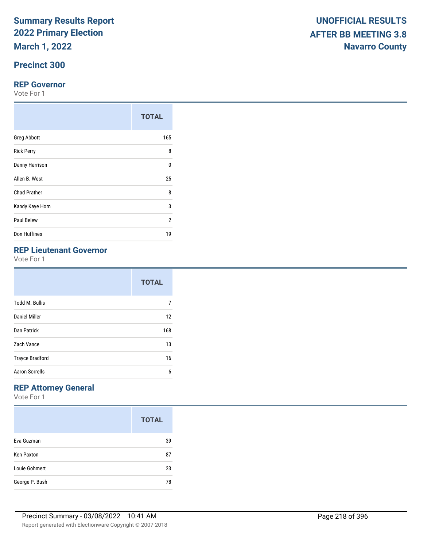**March 1, 2022**

## **Precinct 300**

#### **REP Governor**

Vote For 1

|                     | <b>TOTAL</b> |
|---------------------|--------------|
| <b>Greg Abbott</b>  | 165          |
| <b>Rick Perry</b>   | 8            |
| Danny Harrison      | $\Omega$     |
| Allen B. West       | 25           |
| <b>Chad Prather</b> | 8            |
| Kandy Kaye Horn     | 3            |
| Paul Belew          | 2            |
| Don Huffines        | 19           |

# **REP Lieutenant Governor**

Vote For 1

|                        | <b>TOTAL</b> |
|------------------------|--------------|
| <b>Todd M. Bullis</b>  |              |
| Daniel Miller          | 12           |
| Dan Patrick            | 168          |
| Zach Vance             | 13           |
| <b>Trayce Bradford</b> | 16           |
| <b>Aaron Sorrells</b>  | 6            |

## **REP Attorney General**

|                   | <b>TOTAL</b> |
|-------------------|--------------|
| Eva Guzman        | 39           |
| <b>Ken Paxton</b> | 87           |
| Louie Gohmert     | 23           |
| George P. Bush    | 78           |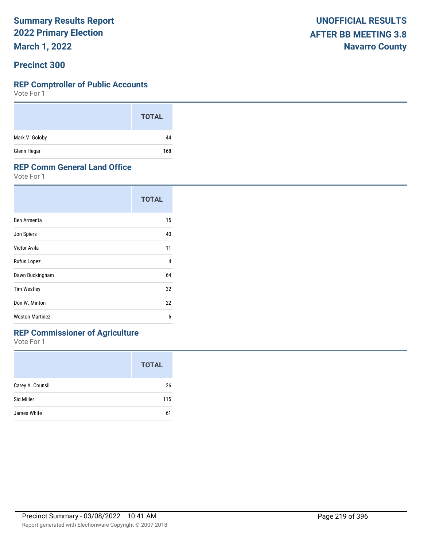**March 1, 2022**

#### **Precinct 300**

#### **REP Comptroller of Public Accounts**

Vote For 1

|                | <b>TOTAL</b> |
|----------------|--------------|
| Mark V. Goloby | 44           |
| Glenn Hegar    | 168          |

#### **REP Comm General Land Office**

Vote For 1

|                        | <b>TOTAL</b> |
|------------------------|--------------|
| Ben Armenta            | 15           |
| Jon Spiers             | 40           |
| Victor Avila           | 11           |
| Rufus Lopez            | 4            |
| Dawn Buckingham        | 64           |
| <b>Tim Westley</b>     | 32           |
| Don W. Minton          | 22           |
| <b>Weston Martinez</b> | 6            |

### **REP Commissioner of Agriculture**

|                  | <b>TOTAL</b> |
|------------------|--------------|
| Carey A. Counsil | 26           |
| Sid Miller       | 115          |
| James White      | 61           |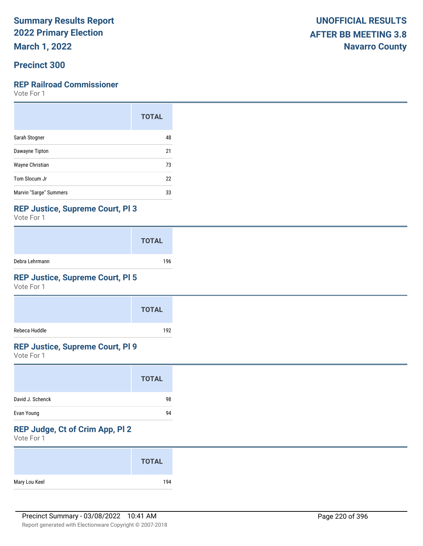**March 1, 2022**

#### **Precinct 300**

#### **REP Railroad Commissioner**

Vote For 1

|                        | <b>TOTAL</b> |
|------------------------|--------------|
| Sarah Stogner          | 48           |
| Dawayne Tipton         | 21           |
| Wayne Christian        | 73           |
| Tom Slocum Jr          | 22           |
| Marvin "Sarge" Summers | 33           |

#### **REP Justice, Supreme Court, Pl 3**

Vote For 1

|                | <b>TOTAL</b> |
|----------------|--------------|
| Debra Lehrmann | 196          |

### **REP Justice, Supreme Court, Pl 5**

Vote For 1

|               | <b>TOTAL</b> |
|---------------|--------------|
| Rebeca Huddle | 192          |

#### **REP Justice, Supreme Court, Pl 9**

Vote For 1

|                  | <b>TOTAL</b> |
|------------------|--------------|
| David J. Schenck | 98           |
| Evan Young       | 94           |

## **REP Judge, Ct of Crim App, Pl 2**

|               | <b>TOTAL</b> |
|---------------|--------------|
| Mary Lou Keel | 194          |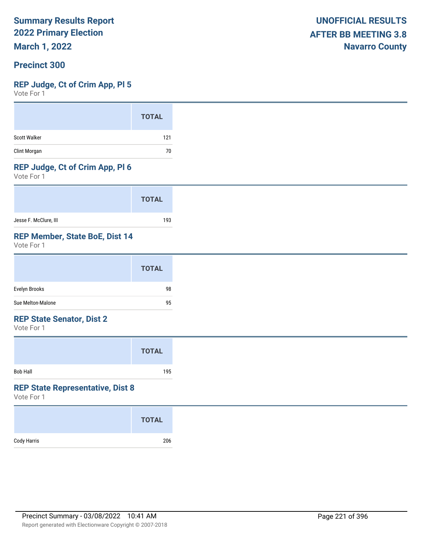**March 1, 2022**

#### **Precinct 300**

#### **REP Judge, Ct of Crim App, Pl 5**

Vote For 1

#### **REP Judge, Ct of Crim App, Pl 6**

Vote For 1

|                       | <b>TOTAL</b> |
|-----------------------|--------------|
| Jesse F. McClure, III | 193          |

#### **REP Member, State BoE, Dist 14**

Vote For 1

|                   | <b>TOTAL</b> |
|-------------------|--------------|
| Evelyn Brooks     | 98           |
| Sue Melton-Malone | 95           |

#### **REP State Senator, Dist 2**

Vote For 1

|          | <b>TOTAL</b> |  |
|----------|--------------|--|
| Bob Hall | 195          |  |

#### **REP State Representative, Dist 8**

|             | <b>TOTAL</b> |
|-------------|--------------|
| Cody Harris | 206          |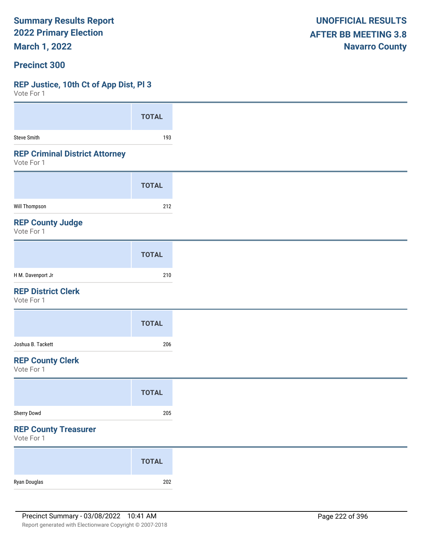**March 1, 2022**

#### **Precinct 300**

### **REP Justice, 10th Ct of App Dist, Pl 3**

 $V$ oto Fo

| VOLE FOL 1                                          |              |
|-----------------------------------------------------|--------------|
|                                                     | <b>TOTAL</b> |
| <b>Steve Smith</b>                                  | 193          |
| <b>REP Criminal District Attorney</b><br>Vote For 1 |              |
|                                                     | <b>TOTAL</b> |
| Will Thompson                                       | 212          |
| <b>REP County Judge</b><br>Vote For 1               |              |
|                                                     | <b>TOTAL</b> |
| H M. Davenport Jr                                   | 210          |
| <b>REP District Clerk</b><br>Vote For 1             |              |
|                                                     | <b>TOTAL</b> |
| Joshua B. Tackett                                   | 206          |
| <b>REP County Clerk</b><br>Vote For 1               |              |
|                                                     | <b>TOTAL</b> |
| Sherry Dowd                                         | 205          |
| <b>REP County Treasurer</b><br>Vote For 1           |              |
|                                                     | <b>TOTAL</b> |
| Ryan Douglas                                        | 202          |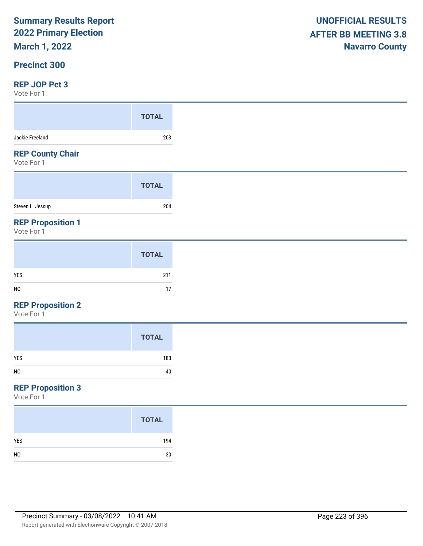# **March 1, 2022**

#### **Precinct 300**

#### **REP JOP Pct 3**

Vote For 1

| $V \cup U \cup V$                      |              |
|----------------------------------------|--------------|
|                                        | <b>TOTAL</b> |
| Jackie Freeland                        | 203          |
| <b>REP County Chair</b><br>Vote For 1  |              |
|                                        | <b>TOTAL</b> |
| Steven L. Jessup                       | 204          |
| <b>REP Proposition 1</b><br>Vote For 1 |              |

|                | <b>TOTAL</b> |
|----------------|--------------|
| YES            | 211          |
| N <sub>0</sub> | 17           |

### **REP Proposition 2**

Vote For 1

### **REP Proposition 3**

|                | <b>TOTAL</b> |
|----------------|--------------|
| <b>YES</b>     | 194          |
| N <sub>0</sub> | 30           |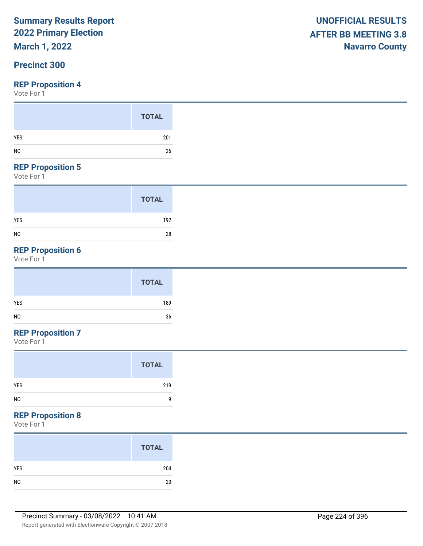# **March 1, 2022**

#### **Precinct 300**

#### **REP Proposition 4**

Vote For 1

#### **REP Proposition 5**

Vote For 1

|                | <b>TOTAL</b> |
|----------------|--------------|
| <b>YES</b>     | 192          |
| N <sub>0</sub> | 28           |

## **REP Proposition 6**

Vote For 1

|            | <b>TOTAL</b> |
|------------|--------------|
| <b>YES</b> | 189          |
| NO         | 36           |

## **REP Proposition 7**

Vote For 1

#### **REP Proposition 8**

|                | <b>TOTAL</b> |
|----------------|--------------|
| YES            | 204          |
| N <sub>0</sub> | 20           |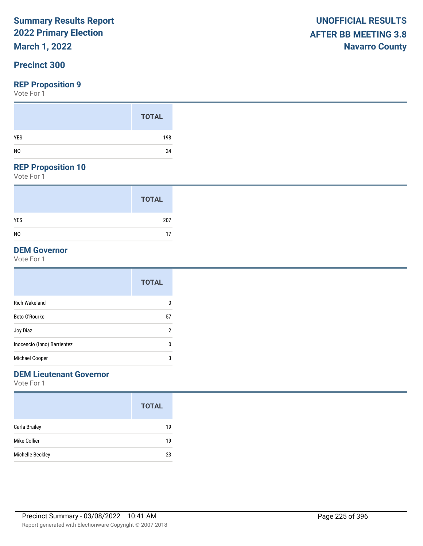# **March 1, 2022**

#### **Precinct 300**

#### **REP Proposition 9**

Vote For 1

#### **REP Proposition 10**

Vote For 1

|                | <b>TOTAL</b> |
|----------------|--------------|
| <b>YES</b>     | 207          |
| N <sub>0</sub> | 17           |

#### **DEM Governor**

Vote For 1

|                             | <b>TOTAL</b> |
|-----------------------------|--------------|
| <b>Rich Wakeland</b>        | 0            |
| Beto O'Rourke               | 57           |
| Joy Diaz                    | 2            |
| Inocencio (Inno) Barrientez | 0            |
| Michael Cooper              | 3            |

### **DEM Lieutenant Governor**

|                  | <b>TOTAL</b> |
|------------------|--------------|
| Carla Brailey    | 19           |
| Mike Collier     | 19           |
| Michelle Beckley | 23           |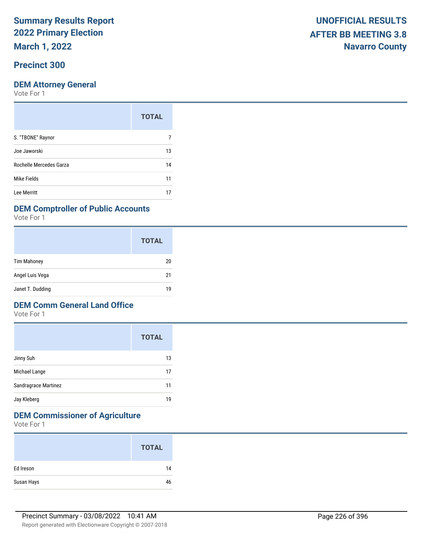**March 1, 2022**

### **Precinct 300**

#### **DEM Attorney General**

Vote For 1

| <b>TOTAL</b> |
|--------------|
|              |
| 13           |
| 14           |
| 11           |
| 17           |
|              |

#### **DEM Comptroller of Public Accounts**

Vote For 1

|                    | <b>TOTAL</b> |
|--------------------|--------------|
| <b>Tim Mahoney</b> | 20           |
| Angel Luis Vega    | 21           |
| Janet T. Dudding   | 19           |

#### **DEM Comm General Land Office**

Vote For 1

|                      | <b>TOTAL</b> |
|----------------------|--------------|
| Jinny Suh            | 13           |
| Michael Lange        | 17           |
| Sandragrace Martinez | 11           |
| Jay Kleberg          | 19           |

## **DEM Commissioner of Agriculture**

|            | <b>TOTAL</b> |
|------------|--------------|
| Ed Ireson  | 14           |
| Susan Hays | 46           |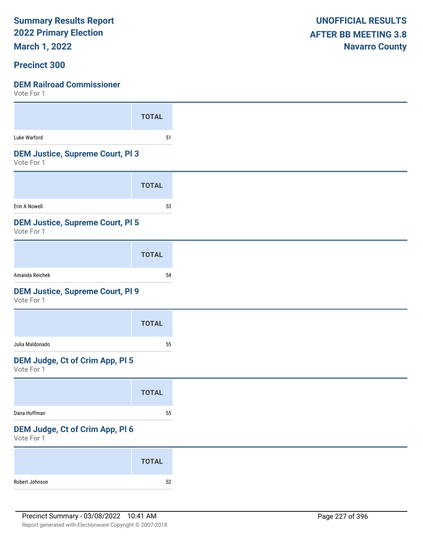**March 1, 2022**

#### **Precinct 300**

| <b>DEM Railroad Commissioner</b><br>Vote For 1        |              |
|-------------------------------------------------------|--------------|
|                                                       | <b>TOTAL</b> |
| Luke Warford                                          | 51           |
| <b>DEM Justice, Supreme Court, PI3</b><br>Vote For 1  |              |
|                                                       | <b>TOTAL</b> |
| Erin A Nowell                                         | 53           |
| <b>DEM Justice, Supreme Court, PI 5</b><br>Vote For 1 |              |
|                                                       | <b>TOTAL</b> |
| Amanda Reichek                                        | 54           |
| <b>DEM Justice, Supreme Court, PI 9</b><br>Vote For 1 |              |
|                                                       | <b>TOTAL</b> |
| Julia Maldonado                                       | 55           |
| DEM Judge, Ct of Crim App, Pl 5<br>Vote For 1         |              |
|                                                       | <b>TOTAL</b> |
| Dana Huffman                                          | 55           |
| DEM Judge, Ct of Crim App, Pl 6<br>Vote For 1         |              |
|                                                       | <b>TOTAL</b> |

Robert Johnson 52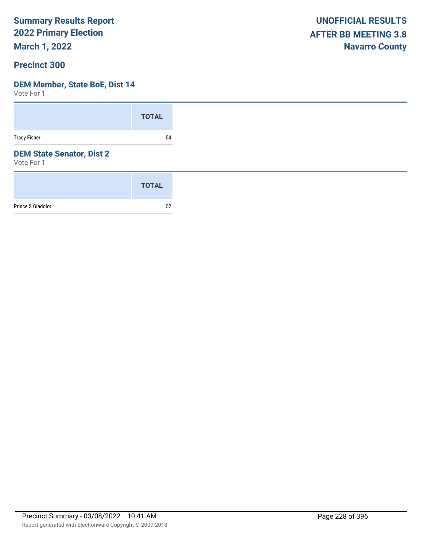**March 1, 2022**

#### **Precinct 300**

#### **DEM Member, State BoE, Dist 14**

|                                                | <b>TOTAL</b> |
|------------------------------------------------|--------------|
| <b>Tracy Fisher</b>                            | 54           |
| <b>DEM State Senator, Dist 2</b><br>Vote For 1 |              |
|                                                | <b>TOTAL</b> |
| Prince S Giadolor                              | 52           |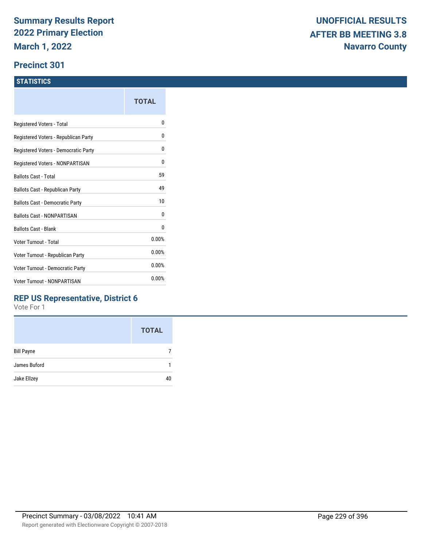#### **Precinct 301**

#### **STATISTICS**

|                                        | TOTAL |
|----------------------------------------|-------|
| Registered Voters - Total              | n     |
| Registered Voters - Republican Party   | 0     |
| Registered Voters - Democratic Party   | 0     |
| Registered Voters - NONPARTISAN        | 0     |
| <b>Ballots Cast - Total</b>            | 59    |
| Ballots Cast - Republican Party        | 49    |
| <b>Ballots Cast - Democratic Party</b> | 10    |
| <b>Ballots Cast - NONPARTISAN</b>      | 0     |
| <b>Ballots Cast - Blank</b>            | 0     |
| Voter Turnout - Total                  | 0.00% |
| Voter Turnout - Republican Party       | 0.00% |
| Voter Turnout - Democratic Party       | 0.00% |
| <b>Voter Turnout - NONPARTISAN</b>     | 0.00% |
|                                        |       |

#### **REP US Representative, District 6**

|                   | <b>TOTAL</b> |
|-------------------|--------------|
| <b>Bill Payne</b> |              |
| James Buford      |              |
| Jake Ellzey       | 40           |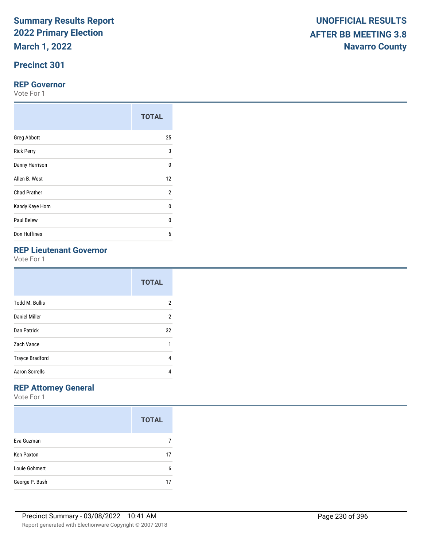# **Precinct 301**

#### **REP Governor**

Vote For 1

|                     | <b>TOTAL</b>   |
|---------------------|----------------|
| <b>Greg Abbott</b>  | 25             |
| <b>Rick Perry</b>   | 3              |
| Danny Harrison      | $\Omega$       |
| Allen B. West       | 12             |
| <b>Chad Prather</b> | $\overline{2}$ |
| Kandy Kaye Horn     | 0              |
| Paul Belew          | $\Omega$       |
| Don Huffines        | 6              |

# **REP Lieutenant Governor**

Vote For 1

|                        | <b>TOTAL</b>   |
|------------------------|----------------|
| <b>Todd M. Bullis</b>  | 2              |
| <b>Daniel Miller</b>   | $\overline{2}$ |
| Dan Patrick            | 32             |
| Zach Vance             | 1              |
| <b>Trayce Bradford</b> | 4              |
| <b>Aaron Sorrells</b>  | 4              |

# **REP Attorney General**

|                   | <b>TOTAL</b> |
|-------------------|--------------|
| Eva Guzman        |              |
| <b>Ken Paxton</b> | 17           |
| Louie Gohmert     | 6            |
| George P. Bush    | 17           |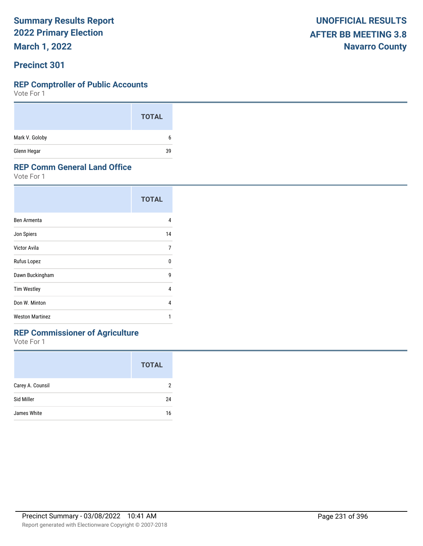**March 1, 2022**

#### **Precinct 301**

#### **REP Comptroller of Public Accounts**

Vote For 1

|                | <b>TOTAL</b> |
|----------------|--------------|
| Mark V. Goloby | 6            |
| Glenn Hegar    | 39           |

#### **REP Comm General Land Office**

Vote For 1

|                        | <b>TOTAL</b> |
|------------------------|--------------|
| Ben Armenta            | 4            |
| Jon Spiers             | 14           |
| Victor Avila           | 7            |
| Rufus Lopez            | 0            |
| Dawn Buckingham        | 9            |
| <b>Tim Westley</b>     | 4            |
| Don W. Minton          | 4            |
| <b>Weston Martinez</b> | 1            |

### **REP Commissioner of Agriculture**

|                  | <b>TOTAL</b> |
|------------------|--------------|
| Carey A. Counsil | 2            |
| Sid Miller       | 24           |
| James White      | 16           |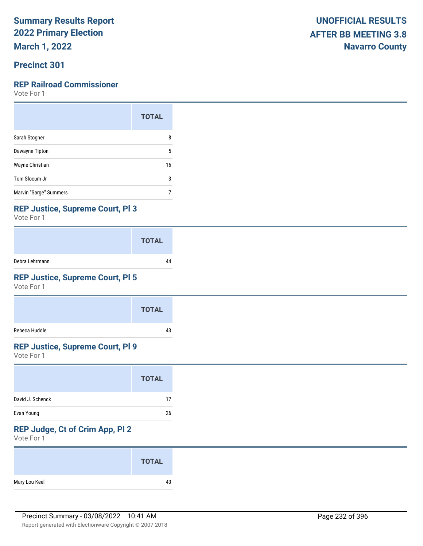**March 1, 2022**

### **Precinct 301**

#### **REP Railroad Commissioner**

Vote For 1

|                        | <b>TOTAL</b> |
|------------------------|--------------|
| Sarah Stogner          | 8            |
| Dawayne Tipton         | 5            |
| Wayne Christian        | 16           |
| Tom Slocum Jr          | 3            |
| Marvin "Sarge" Summers |              |

#### **REP Justice, Supreme Court, Pl 3**

Vote For 1

|                | <b>TOTAL</b> |
|----------------|--------------|
| Debra Lehrmann |              |

### **REP Justice, Supreme Court, Pl 5**

Vote For 1

|               | <b>TOTAL</b> |
|---------------|--------------|
| Rebeca Huddle | 43           |

### **REP Justice, Supreme Court, Pl 9**

Vote For 1

|                  | <b>TOTAL</b> |
|------------------|--------------|
| David J. Schenck | 17           |
| Evan Young       | 26           |

# **REP Judge, Ct of Crim App, Pl 2**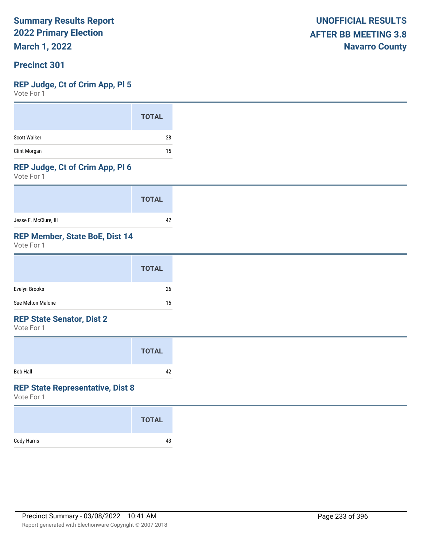**March 1, 2022**

#### **Precinct 301**

#### **REP Judge, Ct of Crim App, Pl 5**

Vote For 1

#### **REP Judge, Ct of Crim App, Pl 6**

Vote For 1

|                       | <b>TOTAL</b> |
|-----------------------|--------------|
| Jesse F. McClure, III |              |

#### **REP Member, State BoE, Dist 14**

Vote For 1

|                   | <b>TOTAL</b> |
|-------------------|--------------|
| Evelyn Brooks     | 26           |
| Sue Melton-Malone | 15           |

#### **REP State Senator, Dist 2**

Vote For 1

|                 | <b>TOTAL</b> |  |
|-----------------|--------------|--|
| <b>Bob Hall</b> | 42           |  |

#### **REP State Representative, Dist 8**

|             | <b>TOTAL</b> |
|-------------|--------------|
| Cody Harris | 43           |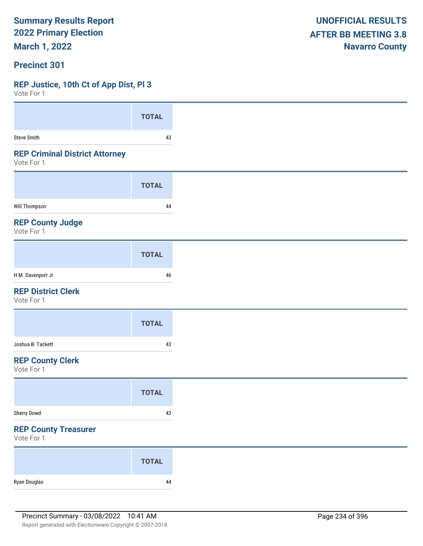**March 1, 2022**

#### **Precinct 301**

#### **REP Justice, 10th Ct of App Dist, Pl 3**

| VOTE FOL 1                                          |              |
|-----------------------------------------------------|--------------|
|                                                     | <b>TOTAL</b> |
| <b>Steve Smith</b>                                  | 43           |
| <b>REP Criminal District Attorney</b><br>Vote For 1 |              |
|                                                     | <b>TOTAL</b> |
| Will Thompson                                       | 44           |
| <b>REP County Judge</b><br>Vote For 1               |              |
|                                                     | <b>TOTAL</b> |
| H M. Davenport Jr                                   | 46           |
| <b>REP District Clerk</b><br>Vote For 1             |              |
|                                                     | <b>TOTAL</b> |
| Joshua B. Tackett                                   | 43           |
| <b>REP County Clerk</b><br>Vote For 1               |              |
|                                                     | <b>TOTAL</b> |
| Sherry Dowd                                         | $43\,$       |
| <b>REP County Treasurer</b><br>Vote For 1           |              |
|                                                     | <b>TOTAL</b> |
| Ryan Douglas                                        | $\bf 44$     |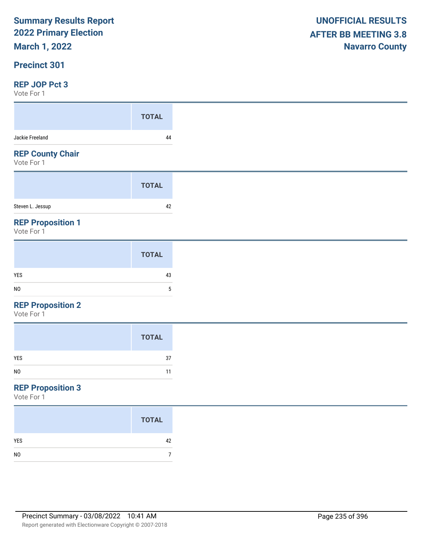# **March 1, 2022**

#### **Precinct 301**

#### **REP JOP Pct 3**

Vote For 1

| .                                     |              |
|---------------------------------------|--------------|
|                                       | <b>TOTAL</b> |
| Jackie Freeland                       | 44           |
| <b>REP County Chair</b><br>Vote For 1 |              |
|                                       | <b>TOTAL</b> |
| Steven L. Jessup                      | 42           |
| <b>REP Proposition 1</b>              |              |

Vote For 1

#### **REP Proposition 2**

Vote For 1

|                | <b>TOTAL</b> |
|----------------|--------------|
| YES            | 37           |
| N <sub>0</sub> | 11           |

### **REP Proposition 3**

|                | <b>TOTAL</b> |
|----------------|--------------|
| <b>YES</b>     | 42           |
| N <sub>0</sub> |              |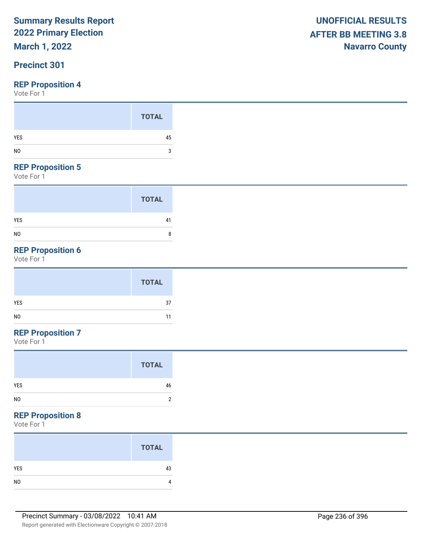# **March 1, 2022**

### **Precinct 301**

Vote For 1

#### **REP Proposition 5**

Vote For 1

|                | <b>TOTAL</b> |
|----------------|--------------|
| <b>YES</b>     | 41           |
| N <sub>0</sub> | 8            |

# **REP Proposition 6**

Vote For 1

## **REP Proposition 7**

Vote For 1

### **REP Proposition 8**

| <b>TOTAL</b> |
|--------------|
| 43           |
|              |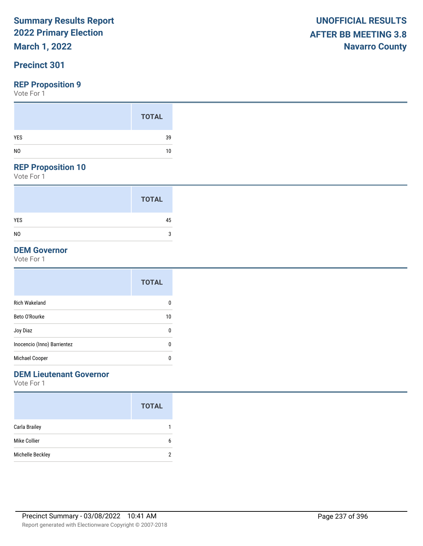# **March 1, 2022**

### **Precinct 301**

#### **REP Proposition 9**

Vote For 1

#### **REP Proposition 10**

Vote For 1

|                | <b>TOTAL</b> |  |
|----------------|--------------|--|
| <b>YES</b>     | 45           |  |
| N <sub>0</sub> | 3            |  |

#### **DEM Governor**

Vote For 1

|                             | <b>TOTAL</b> |
|-----------------------------|--------------|
| <b>Rich Wakeland</b>        | 0            |
| Beto O'Rourke               | 10           |
| Joy Diaz                    | 0            |
| Inocencio (Inno) Barrientez | 0            |
| Michael Cooper              | 0            |

## **DEM Lieutenant Governor**

|                      | <b>TOTAL</b> |
|----------------------|--------------|
| <b>Carla Brailey</b> |              |
| Mike Collier         | 6            |
| Michelle Beckley     | 2            |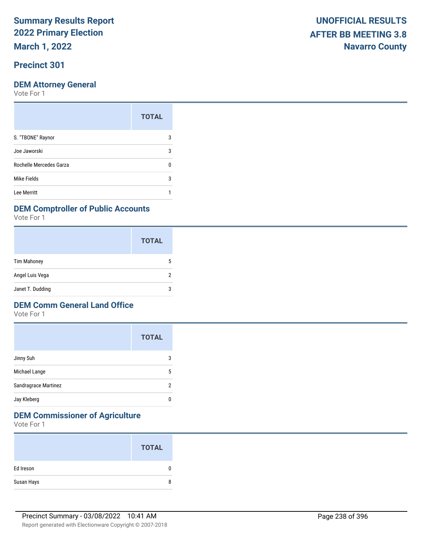**March 1, 2022**

### **Precinct 301**

#### **DEM Attorney General**

Vote For 1

|                         | <b>TOTAL</b> |
|-------------------------|--------------|
| S. "TBONE" Raynor       | 3            |
| Joe Jaworski            | 3            |
| Rochelle Mercedes Garza |              |
| Mike Fields             | 3            |
| Lee Merritt             |              |

#### **DEM Comptroller of Public Accounts**

Vote For 1

|                    | <b>TOTAL</b> |
|--------------------|--------------|
| <b>Tim Mahoney</b> | 5            |
| Angel Luis Vega    | າ            |
| Janet T. Dudding   | 3            |

#### **DEM Comm General Land Office**

Vote For 1

|                      | <b>TOTAL</b> |
|----------------------|--------------|
| Jinny Suh            | 3            |
| Michael Lange        | 5            |
| Sandragrace Martinez | 2            |
| Jay Kleberg          | 0            |

## **DEM Commissioner of Agriculture**

|            | <b>TOTAL</b> |
|------------|--------------|
| Ed Ireson  | 0            |
| Susan Hays | 8            |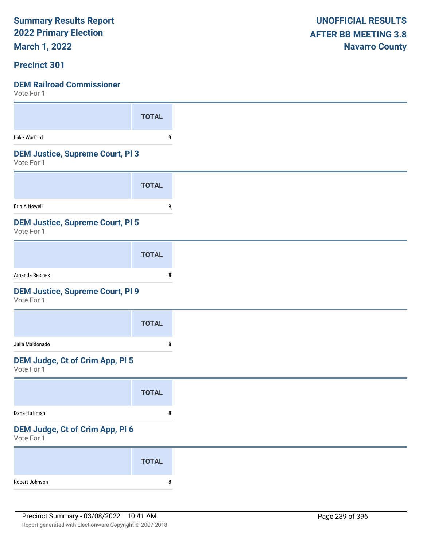**March 1, 2022**

#### **Precinct 301**

| VULL I UI I                                           |              |
|-------------------------------------------------------|--------------|
|                                                       | <b>TOTAL</b> |
| Luke Warford                                          | 9            |
| <b>DEM Justice, Supreme Court, PI 3</b><br>Vote For 1 |              |
|                                                       | <b>TOTAL</b> |
| Erin A Nowell                                         | 9            |
| <b>DEM Justice, Supreme Court, PI 5</b><br>Vote For 1 |              |
|                                                       | <b>TOTAL</b> |
| Amanda Reichek                                        | 8            |
| <b>DEM Justice, Supreme Court, PI 9</b><br>Vote For 1 |              |
|                                                       | <b>TOTAL</b> |
| Julia Maldonado                                       | 8            |
| DEM Judge, Ct of Crim App, Pl 5<br>Vote For 1         |              |
|                                                       | <b>TOTAL</b> |
| Dana Huffman                                          | 8            |
| DEM Judge, Ct of Crim App, Pl 6<br>Vote For 1         |              |
|                                                       | <b>TOTAL</b> |
| Robert Johnson                                        | 8            |
|                                                       |              |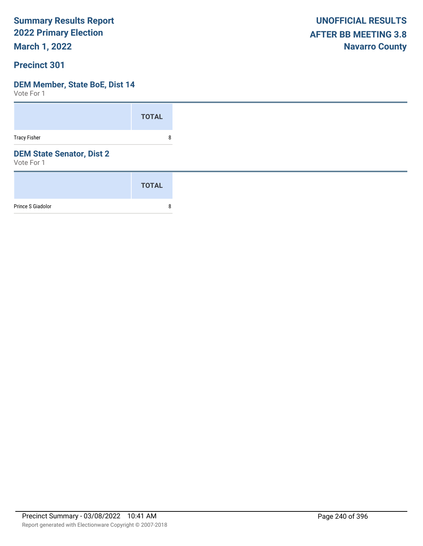**March 1, 2022**

#### **Precinct 301**

#### **DEM Member, State BoE, Dist 14**

|                                                | <b>TOTAL</b> |
|------------------------------------------------|--------------|
| <b>Tracy Fisher</b>                            | 8            |
| <b>DEM State Senator, Dist 2</b><br>Vote For 1 |              |
|                                                | <b>TOTAL</b> |
| Prince S Giadolor                              | 8            |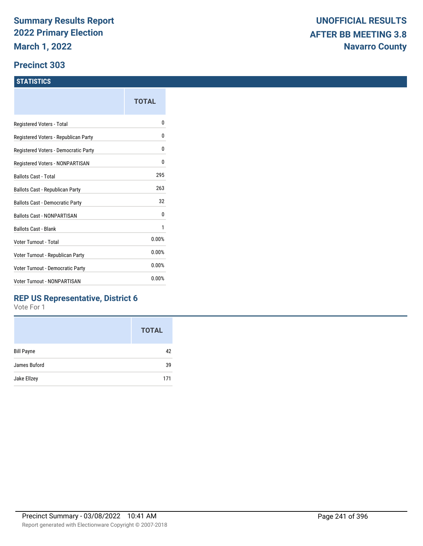#### **Precinct 303**

#### **STATISTICS**

|                                      | TOTAL |
|--------------------------------------|-------|
| Registered Voters - Total            | N     |
| Registered Voters - Republican Party | N     |
| Registered Voters - Democratic Party | 0     |
| Registered Voters - NONPARTISAN      | 0     |
| Ballots Cast - Total                 | 295   |
| Ballots Cast - Republican Party      | 263   |
| Ballots Cast - Democratic Party      | 32    |
| <b>Ballots Cast - NONPARTISAN</b>    | 0     |
| <b>Ballots Cast - Blank</b>          | 1     |
| Voter Turnout - Total                | 0.00% |
| Voter Turnout - Republican Party     | 0.00% |
| Voter Turnout - Democratic Party     | 0.00% |
| <b>Voter Turnout - NONPARTISAN</b>   | 0.00% |
|                                      |       |

#### **REP US Representative, District 6**

|                   | <b>TOTAL</b> |
|-------------------|--------------|
| <b>Bill Payne</b> | 42           |
| James Buford      | 39           |
| Jake Ellzey       | 171          |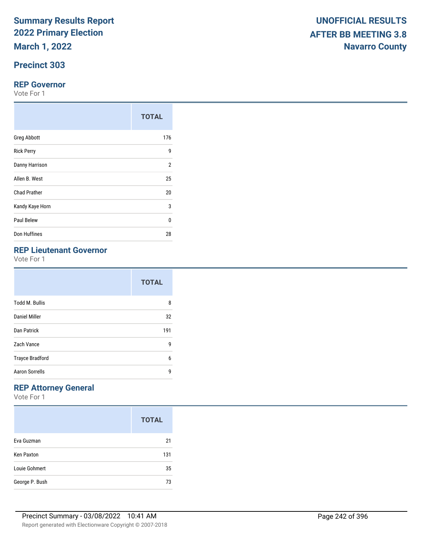**March 1, 2022**

### **Precinct 303**

#### **REP Governor**

Vote For 1

|                     | <b>TOTAL</b>   |
|---------------------|----------------|
| <b>Greg Abbott</b>  | 176            |
| <b>Rick Perry</b>   | 9              |
| Danny Harrison      | $\overline{2}$ |
| Allen B. West       | 25             |
| <b>Chad Prather</b> | 20             |
| Kandy Kaye Horn     | 3              |
| Paul Belew          | $\Omega$       |
| Don Huffines        | 28             |

# **REP Lieutenant Governor**

Vote For 1

|                        | <b>TOTAL</b> |
|------------------------|--------------|
| <b>Todd M. Bullis</b>  | 8            |
| Daniel Miller          | 32           |
| Dan Patrick            | 191          |
| Zach Vance             | 9            |
| <b>Trayce Bradford</b> | 6            |
| <b>Aaron Sorrells</b>  | g            |

## **REP Attorney General**

|                   | <b>TOTAL</b> |
|-------------------|--------------|
| Eva Guzman        | 21           |
| <b>Ken Paxton</b> | 131          |
| Louie Gohmert     | 35           |
| George P. Bush    | 73           |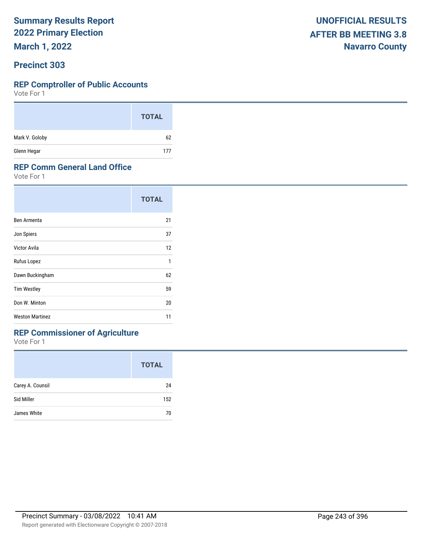**March 1, 2022**

#### **Precinct 303**

#### **REP Comptroller of Public Accounts**

Vote For 1

|                | <b>TOTAL</b> |  |
|----------------|--------------|--|
| Mark V. Goloby | 62           |  |
| Glenn Hegar    | 177          |  |

#### **REP Comm General Land Office**

Vote For 1

|                        | <b>TOTAL</b> |
|------------------------|--------------|
| Ben Armenta            | 21           |
| Jon Spiers             | 37           |
| Victor Avila           | 12           |
| Rufus Lopez            | 1            |
| Dawn Buckingham        | 62           |
| <b>Tim Westley</b>     | 59           |
| Don W. Minton          | 20           |
| <b>Weston Martinez</b> | 11           |

## **REP Commissioner of Agriculture**

|                  | <b>TOTAL</b> |
|------------------|--------------|
| Carey A. Counsil | 24           |
| Sid Miller       | 152          |
| James White      | 70           |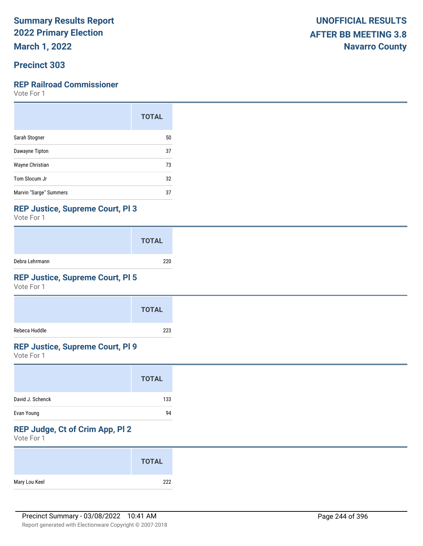**March 1, 2022**

#### **Precinct 303**

#### **REP Railroad Commissioner**

Vote For 1

|                        | <b>TOTAL</b> |
|------------------------|--------------|
| Sarah Stogner          | 50           |
| Dawayne Tipton         | 37           |
| Wayne Christian        | 73           |
| Tom Slocum Jr          | 32           |
| Marvin "Sarge" Summers | 37           |

#### **REP Justice, Supreme Court, Pl 3**

Vote For 1

|                | <b>TOTAL</b> |
|----------------|--------------|
| Debra Lehrmann | 220          |

### **REP Justice, Supreme Court, Pl 5**

Vote For 1

|               | <b>TOTAL</b> |
|---------------|--------------|
| Rebeca Huddle | 223          |

#### **REP Justice, Supreme Court, Pl 9**

Vote For 1

|                  | <b>TOTAL</b> |
|------------------|--------------|
| David J. Schenck | 133          |
| Evan Young       | 94           |

## **REP Judge, Ct of Crim App, Pl 2**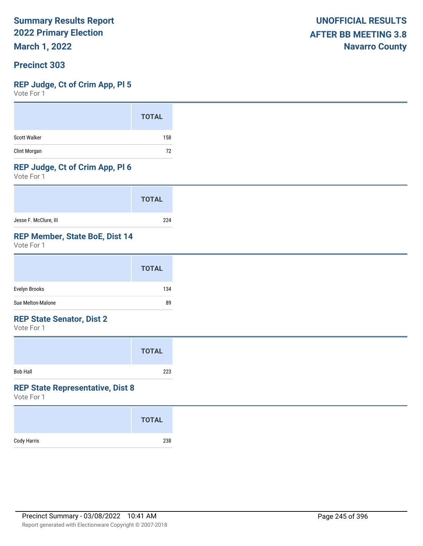**March 1, 2022**

#### **Precinct 303**

#### **REP Judge, Ct of Crim App, Pl 5**

Vote For 1

#### **REP Judge, Ct of Crim App, Pl 6**

Vote For 1

|                       | <b>TOTAL</b> |
|-----------------------|--------------|
| Jesse F. McClure, III | 224          |

#### **REP Member, State BoE, Dist 14**

Vote For 1

#### **REP State Senator, Dist 2**

Vote For 1

|                 | <b>TOTAL</b> |
|-----------------|--------------|
| <b>Bob Hall</b> | 223          |

#### **REP State Representative, Dist 8**

|             | <b>TOTAL</b> |
|-------------|--------------|
| Cody Harris | 238          |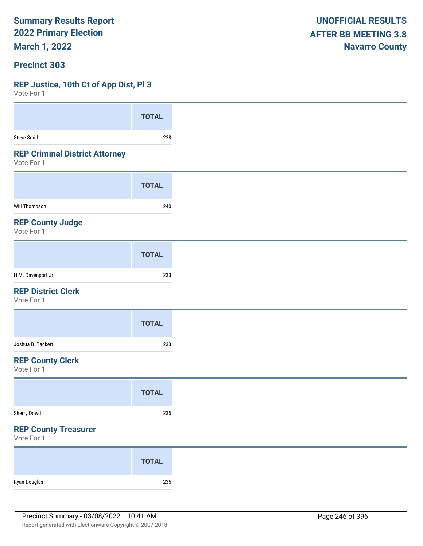**March 1, 2022**

#### **Precinct 303**

#### **REP Justice, 10th Ct of App Dist, Pl 3**

| VULL I UI I                                         |              |
|-----------------------------------------------------|--------------|
|                                                     | <b>TOTAL</b> |
| <b>Steve Smith</b>                                  | 228          |
| <b>REP Criminal District Attorney</b><br>Vote For 1 |              |
|                                                     | <b>TOTAL</b> |
| <b>Will Thompson</b>                                | 240          |
| <b>REP County Judge</b><br>Vote For 1               |              |
|                                                     | <b>TOTAL</b> |
| H M. Davenport Jr                                   | 233          |
| <b>REP District Clerk</b><br>Vote For 1             |              |
|                                                     | <b>TOTAL</b> |
| Joshua B. Tackett                                   | 233          |
| <b>REP County Clerk</b><br>Vote For 1               |              |
|                                                     | <b>TOTAL</b> |
| Sherry Dowd                                         | 235          |
| <b>REP County Treasurer</b><br>Vote For 1           |              |
|                                                     | <b>TOTAL</b> |
| Ryan Douglas                                        | 235          |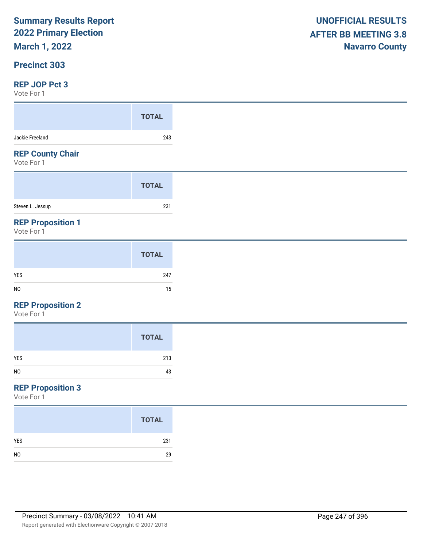# **March 1, 2022**

#### **Precinct 303**

#### **REP JOP Pct 3**

Vote For 1

| VULC I UI I                            |              |
|----------------------------------------|--------------|
|                                        | <b>TOTAL</b> |
| Jackie Freeland                        | 243          |
| <b>REP County Chair</b><br>Vote For 1  |              |
|                                        | <b>TOTAL</b> |
| Steven L. Jessup                       | 231          |
| <b>REP Proposition 1</b><br>Vote For 1 |              |
|                                        |              |

#### **REP Proposition 2**

Vote For 1

# **REP Proposition 3**

|                | <b>TOTAL</b> |
|----------------|--------------|
| <b>YES</b>     | 231          |
| N <sub>0</sub> | 29           |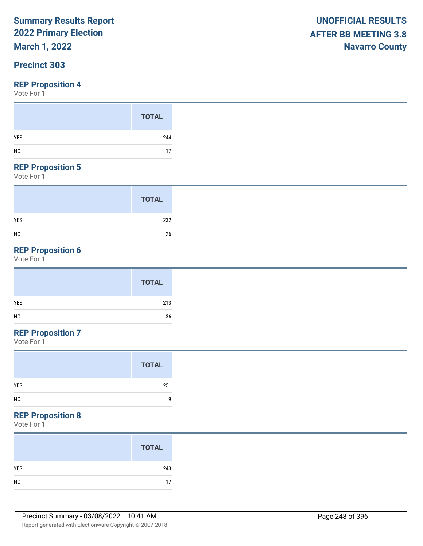# **March 1, 2022**

#### **Precinct 303**

#### **REP Proposition 4**

Vote For 1

#### **REP Proposition 5**

Vote For 1

|                | <b>TOTAL</b> |
|----------------|--------------|
| <b>YES</b>     | 232          |
| N <sub>0</sub> | 26           |

# **REP Proposition 6**

Vote For 1

|     | <b>TOTAL</b> |
|-----|--------------|
| YES | 213          |
| NO  | 36           |

## **REP Proposition 7**

Vote For 1

#### **REP Proposition 8**

|                | <b>TOTAL</b> |
|----------------|--------------|
| YES            | 243          |
| N <sub>0</sub> | 17           |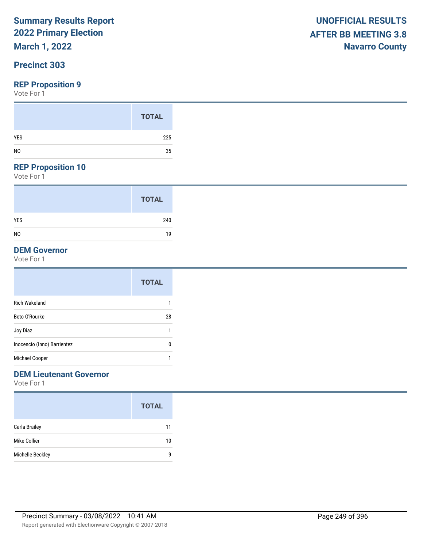# **March 1, 2022**

#### **Precinct 303**

#### **REP Proposition 9**

Vote For 1

#### **REP Proposition 10**

Vote For 1

|                | <b>TOTAL</b> |  |
|----------------|--------------|--|
| <b>YES</b>     | 240          |  |
| N <sub>0</sub> | 19           |  |

#### **DEM Governor**

Vote For 1

|                             | <b>TOTAL</b> |
|-----------------------------|--------------|
| <b>Rich Wakeland</b>        | 1            |
| Beto O'Rourke               | 28           |
| Joy Diaz                    | 1            |
| Inocencio (Inno) Barrientez | 0            |
| Michael Cooper              | 1            |

### **DEM Lieutenant Governor**

|                  | <b>TOTAL</b> |
|------------------|--------------|
| Carla Brailey    | 11           |
| Mike Collier     | 10           |
| Michelle Beckley | g            |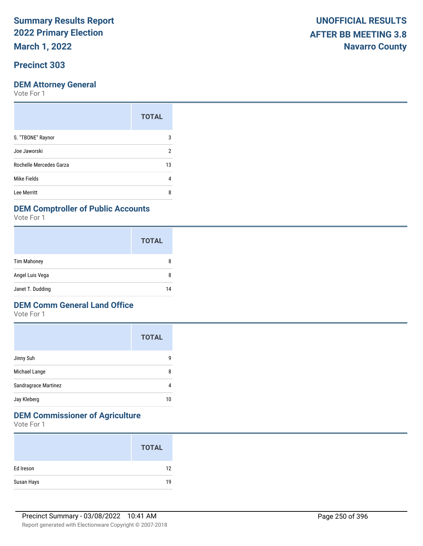**March 1, 2022**

#### **Precinct 303**

Vote For 1

|                         | <b>TOTAL</b> |
|-------------------------|--------------|
| S. "TBONE" Raynor       | 3            |
| Joe Jaworski            | 2            |
| Rochelle Mercedes Garza | 13           |
| Mike Fields             | 4            |
| Lee Merritt             | ጸ            |

#### **DEM Comptroller of Public Accounts**

Vote For 1

|                    | <b>TOTAL</b> |
|--------------------|--------------|
| <b>Tim Mahoney</b> | 8            |
| Angel Luis Vega    | 8            |
| Janet T. Dudding   | 14           |

#### **DEM Comm General Land Office**

Vote For 1

|                      | <b>TOTAL</b> |
|----------------------|--------------|
| Jinny Suh            | g            |
| Michael Lange        | 8            |
| Sandragrace Martinez | 4            |
| Jay Kleberg          | 10           |

## **DEM Commissioner of Agriculture**

|            | <b>TOTAL</b> |
|------------|--------------|
| Ed Ireson  | 12           |
| Susan Hays | 19           |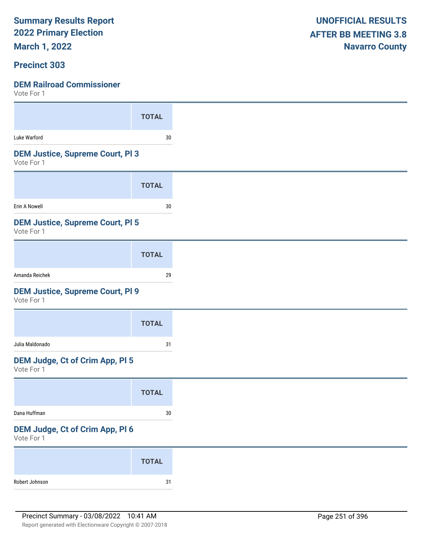**March 1, 2022**

#### **Precinct 303**

| <b>TOTAL</b>                            |
|-----------------------------------------|
| $30\,$                                  |
| <b>DEM Justice, Supreme Court, PI 3</b> |
| <b>TOTAL</b>                            |
| $30\,$                                  |
| <b>DEM Justice, Supreme Court, PI 5</b> |
| <b>TOTAL</b>                            |
| 29                                      |
| <b>DEM Justice, Supreme Court, PI 9</b> |
| <b>TOTAL</b>                            |
| 31                                      |
| DEM Judge, Ct of Crim App, Pl 5         |
| <b>TOTAL</b>                            |
|                                         |
| $30\,$                                  |
| DEM Judge, Ct of Crim App, Pl 6         |
| <b>TOTAL</b>                            |
|                                         |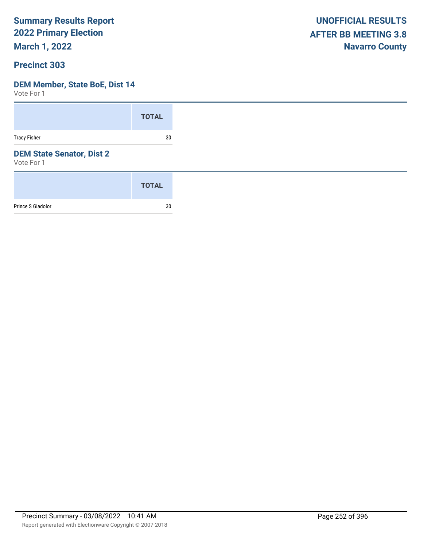**March 1, 2022**

#### **Precinct 303**

#### **DEM Member, State BoE, Dist 14**

|                                                | <b>TOTAL</b> |
|------------------------------------------------|--------------|
| <b>Tracy Fisher</b>                            | 30           |
| <b>DEM State Senator, Dist 2</b><br>Vote For 1 |              |
|                                                | <b>TOTAL</b> |
| Prince S Giadolor                              | 30           |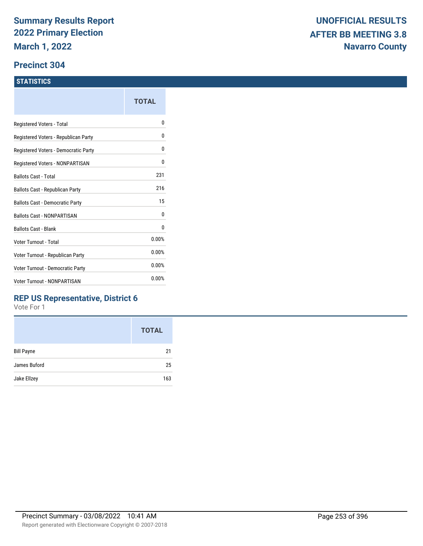#### **Precinct 304**

#### **STATISTICS**

| TOTAL |
|-------|
| N     |
| 0     |
| 0     |
| 0     |
| 231   |
| 216   |
| 15    |
| 0     |
| 0     |
| 0.00% |
| 0.00% |
| 0.00% |
| 0.00% |
|       |

### **REP US Representative, District 6**

|                   | <b>TOTAL</b> |
|-------------------|--------------|
| <b>Bill Payne</b> | 21           |
| James Buford      | 25           |
| Jake Ellzey       | 163          |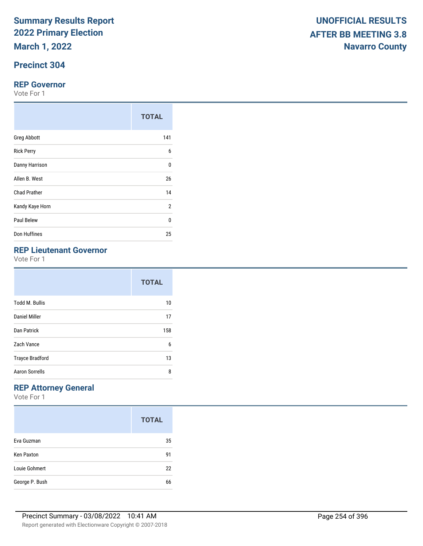**March 1, 2022**

## **Precinct 304**

#### **REP Governor**

Vote For 1

|                     | <b>TOTAL</b>   |
|---------------------|----------------|
| <b>Greg Abbott</b>  | 141            |
| <b>Rick Perry</b>   | 6              |
| Danny Harrison      | $\Omega$       |
| Allen B. West       | 26             |
| <b>Chad Prather</b> | 14             |
| Kandy Kaye Horn     | $\overline{2}$ |
| Paul Belew          | 0              |
| Don Huffines        | 25             |

## **REP Lieutenant Governor**

Vote For 1

|                        | <b>TOTAL</b> |
|------------------------|--------------|
| <b>Todd M. Bullis</b>  | 10           |
| Daniel Miller          | 17           |
| Dan Patrick            | 158          |
| Zach Vance             | 6            |
| <b>Trayce Bradford</b> | 13           |
| <b>Aaron Sorrells</b>  | 8            |

## **REP Attorney General**

|                   | <b>TOTAL</b> |
|-------------------|--------------|
| Eva Guzman        | 35           |
| <b>Ken Paxton</b> | 91           |
| Louie Gohmert     | 22           |
| George P. Bush    | 66           |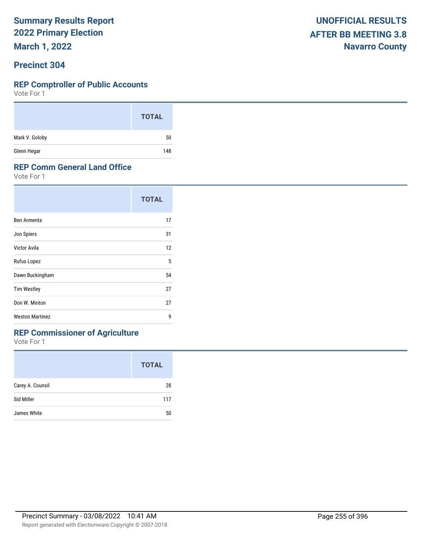**March 1, 2022**

#### **Precinct 304**

#### **REP Comptroller of Public Accounts**

Vote For 1

|                | <b>TOTAL</b> |
|----------------|--------------|
| Mark V. Goloby | 50           |
| Glenn Hegar    | 148          |

#### **REP Comm General Land Office**

Vote For 1

|                        | <b>TOTAL</b> |
|------------------------|--------------|
| Ben Armenta            | 17           |
| Jon Spiers             | 31           |
| Victor Avila           | 12           |
| Rufus Lopez            | 5            |
| Dawn Buckingham        | 54           |
| <b>Tim Westley</b>     | 27           |
| Don W. Minton          | 27           |
| <b>Weston Martinez</b> | g            |

## **REP Commissioner of Agriculture**

|                  | <b>TOTAL</b> |
|------------------|--------------|
| Carey A. Counsil | 28           |
| Sid Miller       | 117          |
| James White      | 50           |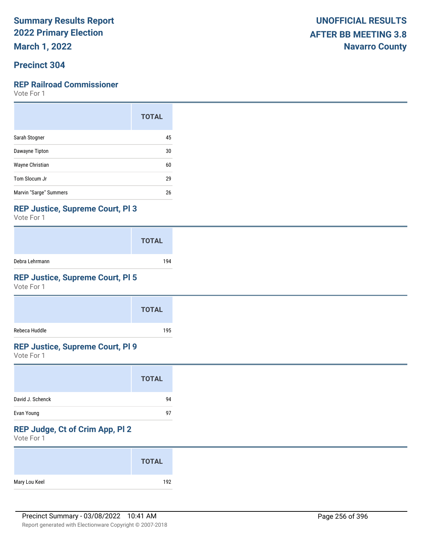**March 1, 2022**

## **Precinct 304**

#### **REP Railroad Commissioner**

Vote For 1

|                        | <b>TOTAL</b> |
|------------------------|--------------|
| Sarah Stogner          | 45           |
| Dawayne Tipton         | 30           |
| Wayne Christian        | 60           |
| Tom Slocum Jr          | 29           |
| Marvin "Sarge" Summers | 26           |

#### **REP Justice, Supreme Court, Pl 3**

Vote For 1

|                | <b>TOTAL</b> |
|----------------|--------------|
| Debra Lehrmann | 194          |

## **REP Justice, Supreme Court, Pl 5**

Vote For 1

|               | <b>TOTAL</b> |
|---------------|--------------|
| Rebeca Huddle | 195          |

### **REP Justice, Supreme Court, Pl 9**

Vote For 1

|                  | <b>TOTAL</b> |  |
|------------------|--------------|--|
| David J. Schenck | 94           |  |
| Evan Young       | 97           |  |

## **REP Judge, Ct of Crim App, Pl 2**

|               | <b>TOTAL</b> |
|---------------|--------------|
| Mary Lou Keel | 192          |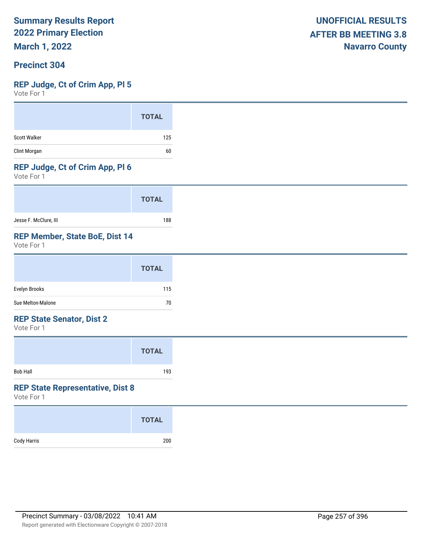**March 1, 2022**

#### **Precinct 304**

#### **REP Judge, Ct of Crim App, Pl 5**

Vote For 1

#### **REP Judge, Ct of Crim App, Pl 6**

Vote For 1

|                       | <b>TOTAL</b> |
|-----------------------|--------------|
| Jesse F. McClure, III | 188          |

#### **REP Member, State BoE, Dist 14**

Vote For 1

|                   | <b>TOTAL</b> |
|-------------------|--------------|
| Evelyn Brooks     | 115          |
| Sue Melton-Malone | 70           |

#### **REP State Senator, Dist 2**

Vote For 1

|                 | <b>TOTAL</b> |  |
|-----------------|--------------|--|
| <b>Bob Hall</b> | 193          |  |

#### **REP State Representative, Dist 8**

|             | <b>TOTAL</b> |
|-------------|--------------|
| Cody Harris | 200          |
|             |              |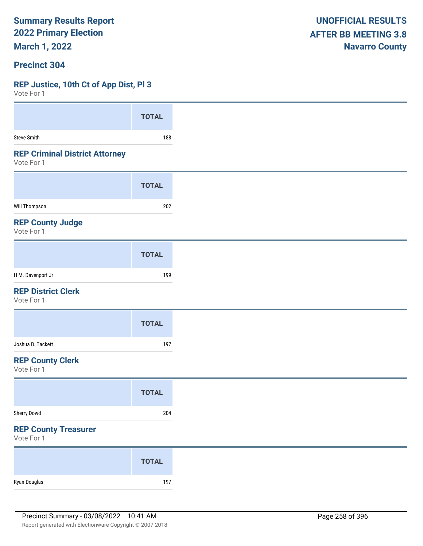**March 1, 2022**

#### **Precinct 304**

#### **REP Justice, 10th Ct of App Dist, Pl 3**

 $V \cap t \cap F$ 

| VOIG LOI 1                                          |              |
|-----------------------------------------------------|--------------|
|                                                     | <b>TOTAL</b> |
| Steve Smith                                         | 188          |
| <b>REP Criminal District Attorney</b><br>Vote For 1 |              |
|                                                     | <b>TOTAL</b> |
| Will Thompson                                       | 202          |
| <b>REP County Judge</b><br>Vote For 1               |              |
|                                                     | <b>TOTAL</b> |
| H M. Davenport Jr                                   | 199          |
| <b>REP District Clerk</b><br>Vote For 1             |              |
|                                                     | <b>TOTAL</b> |
| Joshua B. Tackett                                   | 197          |
| <b>REP County Clerk</b><br>Vote For 1               |              |
|                                                     | <b>TOTAL</b> |
| Sherry Dowd                                         | 204          |
| <b>REP County Treasurer</b><br>Vote For 1           |              |
|                                                     | <b>TOTAL</b> |
| Ryan Douglas                                        | 197          |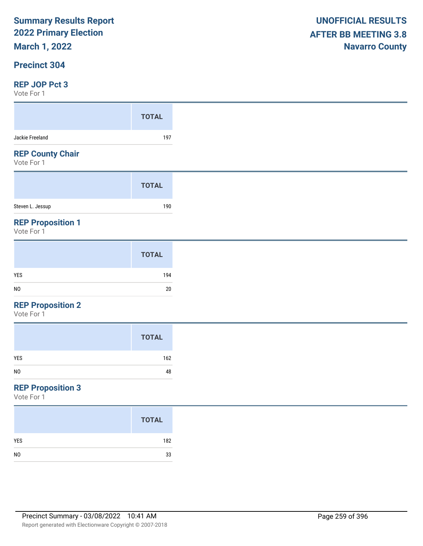## **March 1, 2022**

#### **Precinct 304**

#### **REP JOP Pct 3**

Vote For 1

|                                       | <b>TOTAL</b> |
|---------------------------------------|--------------|
| Jackie Freeland                       | 197          |
| <b>REP County Chair</b><br>Vote For 1 |              |
|                                       | <b>TOTAL</b> |
|                                       |              |
| Steven L. Jessup                      | 190          |

|                | <b>TOTAL</b> |
|----------------|--------------|
| YES            | 194          |
| N <sub>0</sub> | 20           |

#### **REP Proposition 2**

Vote For 1

|                | <b>TOTAL</b> |
|----------------|--------------|
| YES            | 162          |
| N <sub>O</sub> | 48           |
|                |              |

## **REP Proposition 3**

|                | <b>TOTAL</b> |
|----------------|--------------|
| <b>YES</b>     | 182          |
| N <sub>0</sub> | 33           |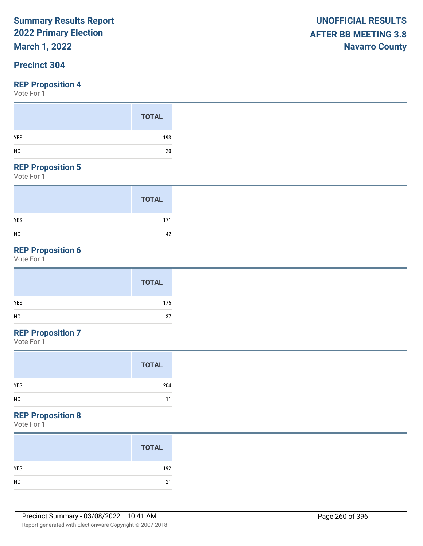## **March 1, 2022**

## **Precinct 304**

#### **REP Proposition 4**

Vote For 1

#### **REP Proposition 5**

Vote For 1

|                | <b>TOTAL</b> |
|----------------|--------------|
| <b>YES</b>     | 171          |
| N <sub>0</sub> | 42           |

## **REP Proposition 6**

Vote For 1

## **REP Proposition 7**

Vote For 1

| <b>TOTAL</b> |     |
|--------------|-----|
| <b>YES</b>   | 204 |
| NO           | 11  |

#### **REP Proposition 8**

|     | <b>TOTAL</b> |
|-----|--------------|
| YES | 192          |
|     | 21           |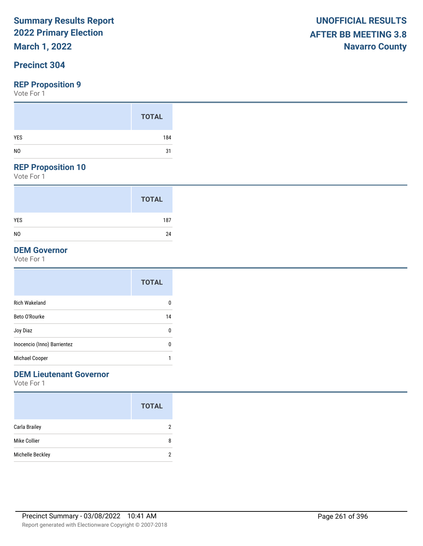## **March 1, 2022**

## **Precinct 304**

#### **REP Proposition 9**

Vote For 1

#### **REP Proposition 10**

Vote For 1

|                | <b>TOTAL</b> |
|----------------|--------------|
| <b>YES</b>     | 187          |
| N <sub>0</sub> | 24           |

### **DEM Governor**

Vote For 1

|                             | <b>TOTAL</b> |
|-----------------------------|--------------|
| <b>Rich Wakeland</b>        | 0            |
| Beto O'Rourke               | 14           |
| Joy Diaz                    | 0            |
| Inocencio (Inno) Barrientez | 0            |
| Michael Cooper              | 1            |

## **DEM Lieutenant Governor**

|                  | <b>TOTAL</b> |
|------------------|--------------|
| Carla Brailey    | 2            |
| Mike Collier     | 8            |
| Michelle Beckley | 2            |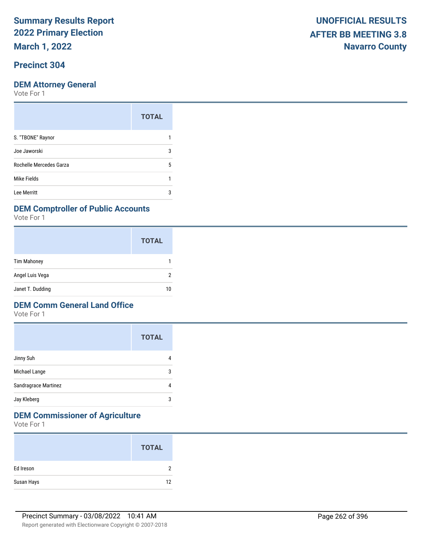**March 1, 2022**

## **Precinct 304**

Vote For 1

| 3 |
|---|
| 5 |
|   |
| 3 |
|   |

#### **DEM Comptroller of Public Accounts**

Vote For 1

|                    | <b>TOTAL</b> |
|--------------------|--------------|
| <b>Tim Mahoney</b> |              |
| Angel Luis Vega    | າ            |
| Janet T. Dudding   | 10           |

#### **DEM Comm General Land Office**

Vote For 1

|                      | <b>TOTAL</b> |
|----------------------|--------------|
| Jinny Suh            |              |
| Michael Lange        | 3            |
| Sandragrace Martinez |              |
| Jay Kleberg          | 3            |

## **DEM Commissioner of Agriculture**

|            | <b>TOTAL</b> |
|------------|--------------|
| Ed Ireson  | າ            |
| Susan Hays | 12           |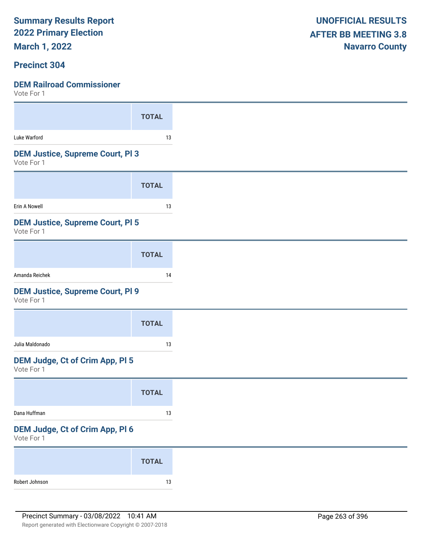**March 1, 2022**

#### **Precinct 304**

|                                                       | <b>TOTAL</b> |
|-------------------------------------------------------|--------------|
| Luke Warford                                          | 13           |
| <b>DEM Justice, Supreme Court, PI 3</b><br>Vote For 1 |              |
|                                                       | <b>TOTAL</b> |
| Erin A Nowell                                         | 13           |
| <b>DEM Justice, Supreme Court, PI 5</b><br>Vote For 1 |              |
|                                                       | <b>TOTAL</b> |
| Amanda Reichek                                        | 14           |
| <b>DEM Justice, Supreme Court, PI 9</b><br>Vote For 1 |              |
|                                                       | <b>TOTAL</b> |
| Julia Maldonado                                       | 13           |
| <b>DEM Judge, Ct of Crim App, PI 5</b><br>Vote For 1  |              |
|                                                       | <b>TOTAL</b> |
|                                                       |              |
| Dana Huffman                                          | 13           |
| DEM Judge, Ct of Crim App, Pl 6<br>Vote For 1         |              |
|                                                       | <b>TOTAL</b> |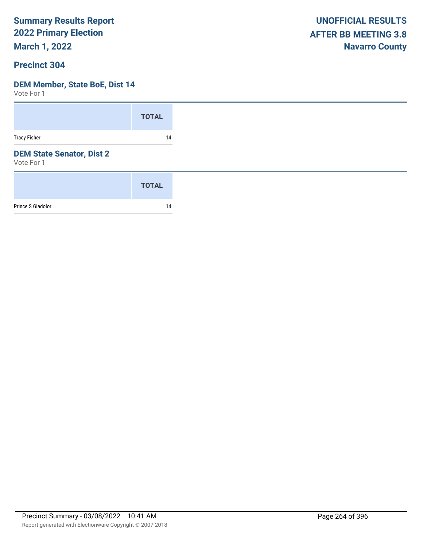**March 1, 2022**

#### **Precinct 304**

## **DEM Member, State BoE, Dist 14**

|                                                | <b>TOTAL</b> |
|------------------------------------------------|--------------|
| <b>Tracy Fisher</b>                            | 14           |
| <b>DEM State Senator, Dist 2</b><br>Vote For 1 |              |
|                                                | <b>TOTAL</b> |
| Prince S Giadolor                              | 14           |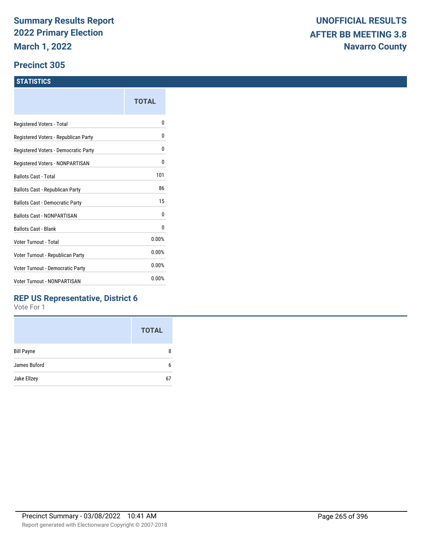#### **Precinct 305**

#### **STATISTICS**

|                                      | TOTAL |
|--------------------------------------|-------|
| Registered Voters - Total            | o     |
| Registered Voters - Republican Party | 0     |
| Registered Voters - Democratic Party | 0     |
| Registered Voters - NONPARTISAN      | 0     |
| <b>Ballots Cast - Total</b>          | 101   |
| Ballots Cast - Republican Party      | 86    |
| Ballots Cast - Democratic Party      | 15    |
| Ballots Cast - NONPARTISAN           | 0     |
| <b>Ballots Cast - Blank</b>          | 0     |
| Voter Turnout - Total                | 0.00% |
| Voter Turnout - Republican Party     | 0.00% |
| Voter Turnout - Democratic Party     | 0.00% |
| <b>Voter Turnout - NONPARTISAN</b>   | 0.00% |

### **REP US Representative, District 6**

|                   | <b>TOTAL</b> |
|-------------------|--------------|
| <b>Bill Payne</b> | 8            |
| James Buford      | 6            |
| Jake Ellzey       | 67           |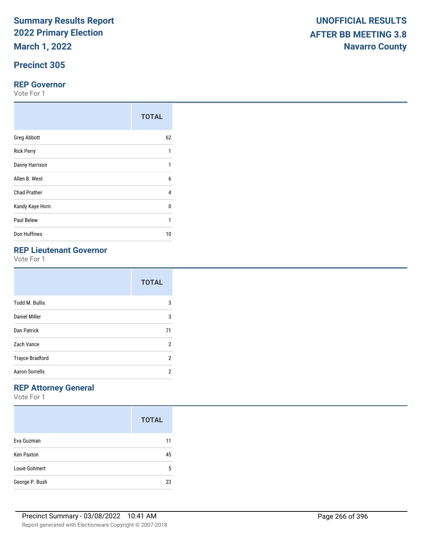**March 1, 2022**

## **Precinct 305**

#### **REP Governor**

Vote For 1

|                     | <b>TOTAL</b> |
|---------------------|--------------|
| <b>Greg Abbott</b>  | 62           |
| <b>Rick Perry</b>   | 1            |
| Danny Harrison      | 1            |
| Allen B. West       | 6            |
| <b>Chad Prather</b> | 4            |
| Kandy Kaye Horn     | 0            |
| Paul Belew          | 1            |
| Don Huffines        | 10           |

#### **REP Lieutenant Governor**

Vote For 1

|                        | <b>TOTAL</b> |
|------------------------|--------------|
| <b>Todd M. Bullis</b>  | 3            |
| Daniel Miller          | 3            |
| Dan Patrick            | 71           |
| Zach Vance             | 2            |
| <b>Trayce Bradford</b> | 2            |
| <b>Aaron Sorrells</b>  | 2            |

## **REP Attorney General**

|                   | <b>TOTAL</b> |
|-------------------|--------------|
| Eva Guzman        | 11           |
| <b>Ken Paxton</b> | 45           |
| Louie Gohmert     | 5            |
| George P. Bush    | 23           |

|                                | <b>TOTAL</b> |
|--------------------------------|--------------|
| <b>Greg Abbott</b>             | 62           |
| <b>Rick Perry</b>              |              |
| Danny Harrison                 |              |
| Allen B. West                  | 6            |
| <b>Chad Prather</b>            | 4            |
| Kandy Kaye Horn                | 0            |
| Paul Belew                     | ٠            |
| Don Huffines                   | 10           |
| <b>DED Lieutenant Covernor</b> |              |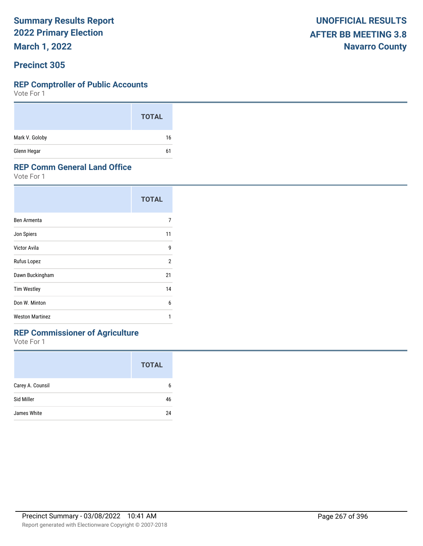**March 1, 2022**

#### **Precinct 305**

#### **REP Comptroller of Public Accounts**

Vote For 1

|                | <b>TOTAL</b> |
|----------------|--------------|
| Mark V. Goloby | 16           |
| Glenn Hegar    | 61           |

#### **REP Comm General Land Office**

Vote For 1

|                        | <b>TOTAL</b>   |  |
|------------------------|----------------|--|
| Ben Armenta            | 7              |  |
| Jon Spiers             | 11             |  |
| Victor Avila           | 9              |  |
| Rufus Lopez            | $\overline{2}$ |  |
| Dawn Buckingham        | 21             |  |
| <b>Tim Westley</b>     | 14             |  |
| Don W. Minton          | 6              |  |
| <b>Weston Martinez</b> | 1              |  |

## **REP Commissioner of Agriculture**

|                  | <b>TOTAL</b> |
|------------------|--------------|
| Carey A. Counsil | 6            |
| Sid Miller       | 46           |
| James White      | 24           |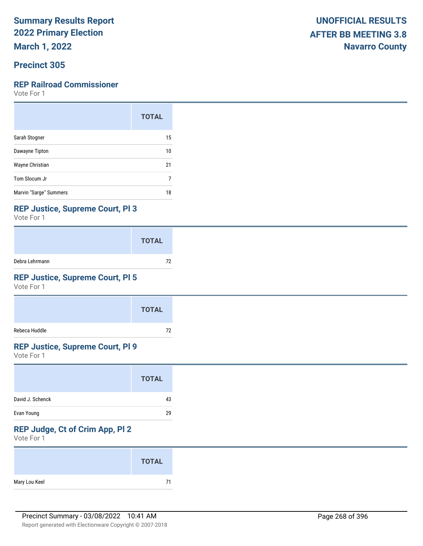**March 1, 2022**

## **Precinct 305**

#### **REP Railroad Commissioner**

Vote For 1

|                        | <b>TOTAL</b> |
|------------------------|--------------|
| Sarah Stogner          | 15           |
| Dawayne Tipton         | 10           |
| Wayne Christian        | 21           |
| Tom Slocum Jr          | 7            |
| Marvin "Sarge" Summers | 18           |

#### **REP Justice, Supreme Court, Pl 3**

Vote For 1

|                | <b>TOTAL</b> |
|----------------|--------------|
| Debra Lehrmann | 72           |

## **REP Justice, Supreme Court, Pl 5**

Vote For 1

|               | <b>TOTAL</b> |
|---------------|--------------|
| Rebeca Huddle | 72           |

### **REP Justice, Supreme Court, Pl 9**

Vote For 1

| <b>TOTAL</b>           |
|------------------------|
| David J. Schenck<br>43 |
| Evan Young<br>29       |

## **REP Judge, Ct of Crim App, Pl 2**

|               | <b>TOTAL</b> |
|---------------|--------------|
| Mary Lou Keel | 71           |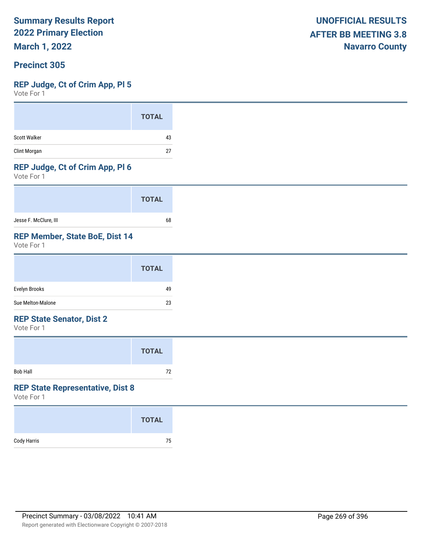**March 1, 2022**

#### **Precinct 305**

#### **REP Judge, Ct of Crim App, Pl 5**

Vote For 1

#### **REP Judge, Ct of Crim App, Pl 6**

Vote For 1

|                       | <b>TOTAL</b> |
|-----------------------|--------------|
| Jesse F. McClure, III | 68           |

#### **REP Member, State BoE, Dist 14**

Vote For 1

| <b>TOTAL</b>            |
|-------------------------|
| Evelyn Brooks<br>49     |
| Sue Melton-Malone<br>23 |

#### **REP State Senator, Dist 2**

Vote For 1

|                 | <b>TOTAL</b> |  |
|-----------------|--------------|--|
| <b>Bob Hall</b> | 72           |  |

#### **REP State Representative, Dist 8**

|             | <b>TOTAL</b> |
|-------------|--------------|
| Cody Harris | 75           |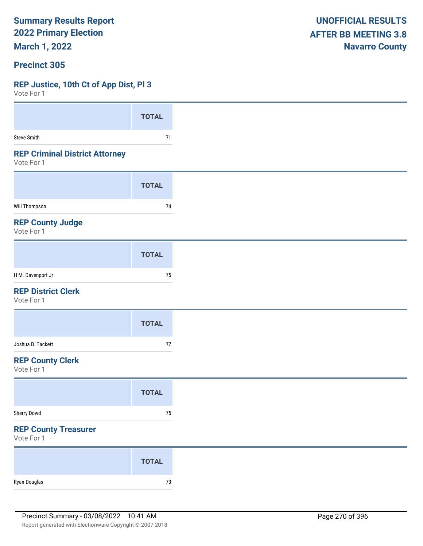**March 1, 2022**

#### **Precinct 305**

## **REP Justice, 10th Ct of App Dist, Pl 3**

| VOLE FOI I                                          |              |
|-----------------------------------------------------|--------------|
|                                                     | <b>TOTAL</b> |
| Steve Smith                                         | 71           |
| <b>REP Criminal District Attorney</b><br>Vote For 1 |              |
|                                                     | <b>TOTAL</b> |
| Will Thompson                                       | 74           |
| <b>REP County Judge</b><br>Vote For 1               |              |
|                                                     | <b>TOTAL</b> |
| H M. Davenport Jr                                   | 75           |
| <b>REP District Clerk</b><br>Vote For 1             |              |
|                                                     | <b>TOTAL</b> |
| Joshua B. Tackett                                   | $77\,$       |
| <b>REP County Clerk</b><br>Vote For 1               |              |
|                                                     | <b>TOTAL</b> |
| Sherry Dowd                                         | $75\,$       |
| <b>REP County Treasurer</b><br>Vote For 1           |              |
|                                                     | <b>TOTAL</b> |
| Ryan Douglas                                        | $73\,$       |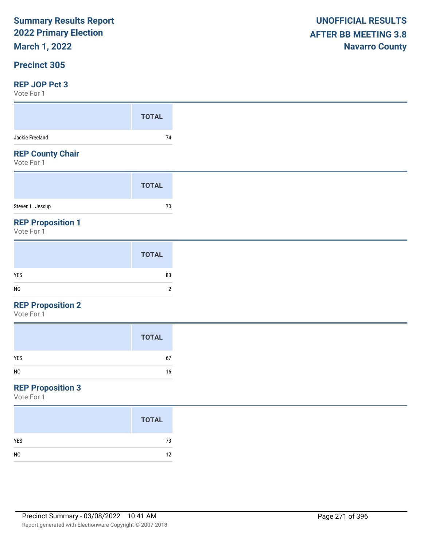**March 1, 2022**

### **Precinct 305**

#### **REP JOP Pct 3**

Vote For 1

| .                                     |              |
|---------------------------------------|--------------|
|                                       | <b>TOTAL</b> |
| Jackie Freeland                       | 74           |
| <b>REP County Chair</b><br>Vote For 1 |              |
|                                       | <b>TOTAL</b> |
| Steven L. Jessup                      | 70           |
| <b>REP Proposition 1</b>              |              |

Vote For 1

|                | <b>TOTAL</b> |
|----------------|--------------|
| YES            | 83           |
| N <sub>0</sub> | ◠            |

#### **REP Proposition 2**

Vote For 1

|                | <b>TOTAL</b> |
|----------------|--------------|
| YES            | 67           |
| N <sub>0</sub> | 16           |

## **REP Proposition 3**

|                | <b>TOTAL</b> |
|----------------|--------------|
| <b>YES</b>     | 73           |
| N <sub>0</sub> | 12           |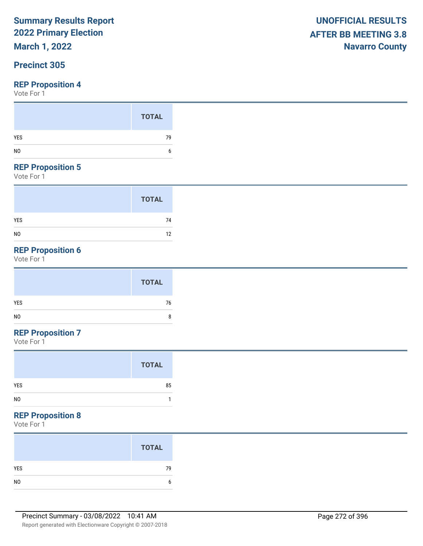## **March 1, 2022**

## **Precinct 305**

Vote For 1

#### **REP Proposition 5**

Vote For 1

|                | <b>TOTAL</b> |
|----------------|--------------|
| <b>YES</b>     | 74           |
| N <sub>0</sub> | 12           |

## **REP Proposition 6**

Vote For 1

### **REP Proposition 7**

Vote For 1

|                | <b>TOTAL</b> |
|----------------|--------------|
| <b>YES</b>     | 85           |
| N <sub>0</sub> |              |

## **REP Proposition 8**

|     | <b>TOTAL</b> |
|-----|--------------|
| YES | 79           |
|     | h.           |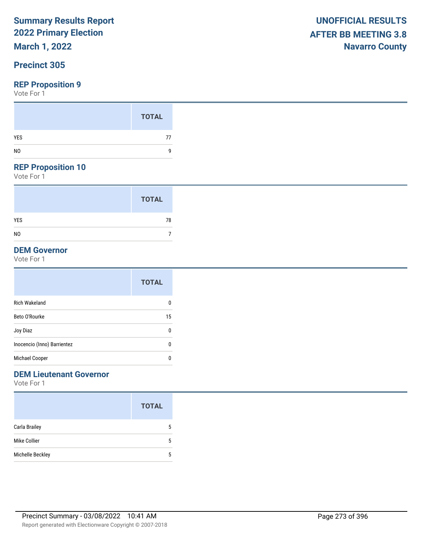## **March 1, 2022**

## **Precinct 305**

#### **REP Proposition 9**

Vote For 1

### **REP Proposition 10**

Vote For 1

|                | <b>TOTAL</b> |
|----------------|--------------|
| <b>YES</b>     | 78           |
| N <sub>0</sub> |              |

## **DEM Governor**

Vote For 1

|                             | <b>TOTAL</b> |
|-----------------------------|--------------|
| <b>Rich Wakeland</b>        | 0            |
| Beto O'Rourke               | 15           |
| Joy Diaz                    | 0            |
| Inocencio (Inno) Barrientez | 0            |
| Michael Cooper              | 0            |
|                             |              |

### **DEM Lieutenant Governor**

|                  | <b>TOTAL</b> |
|------------------|--------------|
| Carla Brailey    | 5            |
| Mike Collier     | 5            |
| Michelle Beckley | 5            |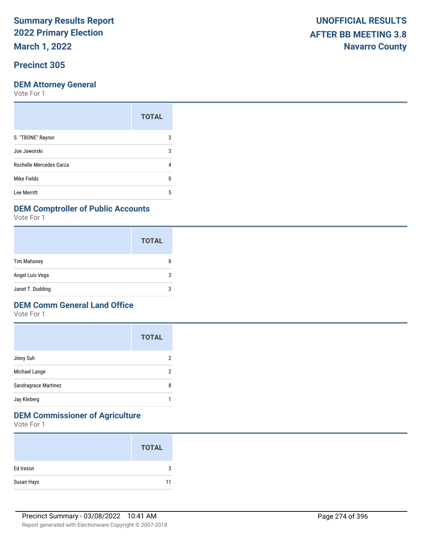**March 1, 2022**

## **Precinct 305**

Vote For 1

| <b>TOTAL</b> |
|--------------|
| 3            |
| 3            |
|              |
|              |
| 5            |
|              |

#### **DEM Comptroller of Public Accounts**

Vote For 1

|                    | <b>TOTAL</b> |
|--------------------|--------------|
| <b>Tim Mahoney</b> | 8            |
| Angel Luis Vega    | 3            |
| Janet T. Dudding   | 3            |

#### **DEM Comm General Land Office**

Vote For 1

|                      | <b>TOTAL</b> |
|----------------------|--------------|
| Jinny Suh            | 2            |
| Michael Lange        | 2            |
| Sandragrace Martinez | 8            |
| Jay Kleberg          |              |

## **DEM Commissioner of Agriculture**

|            | <b>TOTAL</b> |
|------------|--------------|
| Ed Ireson  | 3            |
| Susan Hays | 11           |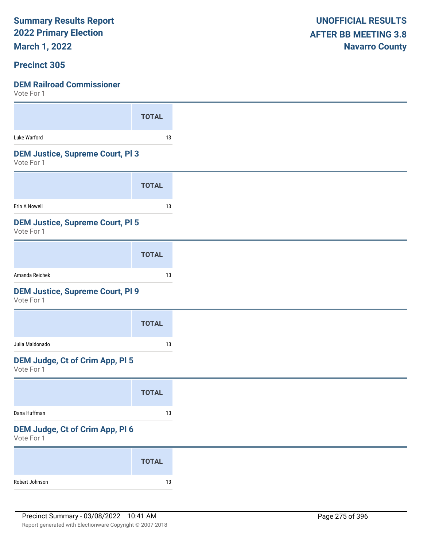**March 1, 2022**

#### **Precinct 305**

| <b>TOTAL</b>                            |
|-----------------------------------------|
| 13                                      |
| <b>DEM Justice, Supreme Court, PI 3</b> |
| <b>TOTAL</b>                            |
| 13                                      |
| <b>DEM Justice, Supreme Court, PI 5</b> |
| <b>TOTAL</b>                            |
| 13                                      |
| <b>DEM Justice, Supreme Court, PI 9</b> |
| <b>TOTAL</b>                            |
| 13                                      |
|                                         |
|                                         |
| <b>TOTAL</b>                            |
| 13                                      |
| DEM Judge, Ct of Crim App, Pl 6         |
| <b>TOTAL</b>                            |
| <b>DEM Judge, Ct of Crim App, PI 5</b>  |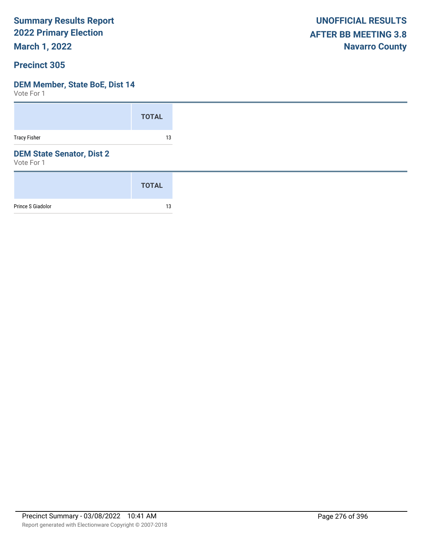**March 1, 2022**

#### **Precinct 305**

## **DEM Member, State BoE, Dist 14**

|                                                | <b>TOTAL</b> |
|------------------------------------------------|--------------|
| <b>Tracy Fisher</b>                            | 13           |
| <b>DEM State Senator, Dist 2</b><br>Vote For 1 |              |
|                                                | <b>TOTAL</b> |
| Prince S Giadolor                              | 13           |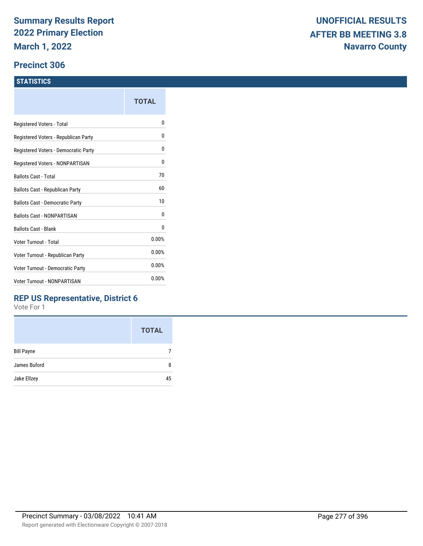#### **Precinct 306**

#### **STATISTICS**

|                                      | TOTAL |
|--------------------------------------|-------|
| Registered Voters - Total            | N     |
| Registered Voters - Republican Party | 0     |
| Registered Voters - Democratic Party | 0     |
| Registered Voters - NONPARTISAN      | 0     |
| Ballots Cast - Total                 | 70    |
| Ballots Cast - Republican Party      | 60    |
| Ballots Cast - Democratic Party      | 10    |
| <b>Ballots Cast - NONPARTISAN</b>    | 0     |
| <b>Ballots Cast - Blank</b>          | 0     |
| Voter Turnout - Total                | 0.00% |
| Voter Turnout - Republican Party     | 0.00% |
| Voter Turnout - Democratic Party     | 0.00% |
| Voter Turnout - NONPARTISAN          | 0.00% |
|                                      |       |

### **REP US Representative, District 6**

|                   | <b>TOTAL</b> |
|-------------------|--------------|
| <b>Bill Payne</b> |              |
| James Buford      | 8            |
| Jake Ellzey       | 45           |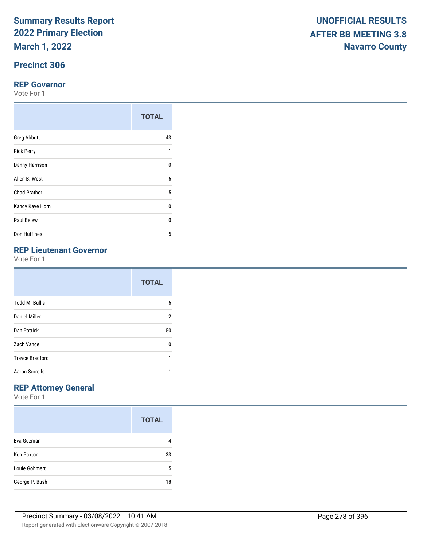**March 1, 2022**

## **Precinct 306**

#### **REP Governor**

Vote For 1

|                     | <b>TOTAL</b> |
|---------------------|--------------|
| <b>Greg Abbott</b>  | 43           |
| <b>Rick Perry</b>   | 1            |
| Danny Harrison      | $\Omega$     |
| Allen B. West       | 6            |
| <b>Chad Prather</b> | 5            |
| Kandy Kaye Horn     | $\Omega$     |
| Paul Belew          | $\Omega$     |
| Don Huffines        | 5            |

#### **REP Lieutenant Governor**

|                        | <b>TOTAL</b> |
|------------------------|--------------|
| <b>Todd M. Bullis</b>  | 6            |
| Daniel Miller          | 2            |
| Dan Patrick            | 50           |
| Zach Vance             | U            |
| <b>Trayce Bradford</b> | 1            |
| <b>Aaron Sorrells</b>  | 1            |

## **REP Attorney General**

|                   | <b>TOTAL</b> |
|-------------------|--------------|
| Eva Guzman        |              |
| <b>Ken Paxton</b> | 33           |
| Louie Gohmert     | 5            |
| George P. Bush    | 18           |

|                                              | <b>TOTAL</b> |
|----------------------------------------------|--------------|
| Greg Abbott                                  | 43           |
| Rick Perry                                   |              |
| Danny Harrison                               | 0            |
| Allen B. West                                | 6            |
| <b>Chad Prather</b>                          | 5            |
| Kandy Kaye Horn                              | 0            |
| Paul Belew                                   | 0            |
| Don Huffines                                 | 5            |
| <b>REP Lieutenant Governor</b><br>Vote For 1 |              |
|                                              | -----        |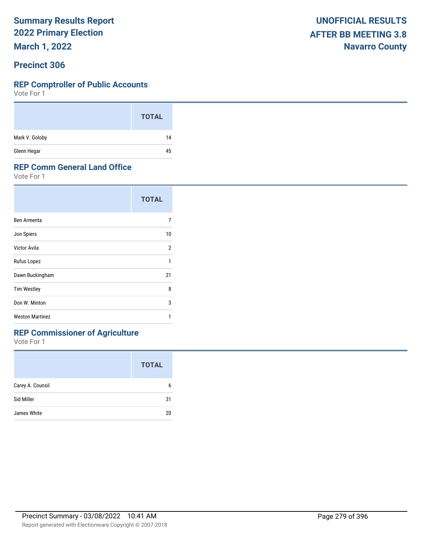**March 1, 2022**

#### **Precinct 306**

#### **REP Comptroller of Public Accounts**

Vote For 1

|                | <b>TOTAL</b> |
|----------------|--------------|
| Mark V. Goloby | 14           |
| Glenn Hegar    | 45           |

#### **REP Comm General Land Office**

Vote For 1

|                        | <b>TOTAL</b>   |
|------------------------|----------------|
| Ben Armenta            | 7              |
| Jon Spiers             | 10             |
| Victor Avila           | $\overline{2}$ |
| Rufus Lopez            | 1              |
| Dawn Buckingham        | 21             |
| <b>Tim Westley</b>     | 8              |
| Don W. Minton          | 3              |
| <b>Weston Martinez</b> | 1              |

## **REP Commissioner of Agriculture**

|                  | <b>TOTAL</b> |
|------------------|--------------|
| Carey A. Counsil | 6            |
| Sid Miller       | 31           |
| James White      | 20           |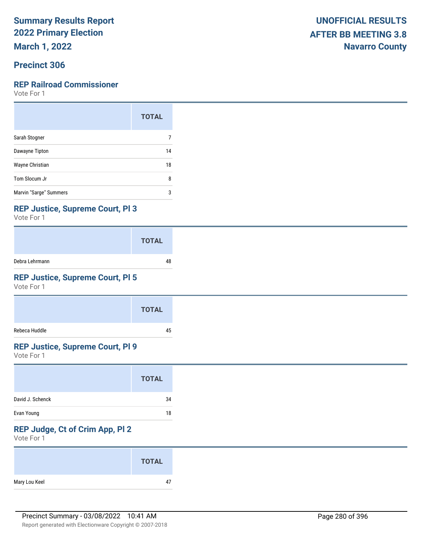**March 1, 2022**

### **Precinct 306**

#### **REP Railroad Commissioner**

Vote For 1

|                        | <b>TOTAL</b> |
|------------------------|--------------|
| Sarah Stogner          |              |
| Dawayne Tipton         | 14           |
| Wayne Christian        | 18           |
| Tom Slocum Jr          | 8            |
| Marvin "Sarge" Summers | 3            |

#### **REP Justice, Supreme Court, Pl 3**

Vote For 1

|                | <b>TOTAL</b> |
|----------------|--------------|
| Debra Lehrmann | 48           |

## **REP Justice, Supreme Court, Pl 5**

Vote For 1

|               | <b>TOTAL</b> |
|---------------|--------------|
| Rebeca Huddle | 45           |

### **REP Justice, Supreme Court, Pl 9**

Vote For 1

|                  | <b>TOTAL</b> |
|------------------|--------------|
| David J. Schenck | 34           |
| Evan Young       | 18           |

## **REP Judge, Ct of Crim App, Pl 2**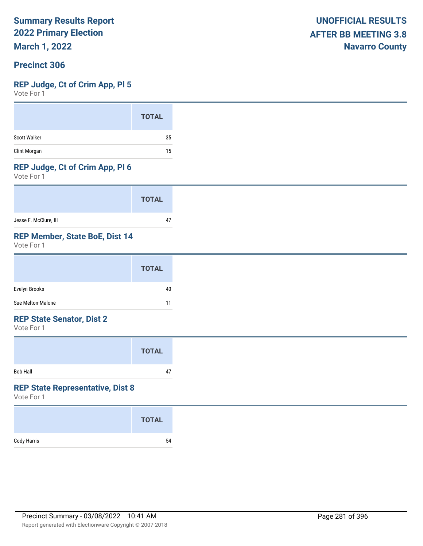**March 1, 2022**

### **Precinct 306**

#### **REP Judge, Ct of Crim App, Pl 5**

Vote For 1

|                     | <b>TOTAL</b> |
|---------------------|--------------|
| <b>Scott Walker</b> | 35           |
| Clint Morgan        | 15           |

#### **REP Judge, Ct of Crim App, Pl 6**

Vote For 1

|                       | <b>TOTAL</b> |
|-----------------------|--------------|
| Jesse F. McClure, III |              |

#### **REP Member, State BoE, Dist 14**

Vote For 1

|                   | <b>TOTAL</b> |
|-------------------|--------------|
| Evelyn Brooks     | 40           |
| Sue Melton-Malone | 11           |

#### **REP State Senator, Dist 2**

Vote For 1

|                 | <b>TOTAL</b> |  |
|-----------------|--------------|--|
| <b>Bob Hall</b> | 47           |  |

#### **REP State Representative, Dist 8**

|             | <b>TOTAL</b> |
|-------------|--------------|
| Cody Harris | 54           |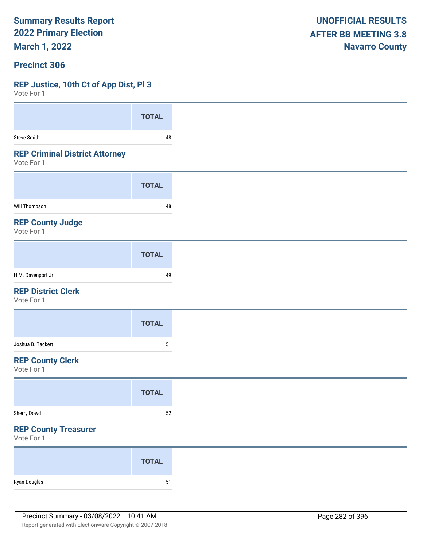**March 1, 2022**

#### **Precinct 306**

#### **REP Justice, 10th Ct of App Dist, Pl 3**

| VOTE FOL 1                                          |              |
|-----------------------------------------------------|--------------|
|                                                     | <b>TOTAL</b> |
| <b>Steve Smith</b>                                  | 48           |
| <b>REP Criminal District Attorney</b><br>Vote For 1 |              |
|                                                     | <b>TOTAL</b> |
| Will Thompson                                       | 48           |
| <b>REP County Judge</b><br>Vote For 1               |              |
|                                                     | <b>TOTAL</b> |
| H M. Davenport Jr                                   | 49           |
| <b>REP District Clerk</b><br>Vote For 1             |              |
|                                                     | <b>TOTAL</b> |
| Joshua B. Tackett                                   | $51\,$       |
| <b>REP County Clerk</b><br>Vote For 1               |              |
|                                                     | <b>TOTAL</b> |
| Sherry Dowd                                         | $52\,$       |
| <b>REP County Treasurer</b><br>Vote For 1           |              |
|                                                     | <b>TOTAL</b> |
| Ryan Douglas                                        | ${\bf 51}$   |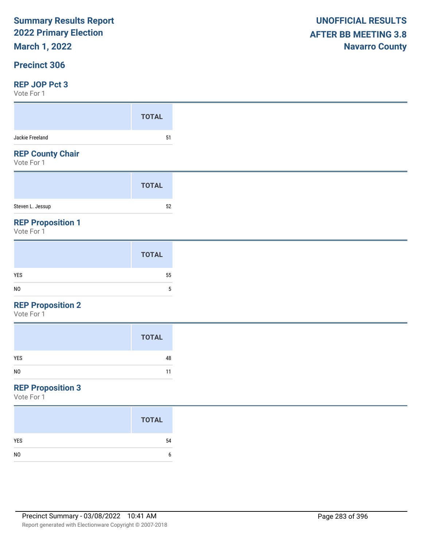**March 1, 2022**

## **Precinct 306**

#### **REP JOP Pct 3**

Vote For 1

| VOLE FOI I                             |              |
|----------------------------------------|--------------|
|                                        | <b>TOTAL</b> |
| Jackie Freeland                        | 51           |
| <b>REP County Chair</b><br>Vote For 1  |              |
|                                        | <b>TOTAL</b> |
| Steven L. Jessup                       | 52           |
| <b>REP Proposition 1</b><br>Vote For 1 |              |
|                                        | <b>TOTAL</b> |

| N <sub>0</sub> |
|----------------|
|                |

### **REP Proposition 2**

Vote For 1

|                | <b>TOTAL</b> |
|----------------|--------------|
| <b>YES</b>     | 48           |
| N <sub>0</sub> | 11           |

## **REP Proposition 3**

|                | <b>TOTAL</b> |
|----------------|--------------|
| <b>YES</b>     | 54           |
| N <sub>0</sub> | 6            |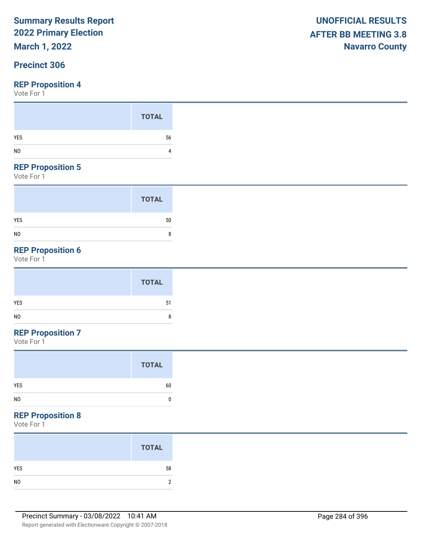## **March 1, 2022**

## **Precinct 306**

Vote For 1

#### **REP Proposition 5**

Vote For 1

|                | <b>TOTAL</b> |
|----------------|--------------|
| <b>YES</b>     | 50           |
| N <sub>0</sub> | 8            |

## **REP Proposition 6**

Vote For 1

## **REP Proposition 7**

Vote For 1

## **REP Proposition 8**

|                | <b>TOTAL</b> |
|----------------|--------------|
| YES            | 58           |
| N <sub>0</sub> |              |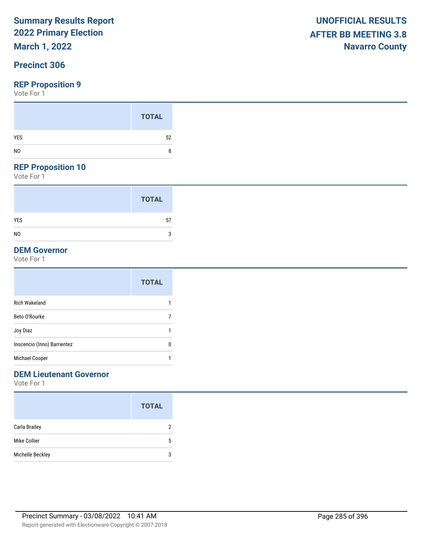## **March 1, 2022**

## **Precinct 306**

#### **REP Proposition 9**

Vote For 1

### **REP Proposition 10**

Vote For 1

|                | <b>TOTAL</b> |
|----------------|--------------|
| <b>YES</b>     | 57           |
| N <sub>0</sub> | 3            |

#### **DEM Governor**

Vote For 1

|                             | <b>TOTAL</b> |
|-----------------------------|--------------|
| <b>Rich Wakeland</b>        |              |
| Beto O'Rourke               |              |
| Joy Diaz                    |              |
| Inocencio (Inno) Barrientez | 0            |
| Michael Cooper              |              |

### **DEM Lieutenant Governor**

|                  | <b>TOTAL</b> |
|------------------|--------------|
| Carla Brailey    | 2            |
| Mike Collier     | 5            |
| Michelle Beckley | 3            |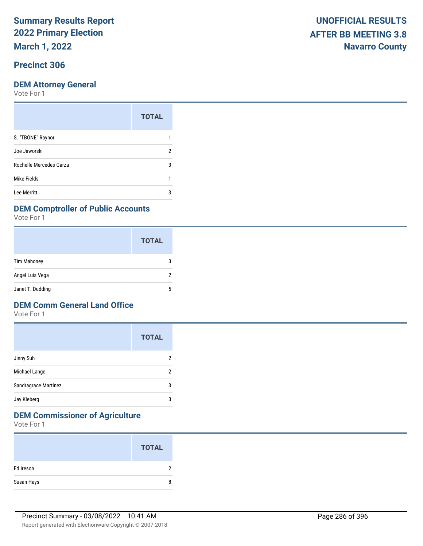**March 1, 2022**

## **Precinct 306**

#### **DEM Attorney General**

Vote For 1

| <b>TOTAL</b>            |   |
|-------------------------|---|
| S. "TBONE" Raynor       |   |
| Joe Jaworski            | 2 |
| Rochelle Mercedes Garza | 3 |
| Mike Fields             |   |
| Lee Merritt             | 3 |

#### **DEM Comptroller of Public Accounts**

Vote For 1

|                    | <b>TOTAL</b> |
|--------------------|--------------|
| <b>Tim Mahoney</b> | З            |
| Angel Luis Vega    |              |
| Janet T. Dudding   | 5            |

#### **DEM Comm General Land Office**

Vote For 1

|                      | <b>TOTAL</b> |
|----------------------|--------------|
| Jinny Suh            | 2            |
| Michael Lange        | 2            |
| Sandragrace Martinez | 3            |
| Jay Kleberg          | 3            |

## **DEM Commissioner of Agriculture**

|            | <b>TOTAL</b> |
|------------|--------------|
| Ed Ireson  | C            |
| Susan Hays | 8            |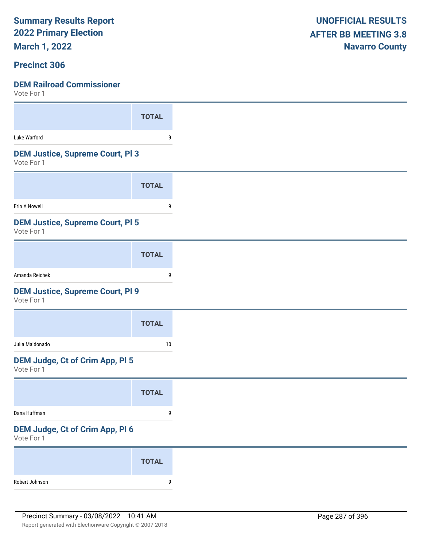**March 1, 2022**

#### **Precinct 306**

| VULE FUI I                                            |              |
|-------------------------------------------------------|--------------|
|                                                       | <b>TOTAL</b> |
| Luke Warford                                          | 9            |
| <b>DEM Justice, Supreme Court, PI 3</b><br>Vote For 1 |              |
|                                                       | <b>TOTAL</b> |
| Erin A Nowell                                         | 9            |
| <b>DEM Justice, Supreme Court, PI 5</b><br>Vote For 1 |              |
|                                                       | <b>TOTAL</b> |
| Amanda Reichek                                        | 9            |
| <b>DEM Justice, Supreme Court, PI 9</b><br>Vote For 1 |              |
|                                                       | <b>TOTAL</b> |
| Julia Maldonado                                       | 10           |
| <b>DEM Judge, Ct of Crim App, PI 5</b><br>Vote For 1  |              |
|                                                       | <b>TOTAL</b> |
| Dana Huffman                                          | 9            |
| DEM Judge, Ct of Crim App, Pl 6<br>Vote For 1         |              |
|                                                       | <b>TOTAL</b> |
| Robert Johnson                                        | 9            |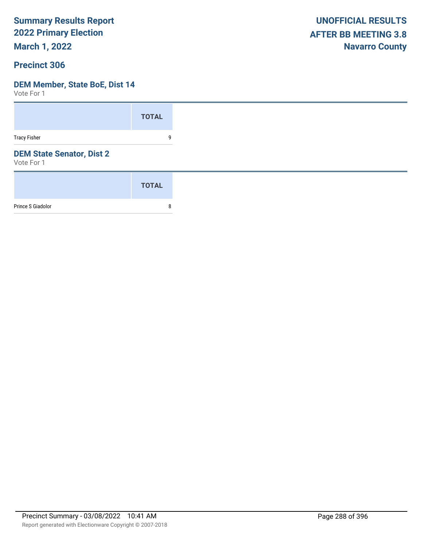**March 1, 2022**

#### **Precinct 306**

#### **DEM Member, State BoE, Dist 14**

|                                                | <b>TOTAL</b> |
|------------------------------------------------|--------------|
| <b>Tracy Fisher</b>                            | 9            |
| <b>DEM State Senator, Dist 2</b><br>Vote For 1 |              |
|                                                | <b>TOTAL</b> |
| Prince S Giadolor                              | 8            |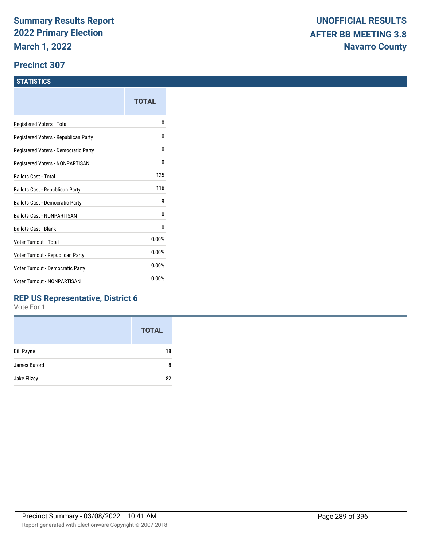#### **Precinct 307**

#### **STATISTICS**

|                                      | TOTAL |
|--------------------------------------|-------|
| Registered Voters - Total            | o     |
| Registered Voters - Republican Party | 0     |
| Registered Voters - Democratic Party | 0     |
| Registered Voters - NONPARTISAN      | 0     |
| <b>Ballots Cast - Total</b>          | 125   |
| Ballots Cast - Republican Party      | 116   |
| Ballots Cast - Democratic Party      | 9     |
| Ballots Cast - NONPARTISAN           | 0     |
| <b>Ballots Cast - Blank</b>          | 0     |
| Voter Turnout - Total                | 0.00% |
| Voter Turnout - Republican Party     | 0.00% |
| Voter Turnout - Democratic Party     | 0.00% |
| <b>Voter Turnout - NONPARTISAN</b>   | 0.00% |
|                                      |       |

### **REP US Representative, District 6**

|                   | <b>TOTAL</b> |
|-------------------|--------------|
| <b>Bill Payne</b> | 18           |
| James Buford      | 8            |
| Jake Ellzey       | 82           |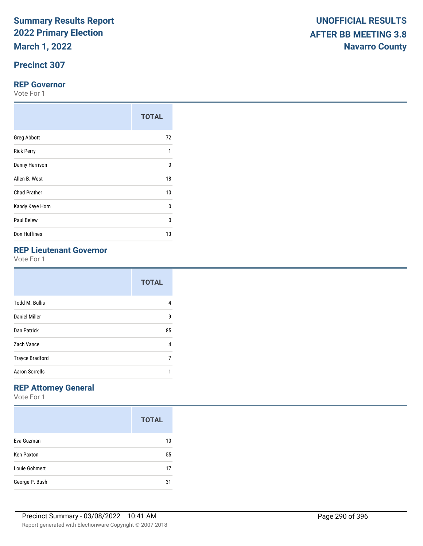**March 1, 2022**

## **Precinct 307**

#### **REP Governor**

Vote For 1

|                     | <b>TOTAL</b> |
|---------------------|--------------|
| <b>Greg Abbott</b>  | 72           |
| <b>Rick Perry</b>   | 1            |
| Danny Harrison      | $\Omega$     |
| Allen B. West       | 18           |
| <b>Chad Prather</b> | 10           |
| Kandy Kaye Horn     | 0            |
| Paul Belew          | 0            |
| Don Huffines        | 13           |

## **REP Lieutenant Governor**

Vote For 1

|                        | <b>TOTAL</b> |
|------------------------|--------------|
| <b>Todd M. Bullis</b>  | 4            |
| Daniel Miller          | 9            |
| Dan Patrick            | 85           |
| Zach Vance             | 4            |
| <b>Trayce Bradford</b> | 7            |
| <b>Aaron Sorrells</b>  |              |

## **REP Attorney General**

|                   | <b>TOTAL</b> |
|-------------------|--------------|
| Eva Guzman        | 10           |
| <b>Ken Paxton</b> | 55           |
| Louie Gohmert     | 17           |
| George P. Bush    | 31           |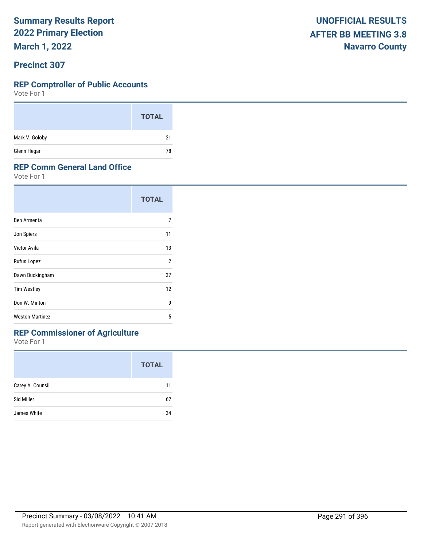**March 1, 2022**

#### **Precinct 307**

#### **REP Comptroller of Public Accounts**

Vote For 1

|                | <b>TOTAL</b> |
|----------------|--------------|
| Mark V. Goloby | 21           |
| Glenn Hegar    | 78           |

#### **REP Comm General Land Office**

Vote For 1

|                        | <b>TOTAL</b>   |
|------------------------|----------------|
| Ben Armenta            | 7              |
| Jon Spiers             | 11             |
| Victor Avila           | 13             |
| Rufus Lopez            | $\overline{2}$ |
| Dawn Buckingham        | 37             |
| <b>Tim Westley</b>     | 12             |
| Don W. Minton          | 9              |
| <b>Weston Martinez</b> | 5              |

## **REP Commissioner of Agriculture**

|                  | <b>TOTAL</b> |
|------------------|--------------|
| Carey A. Counsil | 11           |
| Sid Miller       | 62           |
| James White      | 34           |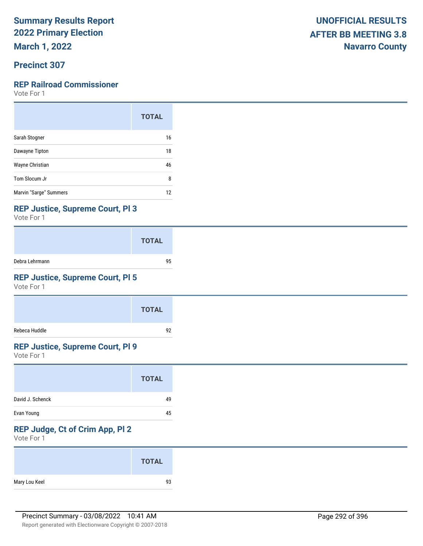**March 1, 2022**

### **Precinct 307**

### **REP Railroad Commissioner**

Vote For 1

|                        | <b>TOTAL</b> |
|------------------------|--------------|
| Sarah Stogner          | 16           |
| Dawayne Tipton         | 18           |
| Wayne Christian        | 46           |
| Tom Slocum Jr          | 8            |
| Marvin "Sarge" Summers | 12           |

#### **REP Justice, Supreme Court, Pl 3**

Vote For 1

|                | <b>TOTAL</b> |
|----------------|--------------|
| Debra Lehrmann | 95           |

### **REP Justice, Supreme Court, Pl 5**

Vote For 1

|               | <b>TOTAL</b> |
|---------------|--------------|
| Rebeca Huddle | 92           |

#### **REP Justice, Supreme Court, Pl 9**

Vote For 1

| David J. Schenck<br>49<br>Evan Young<br>45 | <b>TOTAL</b> |
|--------------------------------------------|--------------|
|                                            |              |
|                                            |              |

## **REP Judge, Ct of Crim App, Pl 2**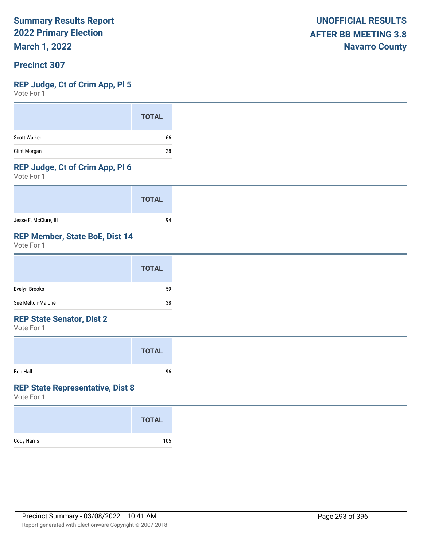**March 1, 2022**

#### **Precinct 307**

#### **REP Judge, Ct of Crim App, Pl 5**

Vote For 1

| <b>TOTAL</b>       |
|--------------------|
| Scott Walker<br>66 |
| Clint Morgan<br>28 |

#### **REP Judge, Ct of Crim App, Pl 6**

Vote For 1

|                       | <b>TOTAL</b> |
|-----------------------|--------------|
| Jesse F. McClure, III | 94           |

#### **REP Member, State BoE, Dist 14**

Vote For 1

|                   | <b>TOTAL</b> |
|-------------------|--------------|
| Evelyn Brooks     | 59           |
| Sue Melton-Malone | 38           |

#### **REP State Senator, Dist 2**

Vote For 1

|          | <b>TOTAL</b> |  |
|----------|--------------|--|
| Bob Hall | 96           |  |

#### **REP State Representative, Dist 8**

|             | <b>TOTAL</b> |
|-------------|--------------|
| Cody Harris | 105          |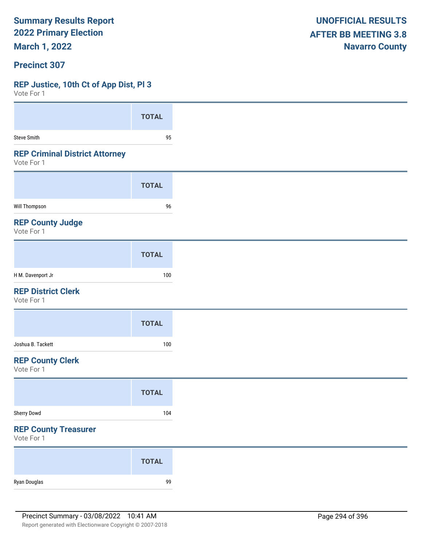**March 1, 2022**

#### **Precinct 307**

#### **REP Justice, 10th Ct of App Dist, Pl 3**

| Vote For T                                          |              |
|-----------------------------------------------------|--------------|
|                                                     | <b>TOTAL</b> |
| Steve Smith                                         | 95           |
| <b>REP Criminal District Attorney</b><br>Vote For 1 |              |
|                                                     | <b>TOTAL</b> |
| Will Thompson                                       | 96           |
| <b>REP County Judge</b><br>Vote For 1               |              |
|                                                     | <b>TOTAL</b> |
| H M. Davenport Jr                                   | 100          |
| <b>REP District Clerk</b><br>Vote For 1             |              |
|                                                     | <b>TOTAL</b> |
| Joshua B. Tackett                                   | 100          |
| <b>REP County Clerk</b><br>Vote For 1               |              |
|                                                     | <b>TOTAL</b> |
| Sherry Dowd                                         | 104          |
| <b>REP County Treasurer</b><br>Vote For 1           |              |
|                                                     | <b>TOTAL</b> |
| Ryan Douglas                                        | 99           |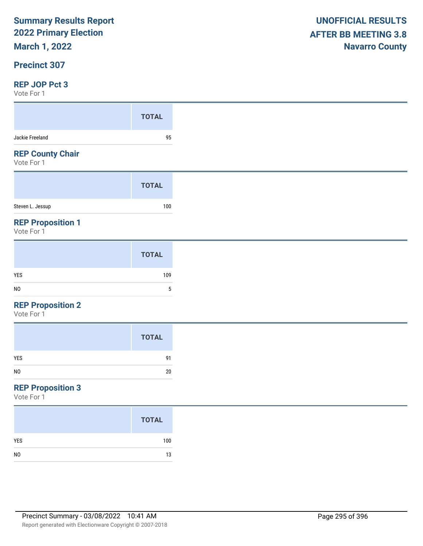## **March 1, 2022**

#### **Precinct 307**

#### **REP JOP Pct 3**

Vote For 1

| $V \cup U \cup V$                      |              |
|----------------------------------------|--------------|
|                                        | <b>TOTAL</b> |
| Jackie Freeland                        | 95           |
| <b>REP County Chair</b><br>Vote For 1  |              |
|                                        | <b>TOTAL</b> |
| Steven L. Jessup                       | 100          |
| <b>REP Proposition 1</b><br>Vote For 1 |              |
|                                        | <b>TOTAL</b> |

|     | <b>IVIAL</b> |
|-----|--------------|
| YES | 109          |
| NO  | 5            |

#### **REP Proposition 2**

Vote For 1

|                | <b>TOTAL</b> |
|----------------|--------------|
| <b>YES</b>     | 91           |
| N <sub>0</sub> | 20<br>--     |

## **REP Proposition 3**

|                | <b>TOTAL</b> |
|----------------|--------------|
| <b>YES</b>     | 100          |
| N <sub>0</sub> | 13           |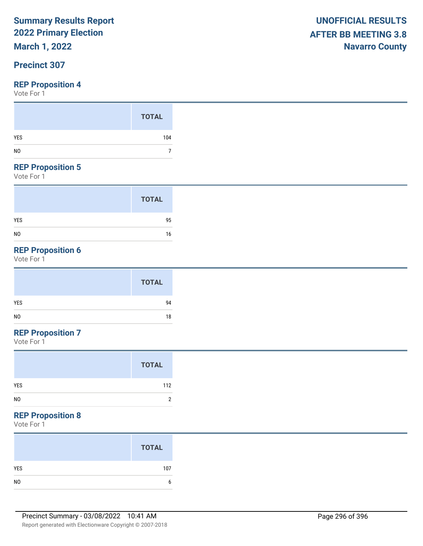## **March 1, 2022**

### **Precinct 307**

#### **REP Proposition 4**

Vote For 1

#### **REP Proposition 5**

Vote For 1

|                | <b>TOTAL</b> |
|----------------|--------------|
| <b>YES</b>     | 95           |
| N <sub>0</sub> | 16           |

## **REP Proposition 6**

Vote For 1

|            | <b>TOTAL</b> |
|------------|--------------|
| <b>YES</b> | 94           |
| NO         | 18           |

## **REP Proposition 7**

Vote For 1

#### **REP Proposition 8**

|                | <b>TOTAL</b> |
|----------------|--------------|
| <b>YES</b>     | 107          |
| N <sub>0</sub> |              |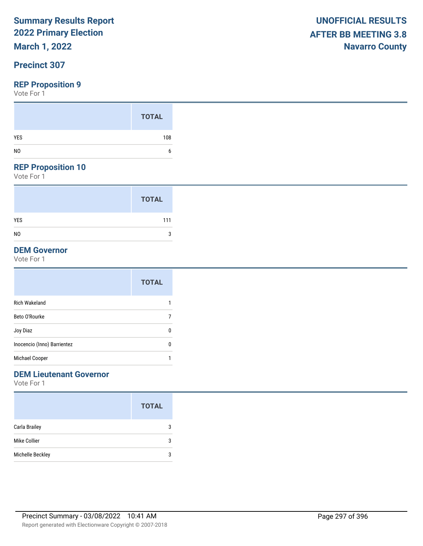## **March 1, 2022**

### **Precinct 307**

#### **REP Proposition 9**

Vote For 1

#### **REP Proposition 10**

Vote For 1

|                | <b>TOTAL</b> |
|----------------|--------------|
| <b>YES</b>     | 111          |
| N <sub>0</sub> | 3            |

## **DEM Governor**

Vote For 1

|                             | <b>TOTAL</b> |
|-----------------------------|--------------|
| <b>Rich Wakeland</b>        |              |
| Beto O'Rourke               |              |
| Joy Diaz                    | 0            |
| Inocencio (Inno) Barrientez | 0            |
| Michael Cooper              |              |

#### **DEM Lieutenant Governor**

|                  | <b>TOTAL</b> |
|------------------|--------------|
| Carla Brailey    | 3            |
| Mike Collier     | 3            |
| Michelle Beckley | 3            |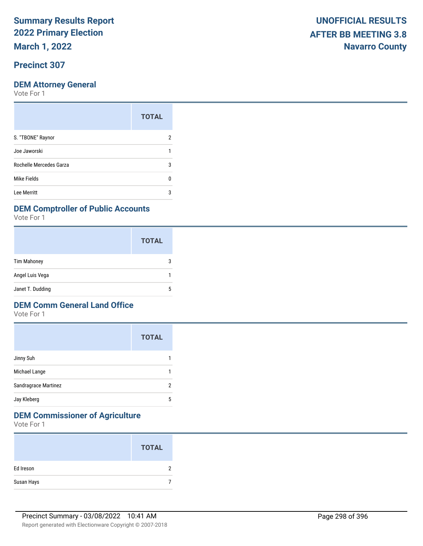**March 1, 2022**

### **Precinct 307**

Vote For 1

|                         | <b>TOTAL</b> |
|-------------------------|--------------|
| S. "TBONE" Raynor       |              |
| Joe Jaworski            |              |
| Rochelle Mercedes Garza | 3            |
| Mike Fields             |              |
| Lee Merritt             | ঽ            |

#### **DEM Comptroller of Public Accounts**

Vote For 1

|                    | <b>TOTAL</b> |
|--------------------|--------------|
| <b>Tim Mahoney</b> | З            |
| Angel Luis Vega    |              |
| Janet T. Dudding   | 5            |

#### **DEM Comm General Land Office**

Vote For 1

| <b>TOTAL</b> |
|--------------|
|              |
|              |
| 2            |
| 5            |
|              |

## **DEM Commissioner of Agriculture**

|            | <b>TOTAL</b> |
|------------|--------------|
| Ed Ireson  |              |
| Susan Hays |              |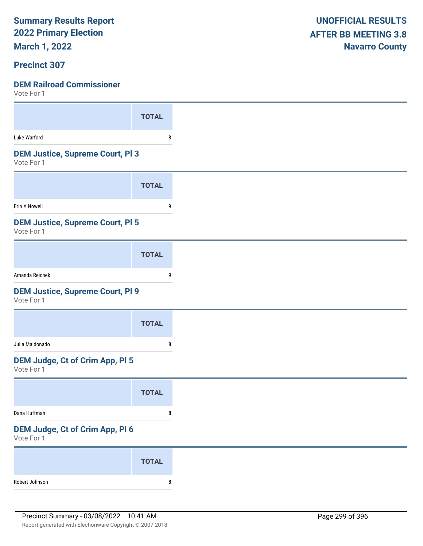**March 1, 2022**

#### **Precinct 307**

| $V \cup U \cup V$                                     |              |
|-------------------------------------------------------|--------------|
|                                                       | <b>TOTAL</b> |
| Luke Warford                                          | 8            |
| <b>DEM Justice, Supreme Court, PI3</b><br>Vote For 1  |              |
|                                                       | <b>TOTAL</b> |
| Erin A Nowell                                         | 9            |
| <b>DEM Justice, Supreme Court, PI 5</b><br>Vote For 1 |              |
|                                                       | <b>TOTAL</b> |
| Amanda Reichek                                        | 9            |
| <b>DEM Justice, Supreme Court, PI 9</b><br>Vote For 1 |              |
|                                                       | <b>TOTAL</b> |
| Julia Maldonado                                       | 8            |
| <b>DEM Judge, Ct of Crim App, PI 5</b><br>Vote For 1  |              |
|                                                       | <b>TOTAL</b> |
| Dana Huffman                                          | 8            |
| DEM Judge, Ct of Crim App, Pl 6<br>Vote For 1         |              |
|                                                       | <b>TOTAL</b> |
| Robert Johnson                                        | 8            |
|                                                       |              |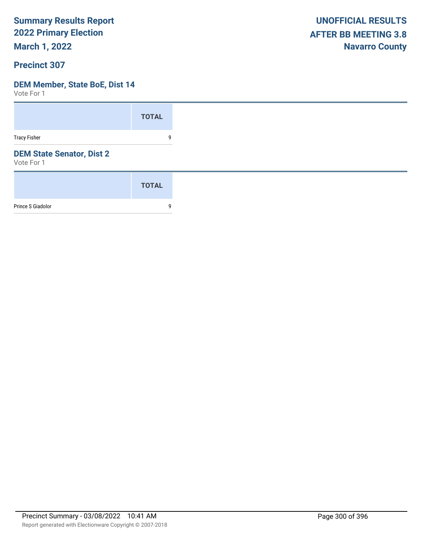**March 1, 2022**

#### **Precinct 307**

#### **DEM Member, State BoE, Dist 14**

|                                                | <b>TOTAL</b> |
|------------------------------------------------|--------------|
| <b>Tracy Fisher</b>                            | 9            |
| <b>DEM State Senator, Dist 2</b><br>Vote For 1 |              |
|                                                | <b>TOTAL</b> |
| Prince S Giadolor                              | 9            |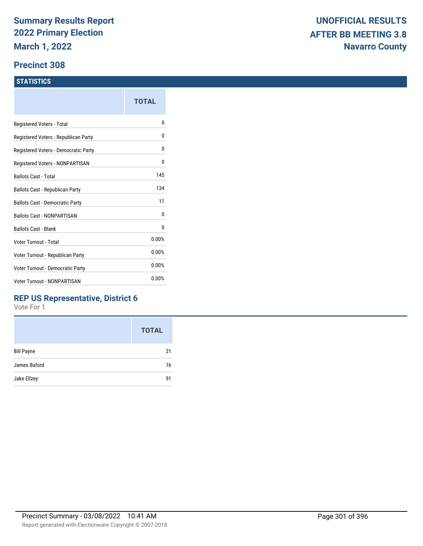#### **Precinct 308**

#### **STATISTICS**

|                                      | TOTAL |
|--------------------------------------|-------|
| Registered Voters - Total            | N     |
| Registered Voters - Republican Party | 0     |
| Registered Voters - Democratic Party | 0     |
| Registered Voters - NONPARTISAN      | 0     |
| Ballots Cast - Total                 | 145   |
| Ballots Cast - Republican Party      | 134   |
| Ballots Cast - Democratic Party      | 11    |
| <b>Ballots Cast - NONPARTISAN</b>    | 0     |
| <b>Ballots Cast - Blank</b>          | 0     |
| Voter Turnout - Total                | 0.00% |
| Voter Turnout - Republican Party     | 0.00% |
| Voter Turnout - Democratic Party     | 0.00% |
| Voter Turnout - NONPARTISAN          | 0.00% |
|                                      |       |

### **REP US Representative, District 6**

|                   | <b>TOTAL</b> |
|-------------------|--------------|
| <b>Bill Payne</b> | 21           |
| James Buford      | 16           |
| Jake Ellzey       | 91           |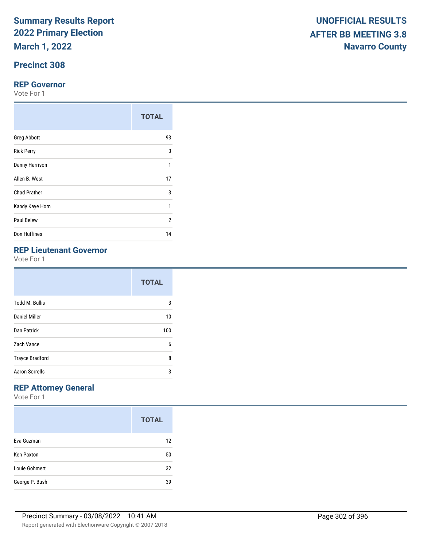**March 1, 2022**

## **Precinct 308**

#### **REP Governor**

Vote For 1

|                     | <b>TOTAL</b>   |
|---------------------|----------------|
| <b>Greg Abbott</b>  | 93             |
| <b>Rick Perry</b>   | 3              |
| Danny Harrison      | 1              |
| Allen B. West       | 17             |
| <b>Chad Prather</b> | 3              |
| Kandy Kaye Horn     | 1              |
| Paul Belew          | $\overline{2}$ |
| Don Huffines        | 14             |

## **REP Lieutenant Governor**

Vote For 1

|                        | <b>TOTAL</b> |
|------------------------|--------------|
| <b>Todd M. Bullis</b>  | 3            |
| Daniel Miller          | 10           |
| Dan Patrick            | 100          |
| Zach Vance             | 6            |
| <b>Trayce Bradford</b> | 8            |
| <b>Aaron Sorrells</b>  | 3            |

## **REP Attorney General**

|                   | <b>TOTAL</b> |
|-------------------|--------------|
| Eva Guzman        | 12           |
| <b>Ken Paxton</b> | 50           |
| Louie Gohmert     | 32           |
| George P. Bush    | 39           |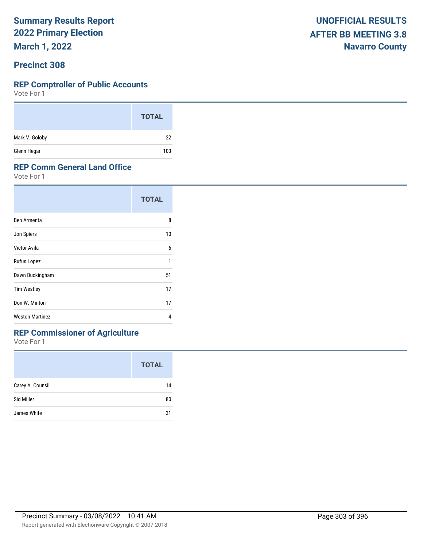**March 1, 2022**

#### **Precinct 308**

#### **REP Comptroller of Public Accounts**

Vote For 1

|                | <b>TOTAL</b> |
|----------------|--------------|
| Mark V. Goloby | 22           |
| Glenn Hegar    | 103          |

#### **REP Comm General Land Office**

Vote For 1

|                        | <b>TOTAL</b> |
|------------------------|--------------|
| Ben Armenta            | 8            |
| Jon Spiers             | 10           |
| Victor Avila           | 6            |
| Rufus Lopez            | 1            |
| Dawn Buckingham        | 51           |
| <b>Tim Westley</b>     | 17           |
| Don W. Minton          | 17           |
| <b>Weston Martinez</b> | 4            |

## **REP Commissioner of Agriculture**

|                  | <b>TOTAL</b> |
|------------------|--------------|
| Carey A. Counsil | 14           |
| Sid Miller       | 80           |
| James White      | 31           |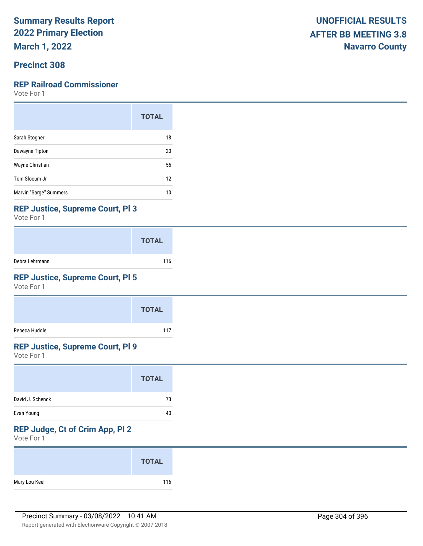**March 1, 2022**

### **Precinct 308**

#### **REP Railroad Commissioner**

Vote For 1

|                        | <b>TOTAL</b> |
|------------------------|--------------|
| Sarah Stogner          | 18           |
| Dawayne Tipton         | 20           |
| Wayne Christian        | 55           |
| Tom Slocum Jr          | 12           |
| Marvin "Sarge" Summers | 10           |

#### **REP Justice, Supreme Court, Pl 3**

Vote For 1

|                | <b>TOTAL</b> |
|----------------|--------------|
| Debra Lehrmann | 116          |

### **REP Justice, Supreme Court, Pl 5**

Vote For 1

|               | <b>TOTAL</b> |
|---------------|--------------|
| Rebeca Huddle | 117          |

#### **REP Justice, Supreme Court, Pl 9**

Vote For 1

|                  | <b>TOTAL</b> |
|------------------|--------------|
| David J. Schenck | 73           |
| Evan Young       | 40           |

## **REP Judge, Ct of Crim App, Pl 2**

|               | <b>TOTAL</b> |
|---------------|--------------|
| Mary Lou Keel | 116          |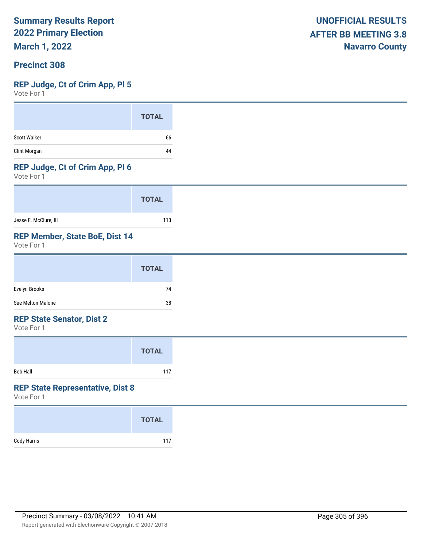**March 1, 2022**

#### **Precinct 308**

#### **REP Judge, Ct of Crim App, Pl 5**

Vote For 1

|                     | <b>TOTAL</b> |
|---------------------|--------------|
| <b>Scott Walker</b> | 66           |
| Clint Morgan        | 44           |

#### **REP Judge, Ct of Crim App, Pl 6**

Vote For 1

|                       | <b>TOTAL</b> |
|-----------------------|--------------|
| Jesse F. McClure, III | 113          |

#### **REP Member, State BoE, Dist 14**

Vote For 1

|                   | <b>TOTAL</b> |
|-------------------|--------------|
| Evelyn Brooks     | 74           |
| Sue Melton-Malone | 38           |

#### **REP State Senator, Dist 2**

Vote For 1

|                 | <b>TOTAL</b> |  |
|-----------------|--------------|--|
| <b>Bob Hall</b> | 117          |  |

#### **REP State Representative, Dist 8**

|             | <b>TOTAL</b> |
|-------------|--------------|
| Cody Harris | 117          |
|             |              |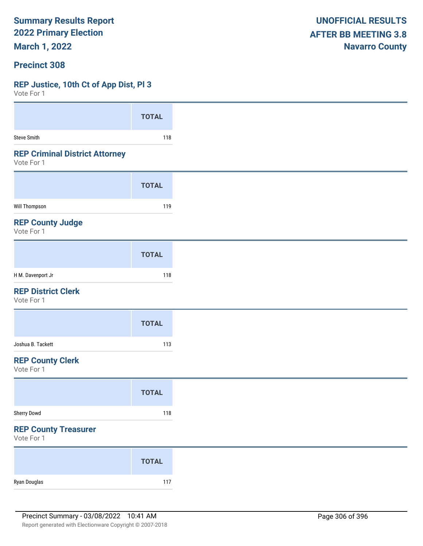**March 1, 2022**

#### **Precinct 308**

#### **REP Justice, 10th Ct of App Dist, Pl 3**

 $V$ oto Fo

| VOLE FOI 1                                          |              |
|-----------------------------------------------------|--------------|
|                                                     | <b>TOTAL</b> |
| <b>Steve Smith</b>                                  | 118          |
| <b>REP Criminal District Attorney</b><br>Vote For 1 |              |
|                                                     | <b>TOTAL</b> |
| Will Thompson                                       | 119          |
| <b>REP County Judge</b><br>Vote For 1               |              |
|                                                     | <b>TOTAL</b> |
| H M. Davenport Jr                                   | 118          |
| <b>REP District Clerk</b><br>Vote For 1             |              |
|                                                     | <b>TOTAL</b> |
| Joshua B. Tackett                                   | 113          |
| <b>REP County Clerk</b><br>Vote For 1               |              |
|                                                     | <b>TOTAL</b> |
| Sherry Dowd                                         | 118          |
| <b>REP County Treasurer</b><br>Vote For 1           |              |
|                                                     | <b>TOTAL</b> |
| Ryan Douglas                                        | 117          |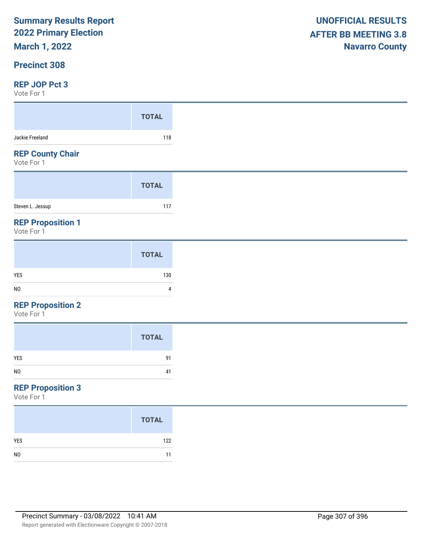**March 1, 2022**

#### **Precinct 308**

#### **REP JOP Pct 3**

Vote For 1

| $\sqrt{2}$                             |              |
|----------------------------------------|--------------|
|                                        | <b>TOTAL</b> |
| Jackie Freeland                        | 118          |
| <b>REP County Chair</b><br>Vote For 1  |              |
|                                        | <b>TOTAL</b> |
| Steven L. Jessup                       | 117          |
| <b>REP Proposition 1</b><br>Vote For 1 |              |
|                                        |              |

#### **REP Proposition 2**

Vote For 1

| <b>TOTAL</b>         |
|----------------------|
| <b>YES</b><br>91     |
| N <sub>0</sub><br>41 |

## **REP Proposition 3**

|                | <b>TOTAL</b> |
|----------------|--------------|
| <b>YES</b>     | 122          |
| N <sub>0</sub> | 11           |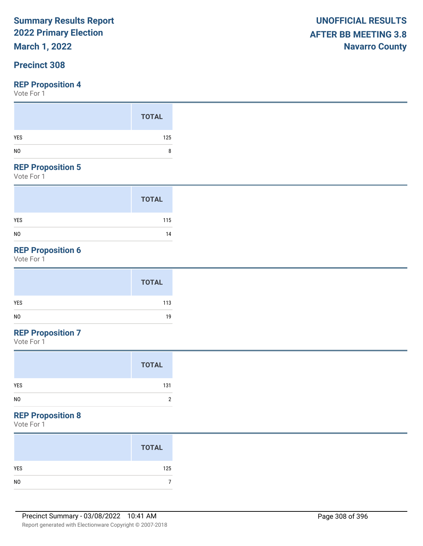## **March 1, 2022**

### **Precinct 308**

#### **REP Proposition 4**

Vote For 1

#### **REP Proposition 5**

Vote For 1

|                | <b>TOTAL</b> |
|----------------|--------------|
| <b>YES</b>     | 115          |
| N <sub>0</sub> | 14           |

## **REP Proposition 6**

Vote For 1

|     | <b>TOTAL</b> |
|-----|--------------|
| YES | 113          |
| NO  | 19           |

## **REP Proposition 7**

Vote For 1

#### **REP Proposition 8**

| <b>TOTAL</b> |
|--------------|
| 125          |
|              |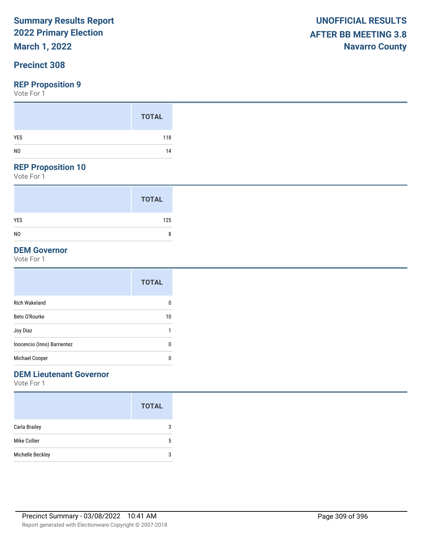## **March 1, 2022**

### **Precinct 308**

#### **REP Proposition 9**

Vote For 1

#### **REP Proposition 10**

Vote For 1

|                | <b>TOTAL</b> |
|----------------|--------------|
| <b>YES</b>     | 125          |
| N <sub>0</sub> | 8            |

#### **DEM Governor**

Vote For 1

|                             | <b>TOTAL</b> |
|-----------------------------|--------------|
| <b>Rich Wakeland</b>        | 0            |
| Beto O'Rourke               | 10           |
| Joy Diaz                    | 1            |
| Inocencio (Inno) Barrientez | 0            |
| Michael Cooper              | 0            |

### **DEM Lieutenant Governor**

|                  | <b>TOTAL</b> |
|------------------|--------------|
| Carla Brailey    | 3            |
| Mike Collier     | 5            |
| Michelle Beckley | 3            |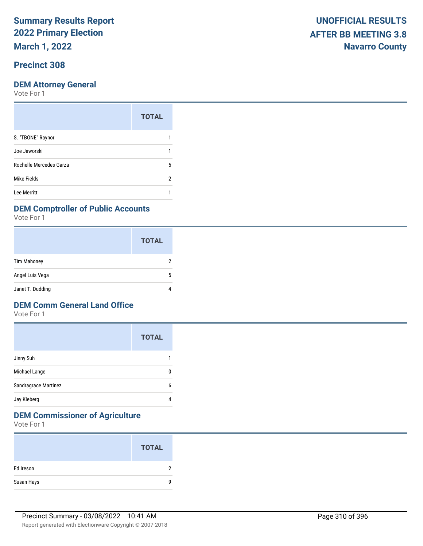**March 1, 2022**

### **Precinct 308**

#### **DEM Attorney General**

Vote For 1

|                         | <b>TOTAL</b> |
|-------------------------|--------------|
| S. "TBONE" Raynor       |              |
| Joe Jaworski            |              |
| Rochelle Mercedes Garza | 5            |
| Mike Fields             | 2            |
| Lee Merritt             |              |

#### **DEM Comptroller of Public Accounts**

Vote For 1

|                    | <b>TOTAL</b> |
|--------------------|--------------|
| <b>Tim Mahoney</b> |              |
| Angel Luis Vega    | 5            |
| Janet T. Dudding   |              |

#### **DEM Comm General Land Office**

Vote For 1

|                      | <b>TOTAL</b> |
|----------------------|--------------|
| Jinny Suh            |              |
| Michael Lange        | 0            |
| Sandragrace Martinez | 6            |
| Jay Kleberg          | 4            |

## **DEM Commissioner of Agriculture**

|            | <b>TOTAL</b> |
|------------|--------------|
| Ed Ireson  | ົ            |
| Susan Hays | Q            |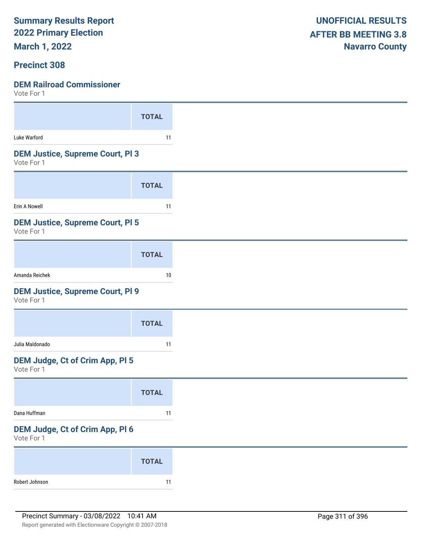**March 1, 2022**

#### **Precinct 308**

| <b>TOTAL</b>                            |
|-----------------------------------------|
| 11                                      |
| <b>DEM Justice, Supreme Court, PI3</b>  |
| <b>TOTAL</b>                            |
| 11                                      |
| <b>DEM Justice, Supreme Court, PI 5</b> |
| <b>TOTAL</b>                            |
| 10                                      |
| <b>DEM Justice, Supreme Court, PI 9</b> |
| <b>TOTAL</b>                            |
| 11                                      |
| <b>DEM Judge, Ct of Crim App, PI 5</b>  |
| <b>TOTAL</b>                            |
| 11                                      |
| DEM Judge, Ct of Crim App, Pl 6         |
| <b>TOTAL</b>                            |
|                                         |
|                                         |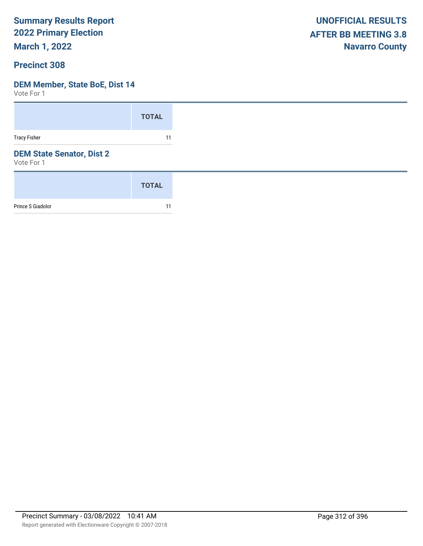**March 1, 2022**

#### **Precinct 308**

#### **DEM Member, State BoE, Dist 14**

|                                                | <b>TOTAL</b> |
|------------------------------------------------|--------------|
| <b>Tracy Fisher</b>                            | 11           |
| <b>DEM State Senator, Dist 2</b><br>Vote For 1 |              |
|                                                | <b>TOTAL</b> |
| Prince S Giadolor                              | 11           |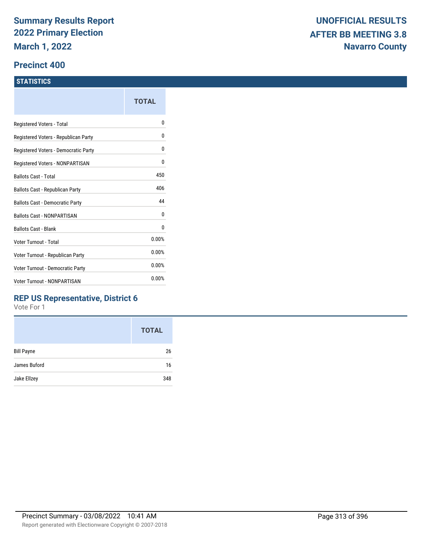#### **Precinct 400**

#### **STATISTICS**

|                                      | TOTAL |
|--------------------------------------|-------|
| Registered Voters - Total            | N     |
| Registered Voters - Republican Party | 0     |
| Registered Voters - Democratic Party | 0     |
| Registered Voters - NONPARTISAN      | 0     |
| Ballots Cast - Total                 | 450   |
| Ballots Cast - Republican Party      | 406   |
| Ballots Cast - Democratic Party      | 44    |
| <b>Ballots Cast - NONPARTISAN</b>    | 0     |
| <b>Ballots Cast - Blank</b>          | 0     |
| Voter Turnout - Total                | 0.00% |
| Voter Turnout - Republican Party     | 0.00% |
| Voter Turnout - Democratic Party     | 0.00% |
| Voter Turnout - NONPARTISAN          | 0.00% |
|                                      |       |

### **REP US Representative, District 6**

|                   | <b>TOTAL</b> |
|-------------------|--------------|
| <b>Bill Payne</b> | 26           |
| James Buford      | 16           |
| Jake Ellzey       | 348          |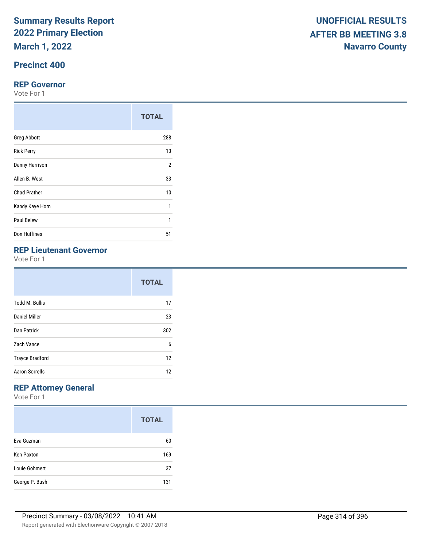**March 1, 2022**

## **Precinct 400**

#### **REP Governor**

Vote For 1

|                     | <b>TOTAL</b>   |
|---------------------|----------------|
| <b>Greg Abbott</b>  | 288            |
| <b>Rick Perry</b>   | 13             |
| Danny Harrison      | $\overline{2}$ |
| Allen B. West       | 33             |
| <b>Chad Prather</b> | 10             |
| Kandy Kaye Horn     | 1              |
| Paul Belew          | 1              |
| Don Huffines        | 51             |

## **REP Lieutenant Governor**

Vote For 1

|                        | <b>TOTAL</b> |
|------------------------|--------------|
| <b>Todd M. Bullis</b>  | 17           |
| Daniel Miller          | 23           |
| Dan Patrick            | 302          |
| Zach Vance             | 6            |
| <b>Trayce Bradford</b> | 12           |
| Aaron Sorrells         | 12           |

## **REP Attorney General**

|                   | <b>TOTAL</b> |
|-------------------|--------------|
| Eva Guzman        | 60           |
| <b>Ken Paxton</b> | 169          |
| Louie Gohmert     | 37           |
| George P. Bush    | 131          |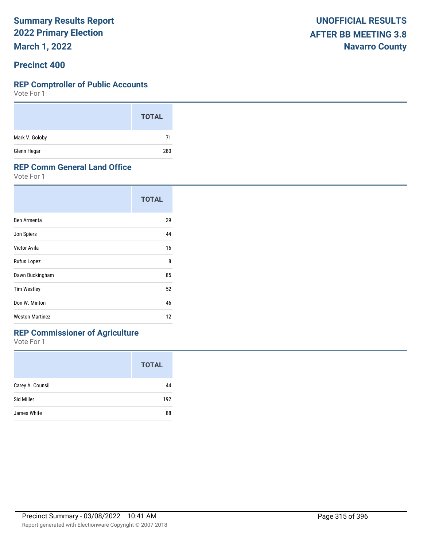**March 1, 2022**

#### **Precinct 400**

#### **REP Comptroller of Public Accounts**

Vote For 1

|                | <b>TOTAL</b> |
|----------------|--------------|
| Mark V. Goloby | 71           |
| Glenn Hegar    | 280          |

#### **REP Comm General Land Office**

Vote For 1

|                        | <b>TOTAL</b> |
|------------------------|--------------|
| Ben Armenta            | 29           |
| Jon Spiers             | 44           |
| Victor Avila           | 16           |
| Rufus Lopez            | 8            |
| Dawn Buckingham        | 85           |
| <b>Tim Westley</b>     | 52           |
| Don W. Minton          | 46           |
| <b>Weston Martinez</b> | 12           |

## **REP Commissioner of Agriculture**

|                  | <b>TOTAL</b> |
|------------------|--------------|
| Carey A. Counsil | 44           |
| Sid Miller       | 192          |
| James White      | 88           |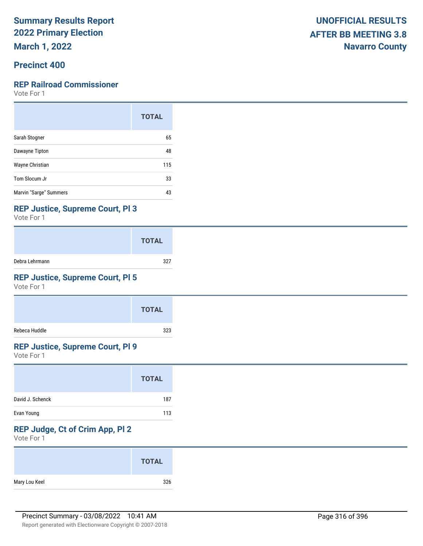**March 1, 2022**

### **Precinct 400**

#### **REP Railroad Commissioner**

Vote For 1

|                        | <b>TOTAL</b> |
|------------------------|--------------|
| Sarah Stogner          | 65           |
| Dawayne Tipton         | 48           |
| Wayne Christian        | 115          |
| Tom Slocum Jr          | 33           |
| Marvin "Sarge" Summers | 43           |

#### **REP Justice, Supreme Court, Pl 3**

Vote For 1

|                | <b>TOTAL</b> |
|----------------|--------------|
| Debra Lehrmann | 327          |

### **REP Justice, Supreme Court, Pl 5**

Vote For 1

|               | <b>TOTAL</b> |
|---------------|--------------|
| Rebeca Huddle | 323          |

### **REP Justice, Supreme Court, Pl 9**

Vote For 1

|                  | <b>TOTAL</b> |
|------------------|--------------|
| David J. Schenck | 187          |
| Evan Young       | 113          |

## **REP Judge, Ct of Crim App, Pl 2**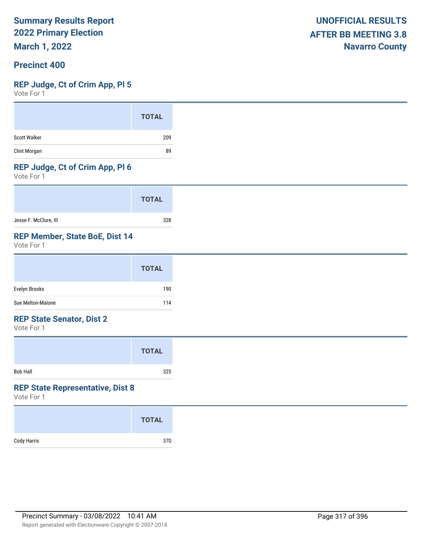**March 1, 2022**

#### **Precinct 400**

#### **REP Judge, Ct of Crim App, Pl 5**

Vote For 1

#### **REP Judge, Ct of Crim App, Pl 6**

Vote For 1

|                       | <b>TOTAL</b> |
|-----------------------|--------------|
| Jesse F. McClure, III | 328          |

### **REP Member, State BoE, Dist 14**

Vote For 1

#### **REP State Senator, Dist 2**

Vote For 1

|                 | <b>TOTAL</b> |  |
|-----------------|--------------|--|
| <b>Bob Hall</b> | 325          |  |

#### **REP State Representative, Dist 8**

|             | <b>TOTAL</b> |
|-------------|--------------|
| Cody Harris | 370          |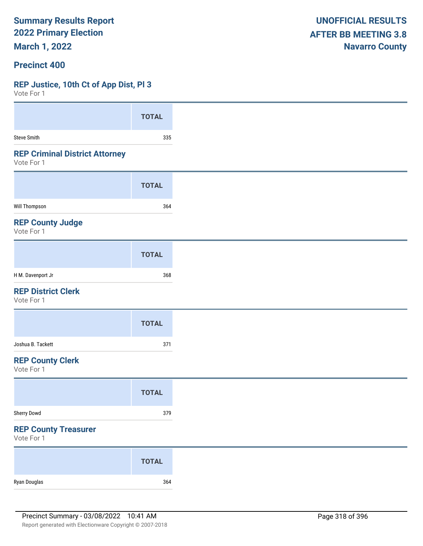**March 1, 2022**

#### **Precinct 400**

#### **REP Justice, 10th Ct of App Dist, Pl 3**

| VULLE LOI 1                                         |              |
|-----------------------------------------------------|--------------|
|                                                     | <b>TOTAL</b> |
| Steve Smith                                         | 335          |
| <b>REP Criminal District Attorney</b><br>Vote For 1 |              |
|                                                     | <b>TOTAL</b> |
| Will Thompson                                       | 364          |
| <b>REP County Judge</b><br>Vote For 1               |              |
|                                                     | <b>TOTAL</b> |
| H M. Davenport Jr                                   | 368          |
| <b>REP District Clerk</b><br>Vote For 1             |              |
|                                                     | <b>TOTAL</b> |
| Joshua B. Tackett                                   | 371          |
| <b>REP County Clerk</b><br>Vote For 1               |              |
|                                                     | <b>TOTAL</b> |
| Sherry Dowd                                         | 379          |
| <b>REP County Treasurer</b><br>Vote For 1           |              |
|                                                     | <b>TOTAL</b> |
| Ryan Douglas                                        | 364          |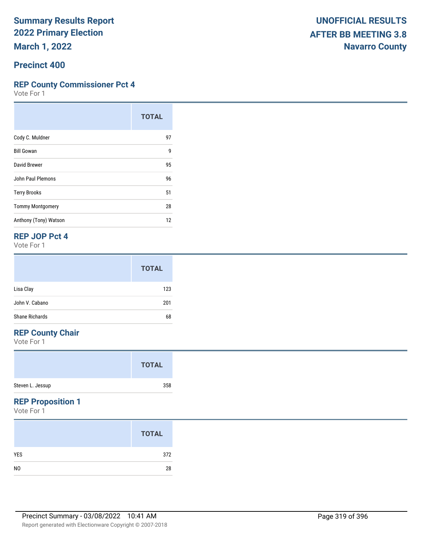**March 1, 2022**

#### **Precinct 400**

#### **REP County Commissioner Pct 4**

Vote For 1

|                         | <b>TOTAL</b> |
|-------------------------|--------------|
| Cody C. Muldner         | 97           |
| <b>Bill Gowan</b>       | 9            |
| David Brewer            | 95           |
| John Paul Plemons       | 96           |
| <b>Terry Brooks</b>     | 51           |
| <b>Tommy Montgomery</b> | 28           |
| Anthony (Tony) Watson   | 12           |

#### **REP JOP Pct 4**

Vote For 1

|                | <b>TOTAL</b> |
|----------------|--------------|
| Lisa Clay      | 123          |
| John V. Cabano | 201          |
| Shane Richards | 68           |

## **REP County Chair**

Vote For 1

|                  | <b>TOTAL</b> |  |
|------------------|--------------|--|
| Steven L. Jessup | 358          |  |

### **REP Proposition 1**

|                | <b>TOTAL</b> |
|----------------|--------------|
| <b>YES</b>     | 372          |
| N <sub>0</sub> | 28           |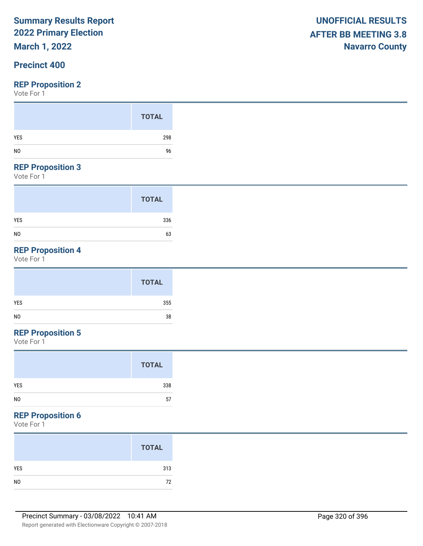## **March 1, 2022**

### **Precinct 400**

#### **REP Proposition 2**

Vote For 1

#### **REP Proposition 3**

Vote For 1

|                | <b>TOTAL</b> |
|----------------|--------------|
| <b>YES</b>     | 336          |
| N <sub>0</sub> | 63           |

## **REP Proposition 4**

Vote For 1

## **REP Proposition 5**

Vote For 1

### **REP Proposition 6**

|            | <b>TOTAL</b> |
|------------|--------------|
| <b>YES</b> | 313          |
|            | 72           |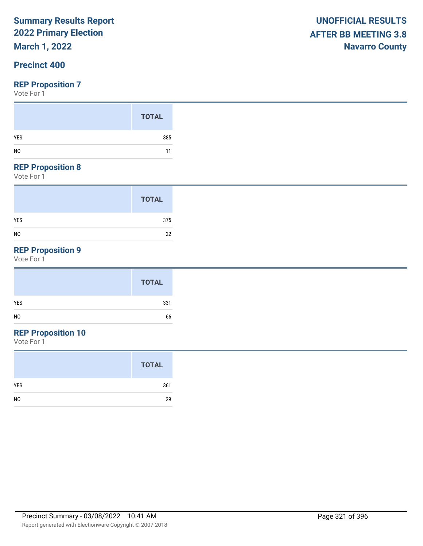## **March 1, 2022**

### **Precinct 400**

#### **REP Proposition 7**

Vote For 1

#### **REP Proposition 8**

Vote For 1

|                | <b>TOTAL</b> |
|----------------|--------------|
| <b>YES</b>     | 375          |
| N <sub>0</sub> | 22           |

## **REP Proposition 9**

Vote For 1

## **REP Proposition 10**

|                | <b>TOTAL</b> |
|----------------|--------------|
| <b>YES</b>     | 361          |
| N <sub>0</sub> | 29           |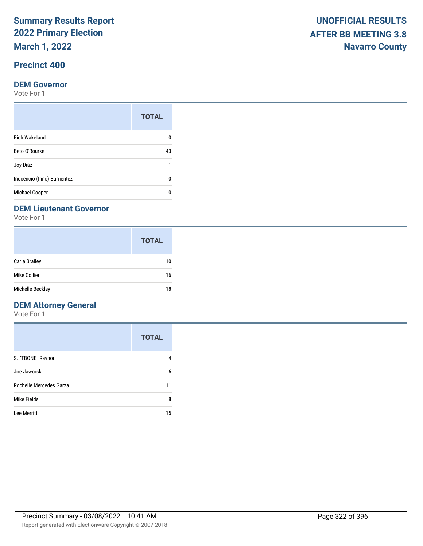**March 1, 2022**

## **Precinct 400**

#### **DEM Governor**

Vote For 1

| <b>TOTAL</b> |
|--------------|
|              |
| 43           |
| 1            |
|              |
|              |
|              |

#### **DEM Lieutenant Governor**

Vote For 1

|                  | <b>TOTAL</b> |
|------------------|--------------|
| Carla Brailey    | 10           |
| Mike Collier     | 16           |
| Michelle Beckley | 18           |

### **DEM Attorney General**

|                         | <b>TOTAL</b> |
|-------------------------|--------------|
| S. "TBONE" Raynor       |              |
| Joe Jaworski            | 6            |
| Rochelle Mercedes Garza | 11           |
| Mike Fields             | 8            |
| Lee Merritt             | 15           |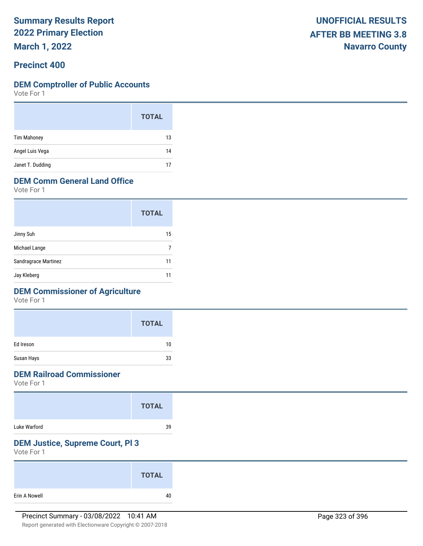**March 1, 2022**

#### **Precinct 400**

#### **DEM Comptroller of Public Accounts**

Vote For 1

|                    | <b>TOTAL</b> |
|--------------------|--------------|
| <b>Tim Mahoney</b> | 13           |
| Angel Luis Vega    | 14           |
| Janet T. Dudding   | 17           |

## **DEM Comm General Land Office**

Vote For 1

|                      | <b>TOTAL</b> |
|----------------------|--------------|
| Jinny Suh            | 15           |
| Michael Lange        |              |
| Sandragrace Martinez | 11           |
| Jay Kleberg          |              |

## **DEM Commissioner of Agriculture**

Vote For 1

|            | <b>TOTAL</b> |
|------------|--------------|
| Ed Ireson  | 10           |
| Susan Hays | 33           |

### **DEM Railroad Commissioner**

Vote For 1

|              | <b>TOTAL</b> |
|--------------|--------------|
| Luke Warford | 39           |

## **DEM Justice, Supreme Court, Pl 3**

|               | <b>TOTAL</b> |
|---------------|--------------|
| Erin A Nowell | 40           |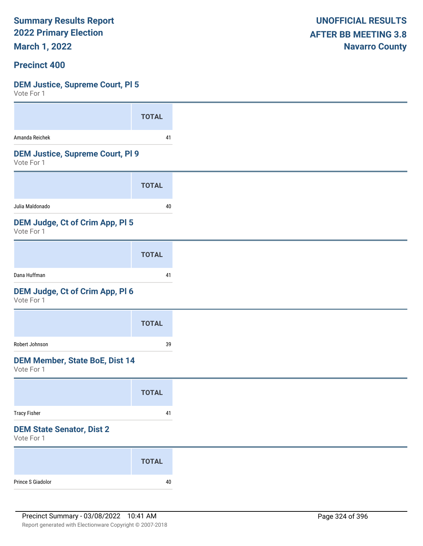**March 1, 2022**

#### **Precinct 400**

#### **DEM Justice, Supreme Court, Pl 5**

| <b>TOTAL</b>                                                       |
|--------------------------------------------------------------------|
| 41                                                                 |
| <b>DEM Justice, Supreme Court, PI 9</b>                            |
| <b>TOTAL</b>                                                       |
| 40                                                                 |
|                                                                    |
| <b>TOTAL</b>                                                       |
| 41                                                                 |
|                                                                    |
| <b>TOTAL</b>                                                       |
| 39                                                                 |
| <b>DEM Member, State BoE, Dist 14</b>                              |
| <b>TOTAL</b>                                                       |
| 41                                                                 |
|                                                                    |
|                                                                    |
| <b>TOTAL</b>                                                       |
| DEM Judge, Ct of Crim App, PI 5<br>DEM Judge, Ct of Crim App, Pl 6 |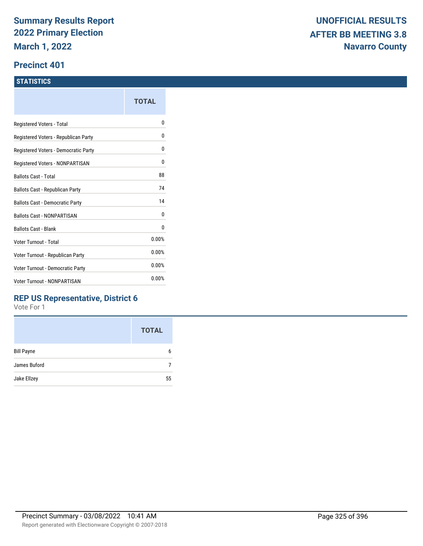### **Precinct 401**

### **STATISTICS**

|                                      | TOTAL |
|--------------------------------------|-------|
| Registered Voters - Total            | o     |
| Registered Voters - Republican Party | 0     |
| Registered Voters - Democratic Party | 0     |
| Registered Voters - NONPARTISAN      | 0     |
| <b>Ballots Cast - Total</b>          | 88    |
| Ballots Cast - Republican Party      | 74    |
| Ballots Cast - Democratic Party      | 14    |
| Ballots Cast - NONPARTISAN           | 0     |
| <b>Ballots Cast - Blank</b>          | 0     |
| Voter Turnout - Total                | 0.00% |
| Voter Turnout - Republican Party     | 0.00% |
| Voter Turnout - Democratic Party     | 0.00% |
| <b>Voter Turnout - NONPARTISAN</b>   | 0.00% |
|                                      |       |

### **REP US Representative, District 6**

|                   | <b>TOTAL</b> |
|-------------------|--------------|
| <b>Bill Payne</b> | 6            |
| James Buford      |              |
| Jake Ellzey       | 55           |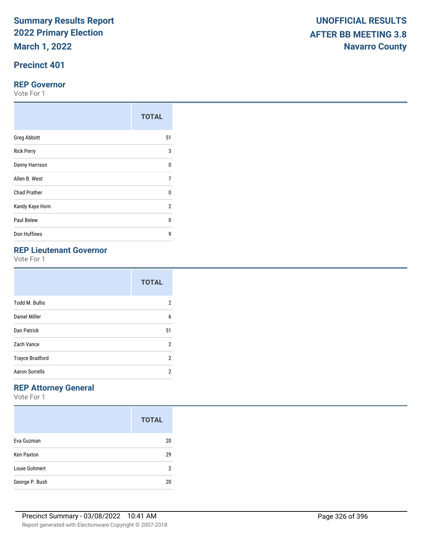# **Precinct 401**

#### **REP Governor**

Vote For 1

|                     | <b>TOTAL</b>   |
|---------------------|----------------|
| <b>Greg Abbott</b>  | 51             |
| <b>Rick Perry</b>   | 3              |
| Danny Harrison      | 0              |
| Allen B. West       | $\overline{7}$ |
| <b>Chad Prather</b> | 0              |
| Kandy Kaye Horn     | $\overline{2}$ |
| Paul Belew          | U              |
| Don Huffines        | 9              |

# **REP Lieutenant Governor**

Vote For 1

|                        | <b>TOTAL</b>   |
|------------------------|----------------|
| <b>Todd M. Bullis</b>  | 2              |
| <b>Daniel Miller</b>   | 6              |
| Dan Patrick            | 51             |
| Zach Vance             | $\overline{2}$ |
| <b>Trayce Bradford</b> | 2              |
| <b>Aaron Sorrells</b>  | 2              |

# **REP Attorney General**

|                   | <b>TOTAL</b> |
|-------------------|--------------|
| Eva Guzman        | 20           |
| <b>Ken Paxton</b> | 29           |
| Louie Gohmert     | 2            |
| George P. Bush    | 20           |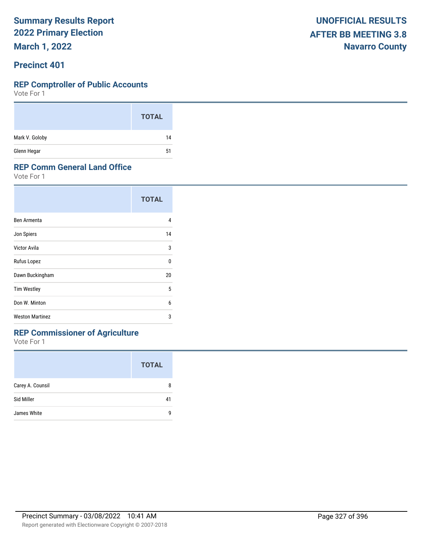**March 1, 2022**

### **Precinct 401**

### **REP Comptroller of Public Accounts**

Vote For 1

|                | <b>TOTAL</b> |
|----------------|--------------|
| Mark V. Goloby | 14           |
| Glenn Hegar    | 51           |

### **REP Comm General Land Office**

Vote For 1

|                        | <b>TOTAL</b> |
|------------------------|--------------|
| Ben Armenta            | 4            |
| Jon Spiers             | 14           |
| Victor Avila           | 3            |
| Rufus Lopez            | $\Omega$     |
| Dawn Buckingham        | 20           |
| <b>Tim Westley</b>     | 5            |
| Don W. Minton          | 6            |
| <b>Weston Martinez</b> | 3            |

# **REP Commissioner of Agriculture**

|                  | <b>TOTAL</b> |
|------------------|--------------|
| Carey A. Counsil | 8            |
| Sid Miller       | 41           |
| James White      | q            |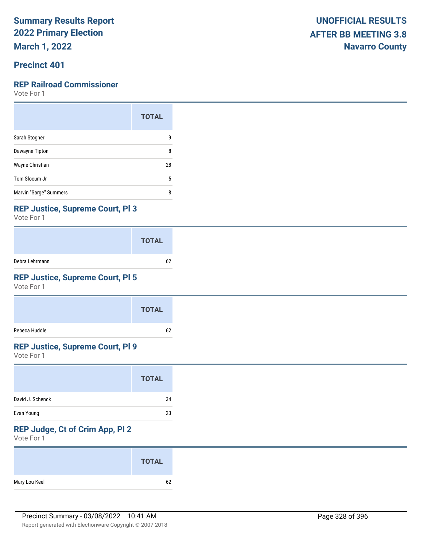**March 1, 2022**

# **Precinct 401**

### **REP Railroad Commissioner**

Vote For 1

|                        | <b>TOTAL</b> |
|------------------------|--------------|
| Sarah Stogner          | 9            |
| Dawayne Tipton         | 8            |
| Wayne Christian        | 28           |
| Tom Slocum Jr          | 5            |
| Marvin "Sarge" Summers | 8            |

### **REP Justice, Supreme Court, Pl 3**

Vote For 1

|                | <b>TOTAL</b> |
|----------------|--------------|
| Debra Lehrmann | 62           |

## **REP Justice, Supreme Court, Pl 5**

Vote For 1

|               | <b>TOTAL</b> |
|---------------|--------------|
| Rebeca Huddle | 62           |

# **REP Justice, Supreme Court, Pl 9**

Vote For 1

| David J. Schenck<br>34<br>Evan Young<br>23 | <b>TOTAL</b> |
|--------------------------------------------|--------------|
|                                            |              |
|                                            |              |

# **REP Judge, Ct of Crim App, Pl 2**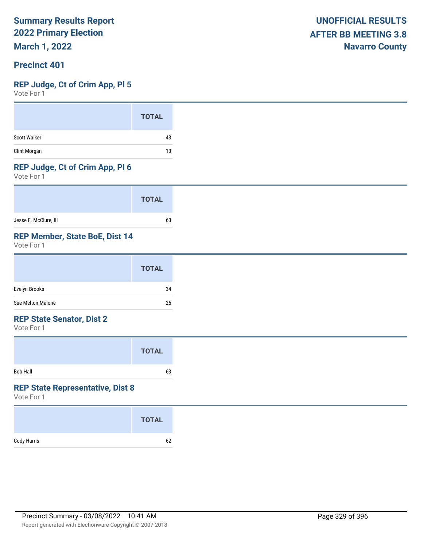**March 1, 2022**

### **Precinct 401**

### **REP Judge, Ct of Crim App, Pl 5**

Vote For 1

|                     | <b>TOTAL</b> |
|---------------------|--------------|
| <b>Scott Walker</b> | 43           |
| Clint Morgan        | 13           |

### **REP Judge, Ct of Crim App, Pl 6**

Vote For 1

|                       | <b>TOTAL</b> |
|-----------------------|--------------|
| Jesse F. McClure, III | 63           |

### **REP Member, State BoE, Dist 14**

Vote For 1

|                   | <b>TOTAL</b> |
|-------------------|--------------|
| Evelyn Brooks     | 34           |
| Sue Melton-Malone | 25           |

### **REP State Senator, Dist 2**

Vote For 1

|          | <b>TOTAL</b> |  |
|----------|--------------|--|
| Bob Hall | 63           |  |

### **REP State Representative, Dist 8**

|             | <b>TOTAL</b> |
|-------------|--------------|
| Cody Harris | 62           |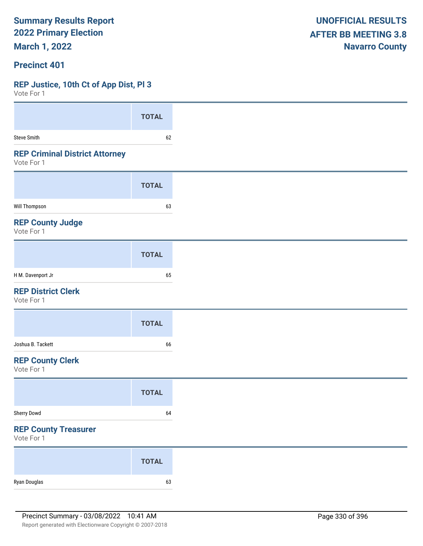**March 1, 2022**

### **Precinct 401**

### **REP Justice, 10th Ct of App Dist, Pl 3**

| Vote For 1                                          |              |
|-----------------------------------------------------|--------------|
|                                                     | <b>TOTAL</b> |
|                                                     |              |
| <b>Steve Smith</b>                                  | 62           |
| <b>REP Criminal District Attorney</b><br>Vote For 1 |              |
|                                                     | <b>TOTAL</b> |
| Will Thompson                                       | 63           |
| <b>REP County Judge</b><br>Vote For 1               |              |
|                                                     | <b>TOTAL</b> |
| H M. Davenport Jr                                   | 65           |
| <b>REP District Clerk</b><br>Vote For 1             |              |
|                                                     | <b>TOTAL</b> |
| Joshua B. Tackett                                   | 66           |
| <b>REP County Clerk</b><br>Vote For 1               |              |
|                                                     | <b>TOTAL</b> |
| Sherry Dowd                                         | 64           |
| <b>REP County Treasurer</b><br>Vote For 1           |              |
|                                                     | <b>TOTAL</b> |
| Ryan Douglas                                        | 63           |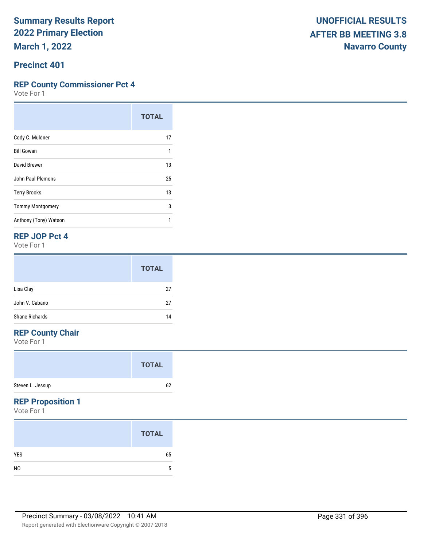**Precinct 401**

### **REP County Commissioner Pct 4**

Vote For 1

|                         | <b>TOTAL</b> |
|-------------------------|--------------|
| Cody C. Muldner         | 17           |
| <b>Bill Gowan</b>       | 1            |
| David Brewer            | 13           |
| John Paul Plemons       | 25           |
| <b>Terry Brooks</b>     | 13           |
| <b>Tommy Montgomery</b> | 3            |
| Anthony (Tony) Watson   |              |

### **REP JOP Pct 4**

Vote For 1

|                       | <b>TOTAL</b> |
|-----------------------|--------------|
| Lisa Clay             | 27           |
| John V. Cabano        | 27           |
| <b>Shane Richards</b> | 14           |

# **REP County Chair**

Vote For 1

|                  | <b>TOTAL</b> |
|------------------|--------------|
| Steven L. Jessup | 62           |

### **REP Proposition 1**

|                | <b>TOTAL</b> |
|----------------|--------------|
| <b>YES</b>     | 65           |
| N <sub>0</sub> | b            |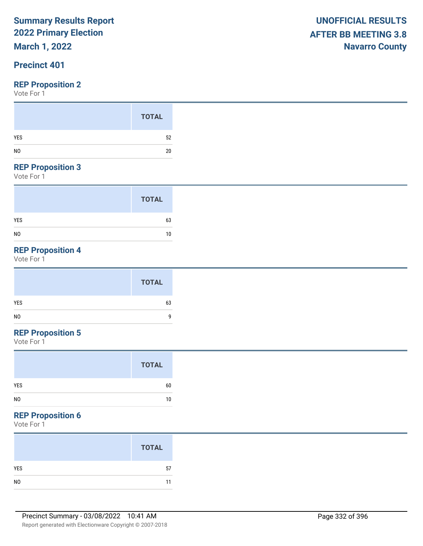# **March 1, 2022**

# **Precinct 401**

Vote For 1

|                | <b>TOTAL</b> |
|----------------|--------------|
| <b>YES</b>     | 52           |
| N <sub>0</sub> | 20           |

#### **REP Proposition 3**

Vote For 1

|                | <b>TOTAL</b> |
|----------------|--------------|
| <b>YES</b>     | 63           |
| N <sub>0</sub> | 10           |

# **REP Proposition 4**

Vote For 1

| <b>TOTAL</b>     |
|------------------|
| <b>YES</b><br>63 |
| NO<br>$\Omega$   |

# **REP Proposition 5**

Vote For 1

| YES<br>60 |
|-----------|
| NO<br>10  |

### **REP Proposition 6**

|                | <b>TOTAL</b> |
|----------------|--------------|
| <b>YES</b>     | 57           |
| N <sub>0</sub> | 11           |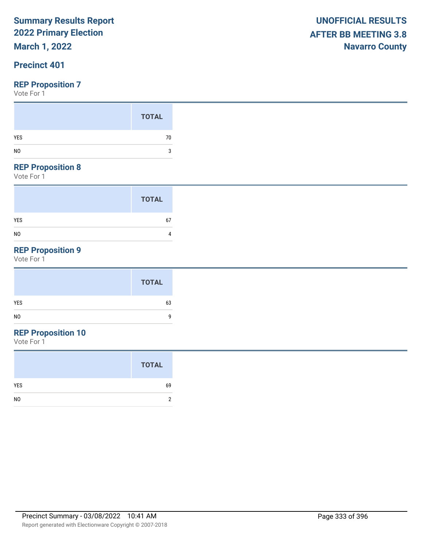**March 1, 2022**

## **Precinct 401**

Vote For 1

| <b>TOTAL</b><br>YES | 70 |
|---------------------|----|
|                     | ্ব |

### **REP Proposition 8**

Vote For 1

|                | <b>TOTAL</b> |
|----------------|--------------|
| <b>YES</b>     | 67           |
| N <sub>0</sub> | 4            |

# **REP Proposition 9**

Vote For 1

# **REP Proposition 10**

|                | <b>TOTAL</b> |
|----------------|--------------|
| <b>YES</b>     | 69           |
| N <sub>0</sub> | 2            |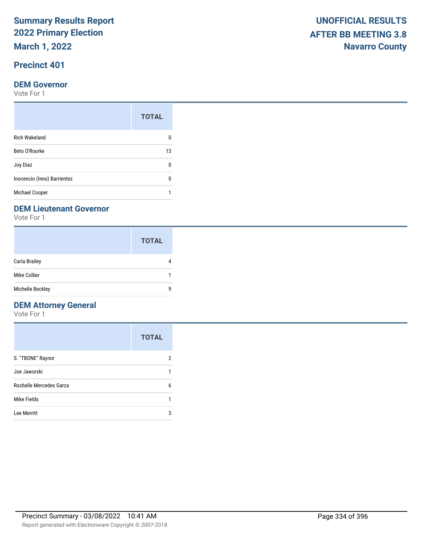**March 1, 2022**

# **Precinct 401**

### **DEM Governor**

Vote For 1

| <b>TOTAL</b> |
|--------------|
|              |
| 13           |
| n            |
|              |
|              |
|              |

### **DEM Lieutenant Governor**

Vote For 1

|                  | <b>TOTAL</b> |
|------------------|--------------|
| Carla Brailey    |              |
| Mike Collier     |              |
| Michelle Beckley | q            |

### **DEM Attorney General**

|                         | <b>TOTAL</b> |
|-------------------------|--------------|
| S. "TBONE" Raynor       | 2            |
| Joe Jaworski            |              |
| Rochelle Mercedes Garza | 6            |
| Mike Fields             |              |
| Lee Merritt             | 3            |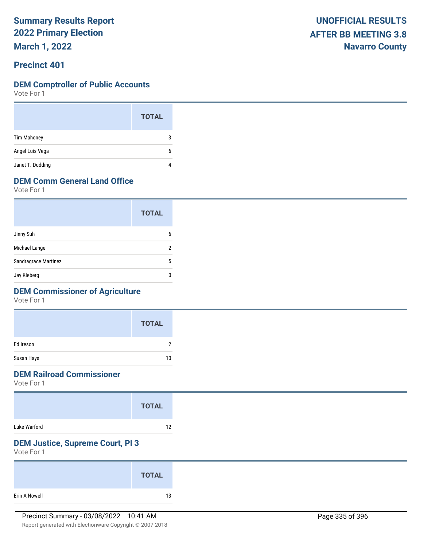**March 1, 2022**

### **Precinct 401**

### **DEM Comptroller of Public Accounts**

Vote For 1

|                    | <b>TOTAL</b> |  |
|--------------------|--------------|--|
| <b>Tim Mahoney</b> | 3            |  |
| Angel Luis Vega    | 6            |  |
| Janet T. Dudding   | 4            |  |

## **DEM Comm General Land Office**

Vote For 1

|                      | <b>TOTAL</b> |
|----------------------|--------------|
| Jinny Suh            | 6            |
| Michael Lange        | າ            |
| Sandragrace Martinez | 5            |
| Jay Kleberg          |              |

## **DEM Commissioner of Agriculture**

Vote For 1

|            | <b>TOTAL</b> |
|------------|--------------|
| Ed Ireson  | າ            |
| Susan Hays | 10           |

### **DEM Railroad Commissioner**

Vote For 1

|              | <b>TOTAL</b> |  |
|--------------|--------------|--|
| Luke Warford | 12           |  |

# **DEM Justice, Supreme Court, Pl 3**

|               | <b>TOTAL</b> |  |
|---------------|--------------|--|
| Erin A Nowell | 13           |  |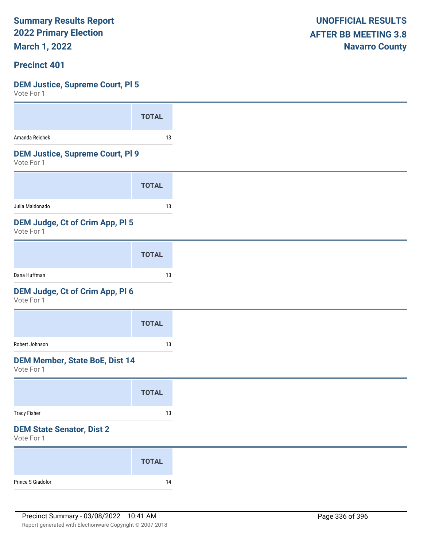**March 1, 2022**

### **Precinct 401**

# **DEM Justice, Supreme Court, Pl 5**

|                                                       | <b>TOTAL</b> |
|-------------------------------------------------------|--------------|
| Amanda Reichek                                        | 13           |
| <b>DEM Justice, Supreme Court, PI 9</b><br>Vote For 1 |              |
|                                                       | <b>TOTAL</b> |
| Julia Maldonado                                       | 13           |
| DEM Judge, Ct of Crim App, Pl 5<br>Vote For 1         |              |
|                                                       | <b>TOTAL</b> |
| Dana Huffman                                          | 13           |
| DEM Judge, Ct of Crim App, Pl 6<br>Vote For 1         |              |
|                                                       | <b>TOTAL</b> |
| Robert Johnson                                        | 13           |
| <b>DEM Member, State BoE, Dist 14</b><br>Vote For 1   |              |
|                                                       | <b>TOTAL</b> |
| <b>Tracy Fisher</b>                                   | 13           |
| <b>DEM State Senator, Dist 2</b><br>Vote For 1        |              |
|                                                       | <b>TOTAL</b> |
| Prince S Giadolor                                     | 14           |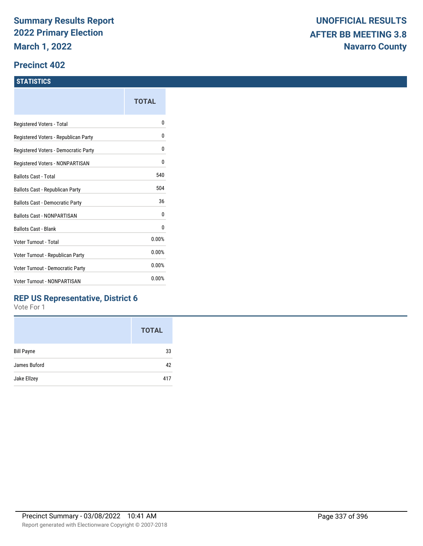### **Precinct 402**

### **STATISTICS**

|                                      | TOTAL |
|--------------------------------------|-------|
| Registered Voters - Total            | N     |
| Registered Voters - Republican Party | N     |
| Registered Voters - Democratic Party | 0     |
| Registered Voters - NONPARTISAN      | 0     |
| Ballots Cast - Total                 | 540   |
| Ballots Cast - Republican Party      | 504   |
| Ballots Cast - Democratic Party      | 36    |
| <b>Ballots Cast - NONPARTISAN</b>    | 0     |
| <b>Ballots Cast - Blank</b>          | 0     |
| Voter Turnout - Total                | 0.00% |
| Voter Turnout - Republican Party     | 0.00% |
| Voter Turnout - Democratic Party     | 0.00% |
| Voter Turnout - NONPARTISAN          | 0.00% |
|                                      |       |

### **REP US Representative, District 6**

|                   | <b>TOTAL</b> |
|-------------------|--------------|
| <b>Bill Payne</b> | 33           |
| James Buford      | 42           |
| Jake Ellzey       | 417          |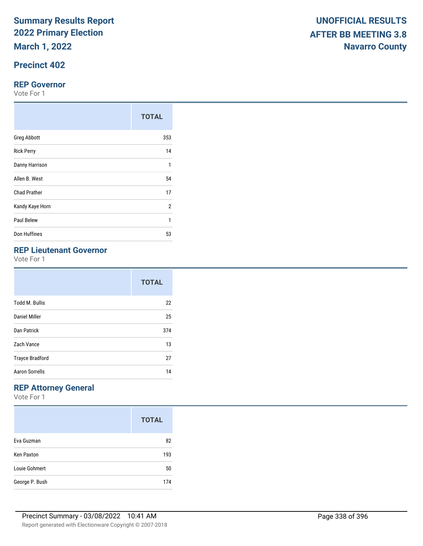**March 1, 2022**

# **Precinct 402**

### **REP Governor**

Vote For 1

|                     | <b>TOTAL</b>   |
|---------------------|----------------|
| <b>Greg Abbott</b>  | 353            |
| <b>Rick Perry</b>   | 14             |
| Danny Harrison      | 1              |
| Allen B. West       | 54             |
| <b>Chad Prather</b> | 17             |
| Kandy Kaye Horn     | $\overline{2}$ |
| Paul Belew          | 1              |
| Don Huffines        | 53             |

# **REP Lieutenant Governor**

Vote For 1

|                        | <b>TOTAL</b> |
|------------------------|--------------|
| <b>Todd M. Bullis</b>  | 22           |
| Daniel Miller          | 25           |
| Dan Patrick            | 374          |
| Zach Vance             | 13           |
| <b>Trayce Bradford</b> | 27           |
| <b>Aaron Sorrells</b>  | 14           |

# **REP Attorney General**

|                   | <b>TOTAL</b> |
|-------------------|--------------|
| Eva Guzman        | 82           |
| <b>Ken Paxton</b> | 193          |
| Louie Gohmert     | 50           |
| George P. Bush    | 174          |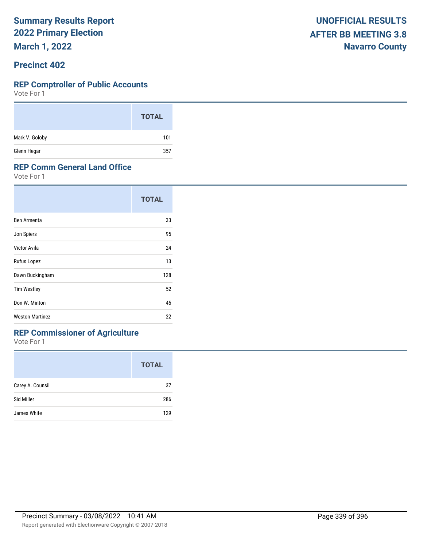**March 1, 2022**

### **Precinct 402**

#### **REP Comptroller of Public Accounts**

Vote For 1

|                | <b>TOTAL</b> |
|----------------|--------------|
| Mark V. Goloby | 101          |
| Glenn Hegar    | 357          |

### **REP Comm General Land Office**

Vote For 1

|                        | <b>TOTAL</b> |
|------------------------|--------------|
| Ben Armenta            | 33           |
| Jon Spiers             | 95           |
| Victor Avila           | 24           |
| Rufus Lopez            | 13           |
| Dawn Buckingham        | 128          |
| <b>Tim Westley</b>     | 52           |
| Don W. Minton          | 45           |
| <b>Weston Martinez</b> | 22           |

# **REP Commissioner of Agriculture**

|                  | <b>TOTAL</b> |
|------------------|--------------|
| Carey A. Counsil | 37           |
| Sid Miller       | 286          |
| James White      | 129          |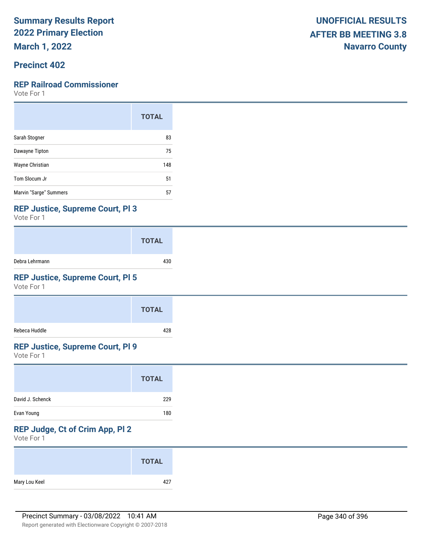**March 1, 2022**

## **Precinct 402**

### **REP Railroad Commissioner**

Vote For 1

|                        | <b>TOTAL</b> |
|------------------------|--------------|
| Sarah Stogner          | 83           |
| Dawayne Tipton         | 75           |
| Wayne Christian        | 148          |
| Tom Slocum Jr          | 51           |
| Marvin "Sarge" Summers | 57           |

### **REP Justice, Supreme Court, Pl 3**

Vote For 1

|                | <b>TOTAL</b> |
|----------------|--------------|
| Debra Lehrmann | 430          |

## **REP Justice, Supreme Court, Pl 5**

Vote For 1

|               | <b>TOTAL</b> |
|---------------|--------------|
| Rebeca Huddle | 428          |

### **REP Justice, Supreme Court, Pl 9**

Vote For 1

| <b>TOTAL</b> |
|--------------|
| 229          |
| 180          |
|              |

# **REP Judge, Ct of Crim App, Pl 2**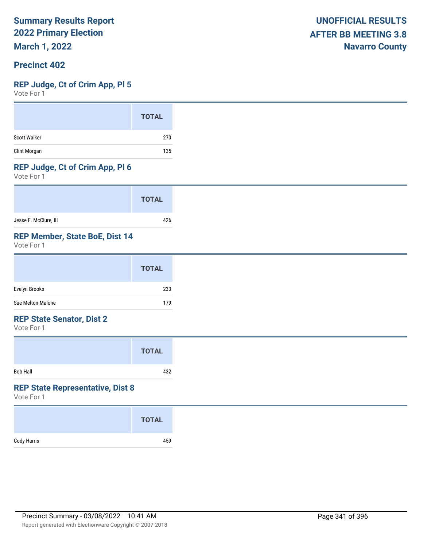**March 1, 2022**

### **Precinct 402**

### **REP Judge, Ct of Crim App, Pl 5**

Vote For 1

### **REP Judge, Ct of Crim App, Pl 6**

Vote For 1

|                       | <b>TOTAL</b> |
|-----------------------|--------------|
| Jesse F. McClure, III | 426          |

# **REP Member, State BoE, Dist 14**

Vote For 1

|                   | <b>TOTAL</b> |
|-------------------|--------------|
| Evelyn Brooks     | 233          |
| Sue Melton-Malone | 179          |

### **REP State Senator, Dist 2**

Vote For 1

|          | <b>TOTAL</b> |  |
|----------|--------------|--|
| Bob Hall | 432          |  |

### **REP State Representative, Dist 8**

|             | <b>TOTAL</b> |
|-------------|--------------|
| Cody Harris | 459          |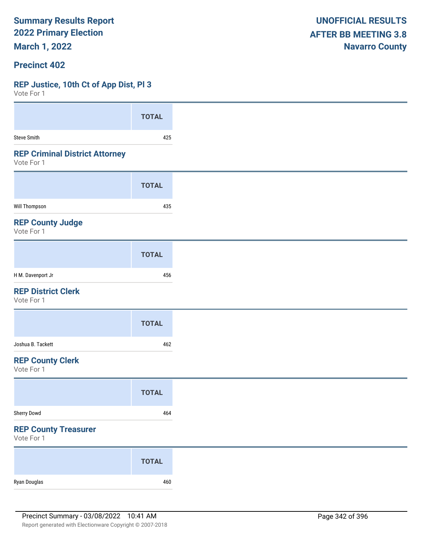**March 1, 2022**

### **Precinct 402**

### **REP Justice, 10th Ct of App Dist, Pl 3**

 $V$ oto Fo

| VOLE FOL 1                                          |              |
|-----------------------------------------------------|--------------|
|                                                     | <b>TOTAL</b> |
| <b>Steve Smith</b>                                  | 425          |
| <b>REP Criminal District Attorney</b><br>Vote For 1 |              |
|                                                     | <b>TOTAL</b> |
| Will Thompson                                       | 435          |
| <b>REP County Judge</b><br>Vote For 1               |              |
|                                                     | <b>TOTAL</b> |
| H M. Davenport Jr                                   | 456          |
| <b>REP District Clerk</b><br>Vote For 1             |              |
|                                                     | <b>TOTAL</b> |
| Joshua B. Tackett                                   | 462          |
| <b>REP County Clerk</b><br>Vote For 1               |              |
|                                                     | <b>TOTAL</b> |
| Sherry Dowd                                         | 464          |
| <b>REP County Treasurer</b><br>Vote For 1           |              |
|                                                     | <b>TOTAL</b> |
| Ryan Douglas                                        | 460          |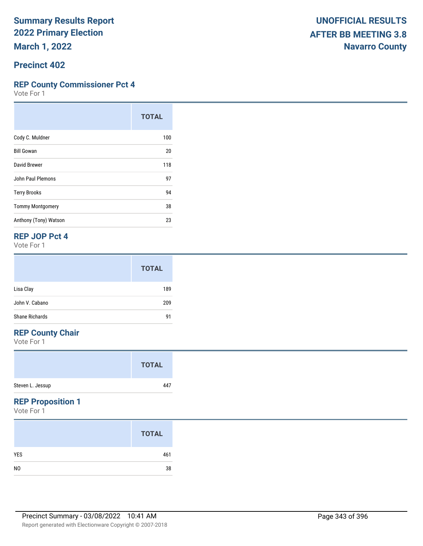# **Precinct 402**

### **REP County Commissioner Pct 4**

Vote For 1

|                         | <b>TOTAL</b> |
|-------------------------|--------------|
| Cody C. Muldner         | 100          |
| <b>Bill Gowan</b>       | 20           |
| David Brewer            | 118          |
| John Paul Plemons       | 97           |
| <b>Terry Brooks</b>     | 94           |
| <b>Tommy Montgomery</b> | 38           |
| Anthony (Tony) Watson   | 23           |

### **REP JOP Pct 4**

Vote For 1

|                       | <b>TOTAL</b> |
|-----------------------|--------------|
| Lisa Clay             | 189          |
| John V. Cabano        | 209          |
| <b>Shane Richards</b> | 91           |

# **REP County Chair**

Vote For 1

|                  | <b>TOTAL</b> |  |
|------------------|--------------|--|
| Steven L. Jessup | 447          |  |

### **REP Proposition 1**

|                | <b>TOTAL</b> |
|----------------|--------------|
| <b>YES</b>     | 461          |
| N <sub>0</sub> | 38           |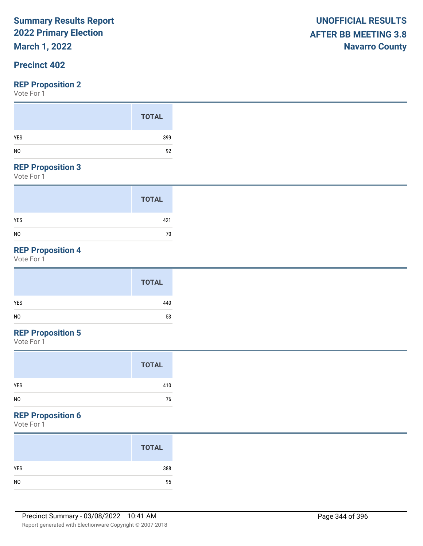# **March 1, 2022**

## **Precinct 402**

### **REP Proposition 2**

Vote For 1

|     | <b>TOTAL</b> |
|-----|--------------|
| YES | 399          |
|     | 92           |

#### **REP Proposition 3**

Vote For 1

|                | <b>TOTAL</b> |
|----------------|--------------|
| <b>YES</b>     | 421          |
| N <sub>0</sub> | 70           |

# **REP Proposition 4**

Vote For 1

# **REP Proposition 5**

Vote For 1

### **REP Proposition 6**

|     | <b>TOTAL</b> |
|-----|--------------|
| YES | 388          |
|     | 95           |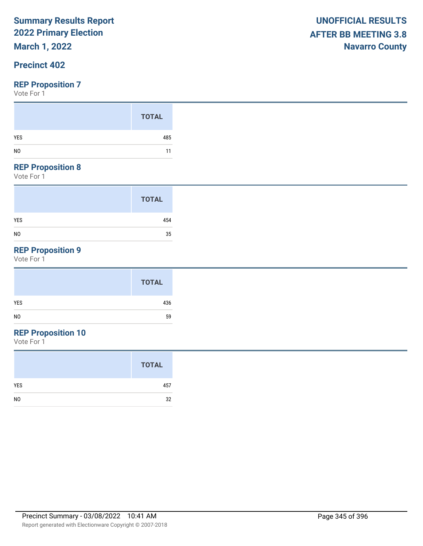# **March 1, 2022**

## **Precinct 402**

### **REP Proposition 7**

Vote For 1

| YES | <b>TOTAL</b><br>485 |
|-----|---------------------|
|     | 11                  |

#### **REP Proposition 8**

Vote For 1

|                | <b>TOTAL</b> |
|----------------|--------------|
| <b>YES</b>     | 454          |
| N <sub>0</sub> | 35           |

# **REP Proposition 9**

Vote For 1

# **REP Proposition 10**

|                | <b>TOTAL</b> |
|----------------|--------------|
| <b>YES</b>     | 457          |
| N <sub>0</sub> | 32           |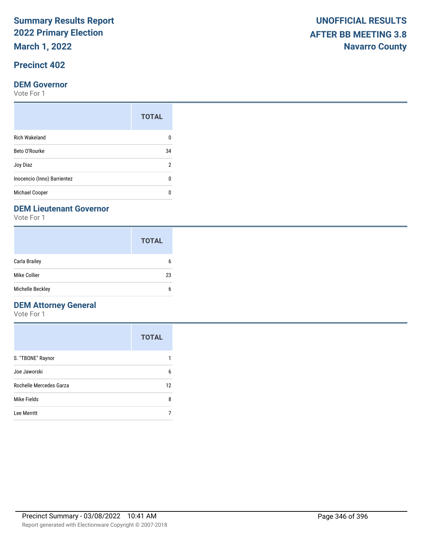**March 1, 2022**

# **Precinct 402**

#### **DEM Governor**

Vote For 1

|                             | <b>TOTAL</b> |  |
|-----------------------------|--------------|--|
| <b>Rich Wakeland</b>        |              |  |
| Beto O'Rourke               |              |  |
| Joy Diaz                    | 2            |  |
| Inocencio (Inno) Barrientez | n            |  |
| <b>Michael Cooper</b>       |              |  |

### **DEM Lieutenant Governor**

Vote For 1

|                  | <b>TOTAL</b> |
|------------------|--------------|
| Carla Brailey    | 6            |
| Mike Collier     | 23           |
| Michelle Beckley | 6            |

# **DEM Attorney General**

|                         | <b>TOTAL</b> |
|-------------------------|--------------|
| S. "TBONE" Raynor       |              |
| Joe Jaworski            | 6            |
| Rochelle Mercedes Garza | 12           |
| Mike Fields             | 8            |
| Lee Merritt             |              |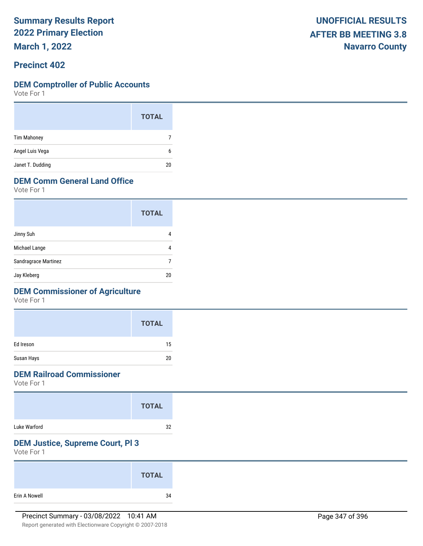**March 1, 2022**

### **Precinct 402**

### **DEM Comptroller of Public Accounts**

Vote For 1

|                    | <b>TOTAL</b> |  |
|--------------------|--------------|--|
| <b>Tim Mahoney</b> | 7            |  |
| Angel Luis Vega    | 6            |  |
| Janet T. Dudding   | 20           |  |

# **DEM Comm General Land Office**

Vote For 1

|                      | <b>TOTAL</b> |
|----------------------|--------------|
| Jinny Suh            |              |
| Michael Lange        |              |
| Sandragrace Martinez |              |
| Jay Kleberg          | 20           |

## **DEM Commissioner of Agriculture**

Vote For 1

|            | <b>TOTAL</b> |
|------------|--------------|
| Ed Ireson  | 15           |
| Susan Hays | 20           |

# **DEM Railroad Commissioner**

Vote For 1

# **DEM Justice, Supreme Court, Pl 3**

|               | <b>TOTAL</b> |
|---------------|--------------|
| Erin A Nowell | 34           |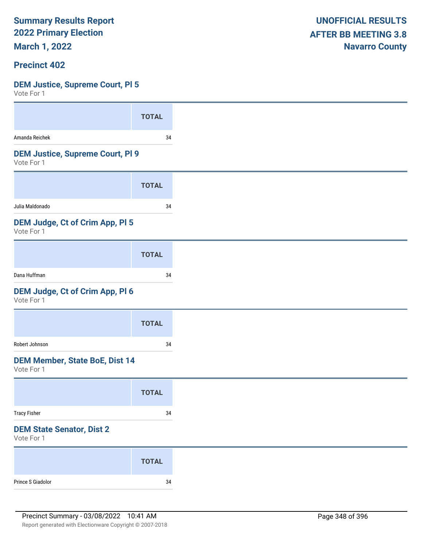**March 1, 2022**

### **Precinct 402**

### **DEM Justice, Supreme Court, Pl 5**

| VULC I UI I                                           |              |
|-------------------------------------------------------|--------------|
|                                                       | <b>TOTAL</b> |
| Amanda Reichek                                        | 34           |
| <b>DEM Justice, Supreme Court, PI 9</b><br>Vote For 1 |              |
|                                                       | <b>TOTAL</b> |
| Julia Maldonado                                       | 34           |
| DEM Judge, Ct of Crim App, Pl 5<br>Vote For 1         |              |
|                                                       | <b>TOTAL</b> |
| Dana Huffman                                          | 34           |
| DEM Judge, Ct of Crim App, Pl 6<br>Vote For 1         |              |
|                                                       | <b>TOTAL</b> |
| Robert Johnson                                        | 34           |
| <b>DEM Member, State BoE, Dist 14</b><br>Vote For 1   |              |
|                                                       | <b>TOTAL</b> |
| <b>Tracy Fisher</b>                                   | 34           |
| <b>DEM State Senator, Dist 2</b><br>Vote For 1        |              |
|                                                       | <b>TOTAL</b> |
|                                                       |              |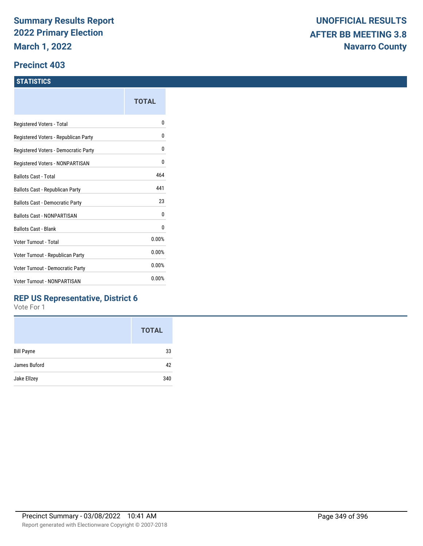### **Precinct 403**

### **STATISTICS**

|                                         | TOTAL |
|-----------------------------------------|-------|
| Registered Voters - Total               | 0     |
| Registered Voters - Republican Party    | 0     |
| Registered Voters - Democratic Party    | 0     |
| Registered Voters - NONPARTISAN         | 0     |
| <b>Ballots Cast - Total</b>             | 464   |
| Ballots Cast - Republican Party         | 441   |
| Ballots Cast - Democratic Party         | 23    |
| <b>Ballots Cast - NONPARTISAN</b>       | 0     |
| <b>Ballots Cast - Blank</b>             | 0     |
| Voter Turnout - Total                   | 0.00% |
| Voter Turnout - Republican Party        | 0.00% |
| <b>Voter Turnout - Democratic Party</b> | 0.00% |
| <b>Voter Turnout - NONPARTISAN</b>      | 0.00% |
|                                         |       |

### **REP US Representative, District 6**

|                   | <b>TOTAL</b> |
|-------------------|--------------|
| <b>Bill Payne</b> | 33           |
| James Buford      | 42           |
| Jake Ellzey       | 340          |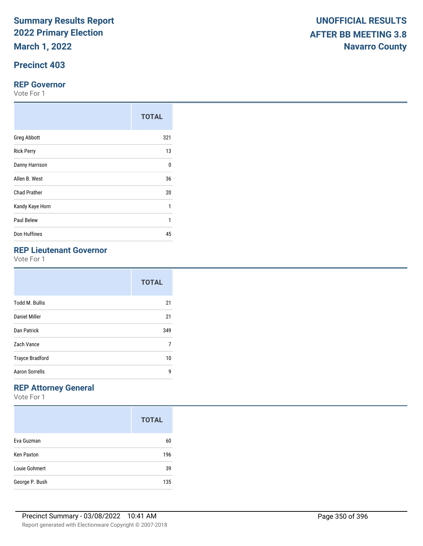**March 1, 2022**

# **Precinct 403**

### **REP Governor**

Vote For 1

|                     | <b>TOTAL</b> |
|---------------------|--------------|
| <b>Greg Abbott</b>  | 321          |
| <b>Rick Perry</b>   | 13           |
| Danny Harrison      | $\Omega$     |
| Allen B. West       | 36           |
| <b>Chad Prather</b> | 20           |
| Kandy Kaye Horn     | 1            |
| Paul Belew          | 1            |
| Don Huffines        | 45           |

# **REP Lieutenant Governor**

Vote For 1

|                        | <b>TOTAL</b> |
|------------------------|--------------|
| <b>Todd M. Bullis</b>  | 21           |
| Daniel Miller          | 21           |
| Dan Patrick            | 349          |
| Zach Vance             | 7            |
| <b>Trayce Bradford</b> | 10           |
| <b>Aaron Sorrells</b>  | g            |

# **REP Attorney General**

|                   | <b>TOTAL</b> |
|-------------------|--------------|
| Eva Guzman        | 60           |
| <b>Ken Paxton</b> | 196          |
| Louie Gohmert     | 39           |
| George P. Bush    | 135          |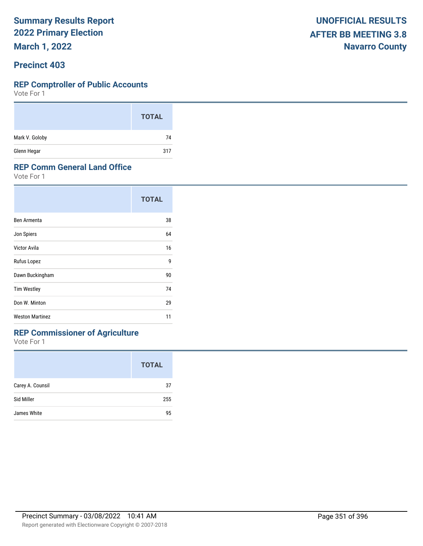**March 1, 2022**

### **Precinct 403**

#### **REP Comptroller of Public Accounts**

Vote For 1

|                | <b>TOTAL</b> |
|----------------|--------------|
| Mark V. Goloby | 74           |
| Glenn Hegar    | 317          |

### **REP Comm General Land Office**

Vote For 1

|                        | <b>TOTAL</b> |
|------------------------|--------------|
| Ben Armenta            | 38           |
| Jon Spiers             | 64           |
| Victor Avila           | 16           |
| Rufus Lopez            | 9            |
| Dawn Buckingham        | 90           |
| <b>Tim Westley</b>     | 74           |
| Don W. Minton          | 29           |
| <b>Weston Martinez</b> | 11           |

# **REP Commissioner of Agriculture**

|                  | <b>TOTAL</b> |
|------------------|--------------|
| Carey A. Counsil | 37           |
| Sid Miller       | 255          |
| James White      | 95           |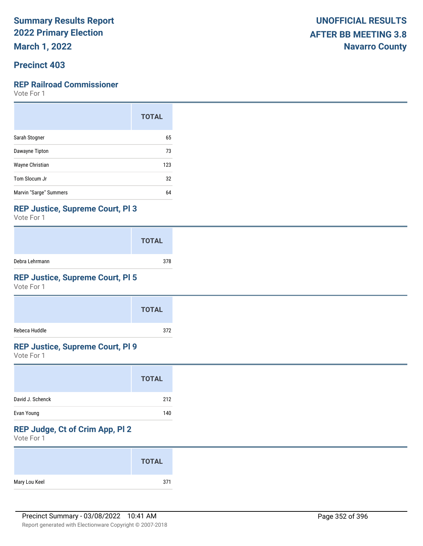**March 1, 2022**

### **Precinct 403**

### **REP Railroad Commissioner**

Vote For 1

|                        | <b>TOTAL</b> |
|------------------------|--------------|
| Sarah Stogner          | 65           |
| Dawayne Tipton         | 73           |
| Wayne Christian        | 123          |
| Tom Slocum Jr          | 32           |
| Marvin "Sarge" Summers | 64           |

### **REP Justice, Supreme Court, Pl 3**

Vote For 1

|                | <b>TOTAL</b> |
|----------------|--------------|
| Debra Lehrmann | 378          |

## **REP Justice, Supreme Court, Pl 5**

Vote For 1

|               | <b>TOTAL</b> |
|---------------|--------------|
| Rebeca Huddle | 372          |

### **REP Justice, Supreme Court, Pl 9**

Vote For 1

|                  | <b>TOTAL</b> |
|------------------|--------------|
| David J. Schenck | 212          |
| Evan Young       | 140          |

# **REP Judge, Ct of Crim App, Pl 2**

|               | <b>TOTAL</b> |
|---------------|--------------|
| Mary Lou Keel | 371          |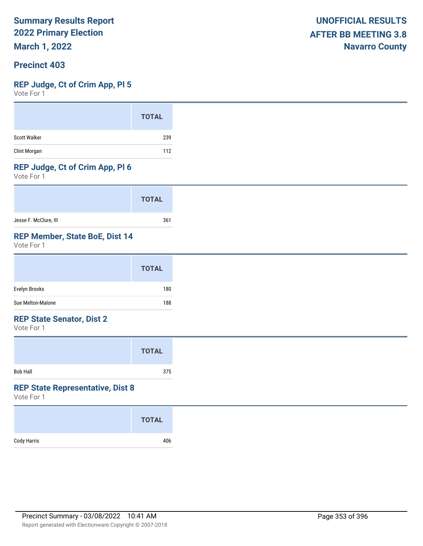**March 1, 2022**

### **Precinct 403**

### **REP Judge, Ct of Crim App, Pl 5**

Vote For 1

### **REP Judge, Ct of Crim App, Pl 6**

Vote For 1

|                       | <b>TOTAL</b> |
|-----------------------|--------------|
| Jesse F. McClure, III | 361          |

### **REP Member, State BoE, Dist 14**

Vote For 1

|                   | <b>TOTAL</b> |
|-------------------|--------------|
| Evelyn Brooks     | 180          |
| Sue Melton-Malone | 188          |

### **REP State Senator, Dist 2**

Vote For 1

|          | <b>TOTAL</b> |  |
|----------|--------------|--|
| Bob Hall | 375          |  |

### **REP State Representative, Dist 8**

|             | <b>TOTAL</b> |
|-------------|--------------|
| Cody Harris | 406          |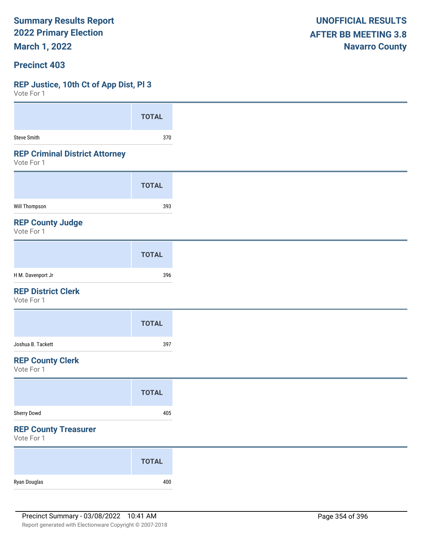**March 1, 2022**

### **Precinct 403**

### **REP Justice, 10th Ct of App Dist, Pl 3**

| <b>TOTAL</b> |
|--------------|
| 370          |
|              |
| <b>TOTAL</b> |
| 393          |
|              |
| <b>TOTAL</b> |
| 396          |
|              |
| <b>TOTAL</b> |
| 397          |
|              |
| <b>TOTAL</b> |
| 405          |
|              |
| <b>TOTAL</b> |
| 400          |
|              |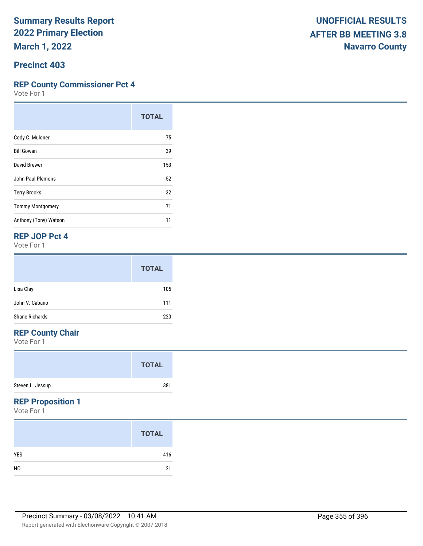### **Precinct 403**

### **REP County Commissioner Pct 4**

Vote For 1

|                         | <b>TOTAL</b> |
|-------------------------|--------------|
| Cody C. Muldner         | 75           |
| <b>Bill Gowan</b>       | 39           |
| David Brewer            | 153          |
| John Paul Plemons       | 52           |
| <b>Terry Brooks</b>     | 32           |
| <b>Tommy Montgomery</b> | 71           |
| Anthony (Tony) Watson   | 11           |

### **REP JOP Pct 4**

Vote For 1

|                | <b>TOTAL</b> |
|----------------|--------------|
| Lisa Clay      | 105          |
| John V. Cabano | 111          |
| Shane Richards | 220          |

# **REP County Chair**

Vote For 1

|                  | <b>TOTAL</b> |
|------------------|--------------|
| Steven L. Jessup | 381          |

### **REP Proposition 1**

|                | <b>TOTAL</b> |
|----------------|--------------|
| <b>YES</b>     | 416          |
| N <sub>0</sub> | 21           |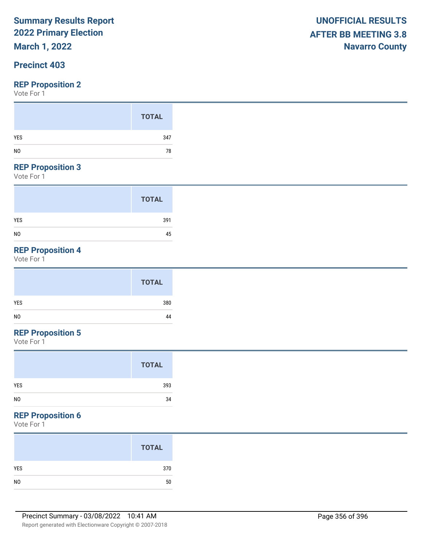# **March 1, 2022**

## **Precinct 403**

### **REP Proposition 2**

Vote For 1

#### **REP Proposition 3**

Vote For 1

|                | <b>TOTAL</b> |
|----------------|--------------|
| <b>YES</b>     | 391          |
| N <sub>0</sub> | 45           |

# **REP Proposition 4**

Vote For 1

# **REP Proposition 5**

Vote For 1

|                | <b>TOTAL</b> |
|----------------|--------------|
| YES            | 393          |
| N <sub>0</sub> | 34           |

# **REP Proposition 6**

|                | <b>TOTAL</b> |
|----------------|--------------|
| <b>YES</b>     | 370          |
| N <sub>0</sub> | 50           |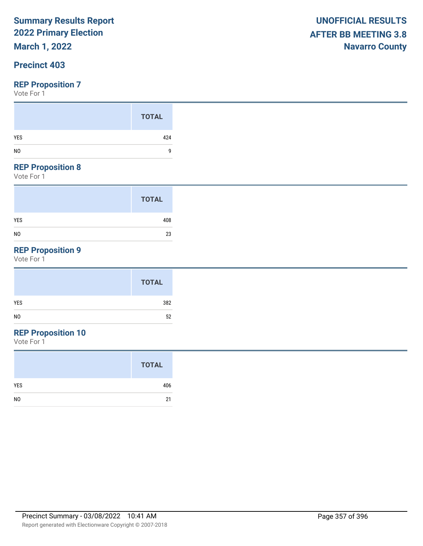# **March 1, 2022**

## **Precinct 403**

### **REP Proposition 7**

Vote For 1

#### **REP Proposition 8**

Vote For 1

|                | <b>TOTAL</b> |
|----------------|--------------|
| <b>YES</b>     | 408          |
| N <sub>0</sub> | 23           |

# **REP Proposition 9**

Vote For 1

|            | <b>TOTAL</b> |
|------------|--------------|
| <b>YES</b> | 382          |
|            | 52           |

# **REP Proposition 10**

|                | <b>TOTAL</b> |
|----------------|--------------|
| <b>YES</b>     | 406          |
| N <sub>0</sub> | 21           |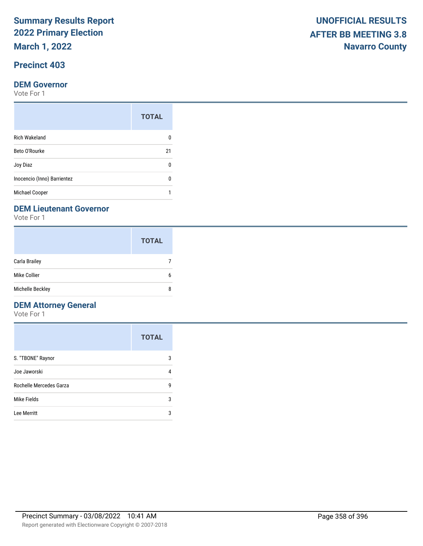**March 1, 2022**

# **Precinct 403**

### **DEM Governor**

Vote For 1

|                             | <b>TOTAL</b> |
|-----------------------------|--------------|
| <b>Rich Wakeland</b>        |              |
| Beto O'Rourke               | 21           |
| Joy Diaz                    | n            |
| Inocencio (Inno) Barrientez |              |
| Michael Cooper              |              |

### **DEM Lieutenant Governor**

Vote For 1

|                  | <b>TOTAL</b> |
|------------------|--------------|
| Carla Brailey    |              |
| Mike Collier     | 6            |
| Michelle Beckley | 8            |

# **DEM Attorney General**

|                         | <b>TOTAL</b> |
|-------------------------|--------------|
| S. "TBONE" Raynor       | 3            |
| Joe Jaworski            | 4            |
| Rochelle Mercedes Garza | g            |
| Mike Fields             | 3            |
| Lee Merritt             | 3            |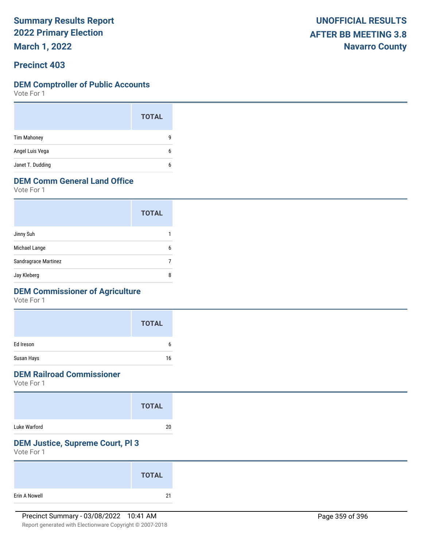**March 1, 2022**

### **Precinct 403**

#### **DEM Comptroller of Public Accounts**

Vote For 1

|                    | <b>TOTAL</b> |  |
|--------------------|--------------|--|
| <b>Tim Mahoney</b> | g            |  |
| Angel Luis Vega    | 6            |  |
| Janet T. Dudding   | 6            |  |

# **DEM Comm General Land Office**

Vote For 1

|                      | <b>TOTAL</b> |
|----------------------|--------------|
| Jinny Suh            |              |
| Michael Lange        | ĥ            |
| Sandragrace Martinez |              |
| Jay Kleberg          | 8            |

## **DEM Commissioner of Agriculture**

Vote For 1

|            | <b>TOTAL</b> |
|------------|--------------|
| Ed Ireson  | h            |
| Susan Hays | 16           |

# **DEM Railroad Commissioner**

Vote For 1

|              | <b>TOTAL</b> |
|--------------|--------------|
| Luke Warford | 20           |

# **DEM Justice, Supreme Court, Pl 3**

|               | <b>TOTAL</b> |  |
|---------------|--------------|--|
| Erin A Nowell | 21           |  |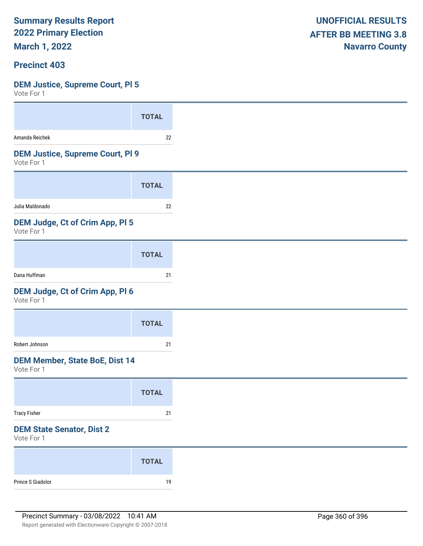**March 1, 2022**

### **Precinct 403**

### **DEM Justice, Supreme Court, Pl 5**

| <b>TOTAL</b>                            |
|-----------------------------------------|
| 22                                      |
| <b>DEM Justice, Supreme Court, PI 9</b> |
| <b>TOTAL</b>                            |
| 22                                      |
| DEM Judge, Ct of Crim App, PI 5         |
| <b>TOTAL</b>                            |
| 21                                      |
| DEM Judge, Ct of Crim App, Pl 6         |
| <b>TOTAL</b>                            |
| 21                                      |
| <b>DEM Member, State BoE, Dist 14</b>   |
| <b>TOTAL</b>                            |
| $21$                                    |
|                                         |
|                                         |
| <b>TOTAL</b>                            |
|                                         |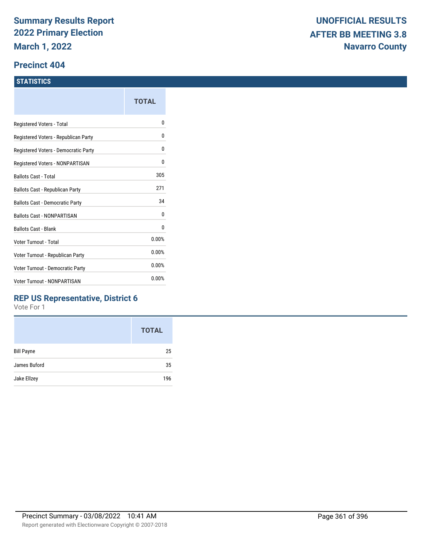#### **Precinct 404**

#### **STATISTICS**

|                                      | TOTAL |
|--------------------------------------|-------|
| Registered Voters - Total            | N     |
| Registered Voters - Republican Party | N     |
| Registered Voters - Democratic Party | 0     |
| Registered Voters - NONPARTISAN      | 0     |
| Ballots Cast - Total                 | 305   |
| Ballots Cast - Republican Party      | 271   |
| Ballots Cast - Democratic Party      | 34    |
| <b>Ballots Cast - NONPARTISAN</b>    | 0     |
| <b>Ballots Cast - Blank</b>          | 0     |
| Voter Turnout - Total                | 0.00% |
| Voter Turnout - Republican Party     | 0.00% |
| Voter Turnout - Democratic Party     | 0.00% |
| Voter Turnout - NONPARTISAN          | 0.00% |
|                                      |       |

## **REP US Representative, District 6**

|                   | <b>TOTAL</b> |
|-------------------|--------------|
| <b>Bill Payne</b> | 25           |
| James Buford      | 35           |
| Jake Ellzey       | 196          |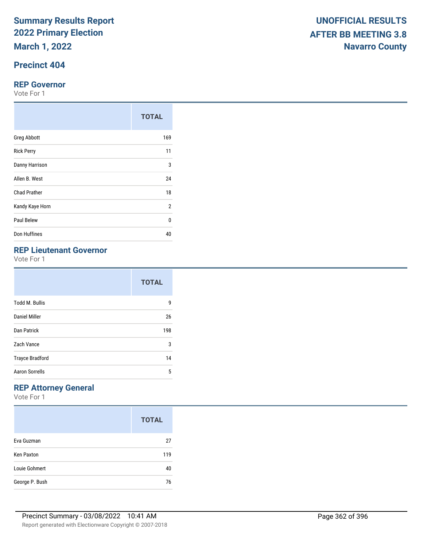## **Precinct 404**

#### **REP Governor**

Vote For 1

|                     | <b>TOTAL</b> |
|---------------------|--------------|
| <b>Greg Abbott</b>  | 169          |
| <b>Rick Perry</b>   | 11           |
| Danny Harrison      | 3            |
| Allen B. West       | 24           |
| <b>Chad Prather</b> | 18           |
| Kandy Kaye Horn     | 2            |
| Paul Belew          | 0            |
| Don Huffines        | 40           |

## **REP Lieutenant Governor**

Vote For 1

|                        | <b>TOTAL</b> |
|------------------------|--------------|
| <b>Todd M. Bullis</b>  | g            |
| Daniel Miller          | 26           |
| Dan Patrick            | 198          |
| Zach Vance             | 3            |
| <b>Trayce Bradford</b> | 14           |
| <b>Aaron Sorrells</b>  | 5            |

## **REP Attorney General**

|                   | <b>TOTAL</b> |
|-------------------|--------------|
| Eva Guzman        | 27           |
| <b>Ken Paxton</b> | 119          |
| Louie Gohmert     | 40           |
| George P. Bush    | 76           |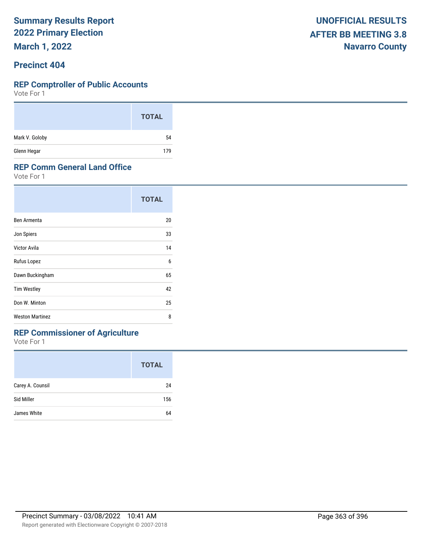**March 1, 2022**

### **Precinct 404**

#### **REP Comptroller of Public Accounts**

Vote For 1

|                | <b>TOTAL</b> |
|----------------|--------------|
| Mark V. Goloby | 54           |
| Glenn Hegar    | 179          |

### **REP Comm General Land Office**

Vote For 1

|                        | <b>TOTAL</b> |
|------------------------|--------------|
| Ben Armenta            | 20           |
| Jon Spiers             | 33           |
| Victor Avila           | 14           |
| Rufus Lopez            | 6            |
| Dawn Buckingham        | 65           |
| <b>Tim Westley</b>     | 42           |
| Don W. Minton          | 25           |
| <b>Weston Martinez</b> | 8            |

## **REP Commissioner of Agriculture**

|                  | <b>TOTAL</b> |
|------------------|--------------|
| Carey A. Counsil | 24           |
| Sid Miller       | 156          |
| James White      | 64           |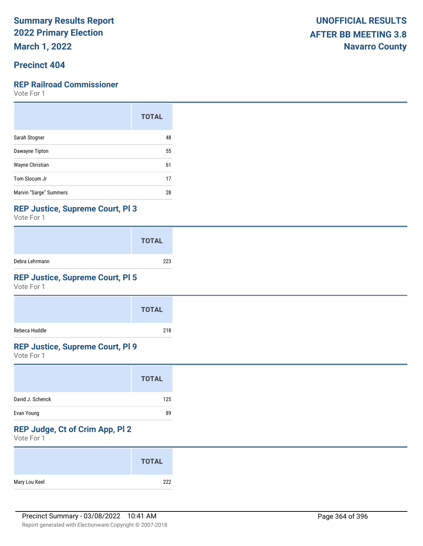**March 1, 2022**

## **Precinct 404**

#### **REP Railroad Commissioner**

Vote For 1

|                        | <b>TOTAL</b> |
|------------------------|--------------|
| Sarah Stogner          | 48           |
| Dawayne Tipton         | 55           |
| Wayne Christian        | 61           |
| Tom Slocum Jr          | 17           |
| Marvin "Sarge" Summers | 28           |

### **REP Justice, Supreme Court, Pl 3**

Vote For 1

|                | <b>TOTAL</b> |
|----------------|--------------|
| Debra Lehrmann | 223          |

## **REP Justice, Supreme Court, Pl 5**

Vote For 1

|               | <b>TOTAL</b> |
|---------------|--------------|
| Rebeca Huddle | 218          |

#### **REP Justice, Supreme Court, Pl 9**

Vote For 1

|                  | <b>TOTAL</b> |
|------------------|--------------|
| David J. Schenck | 125          |
| Evan Young       | 89           |

## **REP Judge, Ct of Crim App, Pl 2**

| Mary Lou Keel | 222          |
|---------------|--------------|
|               | <b>TOTAL</b> |
|               |              |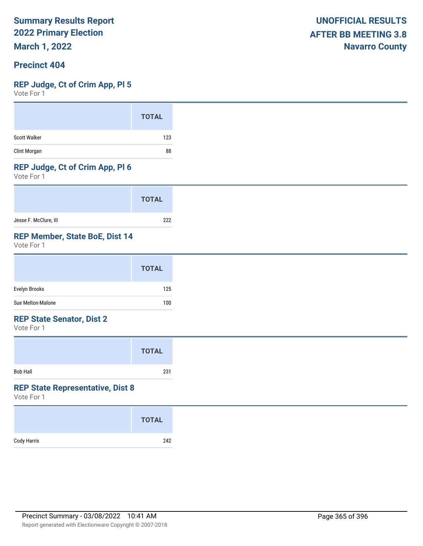**March 1, 2022**

## **Precinct 404**

#### **REP Judge, Ct of Crim App, Pl 5**

Vote For 1

#### **REP Judge, Ct of Crim App, Pl 6**

Vote For 1

|                       | <b>TOTAL</b> |
|-----------------------|--------------|
| Jesse F. McClure, III | 222          |

### **REP Member, State BoE, Dist 14**

Vote For 1

|                   | <b>TOTAL</b> |
|-------------------|--------------|
| Evelyn Brooks     | 125          |
| Sue Melton-Malone | 100          |

#### **REP State Senator, Dist 2**

Vote For 1

|          | <b>TOTAL</b> |  |
|----------|--------------|--|
| Bob Hall | 231          |  |

## **REP State Representative, Dist 8**

|             | <b>TOTAL</b> |
|-------------|--------------|
| Cody Harris | 242          |
|             |              |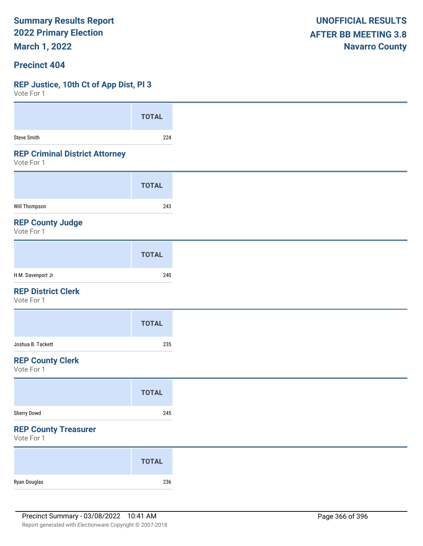**March 1, 2022**

### **Precinct 404**

#### **REP Justice, 10th Ct of App Dist, Pl 3**

| VOTE FOL 1                                          |              |
|-----------------------------------------------------|--------------|
|                                                     | <b>TOTAL</b> |
| <b>Steve Smith</b>                                  | 224          |
| <b>REP Criminal District Attorney</b><br>Vote For 1 |              |
|                                                     | <b>TOTAL</b> |
| <b>Will Thompson</b>                                | 243          |
| <b>REP County Judge</b><br>Vote For 1               |              |
|                                                     | <b>TOTAL</b> |
| H M. Davenport Jr                                   | 240          |
| <b>REP District Clerk</b><br>Vote For 1             |              |
|                                                     | <b>TOTAL</b> |
| Joshua B. Tackett                                   | 235          |
| <b>REP County Clerk</b><br>Vote For 1               |              |
|                                                     | <b>TOTAL</b> |
| Sherry Dowd                                         | 245          |
| <b>REP County Treasurer</b><br>Vote For 1           |              |
|                                                     | <b>TOTAL</b> |
| Ryan Douglas                                        | 236          |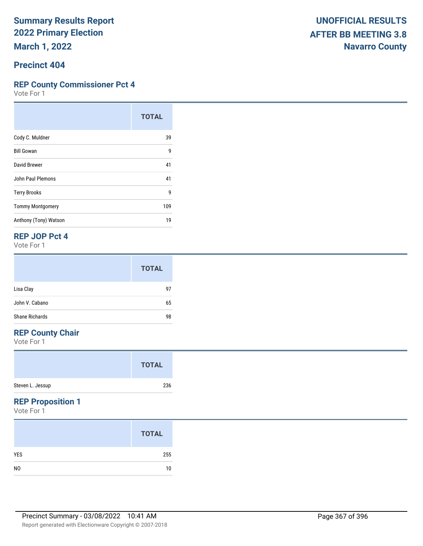#### **Precinct 404**

### **REP County Commissioner Pct 4**

Vote For 1

|                         | <b>TOTAL</b> |
|-------------------------|--------------|
| Cody C. Muldner         | 39           |
| <b>Bill Gowan</b>       | 9            |
| David Brewer            | 41           |
| John Paul Plemons       | 41           |
| <b>Terry Brooks</b>     | g            |
| <b>Tommy Montgomery</b> | 109          |
| Anthony (Tony) Watson   | 19           |

### **REP JOP Pct 4**

Vote For 1

|                       | <b>TOTAL</b> |
|-----------------------|--------------|
| Lisa Clay             | 97           |
| John V. Cabano        | 65           |
| <b>Shane Richards</b> | 98           |

## **REP County Chair**

Vote For 1

|                  | <b>TOTAL</b> |
|------------------|--------------|
| Steven L. Jessup | 236          |

### **REP Proposition 1**

|                | <b>TOTAL</b> |
|----------------|--------------|
| <b>YES</b>     | 255          |
| N <sub>0</sub> | 10           |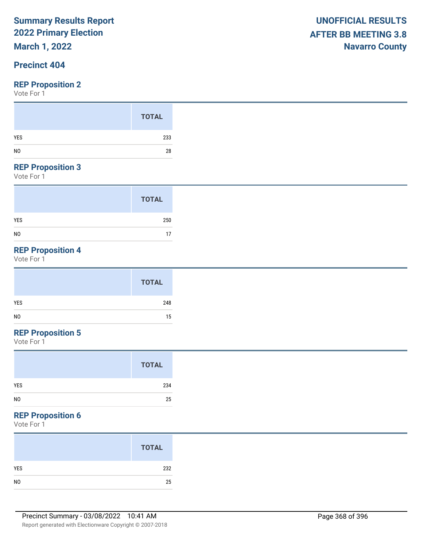**March 1, 2022**

## **Precinct 404**

#### **REP Proposition 2**

Vote For 1

#### **REP Proposition 3**

Vote For 1

|                | <b>TOTAL</b> |
|----------------|--------------|
| <b>YES</b>     | 250          |
| N <sub>0</sub> | 17           |

## **REP Proposition 4**

Vote For 1

|                | <b>TOTAL</b> |
|----------------|--------------|
| YES            | 248          |
| N <sub>0</sub> | 15           |

## **REP Proposition 5**

Vote For 1

#### **REP Proposition 6**

|                | <b>TOTAL</b> |
|----------------|--------------|
| YES            | 232          |
| N <sub>O</sub> | 25           |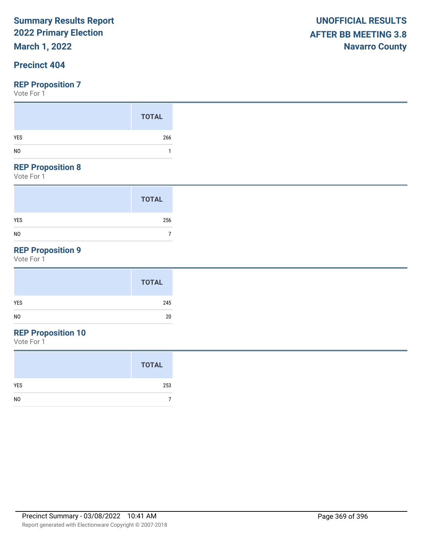**March 1, 2022**

## **Precinct 404**

#### **REP Proposition 7**

Vote For 1

#### **REP Proposition 8**

Vote For 1

|                | <b>TOTAL</b> |
|----------------|--------------|
| <b>YES</b>     | 256          |
| N <sub>0</sub> |              |

## **REP Proposition 9**

Vote For 1

## **REP Proposition 10**

|                | <b>TOTAL</b> |
|----------------|--------------|
| <b>YES</b>     | 253          |
| N <sub>0</sub> |              |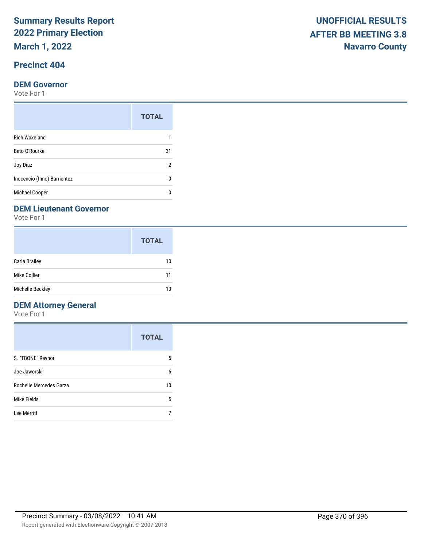**March 1, 2022**

## **Precinct 404**

#### **DEM Governor**

Vote For 1

|                             | <b>TOTAL</b> |
|-----------------------------|--------------|
| <b>Rich Wakeland</b>        |              |
| Beto O'Rourke               | 31           |
| Joy Diaz                    | 2            |
| Inocencio (Inno) Barrientez | n            |
| <b>Michael Cooper</b>       |              |

#### **DEM Lieutenant Governor**

Vote For 1

|                      | <b>TOTAL</b> |
|----------------------|--------------|
| <b>Carla Brailey</b> | 10           |
| Mike Collier         | 11           |
| Michelle Beckley     | 13           |

## **DEM Attorney General**

|                         | <b>TOTAL</b> |
|-------------------------|--------------|
| S. "TBONE" Raynor       | 5            |
| Joe Jaworski            | 6            |
| Rochelle Mercedes Garza | 10           |
| Mike Fields             | 5            |
| Lee Merritt             |              |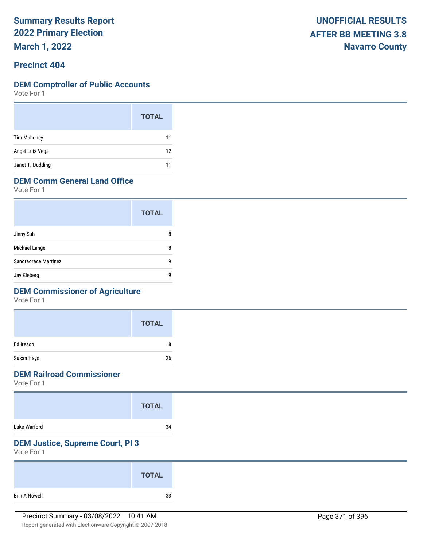**March 1, 2022**

### **Precinct 404**

#### **DEM Comptroller of Public Accounts**

Vote For 1

|                    | <b>TOTAL</b> |
|--------------------|--------------|
| <b>Tim Mahoney</b> | 11           |
| Angel Luis Vega    | 12           |
| Janet T. Dudding   | 11           |

## **DEM Comm General Land Office**

Vote For 1

|                      | <b>TOTAL</b> |
|----------------------|--------------|
| Jinny Suh            | 8            |
| Michael Lange        | 8            |
| Sandragrace Martinez | q            |
| Jay Kleberg          | q            |

## **DEM Commissioner of Agriculture**

Vote For 1

|            | <b>TOTAL</b> |
|------------|--------------|
| Ed Ireson  | 8            |
| Susan Hays | 26           |

## **DEM Railroad Commissioner**

Vote For 1

|              | <b>TOTAL</b> |
|--------------|--------------|
| Luke Warford | 34           |

## **DEM Justice, Supreme Court, Pl 3**

|               | <b>TOTAL</b> |  |
|---------------|--------------|--|
| Erin A Nowell | 33           |  |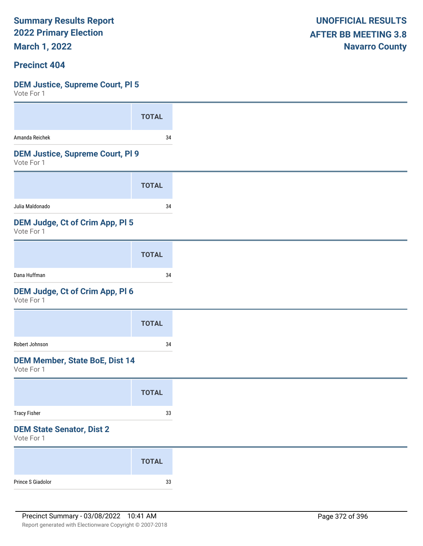**March 1, 2022**

#### **Precinct 404**

## **DEM Justice, Supreme Court, Pl 5**

| <b>TOTAL</b>                            |
|-----------------------------------------|
| 34                                      |
| <b>DEM Justice, Supreme Court, PI 9</b> |
| <b>TOTAL</b>                            |
| 34                                      |
| DEM Judge, Ct of Crim App, Pl 5         |
| <b>TOTAL</b>                            |
| 34                                      |
| DEM Judge, Ct of Crim App, Pl 6         |
| <b>TOTAL</b>                            |
| 34                                      |
| <b>DEM Member, State BoE, Dist 14</b>   |
| <b>TOTAL</b>                            |
| $33\,$                                  |
|                                         |
| <b>TOTAL</b>                            |
| $33\,$                                  |
|                                         |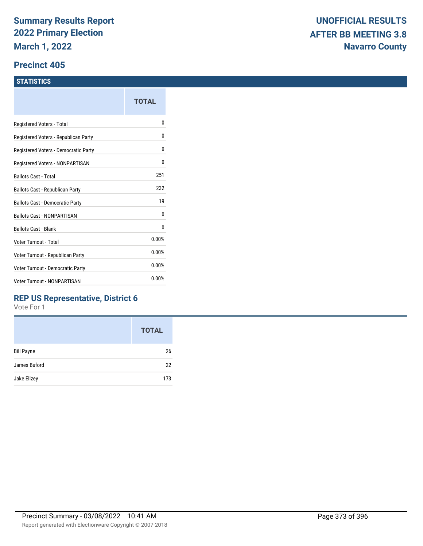#### **Precinct 405**

#### **STATISTICS**

|                                      | <b>TOTAL</b> |
|--------------------------------------|--------------|
| Registered Voters - Total            | 0            |
| Registered Voters - Republican Party | 0            |
| Registered Voters - Democratic Party | 0            |
| Registered Voters - NONPARTISAN      | 0            |
| Ballots Cast - Total                 | 251          |
| Ballots Cast - Republican Party      | 232          |
| Ballots Cast - Democratic Party      | 19           |
| <b>Ballots Cast - NONPARTISAN</b>    | 0            |
| Ballots Cast - Blank                 | 0            |
| Voter Turnout - Total                | 0.00%        |
| Voter Turnout - Republican Party     | 0.00%        |
| Voter Turnout - Democratic Party     | 0.00%        |
| <b>Voter Turnout - NONPARTISAN</b>   | 0.00%        |

## **REP US Representative, District 6**

|                   | <b>TOTAL</b> |
|-------------------|--------------|
| <b>Bill Payne</b> | 26           |
| James Buford      | 22           |
| Jake Ellzey       | 173          |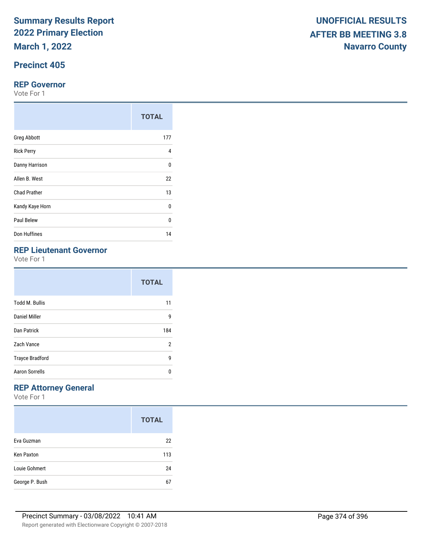**March 1, 2022**

## **Precinct 405**

#### **REP Governor**

Vote For 1

|                     | <b>TOTAL</b> |
|---------------------|--------------|
| <b>Greg Abbott</b>  | 177          |
| <b>Rick Perry</b>   | 4            |
| Danny Harrison      | $\Omega$     |
| Allen B. West       | 22           |
| <b>Chad Prather</b> | 13           |
| Kandy Kaye Horn     | 0            |
| Paul Belew          | $\Omega$     |
| Don Huffines        | 14           |

## **REP Lieutenant Governor**

Vote For 1

|                        | <b>TOTAL</b> |
|------------------------|--------------|
| <b>Todd M. Bullis</b>  | 11           |
| Daniel Miller          | 9            |
| Dan Patrick            | 184          |
| Zach Vance             | 2            |
| <b>Trayce Bradford</b> | 9            |
| <b>Aaron Sorrells</b>  | ŋ            |

## **REP Attorney General**

|                   | <b>TOTAL</b> |
|-------------------|--------------|
| Eva Guzman        | 22           |
| <b>Ken Paxton</b> | 113          |
| Louie Gohmert     | 24           |
| George P. Bush    | 67           |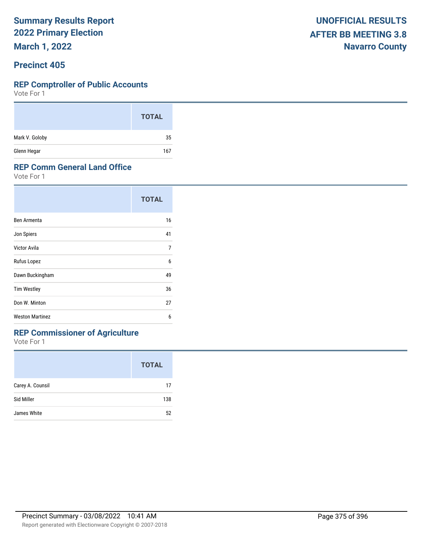**March 1, 2022**

### **Precinct 405**

#### **REP Comptroller of Public Accounts**

Vote For 1

|                | <b>TOTAL</b> |
|----------------|--------------|
| Mark V. Goloby | 35           |
| Glenn Hegar    | 167          |

#### **REP Comm General Land Office**

Vote For 1

| <b>TOTAL</b> |
|--------------|
| 16           |
| 41           |
| 7            |
| 6            |
| 49           |
| 36           |
| 27           |
| 6            |
|              |

## **REP Commissioner of Agriculture**

|                  | <b>TOTAL</b> |
|------------------|--------------|
| Carey A. Counsil | 17           |
| Sid Miller       | 138          |
| James White      | 52           |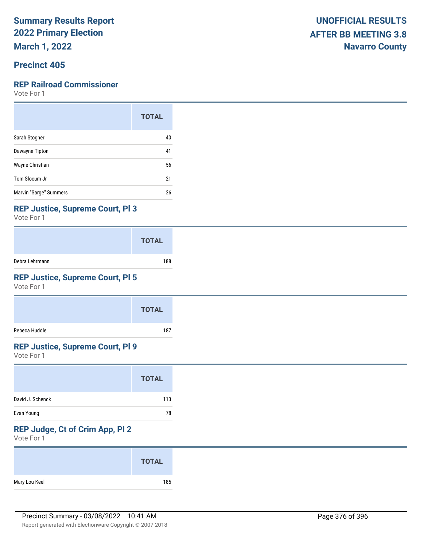**March 1, 2022**

## **Precinct 405**

#### **REP Railroad Commissioner**

Vote For 1

|                        | <b>TOTAL</b> |
|------------------------|--------------|
| Sarah Stogner          | 40           |
| Dawayne Tipton         | 41           |
| Wayne Christian        | 56           |
| Tom Slocum Jr          | 21           |
| Marvin "Sarge" Summers | 26           |

### **REP Justice, Supreme Court, Pl 3**

Vote For 1

|                | <b>TOTAL</b> |
|----------------|--------------|
| Debra Lehrmann | 188          |

## **REP Justice, Supreme Court, Pl 5**

Vote For 1

|               | <b>TOTAL</b> |
|---------------|--------------|
| Rebeca Huddle | 187          |

#### **REP Justice, Supreme Court, Pl 9**

Vote For 1

|                  | <b>TOTAL</b> |  |
|------------------|--------------|--|
| David J. Schenck | 113          |  |
| Evan Young       | 78           |  |

## **REP Judge, Ct of Crim App, Pl 2**

| <b>TOTAL</b>  |     |
|---------------|-----|
| Mary Lou Keel | 185 |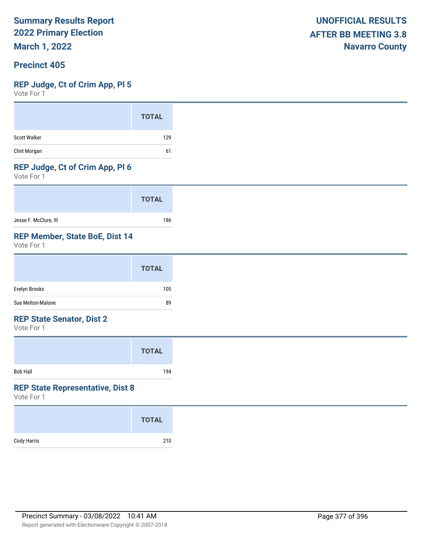**March 1, 2022**

### **Precinct 405**

#### **REP Judge, Ct of Crim App, Pl 5**

Vote For 1

#### **REP Judge, Ct of Crim App, Pl 6**

Vote For 1

|                       | <b>TOTAL</b> |
|-----------------------|--------------|
| Jesse F. McClure, III | 186          |

### **REP Member, State BoE, Dist 14**

Vote For 1

| Sue Melton-Malone | 89           |
|-------------------|--------------|
| Evelyn Brooks     | 105          |
|                   | <b>TOTAL</b> |

#### **REP State Senator, Dist 2**

Vote For 1

|                 | <b>TOTAL</b> |  |
|-----------------|--------------|--|
| <b>Bob Hall</b> | 194          |  |

#### **REP State Representative, Dist 8**

|             | <b>TOTAL</b> |
|-------------|--------------|
| Cody Harris | 210          |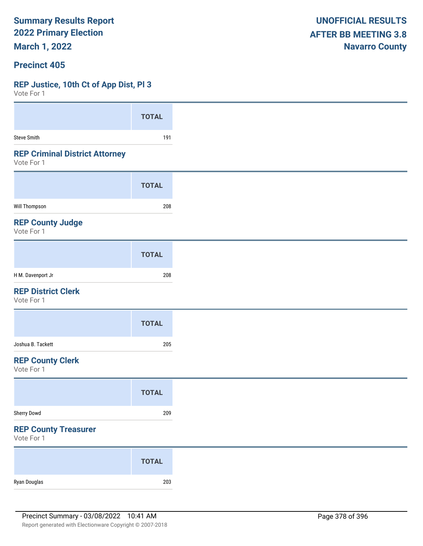**March 1, 2022**

#### **Precinct 405**

#### **REP Justice, 10th Ct of App Dist, Pl 3**

| VOTE FOL 1                                          |              |
|-----------------------------------------------------|--------------|
|                                                     | <b>TOTAL</b> |
|                                                     |              |
| <b>Steve Smith</b>                                  | 191          |
| <b>REP Criminal District Attorney</b><br>Vote For 1 |              |
|                                                     | <b>TOTAL</b> |
| Will Thompson                                       | 208          |
| <b>REP County Judge</b><br>Vote For 1               |              |
|                                                     | <b>TOTAL</b> |
| H M. Davenport Jr                                   | 208          |
| <b>REP District Clerk</b><br>Vote For 1             |              |
|                                                     | <b>TOTAL</b> |
| Joshua B. Tackett                                   | 205          |
| <b>REP County Clerk</b><br>Vote For 1               |              |
|                                                     | <b>TOTAL</b> |
| Sherry Dowd                                         | 209          |
| <b>REP County Treasurer</b><br>Vote For 1           |              |
|                                                     | <b>TOTAL</b> |
| Ryan Douglas                                        | 203          |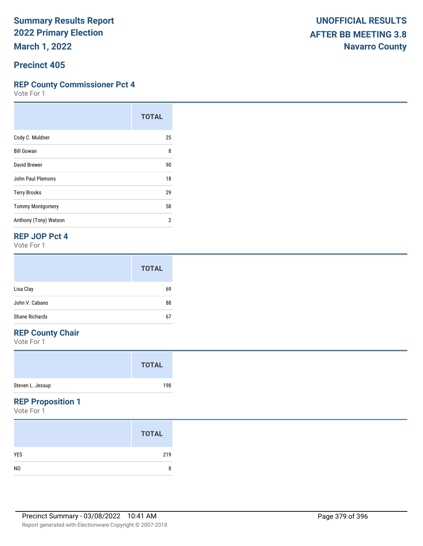#### **Precinct 405**

### **REP County Commissioner Pct 4**

Vote For 1

|                          | <b>TOTAL</b> |
|--------------------------|--------------|
| Cody C. Muldner          | 25           |
| <b>Bill Gowan</b>        | 8            |
| David Brewer             | 90           |
| <b>John Paul Plemons</b> | 18           |
| <b>Terry Brooks</b>      | 29           |
| <b>Tommy Montgomery</b>  | 58           |
| Anthony (Tony) Watson    | 2            |

### **REP JOP Pct 4**

Vote For 1

|                | <b>TOTAL</b> |
|----------------|--------------|
| Lisa Clay      | 69           |
| John V. Cabano | 88           |
| Shane Richards | 67           |

## **REP County Chair**

Vote For 1

|                  | <b>TOTAL</b> |  |
|------------------|--------------|--|
| Steven L. Jessup | 198          |  |

### **REP Proposition 1**

|                | <b>TOTAL</b> |
|----------------|--------------|
| <b>YES</b>     | 219          |
| N <sub>0</sub> | 8            |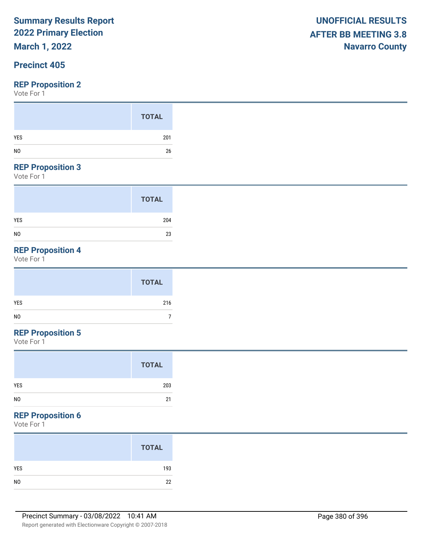## **March 1, 2022**

## **Precinct 405**

#### **REP Proposition 2**

Vote For 1

#### **REP Proposition 3**

Vote For 1

| <b>TOTAL</b> |
|--------------|
| 204          |
| 23           |

## **REP Proposition 4**

Vote For 1

## **REP Proposition 5**

Vote For 1

#### **REP Proposition 6**

| <b>TOTAL</b> |
|--------------|
| 193          |
| 22           |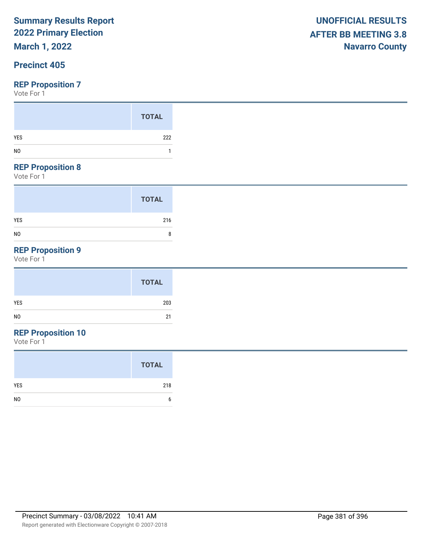## **March 1, 2022**

## **Precinct 405**

#### **REP Proposition 7**

Vote For 1

#### **REP Proposition 8**

Vote For 1

|                | <b>TOTAL</b> |
|----------------|--------------|
| <b>YES</b>     | 216          |
| N <sub>0</sub> | 8            |

## **REP Proposition 9**

Vote For 1

## **REP Proposition 10**

|                | <b>TOTAL</b> |
|----------------|--------------|
| <b>YES</b>     | 218          |
| N <sub>0</sub> | h            |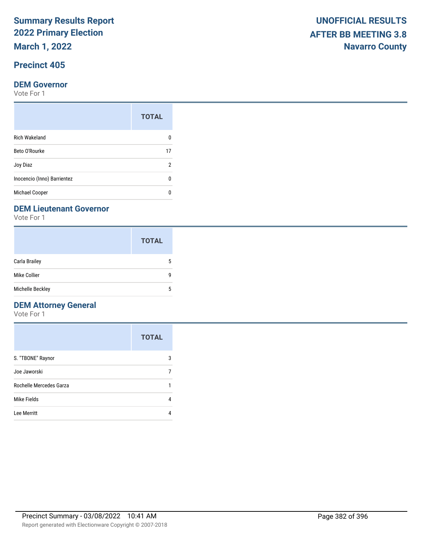**March 1, 2022**

## **Precinct 405**

#### **DEM Governor**

Vote For 1

| <b>TOTAL</b> |
|--------------|
|              |
| 17           |
| 2            |
| n            |
|              |
|              |

### **DEM Lieutenant Governor**

Vote For 1

|                  | <b>TOTAL</b> |
|------------------|--------------|
| Carla Brailey    | 5            |
| Mike Collier     | g            |
| Michelle Beckley | 5            |

## **DEM Attorney General**

|                         | <b>TOTAL</b> |
|-------------------------|--------------|
| S. "TBONE" Raynor       | 3            |
| Joe Jaworski            |              |
| Rochelle Mercedes Garza |              |
| Mike Fields             | 4            |
| Lee Merritt             |              |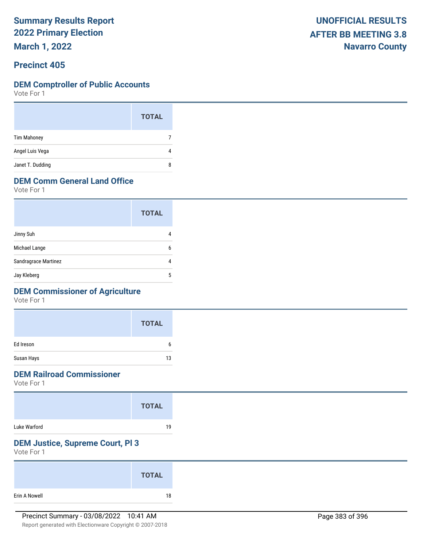**March 1, 2022**

## **Precinct 405**

#### **DEM Comptroller of Public Accounts**

Vote For 1

|                    | <b>TOTAL</b> |  |
|--------------------|--------------|--|
| <b>Tim Mahoney</b> |              |  |
| Angel Luis Vega    | 4            |  |
| Janet T. Dudding   | 8            |  |

## **DEM Comm General Land Office**

Vote For 1

|                      | <b>TOTAL</b> |
|----------------------|--------------|
| Jinny Suh            |              |
| Michael Lange        | 6            |
| Sandragrace Martinez |              |
| Jay Kleberg          | 5            |

## **DEM Commissioner of Agriculture**

Vote For 1

|            | <b>TOTAL</b> |
|------------|--------------|
| Ed Ireson  | h            |
| Susan Hays | 13           |

## **DEM Railroad Commissioner**

Vote For 1

|              | <b>TOTAL</b> |  |
|--------------|--------------|--|
| Luke Warford | 19           |  |

### **DEM Justice, Supreme Court, Pl 3**

|               | <b>TOTAL</b> |  |
|---------------|--------------|--|
| Erin A Nowell | 18           |  |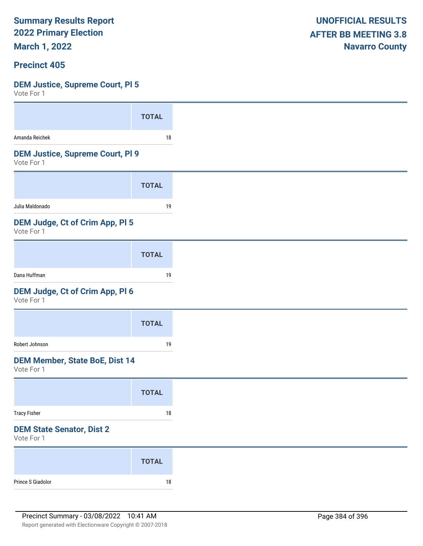**March 1, 2022**

#### **Precinct 405**

#### **DEM Justice, Supreme Court, Pl 5**

| <b>TOTAL</b>                            |
|-----------------------------------------|
| 18                                      |
| <b>DEM Justice, Supreme Court, PI 9</b> |
| <b>TOTAL</b>                            |
| 19                                      |
| DEM Judge, Ct of Crim App, PI 5         |
| <b>TOTAL</b>                            |
| 19                                      |
| DEM Judge, Ct of Crim App, Pl 6         |
| <b>TOTAL</b>                            |
| 19                                      |
| <b>DEM Member, State BoE, Dist 14</b>   |
| <b>TOTAL</b>                            |
| $18\,$                                  |
|                                         |
|                                         |
| <b>TOTAL</b>                            |
|                                         |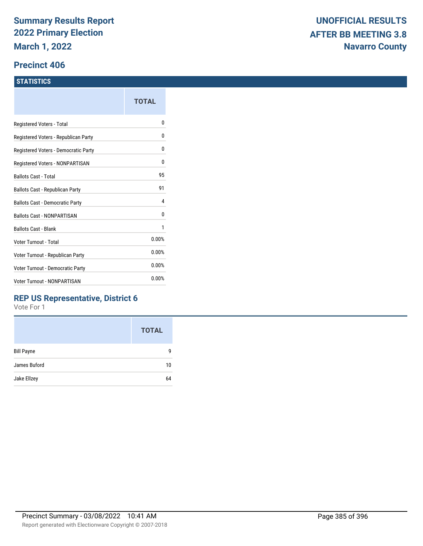#### **Precinct 406**

#### **STATISTICS**

|                                      | TOTAL |
|--------------------------------------|-------|
| Registered Voters - Total            | 0     |
| Registered Voters - Republican Party | 0     |
| Registered Voters - Democratic Party | 0     |
| Registered Voters - NONPARTISAN      | 0     |
| <b>Ballots Cast - Total</b>          | 95    |
| Ballots Cast - Republican Party      | 91    |
| Ballots Cast - Democratic Party      | 4     |
| Ballots Cast - NONPARTISAN           | 0     |
| <b>Ballots Cast - Blank</b>          | 1     |
| Voter Turnout - Total                | 0.00% |
| Voter Turnout - Republican Party     | 0.00% |
| Voter Turnout - Democratic Party     | 0.00% |
| <b>Voter Turnout - NONPARTISAN</b>   | 0.00% |
|                                      |       |

## **REP US Representative, District 6**

|                   | <b>TOTAL</b> |
|-------------------|--------------|
| <b>Bill Payne</b> | g            |
| James Buford      | 10           |
| Jake Ellzey       | 64           |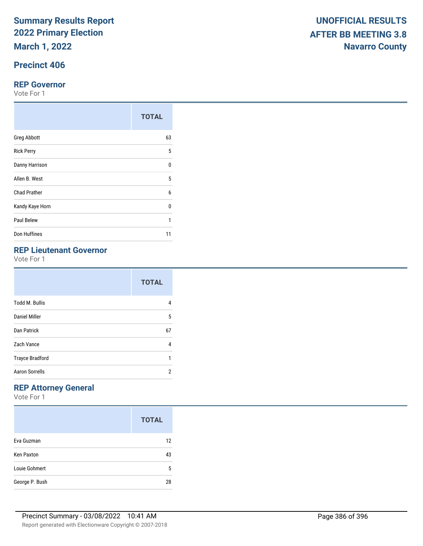**March 1, 2022**

## **Precinct 406**

#### **REP Governor**

Vote For 1

|                     | <b>TOTAL</b> |
|---------------------|--------------|
| <b>Greg Abbott</b>  | 63           |
| <b>Rick Perry</b>   | 5            |
| Danny Harrison      | $\Omega$     |
| Allen B. West       | 5            |
| <b>Chad Prather</b> | 6            |
| Kandy Kaye Horn     | 0            |
| Paul Belew          | 1            |
| Don Huffines        | 11           |

|                        | <b>TOTAL</b> |
|------------------------|--------------|
| <b>Todd M. Bullis</b>  | 4            |
| Daniel Miller          | 5            |
| Dan Patrick            | 67           |
| Zach Vance             | 4            |
| <b>Trayce Bradford</b> | 1            |
| <b>Aaron Sorrells</b>  | 2            |

## **REP Attorney General**

|                   | <b>TOTAL</b> |
|-------------------|--------------|
| Eva Guzman        | 12           |
| <b>Ken Paxton</b> | 43           |
| Louie Gohmert     | 5            |
| George P. Bush    | 28           |

|                                              | <b>TOTAL</b> |
|----------------------------------------------|--------------|
| <b>Greg Abbott</b>                           | 63           |
| <b>Rick Perry</b>                            | 5            |
| Danny Harrison                               | 0            |
| Allen B. West                                | 5            |
| <b>Chad Prather</b>                          | 6            |
| Kandy Kaye Horn                              | 0            |
| Paul Belew                                   |              |
| Don Huffines                                 | 11           |
| <b>REP Lieutenant Governor</b><br>Vote For 1 |              |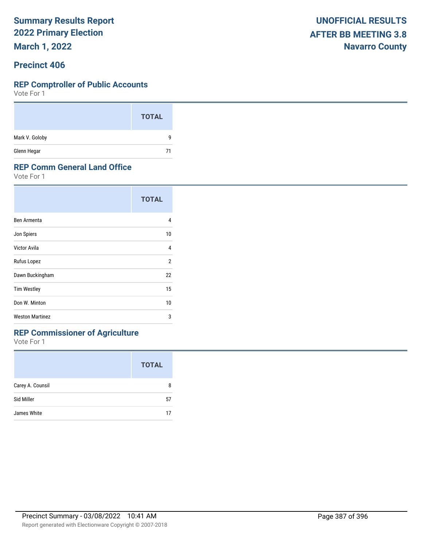**March 1, 2022**

### **Precinct 406**

#### **REP Comptroller of Public Accounts**

Vote For 1

|                | <b>TOTAL</b> |
|----------------|--------------|
| Mark V. Goloby | q            |
| Glenn Hegar    | 71           |

#### **REP Comm General Land Office**

Vote For 1

|                        | <b>TOTAL</b>   |
|------------------------|----------------|
| Ben Armenta            | 4              |
| Jon Spiers             | 10             |
| Victor Avila           | 4              |
| Rufus Lopez            | $\overline{2}$ |
| Dawn Buckingham        | 22             |
| <b>Tim Westley</b>     | 15             |
| Don W. Minton          | 10             |
| <b>Weston Martinez</b> | 3              |

## **REP Commissioner of Agriculture**

|                  | <b>TOTAL</b> |
|------------------|--------------|
| Carey A. Counsil | 8            |
| Sid Miller       | 57           |
| James White      | 17           |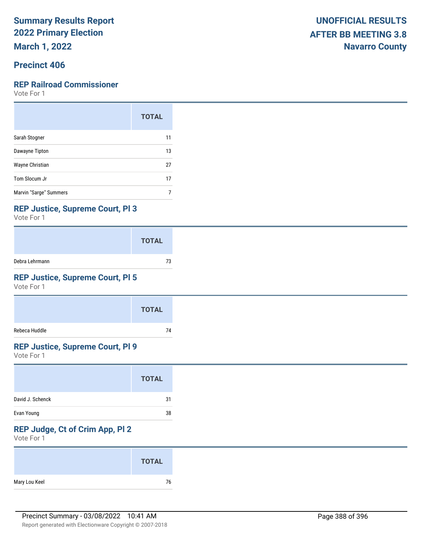**March 1, 2022**

## **Precinct 406**

#### **REP Railroad Commissioner**

Vote For 1

|                        | <b>TOTAL</b> |
|------------------------|--------------|
| Sarah Stogner          | 11           |
| Dawayne Tipton         | 13           |
| Wayne Christian        | 27           |
| Tom Slocum Jr          | 17           |
| Marvin "Sarge" Summers |              |

### **REP Justice, Supreme Court, Pl 3**

Vote For 1

|                | <b>TOTAL</b> |
|----------------|--------------|
| Debra Lehrmann | 73           |

## **REP Justice, Supreme Court, Pl 5**

Vote For 1

|               | <b>TOTAL</b> |
|---------------|--------------|
| Rebeca Huddle | 74           |

#### **REP Justice, Supreme Court, Pl 9**

Vote For 1

|                  | <b>TOTAL</b> |  |
|------------------|--------------|--|
| David J. Schenck | 31           |  |
| Evan Young       | 38           |  |

## **REP Judge, Ct of Crim App, Pl 2**

|               | <b>TOTAL</b> |
|---------------|--------------|
| Mary Lou Keel | 76           |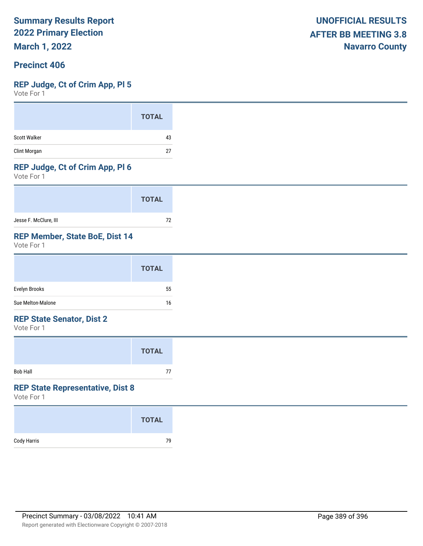**March 1, 2022**

## **Precinct 406**

#### **REP Judge, Ct of Crim App, Pl 5**

Vote For 1

|                     | <b>TOTAL</b> |
|---------------------|--------------|
| <b>Scott Walker</b> | 43           |
| Clint Morgan        | 27           |

## **REP Judge, Ct of Crim App, Pl 6**

Vote For 1

|                       | <b>TOTAL</b> |  |
|-----------------------|--------------|--|
| Jesse F. McClure, III | 72           |  |

### **REP Member, State BoE, Dist 14**

Vote For 1

|                   | <b>TOTAL</b> |
|-------------------|--------------|
| Evelyn Brooks     | 55           |
| Sue Melton-Malone | 16           |

#### **REP State Senator, Dist 2**

Vote For 1

|                 | <b>TOTAL</b> |
|-----------------|--------------|
| <b>Bob Hall</b> | 77           |

#### **REP State Representative, Dist 8**

|             | <b>TOTAL</b> |
|-------------|--------------|
| Cody Harris | 79           |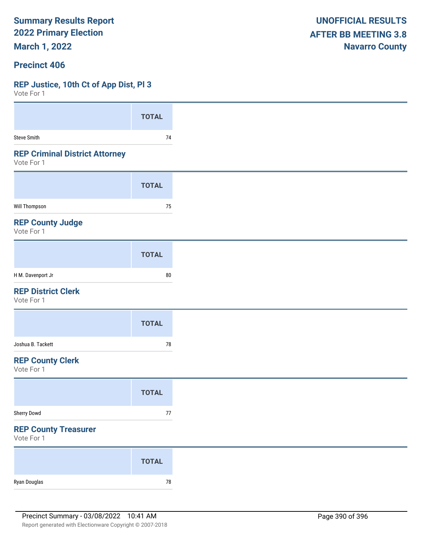**March 1, 2022**

### **Precinct 406**

#### **REP Justice, 10th Ct of App Dist, Pl 3**

| Vote For 1                                          |              |
|-----------------------------------------------------|--------------|
|                                                     | <b>TOTAL</b> |
| Steve Smith                                         | $74$         |
| <b>REP Criminal District Attorney</b><br>Vote For 1 |              |
|                                                     |              |
|                                                     | <b>TOTAL</b> |
| Will Thompson                                       | 75           |
| <b>REP County Judge</b><br>Vote For 1               |              |
|                                                     | <b>TOTAL</b> |
| H M. Davenport Jr                                   | ${\bf 80}$   |
| <b>REP District Clerk</b><br>Vote For 1             |              |
|                                                     | <b>TOTAL</b> |
| Joshua B. Tackett                                   | $78\,$       |
| <b>REP County Clerk</b><br>Vote For 1               |              |
|                                                     | <b>TOTAL</b> |
| Sherry Dowd                                         | $77\,$       |
| <b>REP County Treasurer</b><br>Vote For 1           |              |
|                                                     | <b>TOTAL</b> |
| Ryan Douglas                                        | ${\bf 78}$   |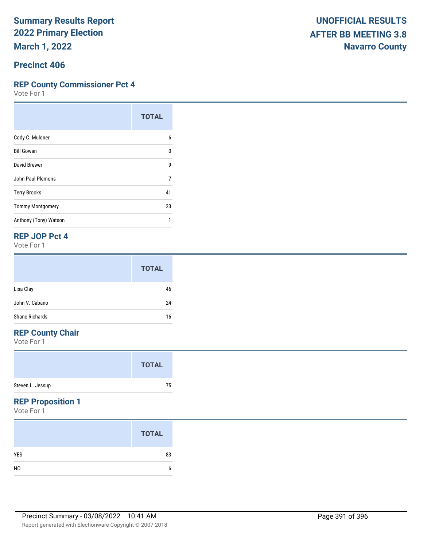**March 1, 2022**

### **Precinct 406**

#### **REP County Commissioner Pct 4**

Vote For 1

|                         | <b>TOTAL</b> |
|-------------------------|--------------|
| Cody C. Muldner         | 6            |
| <b>Bill Gowan</b>       | 0            |
| David Brewer            | 9            |
| John Paul Plemons       | 7            |
| <b>Terry Brooks</b>     | 41           |
| <b>Tommy Montgomery</b> | 23           |
| Anthony (Tony) Watson   |              |

#### **REP JOP Pct 4**

Vote For 1

|                | <b>TOTAL</b> |
|----------------|--------------|
| Lisa Clay      | 46           |
| John V. Cabano | 24           |
| Shane Richards | 16           |

## **REP County Chair**

Vote For 1

|                  | <b>TOTAL</b> |
|------------------|--------------|
| Steven L. Jessup | 75           |

### **REP Proposition 1**

|                | <b>TOTAL</b> |
|----------------|--------------|
| <b>YES</b>     | 83           |
| N <sub>0</sub> | b            |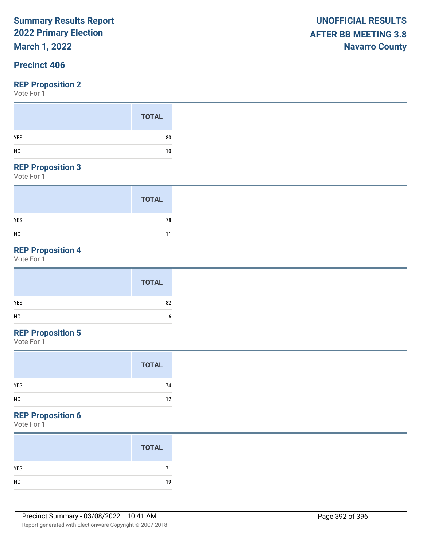**March 1, 2022**

## **Precinct 406**

#### **REP Proposition 2**

Vote For 1

#### **REP Proposition 3**

Vote For 1

|                | <b>TOTAL</b> |
|----------------|--------------|
| <b>YES</b>     | 78           |
| N <sub>0</sub> | 11           |

## **REP Proposition 4**

Vote For 1

## **REP Proposition 5**

Vote For 1

## **REP Proposition 6**

|     | <b>TOTAL</b> |
|-----|--------------|
| YES | 71           |
|     | 19           |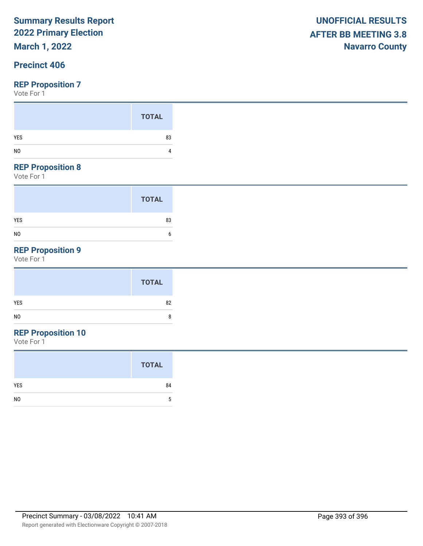## **March 1, 2022**

## **Precinct 406**

#### **REP Proposition 7**

Vote For 1

#### **REP Proposition 8**

Vote For 1

|                | <b>TOTAL</b> |
|----------------|--------------|
| <b>YES</b>     | 83           |
| N <sub>0</sub> | 6            |

## **REP Proposition 9**

Vote For 1

| <b>TOTAL</b> |        |
|--------------|--------|
| <b>YES</b>   | 82     |
| NO           | o<br>ō |

## **REP Proposition 10**

|                | <b>TOTAL</b> |
|----------------|--------------|
| <b>YES</b>     | 84           |
| N <sub>0</sub> | 5            |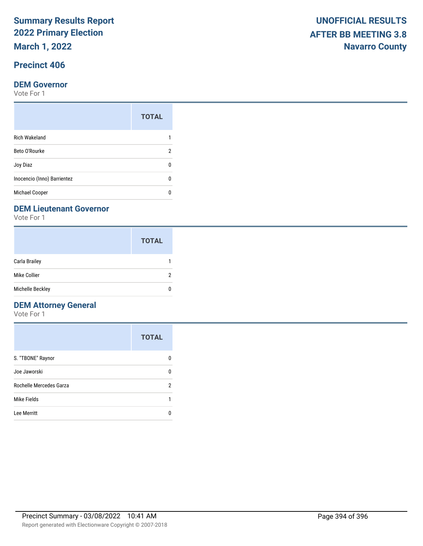**March 1, 2022**

## **Precinct 406**

#### **DEM Governor**

Vote For 1

|                             | <b>TOTAL</b> |
|-----------------------------|--------------|
| <b>Rich Wakeland</b>        |              |
| Beto O'Rourke               | 2            |
| Joy Diaz                    |              |
| Inocencio (Inno) Barrientez | n            |
| Michael Cooper              |              |

### **DEM Lieutenant Governor**

Vote For 1

|                  | <b>TOTAL</b> |
|------------------|--------------|
| Carla Brailey    |              |
| Mike Collier     | 2            |
| Michelle Beckley | n            |

## **DEM Attorney General**

|                         | <b>TOTAL</b> |
|-------------------------|--------------|
| S. "TBONE" Raynor       | O            |
| Joe Jaworski            | 0            |
| Rochelle Mercedes Garza | 2            |
| Mike Fields             |              |
| Lee Merritt             |              |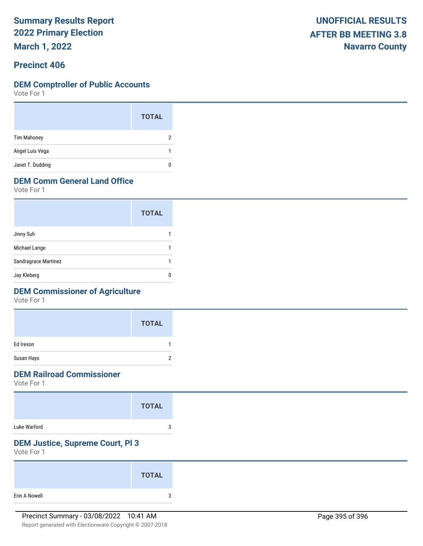**March 1, 2022**

## **Precinct 406**

#### **DEM Comptroller of Public Accounts**

Vote For 1

|                    | <b>TOTAL</b> |
|--------------------|--------------|
| <b>Tim Mahoney</b> | 2            |
| Angel Luis Vega    |              |
| Janet T. Dudding   | 0            |

## **DEM Comm General Land Office**

Vote For 1

|                      | <b>TOTAL</b> |
|----------------------|--------------|
| Jinny Suh            |              |
| Michael Lange        |              |
| Sandragrace Martinez |              |
| Jay Kleberg          |              |

## **DEM Commissioner of Agriculture**

Vote For 1

|            | <b>TOTAL</b> |  |
|------------|--------------|--|
| Ed Ireson  |              |  |
| Susan Hays |              |  |

## **DEM Railroad Commissioner**

Vote For 1

|              | <b>TOTAL</b> |
|--------------|--------------|
| Luke Warford | о            |

## **DEM Justice, Supreme Court, Pl 3**

|               | <b>TOTAL</b> |  |
|---------------|--------------|--|
| Erin A Nowell | 3            |  |